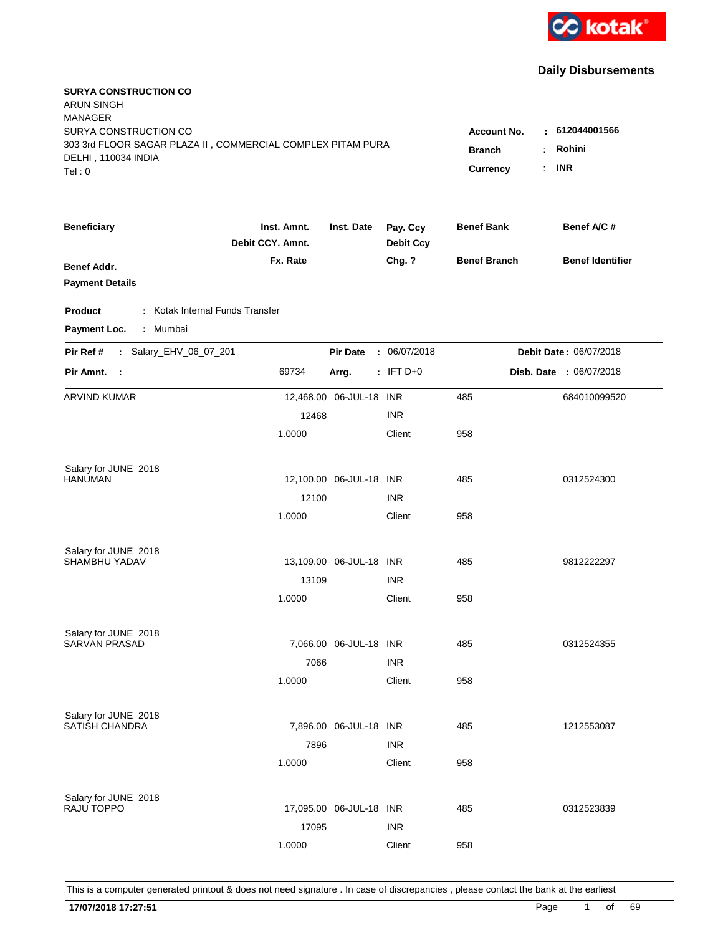

| <b>SURYA CONSTRUCTION CO</b><br><b>ARUN SINGH</b><br><b>MANAGER</b><br>SURYA CONSTRUCTION CO<br>303 3rd FLOOR SAGAR PLAZA II, COMMERCIAL COMPLEX PITAM PURA<br>DELHI, 110034 INDIA |                                 |                         |                              | <b>Account No.</b><br><b>Branch</b> | 612044001566<br>÷.<br>Rohini |
|------------------------------------------------------------------------------------------------------------------------------------------------------------------------------------|---------------------------------|-------------------------|------------------------------|-------------------------------------|------------------------------|
| Tel:0                                                                                                                                                                              |                                 |                         |                              | Currency                            | <b>INR</b><br>t.             |
|                                                                                                                                                                                    |                                 |                         |                              |                                     |                              |
| <b>Beneficiary</b>                                                                                                                                                                 | Inst. Amnt.<br>Debit CCY. Amnt. | Inst. Date              | Pay. Ccy<br><b>Debit Ccy</b> | <b>Benef Bank</b>                   | Benef A/C#                   |
| Benef Addr.                                                                                                                                                                        | Fx. Rate                        |                         | Chg. ?                       | <b>Benef Branch</b>                 | <b>Benef Identifier</b>      |
| <b>Payment Details</b>                                                                                                                                                             |                                 |                         |                              |                                     |                              |
| : Kotak Internal Funds Transfer<br><b>Product</b>                                                                                                                                  |                                 |                         |                              |                                     |                              |
| Payment Loc.<br>: Mumbai                                                                                                                                                           |                                 |                         |                              |                                     |                              |
| : Salary_EHV_06_07_201<br>Pir Ref #                                                                                                                                                |                                 | <b>Pir Date</b>         | : 06/07/2018                 |                                     | Debit Date: 06/07/2018       |
| Pir Amnt. :                                                                                                                                                                        | 69734                           | Arrg.                   | $:$ IFT D+0                  |                                     | Disb. Date : 06/07/2018      |
| <b>ARVIND KUMAR</b>                                                                                                                                                                |                                 | 12,468.00 06-JUL-18 INR |                              | 485                                 | 684010099520                 |
|                                                                                                                                                                                    | 12468                           |                         | <b>INR</b>                   |                                     |                              |
|                                                                                                                                                                                    | 1.0000                          |                         | Client                       | 958                                 |                              |
| Salary for JUNE 2018                                                                                                                                                               |                                 |                         |                              |                                     |                              |
| <b>HANUMAN</b>                                                                                                                                                                     |                                 | 12,100.00 06-JUL-18 INR |                              | 485                                 | 0312524300                   |
|                                                                                                                                                                                    | 12100                           |                         | <b>INR</b>                   |                                     |                              |
|                                                                                                                                                                                    | 1.0000                          |                         | Client                       | 958                                 |                              |
| Salary for JUNE 2018                                                                                                                                                               |                                 |                         |                              |                                     |                              |
| <b>SHAMBHU YADAV</b>                                                                                                                                                               |                                 | 13,109.00 06-JUL-18 INR |                              | 485                                 | 9812222297                   |
|                                                                                                                                                                                    | 13109                           |                         | <b>INR</b>                   |                                     |                              |
|                                                                                                                                                                                    | 1.0000                          |                         | Client                       | 958                                 |                              |
| Salary for JUNE 2018                                                                                                                                                               |                                 |                         |                              |                                     |                              |
| <b>SARVAN PRASAD</b>                                                                                                                                                               |                                 | 7,066.00 06-JUL-18 INR  |                              | 485                                 | 0312524355                   |
|                                                                                                                                                                                    | 7066                            |                         | <b>INR</b>                   |                                     |                              |
|                                                                                                                                                                                    | 1.0000                          |                         | Client                       | 958                                 |                              |
| Salary for JUNE 2018                                                                                                                                                               |                                 |                         |                              |                                     |                              |
| <b>SATISH CHANDRA</b>                                                                                                                                                              |                                 | 7,896.00 06-JUL-18 INR  |                              | 485                                 | 1212553087                   |
|                                                                                                                                                                                    | 7896                            |                         | <b>INR</b>                   |                                     |                              |
|                                                                                                                                                                                    | 1.0000                          |                         | Client                       | 958                                 |                              |
| Salary for JUNE 2018                                                                                                                                                               |                                 |                         |                              |                                     |                              |
| RAJU TOPPO                                                                                                                                                                         |                                 | 17,095.00 06-JUL-18 INR |                              | 485                                 | 0312523839                   |
|                                                                                                                                                                                    | 17095                           |                         | <b>INR</b>                   |                                     |                              |
|                                                                                                                                                                                    | 1.0000                          |                         | Client                       | 958                                 |                              |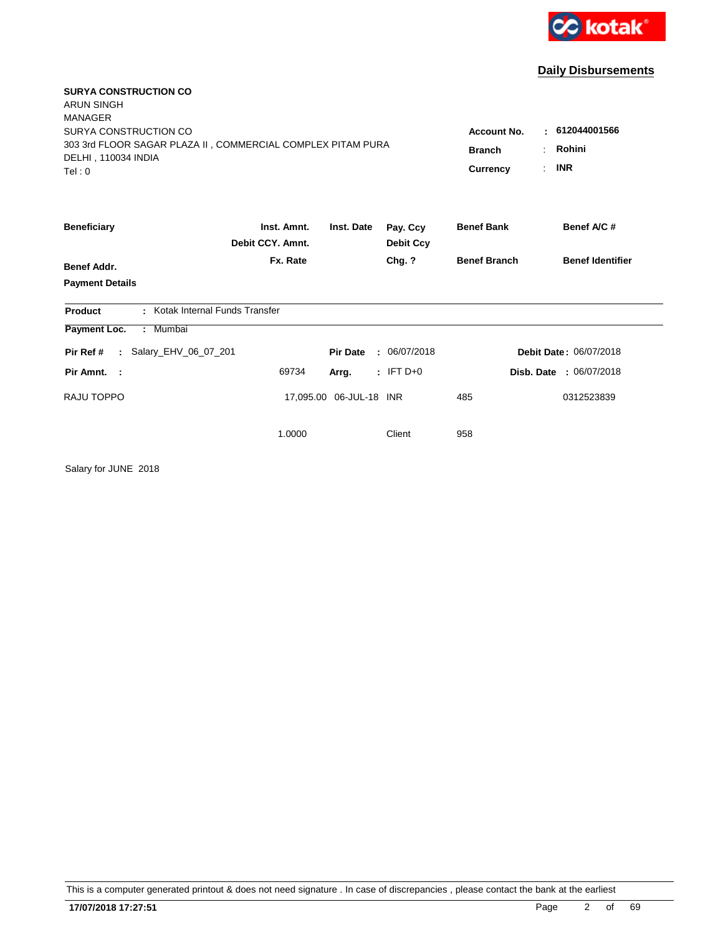

| <b>SURYA CONSTRUCTION CO</b><br><b>ARUN SINGH</b>                                                      |                                     |                              |                              |                     |                                |
|--------------------------------------------------------------------------------------------------------|-------------------------------------|------------------------------|------------------------------|---------------------|--------------------------------|
| <b>MANAGER</b><br>SURYA CONSTRUCTION CO<br>303 3rd FLOOR SAGAR PLAZA II, COMMERCIAL COMPLEX PITAM PURA | <b>Account No.</b><br><b>Branch</b> | 612044001566<br>۰.<br>Rohini |                              |                     |                                |
| DELHI, 110034 INDIA<br>Tel: 0                                                                          |                                     |                              |                              | Currency            | <b>INR</b><br>÷.               |
| <b>Beneficiary</b>                                                                                     | Inst. Amnt.<br>Debit CCY, Amnt.     | Inst. Date                   | Pay. Ccy<br><b>Debit Ccy</b> | <b>Benef Bank</b>   | Benef A/C #                    |
| <b>Benef Addr.</b>                                                                                     | Fx. Rate                            |                              | Chg. ?                       | <b>Benef Branch</b> | <b>Benef Identifier</b>        |
| <b>Payment Details</b>                                                                                 |                                     |                              |                              |                     |                                |
| : Kotak Internal Funds Transfer<br><b>Product</b>                                                      |                                     |                              |                              |                     |                                |
| : Mumbai<br>Payment Loc.                                                                               |                                     |                              |                              |                     |                                |
| Salary_EHV_06_07_201<br>Pir Ref #<br>$\mathcal{L}^{\pm}$                                               |                                     | <b>Pir Date</b>              | : 06/07/2018                 |                     | Debit Date: 06/07/2018         |
| Pir Amnt. :                                                                                            | 69734                               | Arrg.                        | $:$ IFT D+0                  |                     | <b>Disb. Date : 06/07/2018</b> |
| RAJU TOPPO                                                                                             |                                     | 17,095.00 06-JUL-18 INR      |                              | 485                 | 0312523839                     |
|                                                                                                        | 1.0000                              |                              | Client                       | 958                 |                                |

Salary for JUNE 2018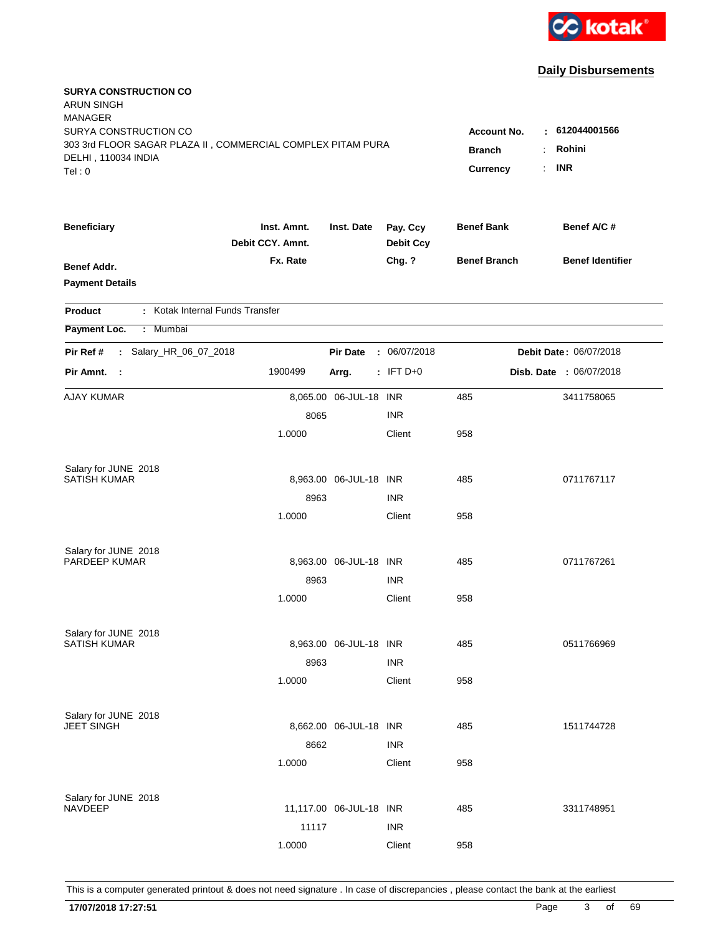

| <b>SURYA CONSTRUCTION CO</b><br><b>ARUN SINGH</b><br><b>MANAGER</b><br>SURYA CONSTRUCTION CO |                                 |                         |                              | <b>Account No.</b>  | : 612044001566          |
|----------------------------------------------------------------------------------------------|---------------------------------|-------------------------|------------------------------|---------------------|-------------------------|
| 303 3rd FLOOR SAGAR PLAZA II, COMMERCIAL COMPLEX PITAM PURA                                  |                                 |                         |                              | <b>Branch</b>       | Rohini                  |
| DELHI, 110034 INDIA                                                                          |                                 |                         |                              |                     | <b>INR</b>              |
| Tel:0                                                                                        |                                 |                         |                              | <b>Currency</b>     |                         |
| <b>Beneficiary</b>                                                                           | Inst. Amnt.<br>Debit CCY. Amnt. | Inst. Date              | Pay. Ccy<br><b>Debit Ccy</b> | <b>Benef Bank</b>   | Benef A/C #             |
| <b>Benef Addr.</b>                                                                           | Fx. Rate                        |                         | Chg. ?                       | <b>Benef Branch</b> | <b>Benef Identifier</b> |
| <b>Payment Details</b>                                                                       |                                 |                         |                              |                     |                         |
| : Kotak Internal Funds Transfer<br>Product                                                   |                                 |                         |                              |                     |                         |
| Payment Loc.<br>: Mumbai                                                                     |                                 |                         |                              |                     |                         |
| : Salary_HR_06_07_2018<br>Pir Ref #                                                          |                                 | <b>Pir Date</b>         | : 06/07/2018                 |                     | Debit Date: 06/07/2018  |
| Pir Amnt.<br>$\sim$ 1                                                                        | 1900499                         | Arrg.                   | $:$ IFT D+0                  |                     | Disb. Date : 06/07/2018 |
| <b>AJAY KUMAR</b>                                                                            |                                 | 8,065.00 06-JUL-18 INR  |                              | 485                 | 3411758065              |
|                                                                                              | 8065                            |                         | <b>INR</b>                   |                     |                         |
|                                                                                              | 1.0000                          |                         | Client                       | 958                 |                         |
| Salary for JUNE 2018                                                                         |                                 |                         |                              |                     |                         |
| <b>SATISH KUMAR</b>                                                                          |                                 | 8,963.00 06-JUL-18 INR  |                              | 485                 | 0711767117              |
|                                                                                              | 8963                            |                         | <b>INR</b>                   |                     |                         |
|                                                                                              | 1.0000                          |                         | Client                       | 958                 |                         |
| Salary for JUNE 2018                                                                         |                                 |                         |                              |                     |                         |
| PARDEEP KUMAR                                                                                |                                 | 8,963.00 06-JUL-18 INR  |                              | 485                 | 0711767261              |
|                                                                                              | 8963                            |                         | <b>INR</b>                   |                     |                         |
|                                                                                              | 1.0000                          |                         | Client                       | 958                 |                         |
| Salary for JUNE 2018                                                                         |                                 |                         |                              |                     |                         |
| <b>SATISH KUMAR</b>                                                                          |                                 | 8,963.00 06-JUL-18 INR  |                              | 485                 | 0511766969              |
|                                                                                              | 8963                            |                         | <b>INR</b>                   |                     |                         |
|                                                                                              | 1.0000                          |                         | Client                       | 958                 |                         |
| Salary for JUNE 2018                                                                         |                                 |                         |                              |                     |                         |
| <b>JEET SINGH</b>                                                                            |                                 | 8,662.00 06-JUL-18 INR  |                              | 485                 | 1511744728              |
|                                                                                              | 8662                            |                         | <b>INR</b>                   |                     |                         |
|                                                                                              | 1.0000                          |                         | Client                       | 958                 |                         |
| Salary for JUNE 2018                                                                         |                                 |                         |                              |                     |                         |
| <b>NAVDEEP</b>                                                                               |                                 | 11,117.00 06-JUL-18 INR |                              | 485                 | 3311748951              |
|                                                                                              | 11117                           |                         | <b>INR</b>                   |                     |                         |
|                                                                                              | 1.0000                          |                         | Client                       | 958                 |                         |
|                                                                                              |                                 |                         |                              |                     |                         |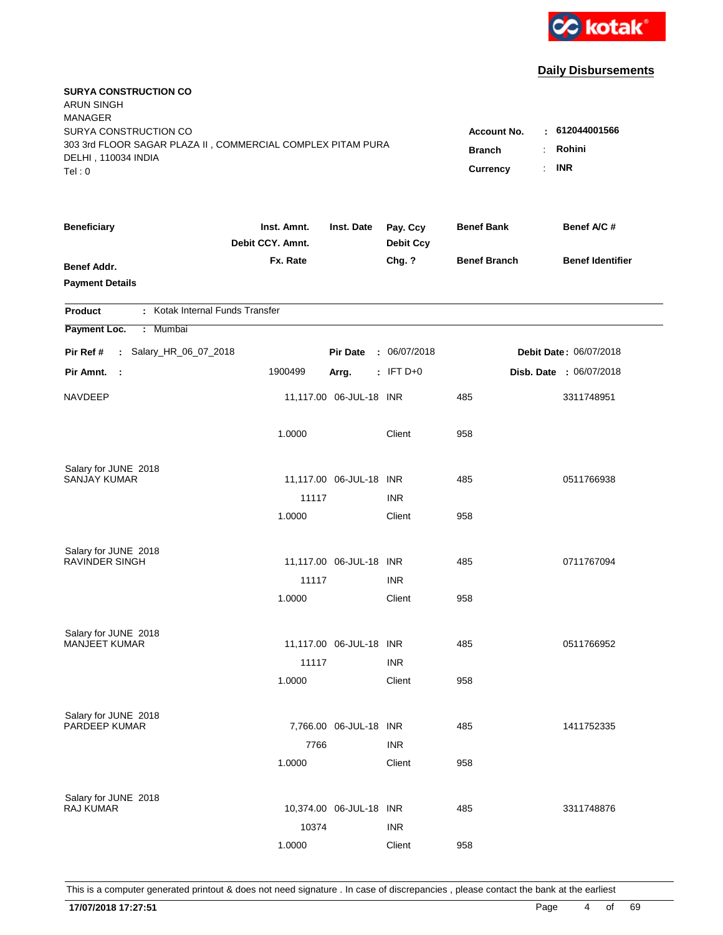

| <b>SURYA CONSTRUCTION CO</b><br><b>ARUN SINGH</b><br><b>MANAGER</b><br>SURYA CONSTRUCTION CO |                                 |                                 |                              | <b>Account No.</b>  | : 612044001566                |
|----------------------------------------------------------------------------------------------|---------------------------------|---------------------------------|------------------------------|---------------------|-------------------------------|
| 303 3rd FLOOR SAGAR PLAZA II, COMMERCIAL COMPLEX PITAM PURA<br>DELHI, 110034 INDIA<br>Tel: 0 | <b>Branch</b><br>Currency       | Rohini<br>÷<br><b>INR</b><br>÷. |                              |                     |                               |
| <b>Beneficiary</b>                                                                           | Inst. Amnt.<br>Debit CCY. Amnt. | Inst. Date                      | Pay. Ccy<br><b>Debit Ccy</b> | <b>Benef Bank</b>   | Benef A/C #                   |
| <b>Benef Addr.</b><br><b>Payment Details</b>                                                 | Fx. Rate                        |                                 | Chg. ?                       | <b>Benef Branch</b> | <b>Benef Identifier</b>       |
| : Kotak Internal Funds Transfer<br>Product                                                   |                                 |                                 |                              |                     |                               |
| Payment Loc.<br>Mumbai<br>÷.                                                                 |                                 |                                 |                              |                     |                               |
| : Salary_HR_06_07_2018<br>Pir Ref #                                                          |                                 | <b>Pir Date</b>                 | : 06/07/2018                 |                     | <b>Debit Date: 06/07/2018</b> |
| Pir Amnt.<br>$\sim$ 1                                                                        | 1900499                         | Arrg.                           | $:$ IFT D+0                  |                     | Disb. Date : 06/07/2018       |
| NAVDEEP                                                                                      |                                 | 11,117.00 06-JUL-18 INR         |                              | 485                 | 3311748951                    |
|                                                                                              | 1.0000                          |                                 | Client                       | 958                 |                               |
| Salary for JUNE 2018                                                                         |                                 |                                 |                              |                     |                               |
| SANJAY KUMAR                                                                                 | 11117                           | 11,117.00 06-JUL-18 INR         | <b>INR</b>                   | 485                 | 0511766938                    |
|                                                                                              | 1.0000                          |                                 | Client                       | 958                 |                               |
| Salary for JUNE 2018                                                                         |                                 |                                 |                              |                     |                               |
| <b>RAVINDER SINGH</b>                                                                        |                                 | 11,117.00 06-JUL-18 INR         |                              | 485                 | 0711767094                    |
|                                                                                              | 11117<br>1.0000                 |                                 | <b>INR</b><br>Client         | 958                 |                               |
|                                                                                              |                                 |                                 |                              |                     |                               |
| Salary for JUNE 2018<br><b>MANJEET KUMAR</b>                                                 |                                 | 11,117.00 06-JUL-18 INR         |                              | 485                 | 0511766952                    |
|                                                                                              | 11117                           |                                 | <b>INR</b>                   |                     |                               |
|                                                                                              | 1.0000                          |                                 | Client                       | 958                 |                               |
| Salary for JUNE 2018                                                                         |                                 |                                 |                              |                     |                               |
| PARDEEP KUMAR                                                                                |                                 | 7,766.00 06-JUL-18 INR          |                              | 485                 | 1411752335                    |
|                                                                                              | 7766                            |                                 | <b>INR</b>                   |                     |                               |
|                                                                                              | 1.0000                          |                                 | Client                       | 958                 |                               |
| Salary for JUNE 2018                                                                         |                                 |                                 |                              |                     |                               |
| <b>RAJ KUMAR</b>                                                                             |                                 | 10,374.00 06-JUL-18 INR         |                              | 485                 | 3311748876                    |
|                                                                                              | 10374                           |                                 | <b>INR</b>                   |                     |                               |
|                                                                                              | 1.0000                          |                                 | Client                       | 958                 |                               |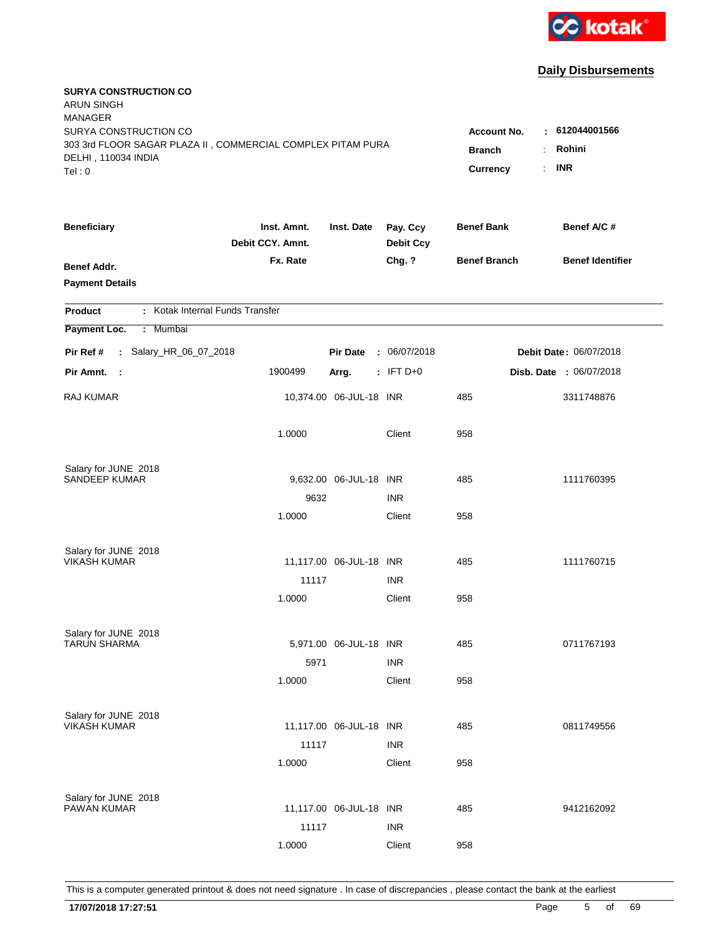

| <b>SURYA CONSTRUCTION CO</b><br><b>ARUN SINGH</b><br><b>MANAGER</b><br>SURYA CONSTRUCTION CO<br>303 3rd FLOOR SAGAR PLAZA II, COMMERCIAL COMPLEX PITAM PURA |                                 |                         |                              | <b>Account No.</b>        | 612044001566<br>٠             |
|-------------------------------------------------------------------------------------------------------------------------------------------------------------|---------------------------------|-------------------------|------------------------------|---------------------------|-------------------------------|
| DELHI, 110034 INDIA<br>Tel: 0                                                                                                                               |                                 |                         |                              | <b>Branch</b><br>Currency | Rohini<br><b>INR</b><br>÷.    |
| <b>Beneficiary</b>                                                                                                                                          | Inst. Amnt.<br>Debit CCY. Amnt. | Inst. Date              | Pay. Ccy<br><b>Debit Ccy</b> | <b>Benef Bank</b>         | Benef A/C #                   |
| <b>Benef Addr.</b><br><b>Payment Details</b>                                                                                                                | Fx. Rate                        |                         | Chg. ?                       | <b>Benef Branch</b>       | <b>Benef Identifier</b>       |
| : Kotak Internal Funds Transfer<br>Product                                                                                                                  |                                 |                         |                              |                           |                               |
| Payment Loc.<br>: Mumbai                                                                                                                                    |                                 |                         |                              |                           |                               |
| : Salary_HR_06_07_2018<br>Pir Ref #                                                                                                                         |                                 | <b>Pir Date</b>         | : 06/07/2018                 |                           | <b>Debit Date: 06/07/2018</b> |
| Pir Amnt. :                                                                                                                                                 | 1900499                         | Arrg.                   | $:$ IFT D+0                  |                           | Disb. Date : 06/07/2018       |
| RAJ KUMAR                                                                                                                                                   |                                 | 10,374.00 06-JUL-18 INR |                              | 485                       | 3311748876                    |
|                                                                                                                                                             | 1.0000                          |                         | Client                       | 958                       |                               |
| Salary for JUNE 2018<br><b>SANDEEP KUMAR</b>                                                                                                                |                                 | 9,632.00 06-JUL-18 INR  |                              | 485                       | 1111760395                    |
|                                                                                                                                                             | 9632                            |                         | <b>INR</b>                   |                           |                               |
|                                                                                                                                                             | 1.0000                          |                         | Client                       | 958                       |                               |
| Salary for JUNE 2018                                                                                                                                        |                                 |                         |                              |                           |                               |
| <b>VIKASH KUMAR</b>                                                                                                                                         |                                 | 11,117.00 06-JUL-18 INR |                              | 485                       | 1111760715                    |
|                                                                                                                                                             | 11117                           |                         | <b>INR</b>                   |                           |                               |
|                                                                                                                                                             | 1.0000                          |                         | Client                       | 958                       |                               |
| Salary for JUNE 2018                                                                                                                                        |                                 |                         |                              |                           |                               |
| <b>TARUN SHARMA</b>                                                                                                                                         |                                 | 5,971.00 06-JUL-18 INR  |                              | 485                       | 0711767193                    |
|                                                                                                                                                             | 5971                            |                         | <b>INR</b>                   |                           |                               |
|                                                                                                                                                             | 1.0000                          |                         | Client                       | 958                       |                               |
| Salary for JUNE 2018<br><b>VIKASH KUMAR</b>                                                                                                                 |                                 | 11,117.00 06-JUL-18 INR |                              | 485                       | 0811749556                    |
|                                                                                                                                                             | 11117                           |                         | <b>INR</b>                   |                           |                               |
|                                                                                                                                                             | 1.0000                          |                         | Client                       | 958                       |                               |
|                                                                                                                                                             |                                 |                         |                              |                           |                               |
| Salary for JUNE 2018<br>PAWAN KUMAR                                                                                                                         |                                 | 11,117.00 06-JUL-18 INR |                              | 485                       | 9412162092                    |
|                                                                                                                                                             | 11117                           |                         | <b>INR</b>                   |                           |                               |
|                                                                                                                                                             | 1.0000                          |                         | Client                       | 958                       |                               |
|                                                                                                                                                             |                                 |                         |                              |                           |                               |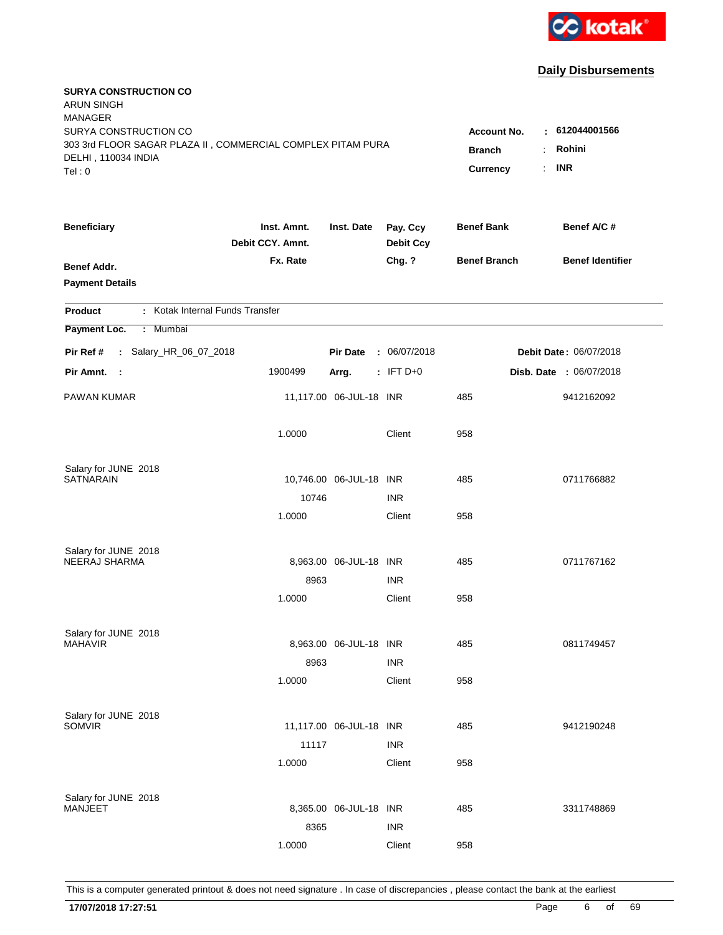

| <b>SURYA CONSTRUCTION CO</b><br><b>ARUN SINGH</b><br><b>MANAGER</b> |                                 |                         |                              |                     |                               |
|---------------------------------------------------------------------|---------------------------------|-------------------------|------------------------------|---------------------|-------------------------------|
| SURYA CONSTRUCTION CO                                               |                                 |                         |                              | Account No.         | : 612044001566                |
| 303 3rd FLOOR SAGAR PLAZA II, COMMERCIAL COMPLEX PITAM PURA         | <b>Branch</b>                   | Rohini                  |                              |                     |                               |
| DELHI, 110034 INDIA<br>Tel: 0                                       |                                 |                         |                              | Currency            | <b>INR</b><br>÷.              |
|                                                                     |                                 |                         |                              |                     |                               |
| <b>Beneficiary</b>                                                  | Inst. Amnt.<br>Debit CCY. Amnt. | Inst. Date              | Pay. Ccy<br><b>Debit Ccy</b> | <b>Benef Bank</b>   | Benef A/C #                   |
| <b>Benef Addr.</b>                                                  | Fx. Rate                        |                         | Chg. ?                       | <b>Benef Branch</b> | <b>Benef Identifier</b>       |
| <b>Payment Details</b>                                              |                                 |                         |                              |                     |                               |
| : Kotak Internal Funds Transfer<br>Product                          |                                 |                         |                              |                     |                               |
| Payment Loc.<br>Mumbai<br>÷.                                        |                                 |                         |                              |                     |                               |
| : Salary_HR_06_07_2018<br>Pir Ref #                                 |                                 | <b>Pir Date</b>         | : 06/07/2018                 |                     | <b>Debit Date: 06/07/2018</b> |
| Pir Amnt.<br>- 1                                                    | 1900499                         | Arrg.                   | $:$ IFT D+0                  |                     | Disb. Date : 06/07/2018       |
| PAWAN KUMAR                                                         |                                 | 11,117.00 06-JUL-18 INR |                              | 485                 | 9412162092                    |
|                                                                     | 1.0000                          |                         | Client                       | 958                 |                               |
| Salary for JUNE 2018                                                |                                 |                         |                              |                     |                               |
| <b>SATNARAIN</b>                                                    |                                 | 10,746.00 06-JUL-18 INR |                              | 485                 | 0711766882                    |
|                                                                     | 10746                           |                         | <b>INR</b>                   |                     |                               |
|                                                                     | 1.0000                          |                         | Client                       | 958                 |                               |
| Salary for JUNE 2018                                                |                                 |                         |                              |                     |                               |
| NEERAJ SHARMA                                                       |                                 | 8,963.00 06-JUL-18 INR  |                              | 485                 | 0711767162                    |
|                                                                     | 8963                            |                         | <b>INR</b>                   |                     |                               |
|                                                                     | 1.0000                          |                         | Client                       | 958                 |                               |
| Salary for JUNE 2018                                                |                                 |                         |                              |                     |                               |
| <b>MAHAVIR</b>                                                      |                                 | 8,963.00 06-JUL-18 INR  |                              | 485                 | 0811749457                    |
|                                                                     | 8963                            |                         | <b>INR</b>                   |                     |                               |
|                                                                     | 1.0000                          |                         | Client                       | 958                 |                               |
| Salary for JUNE 2018                                                |                                 |                         |                              |                     |                               |
| <b>SOMVIR</b>                                                       |                                 | 11,117.00 06-JUL-18 INR |                              | 485                 | 9412190248                    |
|                                                                     | 11117                           |                         | <b>INR</b>                   |                     |                               |
|                                                                     | 1.0000                          |                         | Client                       | 958                 |                               |
|                                                                     |                                 |                         |                              |                     |                               |
| Salary for JUNE 2018<br>MANJEET                                     |                                 | 8,365.00 06-JUL-18 INR  |                              | 485                 | 3311748869                    |
|                                                                     | 8365                            |                         | <b>INR</b>                   |                     |                               |
|                                                                     | 1.0000                          |                         | Client                       | 958                 |                               |
|                                                                     |                                 |                         |                              |                     |                               |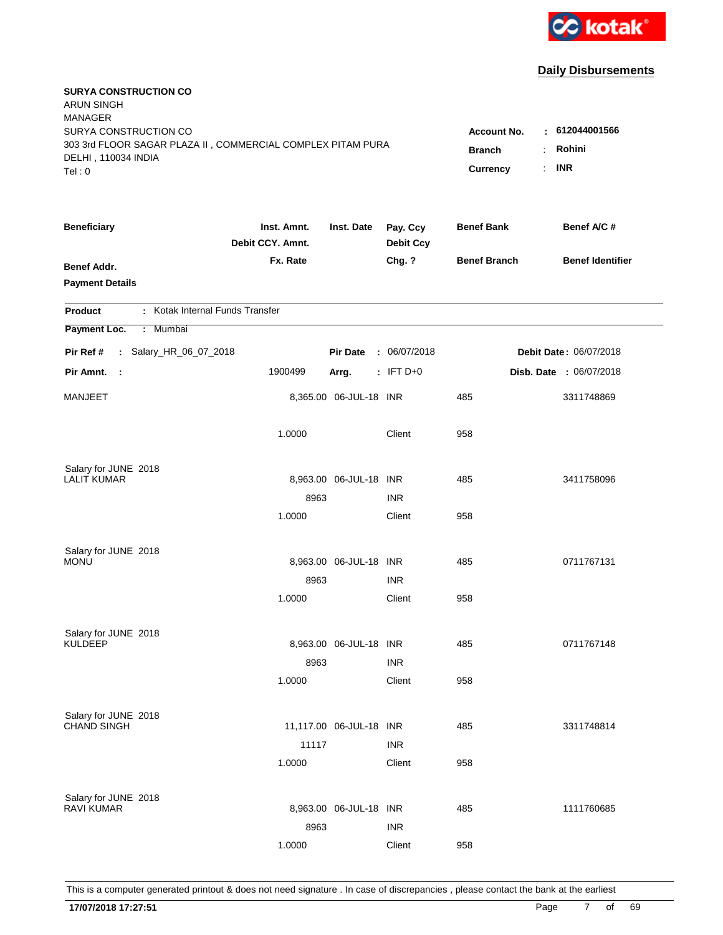

| <b>SURYA CONSTRUCTION CO</b><br><b>ARUN SINGH</b><br><b>MANAGER</b> |                                 |                         |                              |                     |                               |
|---------------------------------------------------------------------|---------------------------------|-------------------------|------------------------------|---------------------|-------------------------------|
| SURYA CONSTRUCTION CO                                               |                                 |                         |                              | Account No.         | : 612044001566                |
| 303 3rd FLOOR SAGAR PLAZA II, COMMERCIAL COMPLEX PITAM PURA         | <b>Branch</b>                   | Rohini                  |                              |                     |                               |
| DELHI, 110034 INDIA<br>Tel: 0                                       |                                 |                         |                              | Currency            | <b>INR</b><br>÷.              |
|                                                                     |                                 |                         |                              |                     |                               |
| <b>Beneficiary</b>                                                  | Inst. Amnt.<br>Debit CCY. Amnt. | Inst. Date              | Pay. Ccy<br><b>Debit Ccy</b> | <b>Benef Bank</b>   | Benef A/C #                   |
| <b>Benef Addr.</b>                                                  | Fx. Rate                        |                         | Chg. ?                       | <b>Benef Branch</b> | <b>Benef Identifier</b>       |
| <b>Payment Details</b>                                              |                                 |                         |                              |                     |                               |
| : Kotak Internal Funds Transfer<br><b>Product</b>                   |                                 |                         |                              |                     |                               |
| Payment Loc.<br>Mumbai<br>÷.                                        |                                 |                         |                              |                     |                               |
| : Salary_HR_06_07_2018<br>Pir Ref #                                 |                                 | <b>Pir Date</b>         | : 06/07/2018                 |                     | <b>Debit Date: 06/07/2018</b> |
| Pir Amnt.<br>$\sim$                                                 | 1900499                         | Arrg.                   | $: IFT D+0$                  |                     | Disb. Date : 06/07/2018       |
| MANJEET                                                             |                                 | 8,365.00 06-JUL-18 INR  |                              | 485                 | 3311748869                    |
|                                                                     | 1.0000                          |                         | Client                       | 958                 |                               |
| Salary for JUNE 2018                                                |                                 |                         |                              |                     |                               |
| <b>LALIT KUMAR</b>                                                  |                                 | 8,963.00 06-JUL-18 INR  |                              | 485                 | 3411758096                    |
|                                                                     | 8963                            |                         | <b>INR</b>                   |                     |                               |
|                                                                     | 1.0000                          |                         | Client                       | 958                 |                               |
| Salary for JUNE 2018                                                |                                 |                         |                              |                     |                               |
| <b>MONU</b>                                                         |                                 | 8,963.00 06-JUL-18 INR  |                              | 485                 | 0711767131                    |
|                                                                     | 8963                            |                         | <b>INR</b>                   |                     |                               |
|                                                                     | 1.0000                          |                         | Client                       | 958                 |                               |
| Salary for JUNE 2018                                                |                                 |                         |                              |                     |                               |
| <b>KULDEEP</b>                                                      |                                 | 8,963.00 06-JUL-18 INR  |                              | 485                 | 0711767148                    |
|                                                                     | 8963                            |                         | <b>INR</b>                   |                     |                               |
|                                                                     | 1.0000                          |                         | Client                       | 958                 |                               |
| Salary for JUNE 2018                                                |                                 |                         |                              |                     |                               |
| <b>CHAND SINGH</b>                                                  |                                 | 11,117.00 06-JUL-18 INR |                              | 485                 | 3311748814                    |
|                                                                     | 11117                           |                         | <b>INR</b>                   |                     |                               |
|                                                                     | 1.0000                          |                         | Client                       | 958                 |                               |
| Salary for JUNE 2018                                                |                                 |                         |                              |                     |                               |
| <b>RAVI KUMAR</b>                                                   |                                 | 8,963.00 06-JUL-18 INR  |                              | 485                 | 1111760685                    |
|                                                                     | 8963                            |                         | <b>INR</b>                   |                     |                               |
|                                                                     | 1.0000                          |                         | Client                       | 958                 |                               |
|                                                                     |                                 |                         |                              |                     |                               |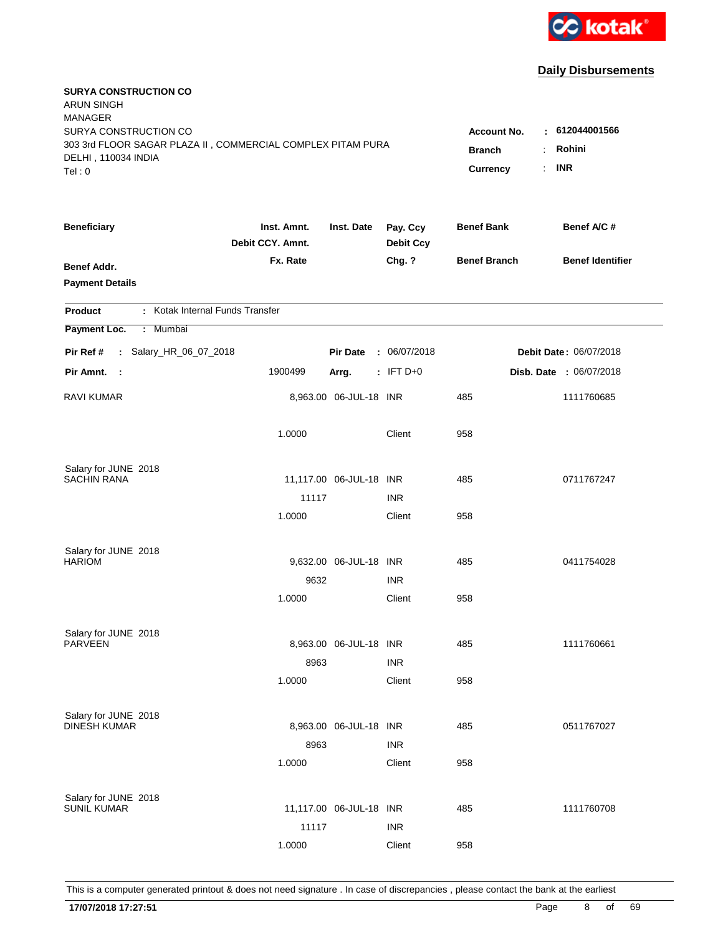

| <b>SURYA CONSTRUCTION CO</b><br><b>ARUN SINGH</b><br><b>MANAGER</b><br>SURYA CONSTRUCTION CO<br>303 3rd FLOOR SAGAR PLAZA II, COMMERCIAL COMPLEX PITAM PURA<br>DELHI, 110034 INDIA |                                 |                         |                              | <b>Account No.</b><br><b>Branch</b> | : 612044001566<br>Rohini<br>÷ |
|------------------------------------------------------------------------------------------------------------------------------------------------------------------------------------|---------------------------------|-------------------------|------------------------------|-------------------------------------|-------------------------------|
| Tel: 0                                                                                                                                                                             |                                 |                         |                              | Currency                            | <b>INR</b><br>÷.              |
| <b>Beneficiary</b>                                                                                                                                                                 | Inst. Amnt.<br>Debit CCY. Amnt. | Inst. Date              | Pay. Ccy<br><b>Debit Ccy</b> | <b>Benef Bank</b>                   | Benef A/C #                   |
| <b>Benef Addr.</b><br><b>Payment Details</b>                                                                                                                                       | Fx. Rate                        |                         | Chg. ?                       | <b>Benef Branch</b>                 | <b>Benef Identifier</b>       |
| : Kotak Internal Funds Transfer<br>Product                                                                                                                                         |                                 |                         |                              |                                     |                               |
| Payment Loc.<br>: Mumbai                                                                                                                                                           |                                 |                         |                              |                                     |                               |
| : Salary_HR_06_07_2018<br>Pir Ref #                                                                                                                                                |                                 | <b>Pir Date</b>         | : 06/07/2018                 |                                     | Debit Date: 06/07/2018        |
| Pir Amnt. :                                                                                                                                                                        | 1900499                         | Arrg.                   | $:$ IFT D+0                  |                                     | Disb. Date : 06/07/2018       |
| <b>RAVI KUMAR</b>                                                                                                                                                                  |                                 | 8,963.00 06-JUL-18 INR  |                              | 485                                 | 1111760685                    |
|                                                                                                                                                                                    | 1.0000                          |                         | Client                       | 958                                 |                               |
| Salary for JUNE 2018                                                                                                                                                               |                                 |                         |                              |                                     |                               |
| <b>SACHIN RANA</b>                                                                                                                                                                 |                                 | 11,117.00 06-JUL-18 INR |                              | 485                                 | 0711767247                    |
|                                                                                                                                                                                    | 11117<br>1.0000                 |                         | <b>INR</b><br>Client         | 958                                 |                               |
|                                                                                                                                                                                    |                                 |                         |                              |                                     |                               |
| Salary for JUNE 2018                                                                                                                                                               |                                 |                         |                              |                                     |                               |
| <b>HARIOM</b>                                                                                                                                                                      |                                 | 9,632.00 06-JUL-18 INR  |                              | 485                                 | 0411754028                    |
|                                                                                                                                                                                    | 9632                            |                         | <b>INR</b>                   |                                     |                               |
|                                                                                                                                                                                    | 1.0000                          |                         | Client                       | 958                                 |                               |
| Salary for JUNE 2018                                                                                                                                                               |                                 |                         |                              |                                     |                               |
| <b>PARVEEN</b>                                                                                                                                                                     |                                 | 8,963.00 06-JUL-18 INR  |                              | 485                                 | 1111760661                    |
|                                                                                                                                                                                    | 8963                            |                         | <b>INR</b>                   |                                     |                               |
|                                                                                                                                                                                    | 1.0000                          |                         | Client                       | 958                                 |                               |
|                                                                                                                                                                                    |                                 |                         |                              |                                     |                               |
| Salary for JUNE 2018<br><b>DINESH KUMAR</b>                                                                                                                                        |                                 | 8,963.00 06-JUL-18 INR  |                              | 485                                 | 0511767027                    |
|                                                                                                                                                                                    | 8963                            |                         | <b>INR</b>                   |                                     |                               |
|                                                                                                                                                                                    | 1.0000                          |                         | Client                       | 958                                 |                               |
|                                                                                                                                                                                    |                                 |                         |                              |                                     |                               |
| Salary for JUNE 2018<br><b>SUNIL KUMAR</b>                                                                                                                                         |                                 | 11,117.00 06-JUL-18 INR |                              | 485                                 | 1111760708                    |
|                                                                                                                                                                                    | 11117                           |                         | <b>INR</b>                   |                                     |                               |
|                                                                                                                                                                                    | 1.0000                          |                         | Client                       | 958                                 |                               |
|                                                                                                                                                                                    |                                 |                         |                              |                                     |                               |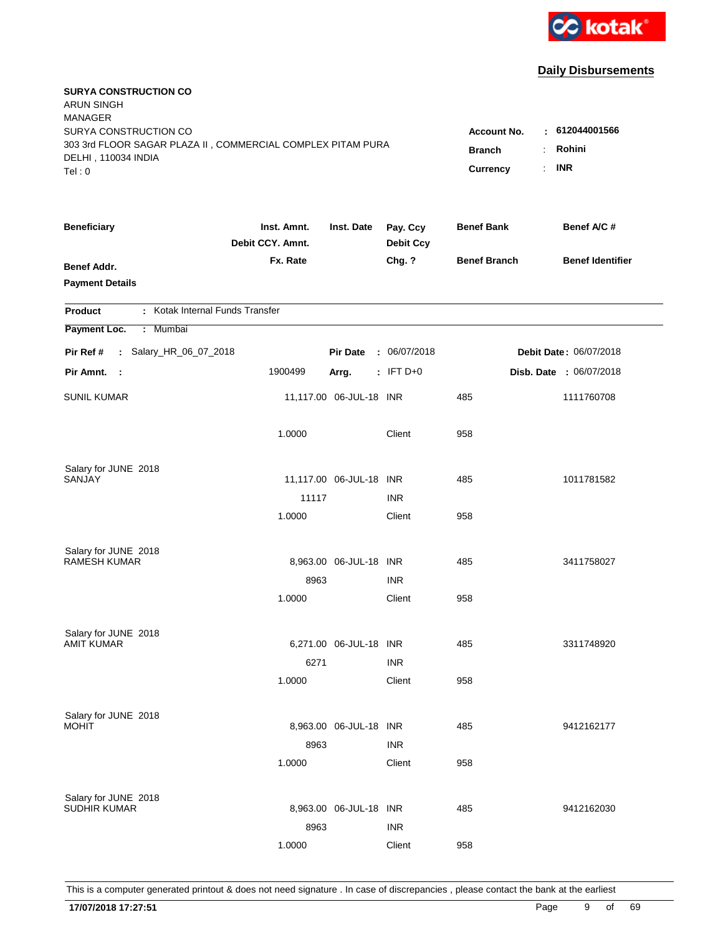

| <b>SURYA CONSTRUCTION CO</b><br>ARUN SINGH<br><b>MANAGER</b><br>SURYA CONSTRUCTION CO        |                                 |                                 |                              | <b>Account No.</b>  | : 612044001566          |
|----------------------------------------------------------------------------------------------|---------------------------------|---------------------------------|------------------------------|---------------------|-------------------------|
| 303 3rd FLOOR SAGAR PLAZA II, COMMERCIAL COMPLEX PITAM PURA<br>DELHI, 110034 INDIA<br>Tel: 0 | <b>Branch</b><br>Currency       | Rohini<br>÷<br><b>INR</b><br>÷. |                              |                     |                         |
| <b>Beneficiary</b>                                                                           | Inst. Amnt.<br>Debit CCY. Amnt. | Inst. Date                      | Pay. Ccy<br><b>Debit Ccy</b> | <b>Benef Bank</b>   | Benef A/C #             |
| <b>Benef Addr.</b><br><b>Payment Details</b>                                                 | Fx. Rate                        |                                 | Chg. ?                       | <b>Benef Branch</b> | <b>Benef Identifier</b> |
| : Kotak Internal Funds Transfer<br>Product                                                   |                                 |                                 |                              |                     |                         |
| Payment Loc.<br>: Mumbai                                                                     |                                 |                                 |                              |                     |                         |
| : Salary_HR_06_07_2018<br>Pir Ref #                                                          |                                 | <b>Pir Date</b>                 | : 06/07/2018                 |                     | Debit Date: 06/07/2018  |
| Pir Amnt. :                                                                                  | 1900499                         | Arrg.                           | $:$ IFT D+0                  |                     | Disb. Date : 06/07/2018 |
| <b>SUNIL KUMAR</b>                                                                           |                                 | 11,117.00 06-JUL-18 INR         |                              | 485                 | 1111760708              |
|                                                                                              | 1.0000                          |                                 | Client                       | 958                 |                         |
| Salary for JUNE 2018<br>SANJAY                                                               |                                 | 11,117.00 06-JUL-18 INR         |                              | 485                 | 1011781582              |
|                                                                                              | 11117                           |                                 | <b>INR</b>                   |                     |                         |
|                                                                                              | 1.0000                          |                                 | Client                       | 958                 |                         |
| Salary for JUNE 2018                                                                         |                                 |                                 |                              |                     |                         |
| <b>RAMESH KUMAR</b>                                                                          |                                 | 8,963.00 06-JUL-18 INR          |                              | 485                 | 3411758027              |
|                                                                                              | 8963                            |                                 | <b>INR</b>                   |                     |                         |
|                                                                                              | 1.0000                          |                                 | Client                       | 958                 |                         |
| Salary for JUNE 2018                                                                         |                                 |                                 |                              |                     |                         |
| <b>AMIT KUMAR</b>                                                                            |                                 | 6,271.00 06-JUL-18 INR          |                              | 485                 | 3311748920              |
|                                                                                              | 6271                            |                                 | <b>INR</b>                   |                     |                         |
|                                                                                              | 1.0000                          |                                 | Client                       | 958                 |                         |
| Salary for JUNE 2018                                                                         |                                 |                                 |                              |                     |                         |
| <b>MOHIT</b>                                                                                 |                                 | 8,963.00 06-JUL-18 INR          |                              | 485                 | 9412162177              |
|                                                                                              | 8963                            |                                 | <b>INR</b>                   |                     |                         |
|                                                                                              | 1.0000                          |                                 | Client                       | 958                 |                         |
| Salary for JUNE 2018                                                                         |                                 |                                 |                              |                     |                         |
| <b>SUDHIR KUMAR</b>                                                                          |                                 | 8,963.00 06-JUL-18 INR          |                              | 485                 | 9412162030              |
|                                                                                              | 8963                            |                                 | <b>INR</b>                   |                     |                         |
|                                                                                              | 1.0000                          |                                 | Client                       | 958                 |                         |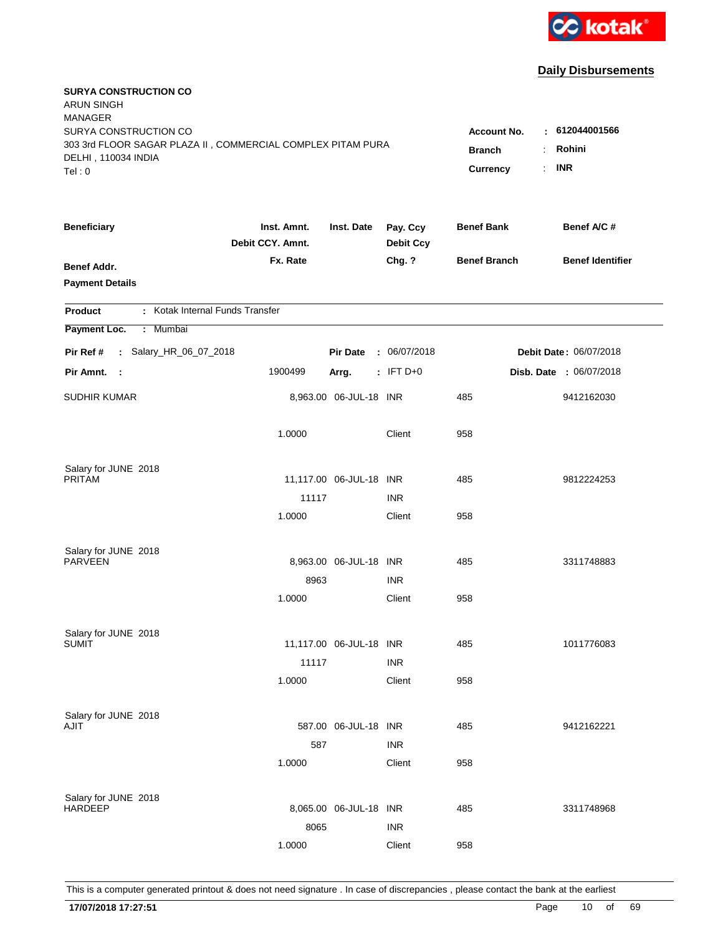

| <b>SURYA CONSTRUCTION CO</b><br>ARUN SINGH<br><b>MANAGER</b><br>SURYA CONSTRUCTION CO<br>303 3rd FLOOR SAGAR PLAZA II, COMMERCIAL COMPLEX PITAM PURA |                                 |                         |                              | <b>Account No.</b><br><b>Branch</b> | : 612044001566<br>Rohini<br>÷ |
|------------------------------------------------------------------------------------------------------------------------------------------------------|---------------------------------|-------------------------|------------------------------|-------------------------------------|-------------------------------|
| DELHI, 110034 INDIA<br>Tel: 0                                                                                                                        |                                 |                         |                              | Currency                            | <b>INR</b><br>÷.              |
| <b>Beneficiary</b>                                                                                                                                   | Inst. Amnt.<br>Debit CCY. Amnt. | Inst. Date              | Pay. Ccy<br><b>Debit Ccy</b> | <b>Benef Bank</b>                   | Benef A/C #                   |
| <b>Benef Addr.</b><br><b>Payment Details</b>                                                                                                         | Fx. Rate                        |                         | Chg. ?                       | <b>Benef Branch</b>                 | <b>Benef Identifier</b>       |
| : Kotak Internal Funds Transfer<br>Product                                                                                                           |                                 |                         |                              |                                     |                               |
| Payment Loc.<br>: Mumbai                                                                                                                             |                                 |                         |                              |                                     |                               |
| : Salary_HR_06_07_2018<br>Pir Ref #                                                                                                                  |                                 | <b>Pir Date</b>         | : 06/07/2018                 |                                     | Debit Date: 06/07/2018        |
| Pir Amnt. :                                                                                                                                          | 1900499                         | Arrg.                   | $:$ IFT D+0                  |                                     | Disb. Date : 06/07/2018       |
| <b>SUDHIR KUMAR</b>                                                                                                                                  |                                 | 8,963.00 06-JUL-18 INR  |                              | 485                                 | 9412162030                    |
|                                                                                                                                                      | 1.0000                          |                         | Client                       | 958                                 |                               |
| Salary for JUNE 2018<br>PRITAM                                                                                                                       |                                 | 11,117.00 06-JUL-18 INR |                              | 485                                 | 9812224253                    |
|                                                                                                                                                      | 11117                           |                         | <b>INR</b>                   |                                     |                               |
|                                                                                                                                                      | 1.0000                          |                         | Client                       | 958                                 |                               |
| Salary for JUNE 2018                                                                                                                                 |                                 |                         |                              |                                     |                               |
| <b>PARVEEN</b>                                                                                                                                       |                                 | 8,963.00 06-JUL-18 INR  |                              | 485                                 | 3311748883                    |
|                                                                                                                                                      | 8963<br>1.0000                  |                         | <b>INR</b><br>Client         | 958                                 |                               |
|                                                                                                                                                      |                                 |                         |                              |                                     |                               |
| Salary for JUNE 2018                                                                                                                                 |                                 |                         |                              |                                     |                               |
| <b>SUMIT</b>                                                                                                                                         |                                 | 11,117.00 06-JUL-18 INR |                              | 485                                 | 1011776083                    |
|                                                                                                                                                      | 11117<br>1.0000                 |                         | <b>INR</b><br>Client         | 958                                 |                               |
|                                                                                                                                                      |                                 |                         |                              |                                     |                               |
| Salary for JUNE 2018                                                                                                                                 |                                 |                         |                              |                                     |                               |
| AJIT                                                                                                                                                 |                                 | 587.00 06-JUL-18 INR    |                              | 485                                 | 9412162221                    |
|                                                                                                                                                      | 587                             |                         | <b>INR</b>                   |                                     |                               |
|                                                                                                                                                      | 1.0000                          |                         | Client                       | 958                                 |                               |
| Salary for JUNE 2018                                                                                                                                 |                                 |                         |                              |                                     |                               |
| <b>HARDEEP</b>                                                                                                                                       |                                 | 8,065.00 06-JUL-18 INR  |                              | 485                                 | 3311748968                    |
|                                                                                                                                                      | 8065                            |                         | <b>INR</b>                   |                                     |                               |
|                                                                                                                                                      | 1.0000                          |                         | Client                       | 958                                 |                               |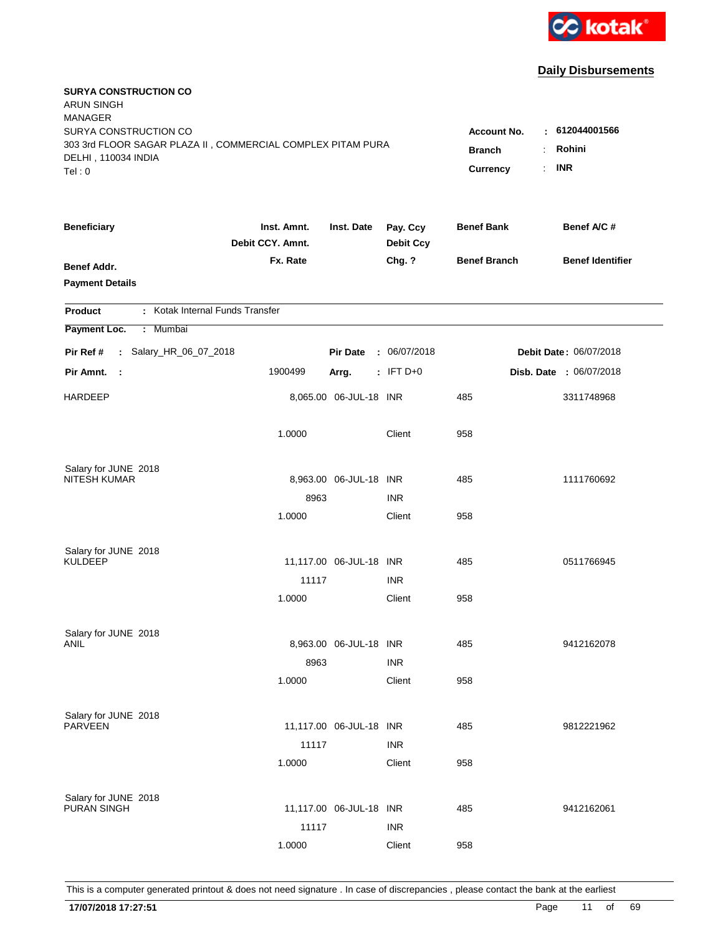

| <b>SURYA CONSTRUCTION CO</b><br><b>ARUN SINGH</b><br><b>MANAGER</b>                |                                 |                         |                              |                     |                               |
|------------------------------------------------------------------------------------|---------------------------------|-------------------------|------------------------------|---------------------|-------------------------------|
| SURYA CONSTRUCTION CO                                                              |                                 |                         |                              | Account No.         | : 612044001566                |
| 303 3rd FLOOR SAGAR PLAZA II, COMMERCIAL COMPLEX PITAM PURA<br>DELHI, 110034 INDIA | <b>Branch</b>                   | Rohini                  |                              |                     |                               |
| Tel: 0                                                                             |                                 |                         |                              | Currency            | <b>INR</b><br>÷.              |
|                                                                                    |                                 |                         |                              |                     |                               |
| <b>Beneficiary</b>                                                                 | Inst. Amnt.<br>Debit CCY. Amnt. | Inst. Date              | Pay. Ccy<br><b>Debit Ccy</b> | <b>Benef Bank</b>   | Benef A/C #                   |
| <b>Benef Addr.</b>                                                                 | Fx. Rate                        |                         | Chg. ?                       | <b>Benef Branch</b> | <b>Benef Identifier</b>       |
| <b>Payment Details</b>                                                             |                                 |                         |                              |                     |                               |
| : Kotak Internal Funds Transfer<br>Product                                         |                                 |                         |                              |                     |                               |
| Payment Loc.<br>Mumbai<br>÷.                                                       |                                 |                         |                              |                     |                               |
| : Salary_HR_06_07_2018<br>Pir Ref #                                                |                                 | <b>Pir Date</b>         | : 06/07/2018                 |                     | <b>Debit Date: 06/07/2018</b> |
| Pir Amnt.<br>$\mathbb{R}^2$                                                        | 1900499                         | Arrg.                   | $:$ IFT D+0                  |                     | Disb. Date : 06/07/2018       |
| <b>HARDEEP</b>                                                                     |                                 | 8,065.00 06-JUL-18 INR  |                              | 485                 | 3311748968                    |
|                                                                                    | 1.0000                          |                         | Client                       | 958                 |                               |
|                                                                                    |                                 |                         |                              |                     |                               |
| Salary for JUNE 2018<br><b>NITESH KUMAR</b>                                        |                                 | 8,963.00 06-JUL-18 INR  |                              | 485                 | 1111760692                    |
|                                                                                    | 8963                            |                         | <b>INR</b>                   |                     |                               |
|                                                                                    | 1.0000                          |                         | Client                       | 958                 |                               |
|                                                                                    |                                 |                         |                              |                     |                               |
| Salary for JUNE 2018                                                               |                                 |                         |                              |                     |                               |
| <b>KULDEEP</b>                                                                     |                                 | 11,117.00 06-JUL-18 INR |                              | 485                 | 0511766945                    |
|                                                                                    | 11117                           |                         | <b>INR</b>                   |                     |                               |
|                                                                                    | 1.0000                          |                         | Client                       | 958                 |                               |
| Salary for JUNE 2018                                                               |                                 |                         |                              |                     |                               |
| ANIL                                                                               |                                 | 8,963.00 06-JUL-18 INR  |                              | 485                 | 9412162078                    |
|                                                                                    | 8963                            |                         | <b>INR</b>                   |                     |                               |
|                                                                                    | 1.0000                          |                         | Client                       | 958                 |                               |
| Salary for JUNE 2018                                                               |                                 |                         |                              |                     |                               |
| <b>PARVEEN</b>                                                                     |                                 | 11,117.00 06-JUL-18 INR |                              | 485                 | 9812221962                    |
|                                                                                    | 11117                           |                         | <b>INR</b>                   |                     |                               |
|                                                                                    | 1.0000                          |                         | Client                       | 958                 |                               |
|                                                                                    |                                 |                         |                              |                     |                               |
| Salary for JUNE 2018<br><b>PURAN SINGH</b>                                         |                                 | 11,117.00 06-JUL-18 INR |                              | 485                 | 9412162061                    |
|                                                                                    | 11117                           |                         | <b>INR</b>                   |                     |                               |
|                                                                                    | 1.0000                          |                         | Client                       | 958                 |                               |
|                                                                                    |                                 |                         |                              |                     |                               |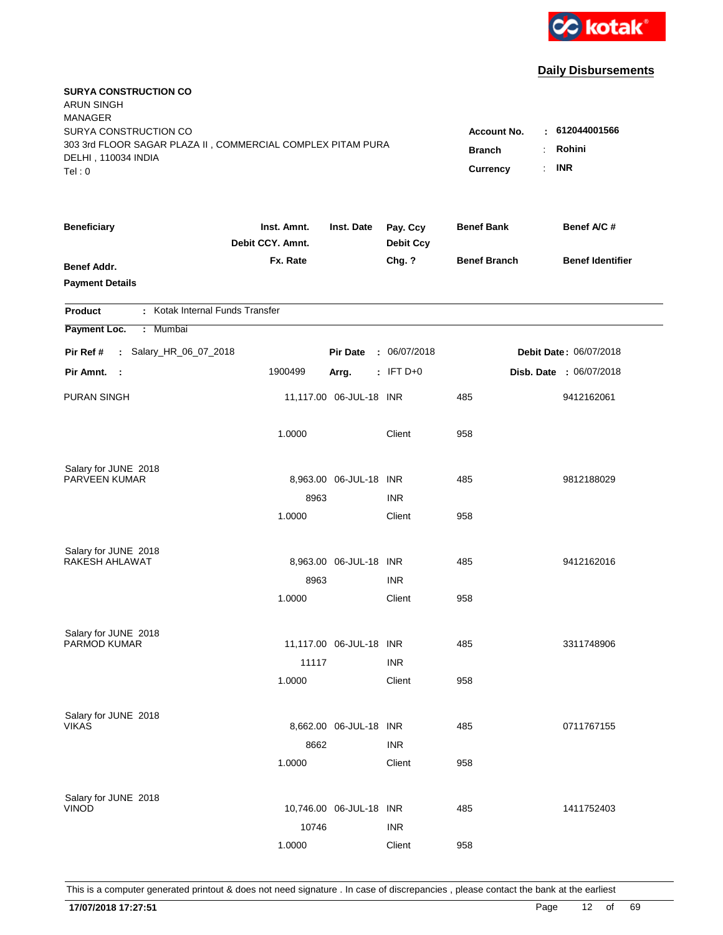

| <b>SURYA CONSTRUCTION CO</b><br><b>ARUN SINGH</b><br><b>MANAGER</b><br>SURYA CONSTRUCTION CO |                                     |                                |                              |                     | : 612044001566                |
|----------------------------------------------------------------------------------------------|-------------------------------------|--------------------------------|------------------------------|---------------------|-------------------------------|
| 303 3rd FLOOR SAGAR PLAZA II, COMMERCIAL COMPLEX PITAM PURA                                  | <b>Account No.</b><br><b>Branch</b> | Rohini<br>$\ddot{\phantom{a}}$ |                              |                     |                               |
| DELHI, 110034 INDIA<br>Tel: 0                                                                |                                     |                                |                              | Currency            | <b>INR</b><br>÷.              |
| <b>Beneficiary</b>                                                                           | Inst. Amnt.<br>Debit CCY. Amnt.     | Inst. Date                     | Pay. Ccy<br><b>Debit Ccy</b> | <b>Benef Bank</b>   | Benef A/C #                   |
| <b>Benef Addr.</b><br><b>Payment Details</b>                                                 | Fx. Rate                            |                                | Chg. ?                       | <b>Benef Branch</b> | <b>Benef Identifier</b>       |
| : Kotak Internal Funds Transfer<br>Product                                                   |                                     |                                |                              |                     |                               |
| Payment Loc.<br>: Mumbai                                                                     |                                     |                                |                              |                     |                               |
| : Salary_HR_06_07_2018<br>Pir Ref #                                                          |                                     | <b>Pir Date</b>                | : 06/07/2018                 |                     | <b>Debit Date: 06/07/2018</b> |
| Pir Amnt.<br>$\sim$ 1                                                                        | 1900499                             | Arrg.                          | $:$ IFT D+0                  |                     | Disb. Date : 06/07/2018       |
| <b>PURAN SINGH</b>                                                                           |                                     | 11,117.00 06-JUL-18 INR        |                              | 485                 | 9412162061                    |
|                                                                                              | 1.0000                              |                                | Client                       | 958                 |                               |
| Salary for JUNE 2018                                                                         |                                     |                                |                              |                     |                               |
| PARVEEN KUMAR                                                                                |                                     | 8,963.00 06-JUL-18 INR         |                              | 485                 | 9812188029                    |
|                                                                                              | 8963<br>1.0000                      |                                | <b>INR</b>                   | 958                 |                               |
|                                                                                              |                                     |                                | Client                       |                     |                               |
| Salary for JUNE 2018                                                                         |                                     |                                |                              |                     |                               |
| RAKESH AHLAWAT                                                                               |                                     | 8,963.00 06-JUL-18 INR         |                              | 485                 | 9412162016                    |
|                                                                                              | 8963                                |                                | <b>INR</b>                   |                     |                               |
|                                                                                              | 1.0000                              |                                | Client                       | 958                 |                               |
| Salary for JUNE 2018                                                                         |                                     |                                |                              |                     |                               |
| <b>PARMOD KUMAR</b>                                                                          |                                     | 11,117.00 06-JUL-18 INR        |                              | 485                 | 3311748906                    |
|                                                                                              | 11117                               |                                | <b>INR</b>                   |                     |                               |
|                                                                                              | 1.0000                              |                                | Client                       | 958                 |                               |
|                                                                                              |                                     |                                |                              |                     |                               |
| Salary for JUNE 2018<br><b>VIKAS</b>                                                         |                                     | 8,662.00 06-JUL-18 INR         |                              | 485                 | 0711767155                    |
|                                                                                              | 8662                                |                                | <b>INR</b>                   |                     |                               |
|                                                                                              | 1.0000                              |                                | Client                       | 958                 |                               |
|                                                                                              |                                     |                                |                              |                     |                               |
| Salary for JUNE 2018<br><b>VINOD</b>                                                         |                                     | 10,746.00 06-JUL-18 INR        |                              | 485                 | 1411752403                    |
|                                                                                              | 10746                               |                                | <b>INR</b>                   |                     |                               |
|                                                                                              | 1.0000                              |                                | Client                       | 958                 |                               |
|                                                                                              |                                     |                                |                              |                     |                               |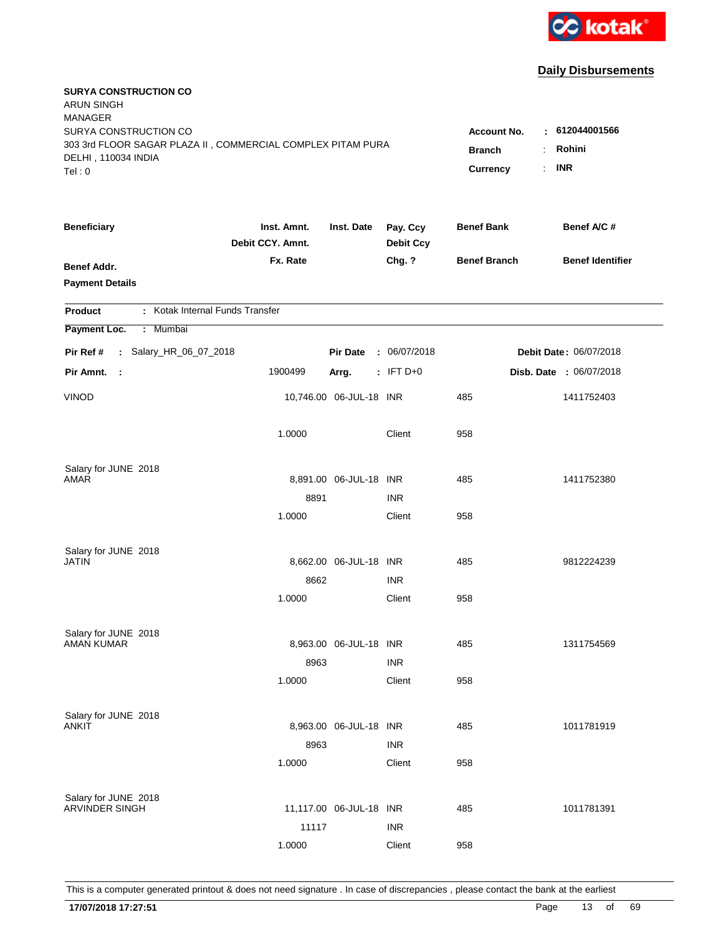

| <b>SURYA CONSTRUCTION CO</b><br><b>ARUN SINGH</b><br><b>MANAGER</b>                |                                 |                         |                              |                     |                         |
|------------------------------------------------------------------------------------|---------------------------------|-------------------------|------------------------------|---------------------|-------------------------|
| SURYA CONSTRUCTION CO                                                              |                                 |                         |                              | <b>Account No.</b>  | : 612044001566          |
| 303 3rd FLOOR SAGAR PLAZA II, COMMERCIAL COMPLEX PITAM PURA<br>DELHI, 110034 INDIA | <b>Branch</b>                   | Rohini<br>÷             |                              |                     |                         |
| Tel: 0                                                                             |                                 |                         |                              | Currency            | <b>INR</b><br>÷.        |
|                                                                                    |                                 |                         |                              |                     |                         |
| <b>Beneficiary</b>                                                                 | Inst. Amnt.<br>Debit CCY. Amnt. | Inst. Date              | Pay. Ccy<br><b>Debit Ccy</b> | <b>Benef Bank</b>   | Benef A/C #             |
| <b>Benef Addr.</b>                                                                 | Fx. Rate                        |                         | Chg. ?                       | <b>Benef Branch</b> | <b>Benef Identifier</b> |
| <b>Payment Details</b>                                                             |                                 |                         |                              |                     |                         |
|                                                                                    |                                 |                         |                              |                     |                         |
| : Kotak Internal Funds Transfer<br><b>Product</b>                                  |                                 |                         |                              |                     |                         |
| Payment Loc.<br>: Mumbai                                                           |                                 |                         |                              |                     |                         |
| : Salary_HR_06_07_2018<br>Pir Ref #                                                |                                 | <b>Pir Date</b>         | : 06/07/2018                 |                     | Debit Date: 06/07/2018  |
| Pir Amnt.<br>$\sim$ 1                                                              | 1900499                         | Arrg.                   | $:$ IFT D+0                  |                     | Disb. Date : 06/07/2018 |
| <b>VINOD</b>                                                                       |                                 | 10,746.00 06-JUL-18 INR |                              | 485                 | 1411752403              |
|                                                                                    | 1.0000                          |                         | Client                       | 958                 |                         |
| Salary for JUNE 2018                                                               |                                 |                         |                              |                     |                         |
| AMAR                                                                               |                                 | 8,891.00 06-JUL-18 INR  |                              | 485                 | 1411752380              |
|                                                                                    | 8891                            |                         | <b>INR</b>                   |                     |                         |
|                                                                                    | 1.0000                          |                         | Client                       | 958                 |                         |
|                                                                                    |                                 |                         |                              |                     |                         |
| Salary for JUNE 2018<br>JATIN                                                      |                                 | 8,662.00 06-JUL-18 INR  |                              | 485                 | 9812224239              |
|                                                                                    | 8662                            |                         | <b>INR</b>                   |                     |                         |
|                                                                                    | 1.0000                          |                         | Client                       | 958                 |                         |
|                                                                                    |                                 |                         |                              |                     |                         |
| Salary for JUNE 2018                                                               |                                 |                         |                              |                     |                         |
| AMAN KUMAR                                                                         |                                 | 8,963.00 06-JUL-18 INR  |                              | 485                 | 1311754569              |
|                                                                                    | 8963                            |                         | <b>INR</b>                   |                     |                         |
|                                                                                    | 1.0000                          |                         | Client                       | 958                 |                         |
|                                                                                    |                                 |                         |                              |                     |                         |
| Salary for JUNE 2018<br>ANKIT                                                      |                                 | 8,963.00 06-JUL-18 INR  |                              | 485                 | 1011781919              |
|                                                                                    | 8963                            |                         | <b>INR</b>                   |                     |                         |
|                                                                                    | 1.0000                          |                         | Client                       | 958                 |                         |
|                                                                                    |                                 |                         |                              |                     |                         |
| Salary for JUNE 2018                                                               |                                 |                         |                              |                     |                         |
| <b>ARVINDER SINGH</b>                                                              |                                 | 11,117.00 06-JUL-18 INR |                              | 485                 | 1011781391              |
|                                                                                    | 11117                           |                         | <b>INR</b>                   |                     |                         |
|                                                                                    | 1.0000                          |                         | Client                       | 958                 |                         |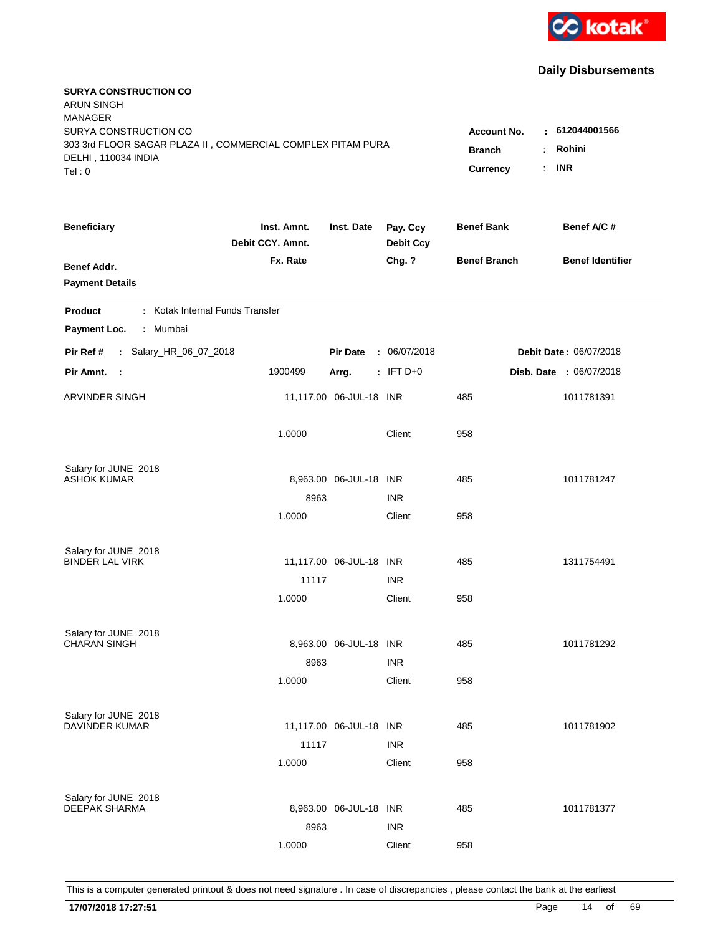

| <b>SURYA CONSTRUCTION CO</b><br><b>ARUN SINGH</b><br><b>MANAGER</b><br>SURYA CONSTRUCTION CO<br>303 3rd FLOOR SAGAR PLAZA II, COMMERCIAL COMPLEX PITAM PURA<br>DELHI, 110034 INDIA<br>Tel: 0 | <b>Account No.</b><br><b>Branch</b><br>Currency | : 612044001566<br>Rohini<br>$\ddot{\phantom{a}}$<br><b>INR</b><br>÷. |                              |                     |                                |
|----------------------------------------------------------------------------------------------------------------------------------------------------------------------------------------------|-------------------------------------------------|----------------------------------------------------------------------|------------------------------|---------------------|--------------------------------|
| <b>Beneficiary</b>                                                                                                                                                                           | Inst. Amnt.<br>Debit CCY. Amnt.                 | Inst. Date                                                           | Pay. Ccy<br><b>Debit Ccy</b> | <b>Benef Bank</b>   | Benef A/C #                    |
| Benef Addr.<br><b>Payment Details</b>                                                                                                                                                        | Fx. Rate                                        |                                                                      | Chg. ?                       | <b>Benef Branch</b> | <b>Benef Identifier</b>        |
| : Kotak Internal Funds Transfer<br><b>Product</b>                                                                                                                                            |                                                 |                                                                      |                              |                     |                                |
| Payment Loc.<br>Mumbai<br>÷.                                                                                                                                                                 |                                                 |                                                                      |                              |                     |                                |
| : Salary_HR_06_07_2018<br>Pir Ref #                                                                                                                                                          |                                                 | <b>Pir Date</b>                                                      | : 06/07/2018                 |                     | <b>Debit Date: 06/07/2018</b>  |
| Pir Amnt.<br>$\sim$ 1                                                                                                                                                                        | 1900499                                         | Arrg.                                                                | $:$ IFT D+0                  |                     | <b>Disb. Date : 06/07/2018</b> |
| ARVINDER SINGH                                                                                                                                                                               |                                                 | 11,117.00 06-JUL-18 INR                                              |                              | 485                 | 1011781391                     |
|                                                                                                                                                                                              | 1.0000                                          |                                                                      | Client                       | 958                 |                                |
| Salary for JUNE 2018<br><b>ASHOK KUMAR</b>                                                                                                                                                   |                                                 |                                                                      |                              |                     |                                |
|                                                                                                                                                                                              | 8963                                            | 8,963.00 06-JUL-18 INR                                               | <b>INR</b>                   | 485                 | 1011781247                     |
|                                                                                                                                                                                              | 1.0000                                          |                                                                      | Client                       | 958                 |                                |
|                                                                                                                                                                                              |                                                 |                                                                      |                              |                     |                                |
| Salary for JUNE 2018<br><b>BINDER LAL VIRK</b>                                                                                                                                               |                                                 | 11,117.00 06-JUL-18 INR                                              |                              | 485                 | 1311754491                     |
|                                                                                                                                                                                              | 11117                                           |                                                                      | <b>INR</b>                   |                     |                                |
|                                                                                                                                                                                              | 1.0000                                          |                                                                      | Client                       | 958                 |                                |
| Salary for JUNE 2018                                                                                                                                                                         |                                                 |                                                                      |                              |                     |                                |
| <b>CHARAN SINGH</b>                                                                                                                                                                          |                                                 | 8,963.00 06-JUL-18 INR                                               |                              | 485                 | 1011781292                     |
|                                                                                                                                                                                              | 8963                                            |                                                                      | <b>INR</b>                   |                     |                                |
|                                                                                                                                                                                              | 1.0000                                          |                                                                      | Client                       | 958                 |                                |
| Salary for JUNE 2018                                                                                                                                                                         |                                                 |                                                                      |                              |                     |                                |
| <b>DAVINDER KUMAR</b>                                                                                                                                                                        |                                                 | 11,117.00 06-JUL-18 INR                                              |                              | 485                 | 1011781902                     |
|                                                                                                                                                                                              | 11117                                           |                                                                      | <b>INR</b>                   |                     |                                |
|                                                                                                                                                                                              | 1.0000                                          |                                                                      | Client                       | 958                 |                                |
| Salary for JUNE 2018                                                                                                                                                                         |                                                 |                                                                      |                              |                     |                                |
| <b>DEEPAK SHARMA</b>                                                                                                                                                                         |                                                 | 8,963.00 06-JUL-18 INR                                               |                              | 485                 | 1011781377                     |
|                                                                                                                                                                                              | 8963                                            |                                                                      | <b>INR</b>                   |                     |                                |
|                                                                                                                                                                                              | 1.0000                                          |                                                                      | Client                       | 958                 |                                |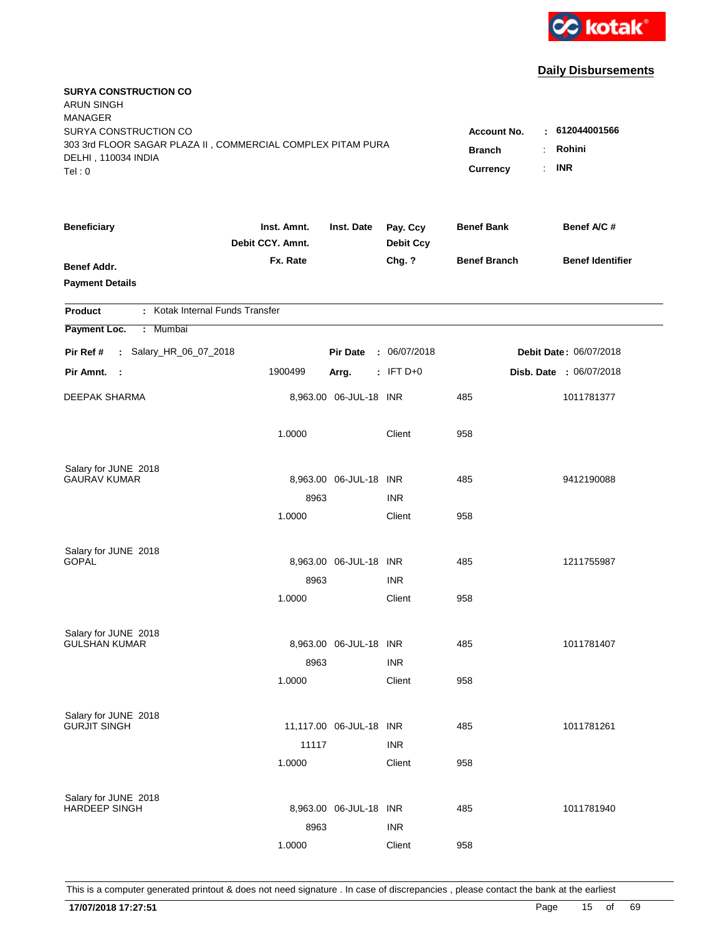

| <b>SURYA CONSTRUCTION CO</b><br><b>ARUN SINGH</b><br><b>MANAGER</b><br>SURYA CONSTRUCTION CO<br>303 3rd FLOOR SAGAR PLAZA II, COMMERCIAL COMPLEX PITAM PURA<br>DELHI, 110034 INDIA<br>Tel: 0 | Account No.<br><b>Branch</b><br>Currency | $\pm 612044001566$<br>Rohini<br>÷.<br><b>INR</b><br>÷. |                              |                     |                         |
|----------------------------------------------------------------------------------------------------------------------------------------------------------------------------------------------|------------------------------------------|--------------------------------------------------------|------------------------------|---------------------|-------------------------|
| <b>Beneficiary</b>                                                                                                                                                                           | Inst. Amnt.<br>Debit CCY. Amnt.          | Inst. Date                                             | Pay. Ccy<br><b>Debit Ccy</b> | <b>Benef Bank</b>   | Benef A/C #             |
| Benef Addr.<br><b>Payment Details</b>                                                                                                                                                        | Fx. Rate                                 |                                                        | Chg. ?                       | <b>Benef Branch</b> | <b>Benef Identifier</b> |
| : Kotak Internal Funds Transfer<br><b>Product</b>                                                                                                                                            |                                          |                                                        |                              |                     |                         |
| Payment Loc.<br>Mumbai<br>÷.                                                                                                                                                                 |                                          |                                                        |                              |                     |                         |
| : Salary_HR_06_07_2018<br>Pir Ref #                                                                                                                                                          |                                          | <b>Pir Date</b>                                        | : 06/07/2018                 |                     | Debit Date: 06/07/2018  |
| Pir Amnt. :                                                                                                                                                                                  | 1900499                                  | Arrg.                                                  | $: IFT D+0$                  |                     | Disb. Date : 06/07/2018 |
| DEEPAK SHARMA                                                                                                                                                                                |                                          | 8,963.00 06-JUL-18 INR                                 |                              | 485                 | 1011781377              |
|                                                                                                                                                                                              | 1.0000                                   |                                                        | Client                       | 958                 |                         |
| Salary for JUNE 2018                                                                                                                                                                         |                                          |                                                        |                              |                     |                         |
| <b>GAURAV KUMAR</b>                                                                                                                                                                          |                                          | 8,963.00 06-JUL-18 INR                                 |                              | 485                 | 9412190088              |
|                                                                                                                                                                                              | 8963                                     |                                                        | <b>INR</b>                   |                     |                         |
|                                                                                                                                                                                              | 1.0000                                   |                                                        | Client                       | 958                 |                         |
| Salary for JUNE 2018                                                                                                                                                                         |                                          |                                                        |                              |                     |                         |
| <b>GOPAL</b>                                                                                                                                                                                 |                                          | 8,963.00 06-JUL-18 INR                                 |                              | 485                 | 1211755987              |
|                                                                                                                                                                                              | 8963                                     |                                                        | <b>INR</b>                   |                     |                         |
|                                                                                                                                                                                              | 1.0000                                   |                                                        | Client                       | 958                 |                         |
| Salary for JUNE 2018                                                                                                                                                                         |                                          |                                                        |                              |                     |                         |
| <b>GULSHAN KUMAR</b>                                                                                                                                                                         |                                          | 8,963.00 06-JUL-18 INR                                 |                              | 485                 | 1011781407              |
|                                                                                                                                                                                              | 8963                                     |                                                        | <b>INR</b>                   |                     |                         |
|                                                                                                                                                                                              | 1.0000                                   |                                                        | Client                       | 958                 |                         |
|                                                                                                                                                                                              |                                          |                                                        |                              |                     |                         |
| Salary for JUNE 2018<br><b>GURJIT SINGH</b>                                                                                                                                                  |                                          | 11,117.00 06-JUL-18 INR                                |                              | 485                 | 1011781261              |
|                                                                                                                                                                                              | 11117                                    |                                                        | <b>INR</b>                   |                     |                         |
|                                                                                                                                                                                              | 1.0000                                   |                                                        | Client                       | 958                 |                         |
|                                                                                                                                                                                              |                                          |                                                        |                              |                     |                         |
| Salary for JUNE 2018<br><b>HARDEEP SINGH</b>                                                                                                                                                 |                                          | 8,963.00 06-JUL-18 INR                                 |                              | 485                 | 1011781940              |
|                                                                                                                                                                                              | 8963                                     |                                                        | <b>INR</b>                   |                     |                         |
|                                                                                                                                                                                              | 1.0000                                   |                                                        | Client                       | 958                 |                         |
|                                                                                                                                                                                              |                                          |                                                        |                              |                     |                         |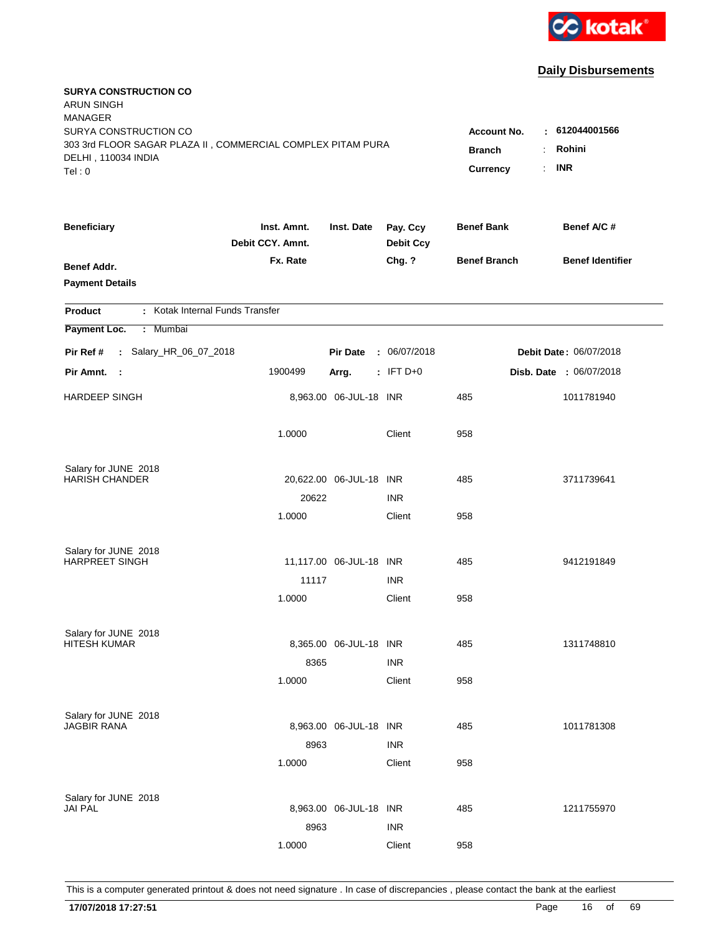

| <b>SURYA CONSTRUCTION CO</b><br><b>ARUN SINGH</b><br><b>MANAGER</b>                |                                 |                         |                              |                     |                               |
|------------------------------------------------------------------------------------|---------------------------------|-------------------------|------------------------------|---------------------|-------------------------------|
| SURYA CONSTRUCTION CO                                                              |                                 |                         |                              | Account No.         | : 612044001566                |
| 303 3rd FLOOR SAGAR PLAZA II, COMMERCIAL COMPLEX PITAM PURA<br>DELHI, 110034 INDIA | <b>Branch</b>                   | Rohini                  |                              |                     |                               |
| Tel: 0                                                                             |                                 |                         |                              | Currency            | <b>INR</b><br>÷.              |
|                                                                                    |                                 |                         |                              |                     |                               |
| <b>Beneficiary</b>                                                                 | Inst. Amnt.<br>Debit CCY. Amnt. | Inst. Date              | Pay. Ccy<br><b>Debit Ccy</b> | <b>Benef Bank</b>   | Benef A/C #                   |
| <b>Benef Addr.</b>                                                                 | Fx. Rate                        |                         | Chg. ?                       | <b>Benef Branch</b> | <b>Benef Identifier</b>       |
| <b>Payment Details</b>                                                             |                                 |                         |                              |                     |                               |
| : Kotak Internal Funds Transfer<br><b>Product</b>                                  |                                 |                         |                              |                     |                               |
| Payment Loc.<br>Mumbai<br>÷.                                                       |                                 |                         |                              |                     |                               |
| : Salary_HR_06_07_2018<br>Pir Ref #                                                |                                 | <b>Pir Date</b>         | : 06/07/2018                 |                     | <b>Debit Date: 06/07/2018</b> |
| Pir Amnt.<br>$\sim$ :                                                              | 1900499                         | Arrg.                   | $:$ IFT D+0                  |                     | Disb. Date : 06/07/2018       |
| <b>HARDEEP SINGH</b>                                                               |                                 | 8,963.00 06-JUL-18 INR  |                              | 485                 | 1011781940                    |
|                                                                                    | 1.0000                          |                         | Client                       | 958                 |                               |
| Salary for JUNE 2018                                                               |                                 |                         |                              |                     |                               |
| <b>HARISH CHANDER</b>                                                              |                                 | 20,622.00 06-JUL-18 INR |                              | 485                 | 3711739641                    |
|                                                                                    | 20622                           |                         | <b>INR</b>                   |                     |                               |
|                                                                                    | 1.0000                          |                         | Client                       | 958                 |                               |
| Salary for JUNE 2018                                                               |                                 |                         |                              |                     |                               |
| <b>HARPREET SINGH</b>                                                              |                                 | 11,117.00 06-JUL-18 INR |                              | 485                 | 9412191849                    |
|                                                                                    | 11117                           |                         | <b>INR</b>                   |                     |                               |
|                                                                                    | 1.0000                          |                         | Client                       | 958                 |                               |
| Salary for JUNE 2018                                                               |                                 |                         |                              |                     |                               |
| <b>HITESH KUMAR</b>                                                                |                                 | 8,365.00 06-JUL-18 INR  |                              | 485                 | 1311748810                    |
|                                                                                    | 8365                            |                         | <b>INR</b>                   |                     |                               |
|                                                                                    | 1.0000                          |                         | Client                       | 958                 |                               |
|                                                                                    |                                 |                         |                              |                     |                               |
| Salary for JUNE 2018<br><b>JAGBIR RANA</b>                                         |                                 | 8,963.00 06-JUL-18 INR  |                              | 485                 | 1011781308                    |
|                                                                                    | 8963                            |                         | <b>INR</b>                   |                     |                               |
|                                                                                    | 1.0000                          |                         | Client                       | 958                 |                               |
|                                                                                    |                                 |                         |                              |                     |                               |
| Salary for JUNE 2018<br><b>JAI PAL</b>                                             |                                 | 8,963.00 06-JUL-18 INR  |                              | 485                 | 1211755970                    |
|                                                                                    | 8963                            |                         | <b>INR</b>                   |                     |                               |
|                                                                                    | 1.0000                          |                         | Client                       | 958                 |                               |
|                                                                                    |                                 |                         |                              |                     |                               |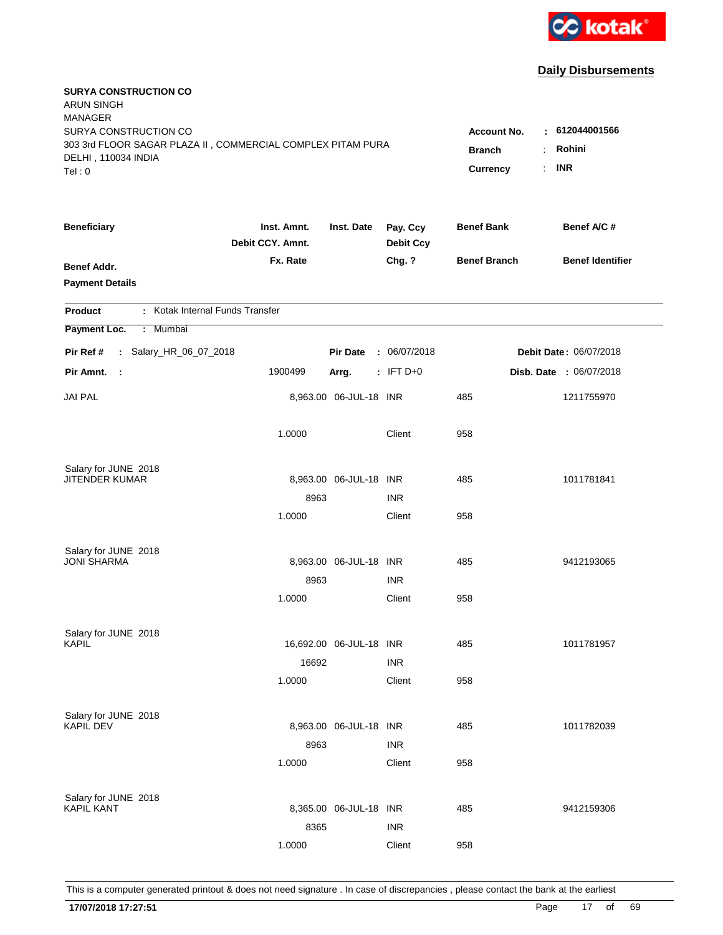

| <b>SURYA CONSTRUCTION CO</b><br><b>ARUN SINGH</b><br><b>MANAGER</b>                  |                                 |                                |                              |                     |                         |
|--------------------------------------------------------------------------------------|---------------------------------|--------------------------------|------------------------------|---------------------|-------------------------|
| SURYA CONSTRUCTION CO<br>303 3rd FLOOR SAGAR PLAZA II, COMMERCIAL COMPLEX PITAM PURA |                                 |                                |                              | <b>Account No.</b>  | $-612044001566$         |
| DELHI, 110034 INDIA                                                                  | <b>Branch</b>                   | Rohini<br>$\ddot{\phantom{a}}$ |                              |                     |                         |
| Tel: 0                                                                               |                                 |                                |                              | Currency            | <b>INR</b><br>÷.        |
| <b>Beneficiary</b>                                                                   | Inst. Amnt.<br>Debit CCY. Amnt. | Inst. Date                     | Pay. Ccy<br><b>Debit Ccy</b> | <b>Benef Bank</b>   | Benef A/C #             |
| <b>Benef Addr.</b>                                                                   | Fx. Rate                        |                                | Chg. ?                       | <b>Benef Branch</b> | <b>Benef Identifier</b> |
| <b>Payment Details</b>                                                               |                                 |                                |                              |                     |                         |
| : Kotak Internal Funds Transfer<br><b>Product</b>                                    |                                 |                                |                              |                     |                         |
| Payment Loc.<br>Mumbai<br>÷.                                                         |                                 |                                |                              |                     |                         |
| : Salary_HR_06_07_2018<br>Pir Ref #                                                  |                                 | <b>Pir Date</b>                | : 06/07/2018                 |                     | Debit Date: 06/07/2018  |
| Pir Amnt.<br>$\sim$                                                                  | 1900499                         | Arrg.                          | $:$ IFT D+0                  |                     | Disb. Date : 06/07/2018 |
| <b>JAI PAL</b>                                                                       |                                 | 8,963.00 06-JUL-18 INR         |                              | 485                 | 1211755970              |
|                                                                                      | 1.0000                          |                                | Client                       | 958                 |                         |
| Salary for JUNE 2018                                                                 |                                 |                                |                              |                     |                         |
| JITENDER KUMAR                                                                       |                                 | 8,963.00 06-JUL-18 INR         |                              | 485                 | 1011781841              |
|                                                                                      | 8963                            |                                | <b>INR</b>                   |                     |                         |
|                                                                                      | 1.0000                          |                                | Client                       | 958                 |                         |
| Salary for JUNE 2018                                                                 |                                 |                                |                              |                     |                         |
| <b>JONI SHARMA</b>                                                                   |                                 | 8,963.00 06-JUL-18 INR         |                              | 485                 | 9412193065              |
|                                                                                      | 8963                            |                                | <b>INR</b>                   |                     |                         |
|                                                                                      | 1.0000                          |                                | Client                       | 958                 |                         |
| Salary for JUNE 2018                                                                 |                                 |                                |                              |                     |                         |
| KAPIL                                                                                |                                 | 16,692.00 06-JUL-18 INR        |                              | 485                 | 1011781957              |
|                                                                                      | 16692                           |                                | <b>INR</b>                   |                     |                         |
|                                                                                      | 1.0000                          |                                | Client                       | 958                 |                         |
| Salary for JUNE 2018                                                                 |                                 |                                |                              |                     |                         |
| <b>KAPIL DEV</b>                                                                     |                                 | 8,963.00 06-JUL-18 INR         |                              | 485                 | 1011782039              |
|                                                                                      | 8963                            |                                | <b>INR</b>                   |                     |                         |
|                                                                                      | 1.0000                          |                                | Client                       | 958                 |                         |
| Salary for JUNE 2018                                                                 |                                 |                                |                              |                     |                         |
| <b>KAPIL KANT</b>                                                                    |                                 | 8,365.00 06-JUL-18 INR         |                              | 485                 | 9412159306              |
|                                                                                      | 8365                            |                                | <b>INR</b>                   |                     |                         |
|                                                                                      | 1.0000                          |                                | Client                       | 958                 |                         |
|                                                                                      |                                 |                                |                              |                     |                         |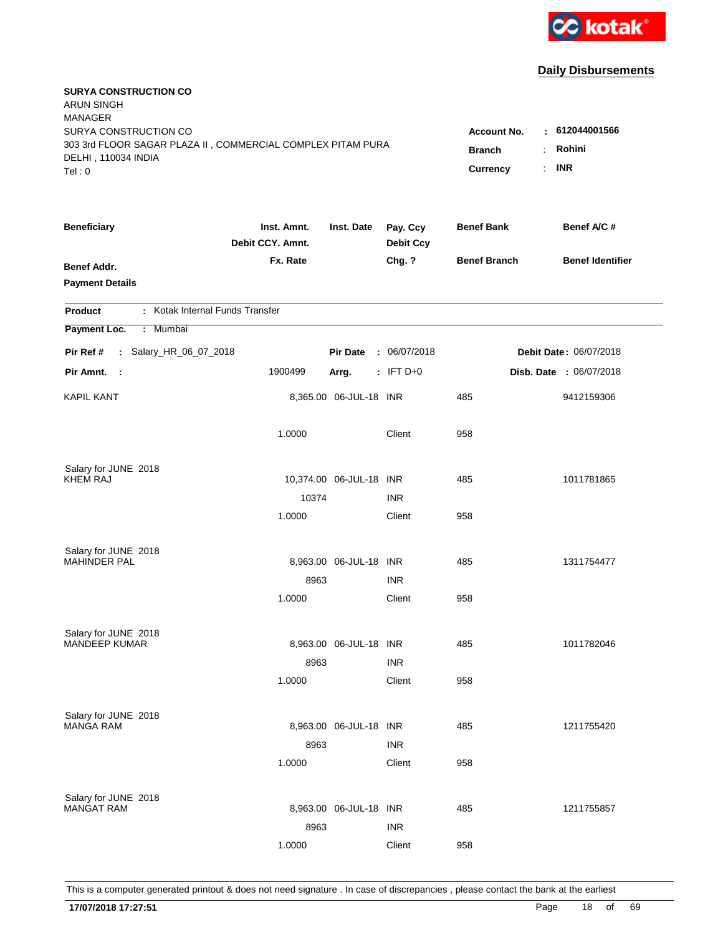

| <b>SURYA CONSTRUCTION CO</b><br><b>ARUN SINGH</b><br><b>MANAGER</b><br>SURYA CONSTRUCTION CO |                                 |                                 |                              | <b>Account No.</b>  | : 612044001566          |
|----------------------------------------------------------------------------------------------|---------------------------------|---------------------------------|------------------------------|---------------------|-------------------------|
| 303 3rd FLOOR SAGAR PLAZA II, COMMERCIAL COMPLEX PITAM PURA<br>DELHI, 110034 INDIA<br>Tel: 0 | <b>Branch</b><br>Currency       | Rohini<br>÷<br><b>INR</b><br>÷. |                              |                     |                         |
| <b>Beneficiary</b>                                                                           | Inst. Amnt.<br>Debit CCY. Amnt. | Inst. Date                      | Pay. Ccy<br><b>Debit Ccy</b> | <b>Benef Bank</b>   | Benef A/C #             |
| <b>Benef Addr.</b><br><b>Payment Details</b>                                                 | Fx. Rate                        |                                 | Chg. ?                       | <b>Benef Branch</b> | <b>Benef Identifier</b> |
| : Kotak Internal Funds Transfer<br><b>Product</b>                                            |                                 |                                 |                              |                     |                         |
| Payment Loc.<br>: Mumbai                                                                     |                                 |                                 |                              |                     |                         |
| : Salary_HR_06_07_2018<br>Pir Ref #                                                          |                                 | <b>Pir Date</b>                 | : 06/07/2018                 |                     | Debit Date: 06/07/2018  |
| Pir Amnt. :                                                                                  | 1900499                         | Arrg.                           | $:$ IFT D+0                  |                     | Disb. Date : 06/07/2018 |
| <b>KAPIL KANT</b>                                                                            |                                 | 8,365.00 06-JUL-18 INR          |                              | 485                 | 9412159306              |
|                                                                                              | 1.0000                          |                                 | Client                       | 958                 |                         |
| Salary for JUNE 2018<br><b>KHEM RAJ</b>                                                      |                                 | 10,374.00 06-JUL-18 INR         |                              | 485                 | 1011781865              |
|                                                                                              | 10374                           |                                 | <b>INR</b>                   |                     |                         |
|                                                                                              | 1.0000                          |                                 | Client                       | 958                 |                         |
| Salary for JUNE 2018                                                                         |                                 |                                 |                              |                     |                         |
| <b>MAHINDER PAL</b>                                                                          |                                 | 8,963.00 06-JUL-18 INR          |                              | 485                 | 1311754477              |
|                                                                                              | 8963                            |                                 | <b>INR</b>                   |                     |                         |
|                                                                                              | 1.0000                          |                                 | Client                       | 958                 |                         |
| Salary for JUNE 2018                                                                         |                                 |                                 |                              |                     |                         |
| <b>MANDEEP KUMAR</b>                                                                         |                                 | 8,963.00 06-JUL-18 INR          |                              | 485                 | 1011782046              |
|                                                                                              | 8963                            |                                 | <b>INR</b>                   |                     |                         |
|                                                                                              | 1.0000                          |                                 | Client                       | 958                 |                         |
| Salary for JUNE 2018                                                                         |                                 |                                 |                              |                     |                         |
| <b>MANGA RAM</b>                                                                             |                                 | 8,963.00 06-JUL-18 INR          |                              | 485                 | 1211755420              |
|                                                                                              | 8963                            |                                 | <b>INR</b>                   |                     |                         |
|                                                                                              | 1.0000                          |                                 | Client                       | 958                 |                         |
| Salary for JUNE 2018                                                                         |                                 |                                 |                              |                     |                         |
| <b>MANGAT RAM</b>                                                                            |                                 | 8,963.00 06-JUL-18 INR          |                              | 485                 | 1211755857              |
|                                                                                              | 8963                            |                                 | <b>INR</b>                   |                     |                         |
|                                                                                              | 1.0000                          |                                 | Client                       | 958                 |                         |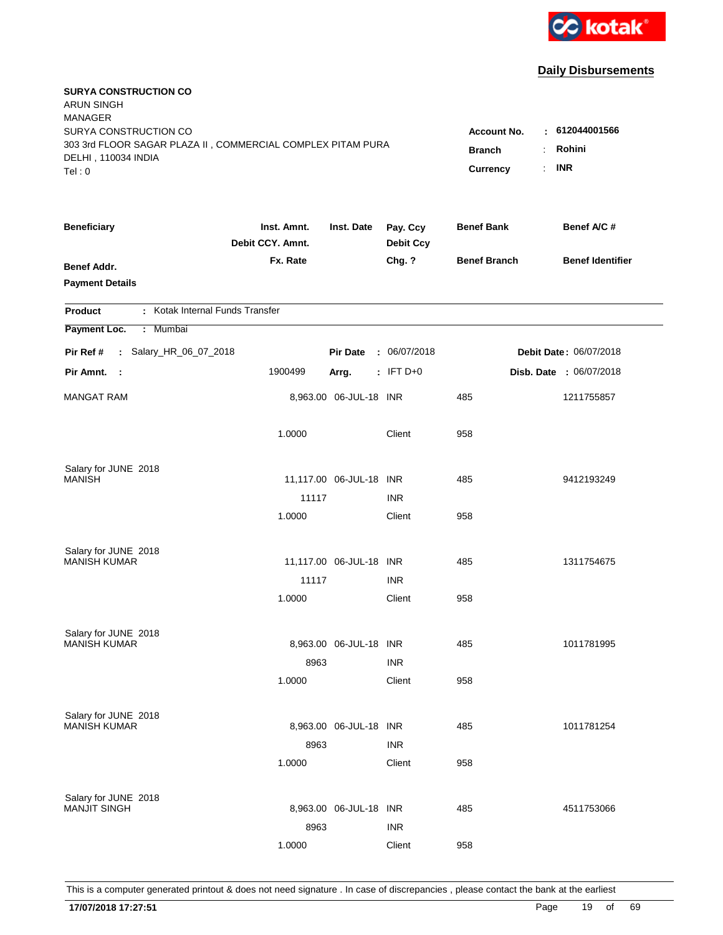

| <b>SURYA CONSTRUCTION CO</b><br><b>ARUN SINGH</b><br><b>MANAGER</b><br>SURYA CONSTRUCTION CO |                                 |                                 |                              | <b>Account No.</b>  | : 612044001566          |
|----------------------------------------------------------------------------------------------|---------------------------------|---------------------------------|------------------------------|---------------------|-------------------------|
| 303 3rd FLOOR SAGAR PLAZA II, COMMERCIAL COMPLEX PITAM PURA<br>DELHI, 110034 INDIA<br>Tel: 0 | <b>Branch</b><br>Currency       | Rohini<br>÷<br><b>INR</b><br>÷. |                              |                     |                         |
| <b>Beneficiary</b>                                                                           | Inst. Amnt.<br>Debit CCY. Amnt. | Inst. Date                      | Pay. Ccy<br><b>Debit Ccy</b> | <b>Benef Bank</b>   | Benef A/C #             |
| <b>Benef Addr.</b><br><b>Payment Details</b>                                                 | Fx. Rate                        |                                 | Chg. ?                       | <b>Benef Branch</b> | <b>Benef Identifier</b> |
| : Kotak Internal Funds Transfer<br><b>Product</b>                                            |                                 |                                 |                              |                     |                         |
| Payment Loc.<br>: Mumbai                                                                     |                                 |                                 |                              |                     |                         |
| : Salary_HR_06_07_2018<br>Pir Ref #                                                          |                                 | <b>Pir Date</b>                 | : 06/07/2018                 |                     | Debit Date: 06/07/2018  |
| Pir Amnt.<br>$\sim$ 1                                                                        | 1900499                         | Arrg.                           | $:$ IFT D+0                  |                     | Disb. Date : 06/07/2018 |
| <b>MANGAT RAM</b>                                                                            |                                 | 8,963.00 06-JUL-18 INR          |                              | 485                 | 1211755857              |
|                                                                                              | 1.0000                          |                                 | Client                       | 958                 |                         |
| Salary for JUNE 2018                                                                         |                                 |                                 |                              |                     |                         |
| <b>MANISH</b>                                                                                | 11117                           | 11,117.00 06-JUL-18 INR         | <b>INR</b>                   | 485                 | 9412193249              |
|                                                                                              | 1.0000                          |                                 | Client                       | 958                 |                         |
|                                                                                              |                                 |                                 |                              |                     |                         |
| Salary for JUNE 2018<br><b>MANISH KUMAR</b>                                                  |                                 | 11,117.00 06-JUL-18 INR         |                              | 485                 | 1311754675              |
|                                                                                              | 11117                           |                                 | <b>INR</b>                   |                     |                         |
|                                                                                              | 1.0000                          |                                 | Client                       | 958                 |                         |
|                                                                                              |                                 |                                 |                              |                     |                         |
| Salary for JUNE 2018<br><b>MANISH KUMAR</b>                                                  |                                 | 8,963.00 06-JUL-18 INR          |                              | 485                 | 1011781995              |
|                                                                                              | 8963                            |                                 | <b>INR</b>                   |                     |                         |
|                                                                                              | 1.0000                          |                                 | Client                       | 958                 |                         |
| Salary for JUNE 2018                                                                         |                                 |                                 |                              |                     |                         |
| <b>MANISH KUMAR</b>                                                                          |                                 | 8,963.00 06-JUL-18 INR          |                              | 485                 | 1011781254              |
|                                                                                              | 8963                            |                                 | <b>INR</b>                   |                     |                         |
|                                                                                              | 1.0000                          |                                 | Client                       | 958                 |                         |
| Salary for JUNE 2018                                                                         |                                 |                                 |                              |                     |                         |
| <b>MANJIT SINGH</b>                                                                          |                                 | 8,963.00 06-JUL-18 INR          |                              | 485                 | 4511753066              |
|                                                                                              | 8963                            |                                 | <b>INR</b>                   |                     |                         |
|                                                                                              | 1.0000                          |                                 | Client                       | 958                 |                         |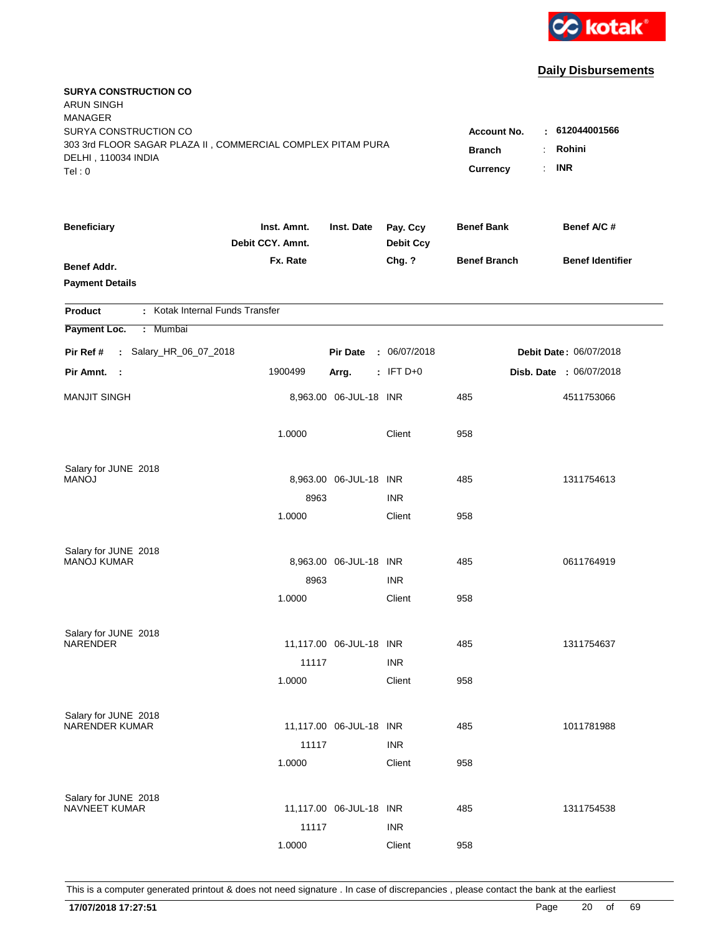

| <b>SURYA CONSTRUCTION CO</b><br><b>ARUN SINGH</b><br><b>MANAGER</b> |                                 |                         |                              |                     |                               |
|---------------------------------------------------------------------|---------------------------------|-------------------------|------------------------------|---------------------|-------------------------------|
| SURYA CONSTRUCTION CO                                               |                                 |                         |                              | Account No.         | $-612044001566$               |
| 303 3rd FLOOR SAGAR PLAZA II, COMMERCIAL COMPLEX PITAM PURA         | <b>Branch</b>                   | Rohini                  |                              |                     |                               |
| DELHI, 110034 INDIA<br>Tel: 0                                       |                                 |                         |                              | Currency            | <b>INR</b><br>÷.              |
|                                                                     |                                 |                         |                              |                     |                               |
| <b>Beneficiary</b>                                                  | Inst. Amnt.<br>Debit CCY. Amnt. | Inst. Date              | Pay. Ccy<br><b>Debit Ccy</b> | <b>Benef Bank</b>   | Benef A/C #                   |
| <b>Benef Addr.</b>                                                  | Fx. Rate                        |                         | Chg. ?                       | <b>Benef Branch</b> | <b>Benef Identifier</b>       |
| <b>Payment Details</b>                                              |                                 |                         |                              |                     |                               |
| : Kotak Internal Funds Transfer<br><b>Product</b>                   |                                 |                         |                              |                     |                               |
| Payment Loc.<br><b>Mumbai</b><br>÷.                                 |                                 |                         |                              |                     |                               |
| : Salary_HR_06_07_2018<br>Pir Ref #                                 |                                 | <b>Pir Date</b>         | : 06/07/2018                 |                     | <b>Debit Date: 06/07/2018</b> |
| Pir Amnt.<br>- 1                                                    | 1900499                         | Arrg.                   | $:$ IFT D+0                  |                     | Disb. Date : 06/07/2018       |
| <b>MANJIT SINGH</b>                                                 |                                 | 8,963.00 06-JUL-18 INR  |                              | 485                 | 4511753066                    |
|                                                                     | 1.0000                          |                         | Client                       | 958                 |                               |
| Salary for JUNE 2018                                                |                                 |                         |                              |                     |                               |
| <b>MANOJ</b>                                                        |                                 | 8,963.00 06-JUL-18 INR  |                              | 485                 | 1311754613                    |
|                                                                     | 8963                            |                         | <b>INR</b>                   |                     |                               |
|                                                                     | 1.0000                          |                         | Client                       | 958                 |                               |
| Salary for JUNE 2018                                                |                                 |                         |                              |                     |                               |
| <b>MANOJ KUMAR</b>                                                  |                                 | 8,963.00 06-JUL-18 INR  |                              | 485                 | 0611764919                    |
|                                                                     | 8963                            |                         | <b>INR</b>                   |                     |                               |
|                                                                     | 1.0000                          |                         | Client                       | 958                 |                               |
| Salary for JUNE 2018                                                |                                 |                         |                              |                     |                               |
| <b>NARENDER</b>                                                     |                                 | 11,117.00 06-JUL-18 INR |                              | 485                 | 1311754637                    |
|                                                                     | 11117                           |                         | <b>INR</b>                   |                     |                               |
|                                                                     | 1.0000                          |                         | Client                       | 958                 |                               |
| Salary for JUNE 2018                                                |                                 |                         |                              |                     |                               |
| <b>NARENDER KUMAR</b>                                               |                                 | 11,117.00 06-JUL-18 INR |                              | 485                 | 1011781988                    |
|                                                                     | 11117                           |                         | <b>INR</b>                   |                     |                               |
|                                                                     | 1.0000                          |                         | Client                       | 958                 |                               |
| Salary for JUNE 2018                                                |                                 |                         |                              |                     |                               |
| <b>NAVNEET KUMAR</b>                                                |                                 | 11,117.00 06-JUL-18 INR |                              | 485                 | 1311754538                    |
|                                                                     | 11117                           |                         | <b>INR</b>                   |                     |                               |
|                                                                     | 1.0000                          |                         | Client                       | 958                 |                               |
|                                                                     |                                 |                         |                              |                     |                               |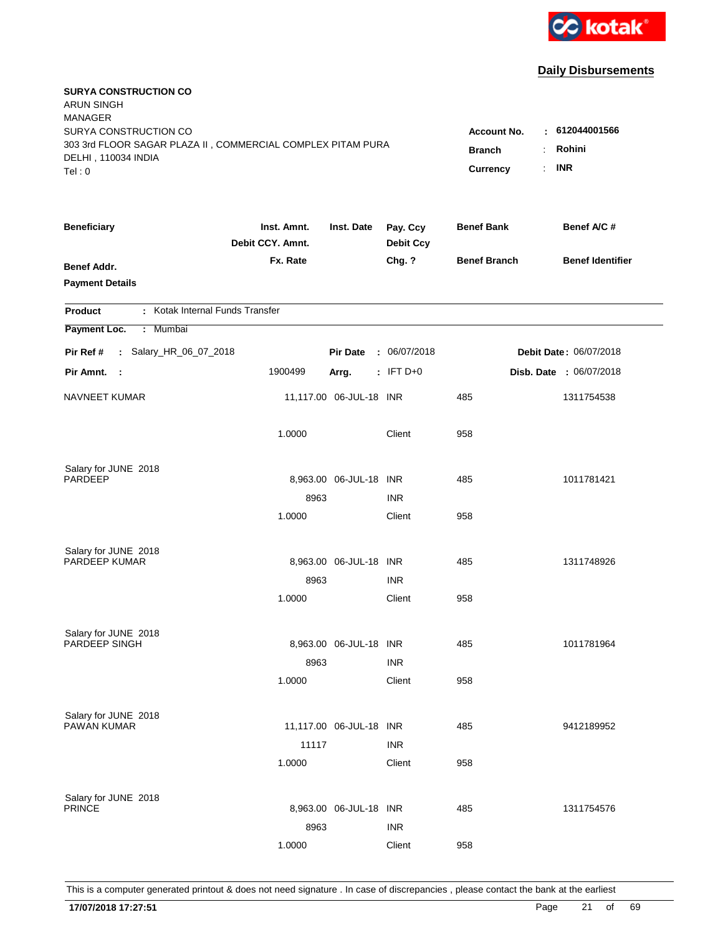

| <b>SURYA CONSTRUCTION CO</b><br>ARUN SINGH<br><b>MANAGER</b><br>SURYA CONSTRUCTION CO        |                                 |                                 |                              | <b>Account No.</b>  | : 612044001566                |
|----------------------------------------------------------------------------------------------|---------------------------------|---------------------------------|------------------------------|---------------------|-------------------------------|
| 303 3rd FLOOR SAGAR PLAZA II, COMMERCIAL COMPLEX PITAM PURA<br>DELHI, 110034 INDIA<br>Tel: 0 | <b>Branch</b><br>Currency       | Rohini<br>÷<br><b>INR</b><br>÷. |                              |                     |                               |
| <b>Beneficiary</b>                                                                           | Inst. Amnt.<br>Debit CCY. Amnt. | Inst. Date                      | Pay. Ccy<br><b>Debit Ccy</b> | <b>Benef Bank</b>   | Benef A/C #                   |
| <b>Benef Addr.</b><br><b>Payment Details</b>                                                 | Fx. Rate                        |                                 | Chg. ?                       | <b>Benef Branch</b> | <b>Benef Identifier</b>       |
| : Kotak Internal Funds Transfer<br><b>Product</b>                                            |                                 |                                 |                              |                     |                               |
| Payment Loc.<br>: Mumbai                                                                     |                                 |                                 |                              |                     |                               |
| : Salary_HR_06_07_2018<br>Pir Ref #                                                          |                                 | <b>Pir Date</b>                 | : 06/07/2018                 |                     | <b>Debit Date: 06/07/2018</b> |
| Pir Amnt.<br>- 1                                                                             | 1900499                         | Arrg.                           | $:$ IFT D+0                  |                     | Disb. Date : 06/07/2018       |
| NAVNEET KUMAR                                                                                |                                 | 11,117.00 06-JUL-18 INR         |                              | 485                 | 1311754538                    |
|                                                                                              | 1.0000                          |                                 | Client                       | 958                 |                               |
| Salary for JUNE 2018<br>PARDEEP                                                              |                                 | 8,963.00 06-JUL-18 INR          |                              | 485                 | 1011781421                    |
|                                                                                              | 8963                            |                                 | <b>INR</b>                   |                     |                               |
|                                                                                              | 1.0000                          |                                 | Client                       | 958                 |                               |
| Salary for JUNE 2018                                                                         |                                 |                                 |                              |                     |                               |
| PARDEEP KUMAR                                                                                |                                 | 8,963.00 06-JUL-18 INR          |                              | 485                 | 1311748926                    |
|                                                                                              | 8963                            |                                 | <b>INR</b>                   |                     |                               |
|                                                                                              | 1.0000                          |                                 | Client                       | 958                 |                               |
| Salary for JUNE 2018                                                                         |                                 |                                 |                              |                     |                               |
| <b>PARDEEP SINGH</b>                                                                         |                                 | 8,963.00 06-JUL-18 INR          |                              | 485                 | 1011781964                    |
|                                                                                              | 8963                            |                                 | <b>INR</b>                   |                     |                               |
|                                                                                              | 1.0000                          |                                 | Client                       | 958                 |                               |
| Salary for JUNE 2018<br>PAWAN KUMAR                                                          |                                 | 11,117.00 06-JUL-18 INR         |                              | 485                 |                               |
|                                                                                              | 11117                           |                                 | <b>INR</b>                   |                     | 9412189952                    |
|                                                                                              | 1.0000                          |                                 | Client                       | 958                 |                               |
|                                                                                              |                                 |                                 |                              |                     |                               |
| Salary for JUNE 2018<br><b>PRINCE</b>                                                        |                                 | 8,963.00 06-JUL-18 INR          |                              | 485                 | 1311754576                    |
|                                                                                              | 8963                            |                                 | <b>INR</b>                   |                     |                               |
|                                                                                              | 1.0000                          |                                 | Client                       | 958                 |                               |
|                                                                                              |                                 |                                 |                              |                     |                               |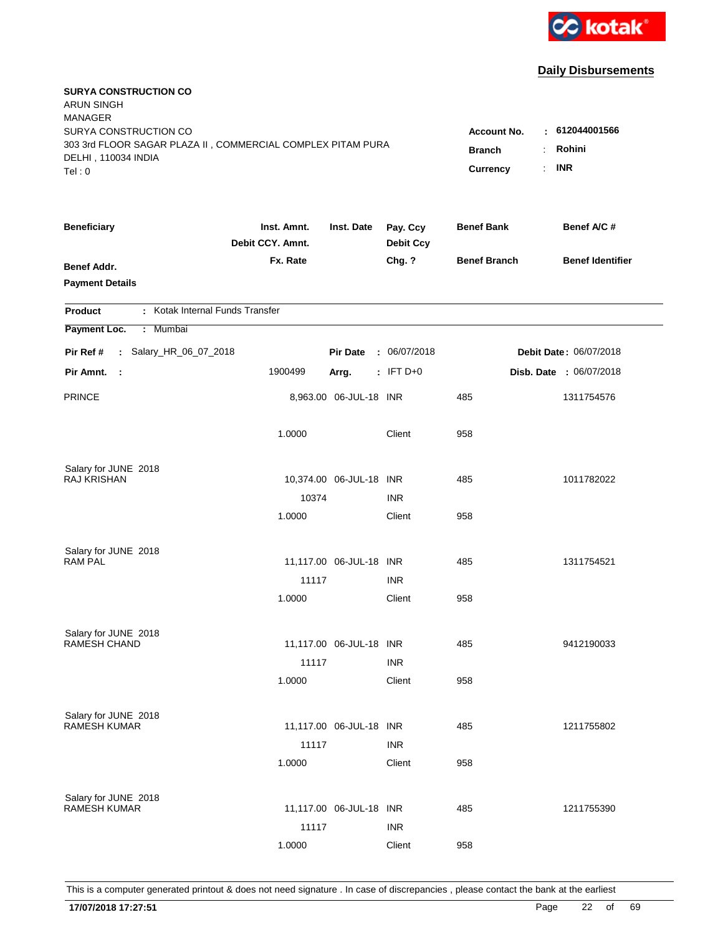

| <b>SURYA CONSTRUCTION CO</b><br><b>ARUN SINGH</b><br><b>MANAGER</b>                |                                 |                         |                              |                     |                               |
|------------------------------------------------------------------------------------|---------------------------------|-------------------------|------------------------------|---------------------|-------------------------------|
| SURYA CONSTRUCTION CO                                                              |                                 |                         |                              | Account No.         | : 612044001566                |
| 303 3rd FLOOR SAGAR PLAZA II, COMMERCIAL COMPLEX PITAM PURA<br>DELHI, 110034 INDIA | <b>Branch</b>                   | Rohini                  |                              |                     |                               |
| Tel: 0                                                                             |                                 |                         |                              | Currency            | <b>INR</b><br>÷.              |
|                                                                                    |                                 |                         |                              |                     |                               |
| <b>Beneficiary</b>                                                                 | Inst. Amnt.<br>Debit CCY. Amnt. | Inst. Date              | Pay. Ccy<br><b>Debit Ccy</b> | <b>Benef Bank</b>   | Benef A/C #                   |
| <b>Benef Addr.</b>                                                                 | Fx. Rate                        |                         | Chg. ?                       | <b>Benef Branch</b> | <b>Benef Identifier</b>       |
| <b>Payment Details</b>                                                             |                                 |                         |                              |                     |                               |
| : Kotak Internal Funds Transfer<br><b>Product</b>                                  |                                 |                         |                              |                     |                               |
| Payment Loc.<br>Mumbai<br>÷.                                                       |                                 |                         |                              |                     |                               |
| : Salary_HR_06_07_2018<br>Pir Ref #                                                |                                 | <b>Pir Date</b>         | : 06/07/2018                 |                     | <b>Debit Date: 06/07/2018</b> |
| Pir Amnt.<br>$\sim$                                                                | 1900499                         | Arrg.                   | $:$ IFT D+0                  |                     | Disb. Date : 06/07/2018       |
| <b>PRINCE</b>                                                                      |                                 | 8,963.00 06-JUL-18 INR  |                              | 485                 | 1311754576                    |
|                                                                                    | 1.0000                          |                         | Client                       | 958                 |                               |
| Salary for JUNE 2018                                                               |                                 |                         |                              |                     |                               |
| RAJ KRISHAN                                                                        |                                 | 10,374.00 06-JUL-18 INR |                              | 485                 | 1011782022                    |
|                                                                                    | 10374                           |                         | <b>INR</b>                   |                     |                               |
|                                                                                    | 1.0000                          |                         | Client                       | 958                 |                               |
| Salary for JUNE 2018                                                               |                                 |                         |                              |                     |                               |
| <b>RAM PAL</b>                                                                     |                                 | 11,117.00 06-JUL-18 INR |                              | 485                 | 1311754521                    |
|                                                                                    | 11117                           |                         | <b>INR</b>                   |                     |                               |
|                                                                                    | 1.0000                          |                         | Client                       | 958                 |                               |
| Salary for JUNE 2018                                                               |                                 |                         |                              |                     |                               |
| RAMESH CHAND                                                                       |                                 | 11,117.00 06-JUL-18 INR |                              | 485                 | 9412190033                    |
|                                                                                    | 11117                           |                         | <b>INR</b>                   |                     |                               |
|                                                                                    | 1.0000                          |                         | Client                       | 958                 |                               |
| Salary for JUNE 2018                                                               |                                 |                         |                              |                     |                               |
| <b>RAMESH KUMAR</b>                                                                |                                 | 11,117.00 06-JUL-18 INR |                              | 485                 | 1211755802                    |
|                                                                                    | 11117                           |                         | <b>INR</b>                   |                     |                               |
|                                                                                    | 1.0000                          |                         | Client                       | 958                 |                               |
| Salary for JUNE 2018                                                               |                                 |                         |                              |                     |                               |
| <b>RAMESH KUMAR</b>                                                                |                                 | 11,117.00 06-JUL-18 INR |                              | 485                 | 1211755390                    |
|                                                                                    | 11117                           |                         | <b>INR</b>                   |                     |                               |
|                                                                                    | 1.0000                          |                         | Client                       | 958                 |                               |
|                                                                                    |                                 |                         |                              |                     |                               |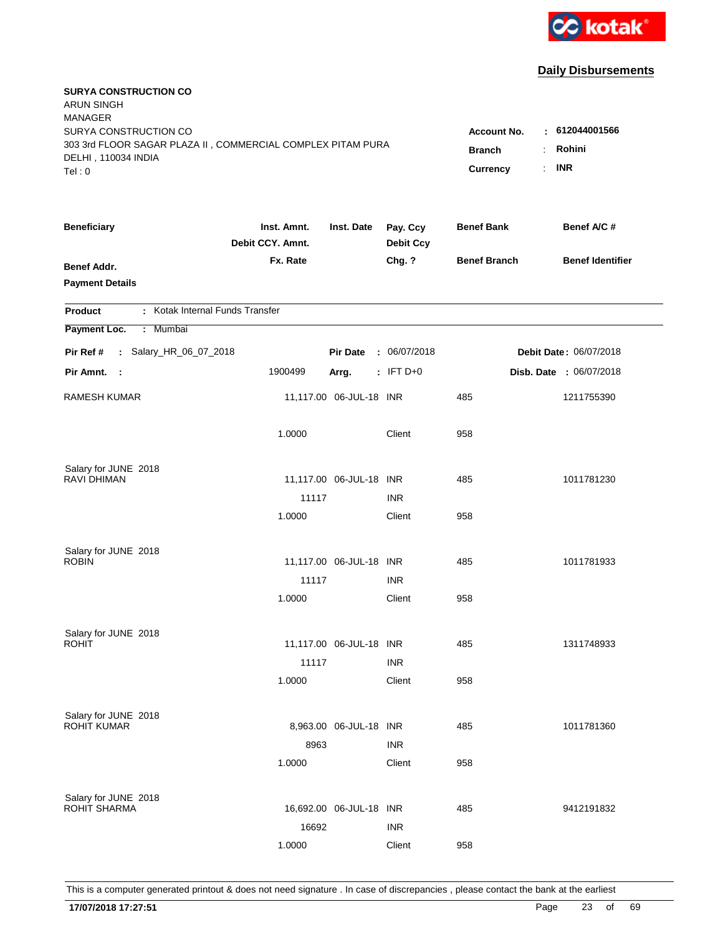

| <b>SURYA CONSTRUCTION CO</b><br><b>ARUN SINGH</b><br><b>MANAGER</b><br>SURYA CONSTRUCTION CO<br>303 3rd FLOOR SAGAR PLAZA II, COMMERCIAL COMPLEX PITAM PURA<br>DELHI, 110034 INDIA<br>Tel: 0 | <b>Account No.</b><br><b>Branch</b><br>Currency | : 612044001566<br>Rohini<br>$\ddot{\phantom{a}}$<br><b>INR</b><br>÷. |                              |                     |                         |
|----------------------------------------------------------------------------------------------------------------------------------------------------------------------------------------------|-------------------------------------------------|----------------------------------------------------------------------|------------------------------|---------------------|-------------------------|
| <b>Beneficiary</b>                                                                                                                                                                           | Inst. Amnt.<br>Debit CCY. Amnt.                 | Inst. Date                                                           | Pay. Ccy<br><b>Debit Ccy</b> | <b>Benef Bank</b>   | Benef A/C #             |
| Benef Addr.<br><b>Payment Details</b>                                                                                                                                                        | Fx. Rate                                        |                                                                      | Chg. ?                       | <b>Benef Branch</b> | <b>Benef Identifier</b> |
| : Kotak Internal Funds Transfer<br><b>Product</b>                                                                                                                                            |                                                 |                                                                      |                              |                     |                         |
| Payment Loc.<br>Mumbai<br>÷.                                                                                                                                                                 |                                                 |                                                                      |                              |                     |                         |
| : Salary_HR_06_07_2018<br>Pir Ref #                                                                                                                                                          |                                                 | <b>Pir Date</b>                                                      | : 06/07/2018                 |                     | Debit Date: 06/07/2018  |
| Pir Amnt.<br>$\sim$ 1                                                                                                                                                                        | 1900499                                         | Arrg.                                                                | $:$ IFT D+0                  |                     | Disb. Date: 06/07/2018  |
| <b>RAMESH KUMAR</b>                                                                                                                                                                          |                                                 | 11,117.00 06-JUL-18 INR                                              |                              | 485                 | 1211755390              |
|                                                                                                                                                                                              | 1.0000                                          |                                                                      | Client                       | 958                 |                         |
| Salary for JUNE 2018                                                                                                                                                                         |                                                 |                                                                      |                              |                     |                         |
| <b>RAVI DHIMAN</b>                                                                                                                                                                           |                                                 | 11,117.00 06-JUL-18 INR                                              |                              | 485                 | 1011781230              |
|                                                                                                                                                                                              | 11117<br>1.0000                                 |                                                                      | <b>INR</b>                   |                     |                         |
|                                                                                                                                                                                              |                                                 |                                                                      | Client                       | 958                 |                         |
| Salary for JUNE 2018                                                                                                                                                                         |                                                 |                                                                      |                              |                     |                         |
| <b>ROBIN</b>                                                                                                                                                                                 |                                                 | 11,117.00 06-JUL-18 INR                                              |                              | 485                 | 1011781933              |
|                                                                                                                                                                                              | 11117                                           |                                                                      | <b>INR</b>                   |                     |                         |
|                                                                                                                                                                                              | 1.0000                                          |                                                                      | Client                       | 958                 |                         |
| Salary for JUNE 2018                                                                                                                                                                         |                                                 |                                                                      |                              |                     |                         |
| <b>ROHIT</b>                                                                                                                                                                                 |                                                 | 11,117.00 06-JUL-18 INR                                              |                              | 485                 | 1311748933              |
|                                                                                                                                                                                              | 11117                                           |                                                                      | <b>INR</b>                   |                     |                         |
|                                                                                                                                                                                              | 1.0000                                          |                                                                      | Client                       | 958                 |                         |
|                                                                                                                                                                                              |                                                 |                                                                      |                              |                     |                         |
| Salary for JUNE 2018<br><b>ROHIT KUMAR</b>                                                                                                                                                   |                                                 | 8,963.00 06-JUL-18 INR                                               |                              | 485                 | 1011781360              |
|                                                                                                                                                                                              | 8963                                            |                                                                      | <b>INR</b>                   |                     |                         |
|                                                                                                                                                                                              | 1.0000                                          |                                                                      | Client                       | 958                 |                         |
|                                                                                                                                                                                              |                                                 |                                                                      |                              |                     |                         |
| Salary for JUNE 2018<br><b>ROHIT SHARMA</b>                                                                                                                                                  |                                                 | 16,692.00 06-JUL-18 INR                                              |                              | 485                 | 9412191832              |
|                                                                                                                                                                                              | 16692                                           |                                                                      | <b>INR</b>                   |                     |                         |
|                                                                                                                                                                                              | 1.0000                                          |                                                                      | Client                       | 958                 |                         |
|                                                                                                                                                                                              |                                                 |                                                                      |                              |                     |                         |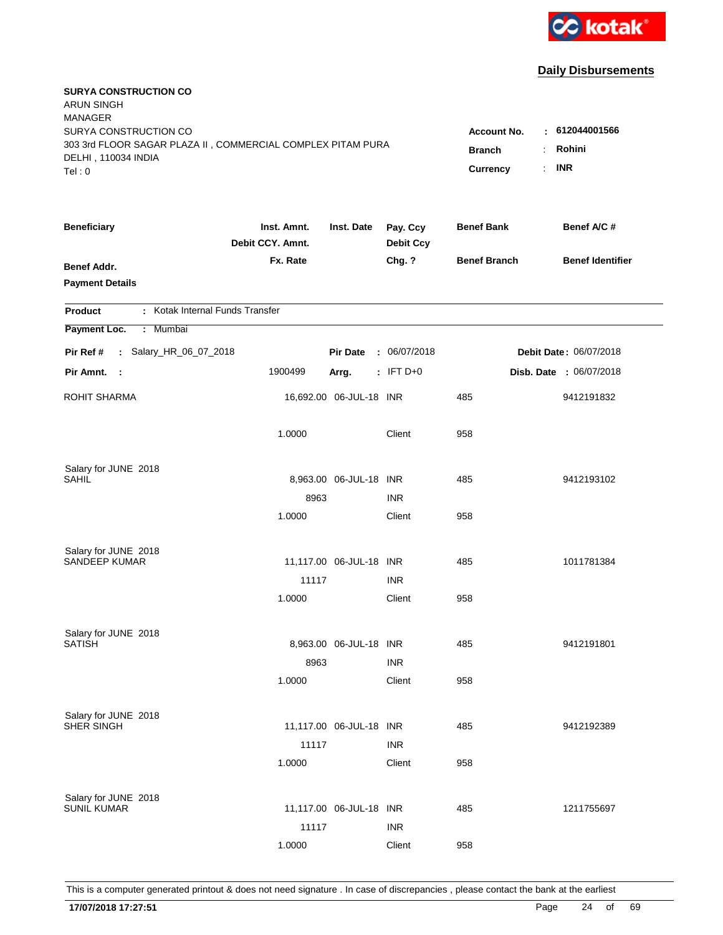

| <b>SURYA CONSTRUCTION CO</b><br><b>ARUN SINGH</b><br><b>MANAGER</b>                |                                 |                         |                              |                     |                         |
|------------------------------------------------------------------------------------|---------------------------------|-------------------------|------------------------------|---------------------|-------------------------|
| SURYA CONSTRUCTION CO                                                              |                                 |                         |                              | <b>Account No.</b>  | $-612044001566$         |
| 303 3rd FLOOR SAGAR PLAZA II, COMMERCIAL COMPLEX PITAM PURA<br>DELHI, 110034 INDIA | <b>Branch</b>                   | Rohini<br>÷.            |                              |                     |                         |
| Tel: 0                                                                             |                                 |                         |                              | Currency            | <b>INR</b><br>÷.        |
| <b>Beneficiary</b>                                                                 | Inst. Amnt.<br>Debit CCY. Amnt. | Inst. Date              | Pay. Ccy<br><b>Debit Ccy</b> | <b>Benef Bank</b>   | Benef A/C #             |
| <b>Benef Addr.</b>                                                                 | Fx. Rate                        |                         | Chg. ?                       | <b>Benef Branch</b> | <b>Benef Identifier</b> |
| <b>Payment Details</b>                                                             |                                 |                         |                              |                     |                         |
| : Kotak Internal Funds Transfer<br><b>Product</b>                                  |                                 |                         |                              |                     |                         |
| Payment Loc.<br>Mumbai<br>÷.                                                       |                                 |                         |                              |                     |                         |
| : Salary_HR_06_07_2018<br>Pir Ref #                                                |                                 | <b>Pir Date</b>         | : 06/07/2018                 |                     | Debit Date: 06/07/2018  |
| Pir Amnt. :                                                                        | 1900499                         | Arrg.                   | $:$ IFT D+0                  |                     | Disb. Date : 06/07/2018 |
| <b>ROHIT SHARMA</b>                                                                |                                 | 16,692.00 06-JUL-18 INR |                              | 485                 | 9412191832              |
|                                                                                    | 1.0000                          |                         | Client                       | 958                 |                         |
| Salary for JUNE 2018                                                               |                                 |                         |                              |                     |                         |
| SAHIL                                                                              |                                 | 8,963.00 06-JUL-18 INR  |                              | 485                 | 9412193102              |
|                                                                                    | 8963                            |                         | <b>INR</b>                   |                     |                         |
|                                                                                    | 1.0000                          |                         | Client                       | 958                 |                         |
| Salary for JUNE 2018                                                               |                                 |                         |                              |                     |                         |
| <b>SANDEEP KUMAR</b>                                                               |                                 | 11,117.00 06-JUL-18 INR |                              | 485                 | 1011781384              |
|                                                                                    | 11117                           |                         | <b>INR</b>                   |                     |                         |
|                                                                                    | 1.0000                          |                         | Client                       | 958                 |                         |
| Salary for JUNE 2018                                                               |                                 |                         |                              |                     |                         |
| <b>SATISH</b>                                                                      |                                 | 8,963.00 06-JUL-18 INR  |                              | 485                 | 9412191801              |
|                                                                                    | 8963                            |                         | <b>INR</b>                   |                     |                         |
|                                                                                    | 1.0000                          |                         | Client                       | 958                 |                         |
| Salary for JUNE 2018                                                               |                                 |                         |                              |                     |                         |
| SHER SINGH                                                                         |                                 | 11,117.00 06-JUL-18 INR |                              | 485                 | 9412192389              |
|                                                                                    | 11117                           |                         | <b>INR</b>                   |                     |                         |
|                                                                                    | 1.0000                          |                         | Client                       | 958                 |                         |
| Salary for JUNE 2018                                                               |                                 |                         |                              |                     |                         |
| <b>SUNIL KUMAR</b>                                                                 |                                 | 11,117.00 06-JUL-18 INR |                              | 485                 | 1211755697              |
|                                                                                    | 11117                           |                         | <b>INR</b>                   |                     |                         |
|                                                                                    | 1.0000                          |                         | Client                       | 958                 |                         |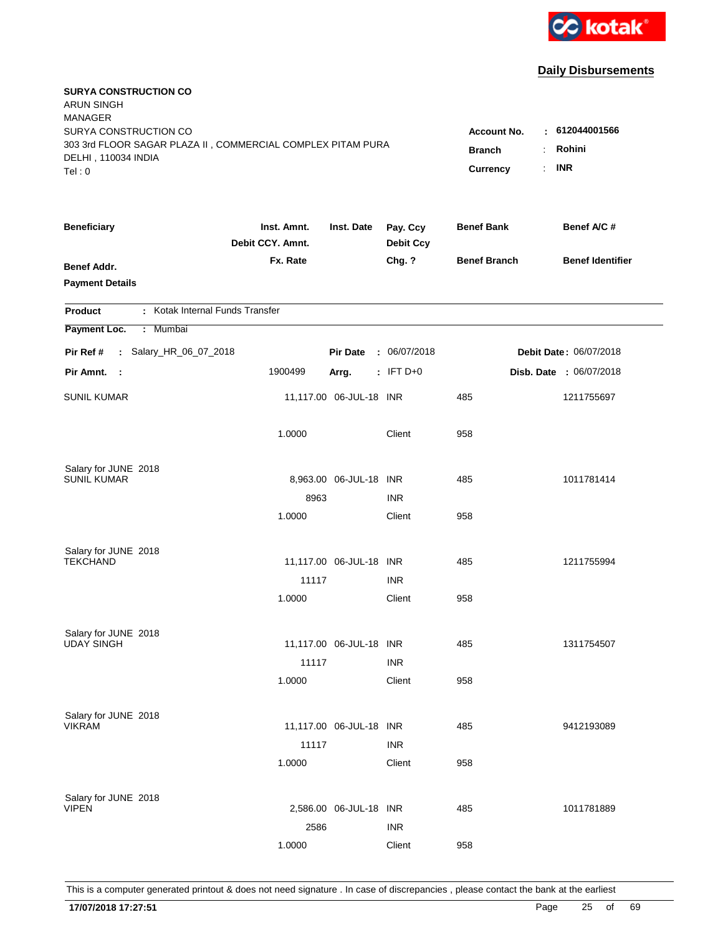

| <b>SURYA CONSTRUCTION CO</b><br><b>ARUN SINGH</b><br><b>MANAGER</b>                |                                 |                         |                              |                     |                               |
|------------------------------------------------------------------------------------|---------------------------------|-------------------------|------------------------------|---------------------|-------------------------------|
| SURYA CONSTRUCTION CO                                                              |                                 |                         |                              | <b>Account No.</b>  | : 612044001566                |
| 303 3rd FLOOR SAGAR PLAZA II, COMMERCIAL COMPLEX PITAM PURA<br>DELHI, 110034 INDIA |                                 |                         |                              | <b>Branch</b>       | Rohini                        |
| Tel: 0                                                                             |                                 |                         |                              | Currency            | <b>INR</b><br>÷.              |
|                                                                                    |                                 |                         |                              |                     |                               |
| <b>Beneficiary</b>                                                                 | Inst. Amnt.<br>Debit CCY. Amnt. | Inst. Date              | Pay. Ccy<br><b>Debit Ccy</b> | <b>Benef Bank</b>   | Benef A/C #                   |
| <b>Benef Addr.</b>                                                                 | Fx. Rate                        |                         | Chg. ?                       | <b>Benef Branch</b> | <b>Benef Identifier</b>       |
| <b>Payment Details</b>                                                             |                                 |                         |                              |                     |                               |
| : Kotak Internal Funds Transfer<br><b>Product</b>                                  |                                 |                         |                              |                     |                               |
| Payment Loc.<br>Mumbai<br>÷.                                                       |                                 |                         |                              |                     |                               |
| : Salary_HR_06_07_2018<br>Pir Ref #                                                |                                 | <b>Pir Date</b>         | : 06/07/2018                 |                     | <b>Debit Date: 06/07/2018</b> |
| Pir Amnt.<br>- 1                                                                   | 1900499                         | Arrg.                   | $:$ IFT D+0                  |                     | Disb. Date : 06/07/2018       |
|                                                                                    |                                 |                         |                              |                     |                               |
| <b>SUNIL KUMAR</b>                                                                 |                                 | 11,117.00 06-JUL-18 INR |                              | 485                 | 1211755697                    |
|                                                                                    | 1.0000                          |                         | Client                       | 958                 |                               |
|                                                                                    |                                 |                         |                              |                     |                               |
| Salary for JUNE 2018                                                               |                                 |                         |                              |                     |                               |
| <b>SUNIL KUMAR</b>                                                                 |                                 | 8,963.00 06-JUL-18 INR  |                              | 485                 | 1011781414                    |
|                                                                                    | 8963<br>1.0000                  |                         | <b>INR</b><br>Client         | 958                 |                               |
|                                                                                    |                                 |                         |                              |                     |                               |
| Salary for JUNE 2018                                                               |                                 |                         |                              |                     |                               |
| <b>TEKCHAND</b>                                                                    |                                 | 11,117.00 06-JUL-18 INR |                              | 485                 | 1211755994                    |
|                                                                                    | 11117                           |                         | <b>INR</b>                   |                     |                               |
|                                                                                    | 1.0000                          |                         | Client                       | 958                 |                               |
|                                                                                    |                                 |                         |                              |                     |                               |
| Salary for JUNE 2018<br><b>UDAY SINGH</b>                                          |                                 | 11,117.00 06-JUL-18 INR |                              | 485                 | 1311754507                    |
|                                                                                    | 11117                           |                         | <b>INR</b>                   |                     |                               |
|                                                                                    | 1.0000                          |                         | Client                       | 958                 |                               |
|                                                                                    |                                 |                         |                              |                     |                               |
| Salary for JUNE 2018                                                               |                                 |                         |                              |                     |                               |
| <b>VIKRAM</b>                                                                      |                                 | 11,117.00 06-JUL-18 INR |                              | 485                 | 9412193089                    |
|                                                                                    | 11117                           |                         | <b>INR</b>                   |                     |                               |
|                                                                                    | 1.0000                          |                         | Client                       | 958                 |                               |
| Salary for JUNE 2018                                                               |                                 |                         |                              |                     |                               |
| <b>VIPEN</b>                                                                       |                                 | 2,586.00 06-JUL-18 INR  |                              | 485                 | 1011781889                    |
|                                                                                    | 2586                            |                         | <b>INR</b>                   |                     |                               |
|                                                                                    | 1.0000                          |                         | Client                       | 958                 |                               |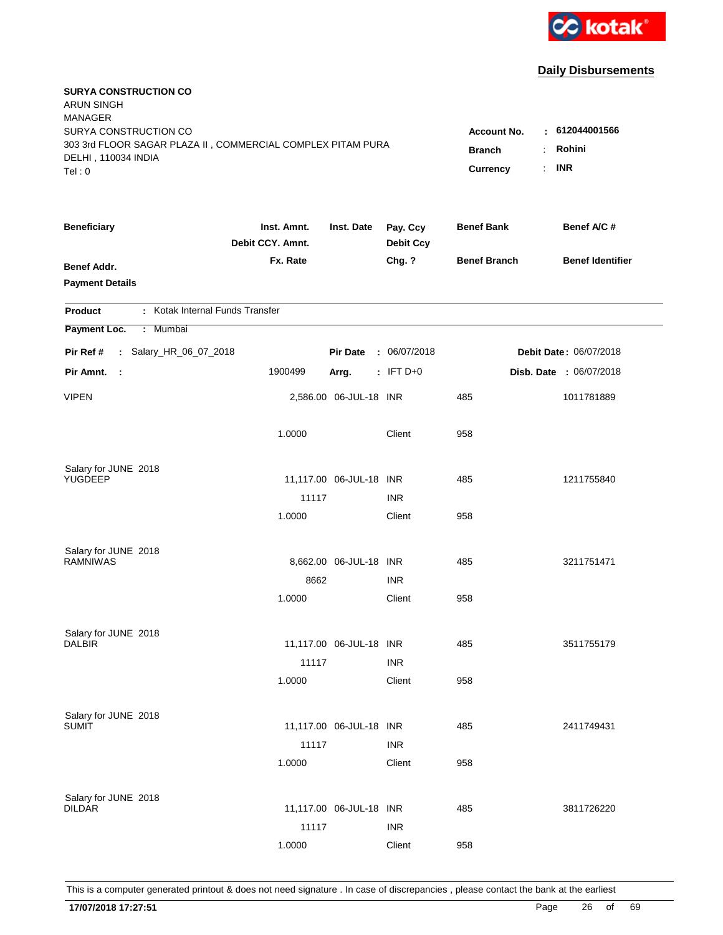

| <b>SURYA CONSTRUCTION CO</b><br><b>ARUN SINGH</b><br><b>MANAGER</b>                  |                                 |                              |                              |                     |                               |
|--------------------------------------------------------------------------------------|---------------------------------|------------------------------|------------------------------|---------------------|-------------------------------|
| SURYA CONSTRUCTION CO<br>303 3rd FLOOR SAGAR PLAZA II, COMMERCIAL COMPLEX PITAM PURA | Account No.<br><b>Branch</b>    | $\pm 612044001566$<br>Rohini |                              |                     |                               |
| DELHI, 110034 INDIA<br>Tel: 0                                                        |                                 |                              |                              | Currency            | <b>INR</b><br>÷.              |
|                                                                                      |                                 |                              |                              |                     |                               |
| <b>Beneficiary</b>                                                                   | Inst. Amnt.<br>Debit CCY. Amnt. | Inst. Date                   | Pay. Ccy<br><b>Debit Ccy</b> | <b>Benef Bank</b>   | Benef A/C #                   |
| <b>Benef Addr.</b>                                                                   | Fx. Rate                        |                              | Chg. ?                       | <b>Benef Branch</b> | <b>Benef Identifier</b>       |
| <b>Payment Details</b>                                                               |                                 |                              |                              |                     |                               |
| : Kotak Internal Funds Transfer<br><b>Product</b>                                    |                                 |                              |                              |                     |                               |
| Payment Loc.<br>Mumbai<br>÷.                                                         |                                 |                              |                              |                     |                               |
| : Salary_HR_06_07_2018<br>Pir Ref #                                                  |                                 | <b>Pir Date</b>              | : 06/07/2018                 |                     | <b>Debit Date: 06/07/2018</b> |
| Pir Amnt.<br>$\mathbb{R}^2$                                                          | 1900499                         | Arrg.                        | $: IFT D+0$                  |                     | Disb. Date : 06/07/2018       |
| <b>VIPEN</b>                                                                         |                                 | 2,586.00 06-JUL-18 INR       |                              | 485                 | 1011781889                    |
|                                                                                      | 1.0000                          |                              | Client                       | 958                 |                               |
| Salary for JUNE 2018                                                                 |                                 |                              |                              |                     |                               |
| YUGDEEP                                                                              |                                 | 11,117.00 06-JUL-18 INR      |                              | 485                 | 1211755840                    |
|                                                                                      | 11117                           |                              | <b>INR</b>                   |                     |                               |
|                                                                                      | 1.0000                          |                              | Client                       | 958                 |                               |
| Salary for JUNE 2018                                                                 |                                 |                              |                              |                     |                               |
| <b>RAMNIWAS</b>                                                                      |                                 | 8,662.00 06-JUL-18 INR       |                              | 485                 | 3211751471                    |
|                                                                                      | 8662                            |                              | <b>INR</b>                   |                     |                               |
|                                                                                      | 1.0000                          |                              | Client                       | 958                 |                               |
| Salary for JUNE 2018                                                                 |                                 |                              |                              |                     |                               |
| <b>DALBIR</b>                                                                        |                                 | 11,117.00 06-JUL-18 INR      |                              | 485                 | 3511755179                    |
|                                                                                      | 11117                           |                              | <b>INR</b>                   |                     |                               |
|                                                                                      | 1.0000                          |                              | Client                       | 958                 |                               |
| Salary for JUNE 2018                                                                 |                                 |                              |                              |                     |                               |
| <b>SUMIT</b>                                                                         |                                 | 11,117.00 06-JUL-18 INR      |                              | 485                 | 2411749431                    |
|                                                                                      | 11117                           |                              | <b>INR</b>                   |                     |                               |
|                                                                                      | 1.0000                          |                              | Client                       | 958                 |                               |
| Salary for JUNE 2018                                                                 |                                 |                              |                              |                     |                               |
| <b>DILDAR</b>                                                                        |                                 | 11,117.00 06-JUL-18 INR      |                              | 485                 | 3811726220                    |
|                                                                                      | 11117                           |                              | <b>INR</b>                   |                     |                               |
|                                                                                      | 1.0000                          |                              | Client                       | 958                 |                               |
|                                                                                      |                                 |                              |                              |                     |                               |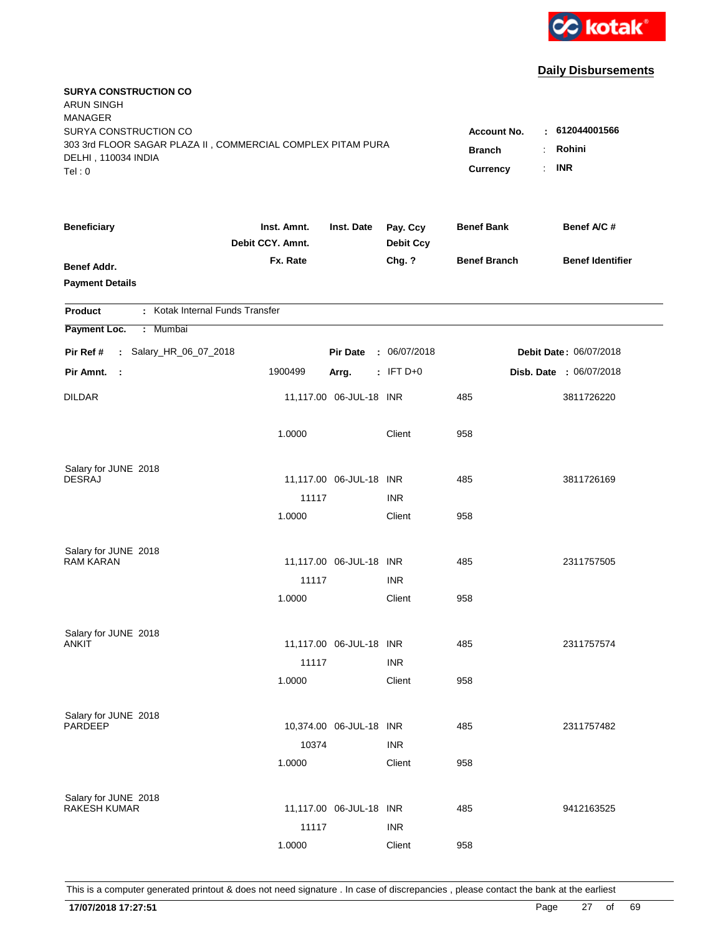

| <b>SURYA CONSTRUCTION CO</b><br><b>ARUN SINGH</b><br><b>MANAGER</b><br>SURYA CONSTRUCTION CO<br>303 3rd FLOOR SAGAR PLAZA II, COMMERCIAL COMPLEX PITAM PURA<br>DELHI, 110034 INDIA<br>Tel: 0 | <b>Account No.</b><br><b>Branch</b><br>Currency | : 612044001566<br>Rohini<br>÷<br><b>INR</b><br>÷. |                              |                     |                         |
|----------------------------------------------------------------------------------------------------------------------------------------------------------------------------------------------|-------------------------------------------------|---------------------------------------------------|------------------------------|---------------------|-------------------------|
|                                                                                                                                                                                              |                                                 |                                                   |                              |                     |                         |
| <b>Beneficiary</b>                                                                                                                                                                           | Inst. Amnt.<br>Debit CCY. Amnt.                 | Inst. Date                                        | Pay. Ccy<br><b>Debit Ccy</b> | <b>Benef Bank</b>   | Benef A/C #             |
| <b>Benef Addr.</b><br><b>Payment Details</b>                                                                                                                                                 | Fx. Rate                                        |                                                   | Chg. ?                       | <b>Benef Branch</b> | <b>Benef Identifier</b> |
| : Kotak Internal Funds Transfer<br><b>Product</b>                                                                                                                                            |                                                 |                                                   |                              |                     |                         |
| Payment Loc.<br>: Mumbai                                                                                                                                                                     |                                                 |                                                   |                              |                     |                         |
| : Salary_HR_06_07_2018<br>Pir Ref #                                                                                                                                                          |                                                 | <b>Pir Date</b>                                   | : 06/07/2018                 |                     | Debit Date: 06/07/2018  |
| Pir Amnt.<br>$\mathbb{R}^2$                                                                                                                                                                  | 1900499                                         | Arrg.                                             | $:$ IFT D+0                  |                     | Disb. Date : 06/07/2018 |
| <b>DILDAR</b>                                                                                                                                                                                |                                                 | 11,117.00 06-JUL-18 INR                           |                              | 485                 | 3811726220              |
|                                                                                                                                                                                              | 1.0000                                          |                                                   | Client                       | 958                 |                         |
| Salary for JUNE 2018                                                                                                                                                                         |                                                 |                                                   |                              |                     |                         |
| <b>DESRAJ</b>                                                                                                                                                                                |                                                 | 11,117.00 06-JUL-18 INR                           |                              | 485                 | 3811726169              |
|                                                                                                                                                                                              | 11117                                           |                                                   | <b>INR</b>                   |                     |                         |
|                                                                                                                                                                                              | 1.0000                                          |                                                   | Client                       | 958                 |                         |
| Salary for JUNE 2018                                                                                                                                                                         |                                                 |                                                   |                              |                     |                         |
| <b>RAM KARAN</b>                                                                                                                                                                             |                                                 | 11,117.00 06-JUL-18 INR                           |                              | 485                 | 2311757505              |
|                                                                                                                                                                                              | 11117                                           |                                                   | <b>INR</b>                   |                     |                         |
|                                                                                                                                                                                              | 1.0000                                          |                                                   | Client                       | 958                 |                         |
| Salary for JUNE 2018                                                                                                                                                                         |                                                 |                                                   |                              |                     |                         |
| ANKIT                                                                                                                                                                                        |                                                 | 11,117.00 06-JUL-18 INR                           |                              | 485                 | 2311757574              |
|                                                                                                                                                                                              | 11117                                           |                                                   | <b>INR</b>                   |                     |                         |
|                                                                                                                                                                                              | 1.0000                                          |                                                   | Client                       | 958                 |                         |
|                                                                                                                                                                                              |                                                 |                                                   |                              |                     |                         |
| Salary for JUNE 2018<br>PARDEEP                                                                                                                                                              |                                                 | 10,374.00 06-JUL-18 INR                           |                              | 485                 | 2311757482              |
|                                                                                                                                                                                              | 10374                                           |                                                   | <b>INR</b>                   |                     |                         |
|                                                                                                                                                                                              | 1.0000                                          |                                                   | Client                       | 958                 |                         |
|                                                                                                                                                                                              |                                                 |                                                   |                              |                     |                         |
| Salary for JUNE 2018<br><b>RAKESH KUMAR</b>                                                                                                                                                  |                                                 | 11,117.00 06-JUL-18 INR                           |                              | 485                 | 9412163525              |
|                                                                                                                                                                                              | 11117                                           |                                                   | <b>INR</b>                   |                     |                         |
|                                                                                                                                                                                              | 1.0000                                          |                                                   | Client                       | 958                 |                         |
|                                                                                                                                                                                              |                                                 |                                                   |                              |                     |                         |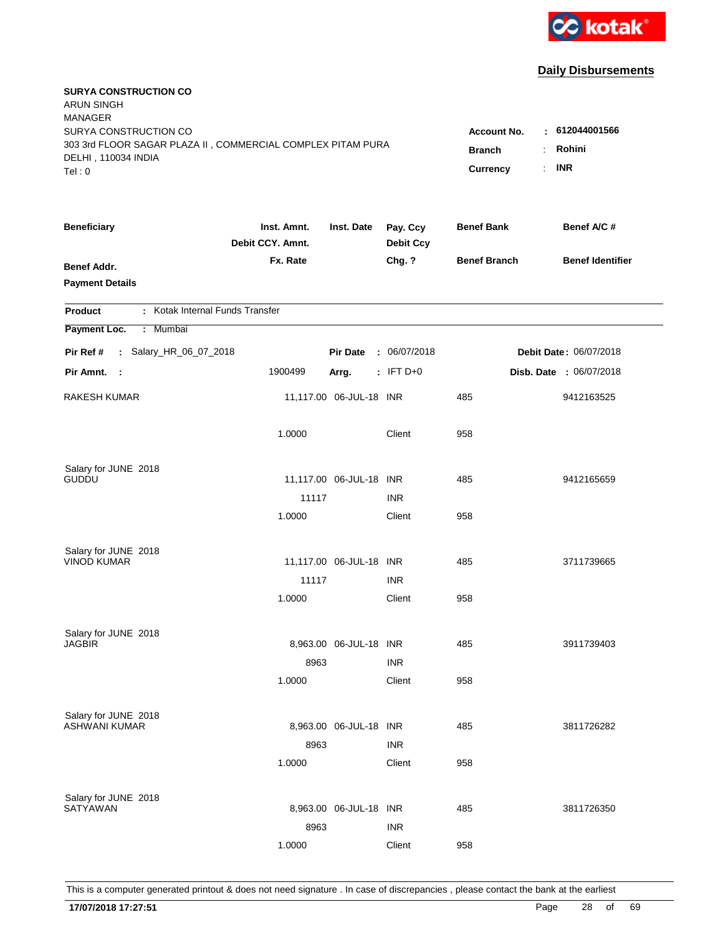

| <b>SURYA CONSTRUCTION CO</b><br><b>ARUN SINGH</b><br><b>MANAGER</b><br>SURYA CONSTRUCTION CO<br>303 3rd FLOOR SAGAR PLAZA II, COMMERCIAL COMPLEX PITAM PURA<br>DELHI, 110034 INDIA<br>Tel: 0 | <b>Account No.</b><br><b>Branch</b><br>Currency | : 612044001566<br>Rohini<br>$\ddot{\phantom{a}}$<br><b>INR</b><br>÷. |                              |                     |                         |
|----------------------------------------------------------------------------------------------------------------------------------------------------------------------------------------------|-------------------------------------------------|----------------------------------------------------------------------|------------------------------|---------------------|-------------------------|
| <b>Beneficiary</b>                                                                                                                                                                           | Inst. Amnt.<br>Debit CCY. Amnt.                 | Inst. Date                                                           | Pay. Ccy<br><b>Debit Ccy</b> | <b>Benef Bank</b>   | Benef A/C #             |
| Benef Addr.<br><b>Payment Details</b>                                                                                                                                                        | Fx. Rate                                        |                                                                      | Chg. ?                       | <b>Benef Branch</b> | <b>Benef Identifier</b> |
| : Kotak Internal Funds Transfer<br><b>Product</b>                                                                                                                                            |                                                 |                                                                      |                              |                     |                         |
| Payment Loc.<br>Mumbai<br>÷.                                                                                                                                                                 |                                                 |                                                                      |                              |                     |                         |
| : Salary_HR_06_07_2018<br>Pir Ref #                                                                                                                                                          |                                                 | <b>Pir Date</b>                                                      | : 06/07/2018                 |                     | Debit Date: 06/07/2018  |
| Pir Amnt. :                                                                                                                                                                                  | 1900499                                         | Arrg.                                                                | $:$ IFT D+0                  |                     | Disb. Date: 06/07/2018  |
| RAKESH KUMAR                                                                                                                                                                                 |                                                 | 11,117.00 06-JUL-18 INR                                              |                              | 485                 | 9412163525              |
|                                                                                                                                                                                              | 1.0000                                          |                                                                      | Client                       | 958                 |                         |
| Salary for JUNE 2018                                                                                                                                                                         |                                                 |                                                                      |                              |                     |                         |
| <b>GUDDU</b>                                                                                                                                                                                 | 11117                                           | 11,117.00 06-JUL-18 INR                                              | <b>INR</b>                   | 485                 | 9412165659              |
|                                                                                                                                                                                              | 1.0000                                          |                                                                      | Client                       | 958                 |                         |
|                                                                                                                                                                                              |                                                 |                                                                      |                              |                     |                         |
| Salary for JUNE 2018                                                                                                                                                                         |                                                 |                                                                      |                              |                     |                         |
| <b>VINOD KUMAR</b>                                                                                                                                                                           |                                                 | 11,117.00 06-JUL-18 INR                                              |                              | 485                 | 3711739665              |
|                                                                                                                                                                                              | 11117                                           |                                                                      | <b>INR</b>                   |                     |                         |
|                                                                                                                                                                                              | 1.0000                                          |                                                                      | Client                       | 958                 |                         |
| Salary for JUNE 2018                                                                                                                                                                         |                                                 |                                                                      |                              |                     |                         |
| <b>JAGBIR</b>                                                                                                                                                                                |                                                 | 8,963.00 06-JUL-18 INR                                               |                              | 485                 | 3911739403              |
|                                                                                                                                                                                              | 8963                                            |                                                                      | <b>INR</b>                   |                     |                         |
|                                                                                                                                                                                              | 1.0000                                          |                                                                      | Client                       | 958                 |                         |
| Salary for JUNE 2018                                                                                                                                                                         |                                                 |                                                                      |                              |                     |                         |
| ASHWANI KUMAR                                                                                                                                                                                |                                                 | 8,963.00 06-JUL-18 INR                                               |                              | 485                 | 3811726282              |
|                                                                                                                                                                                              | 8963                                            |                                                                      | <b>INR</b>                   |                     |                         |
|                                                                                                                                                                                              | 1.0000                                          |                                                                      | Client                       | 958                 |                         |
|                                                                                                                                                                                              |                                                 |                                                                      |                              |                     |                         |
| Salary for JUNE 2018<br>SATYAWAN                                                                                                                                                             |                                                 | 8,963.00 06-JUL-18 INR                                               |                              | 485                 | 3811726350              |
|                                                                                                                                                                                              | 8963                                            |                                                                      | <b>INR</b>                   |                     |                         |
|                                                                                                                                                                                              | 1.0000                                          |                                                                      | Client                       | 958                 |                         |
|                                                                                                                                                                                              |                                                 |                                                                      |                              |                     |                         |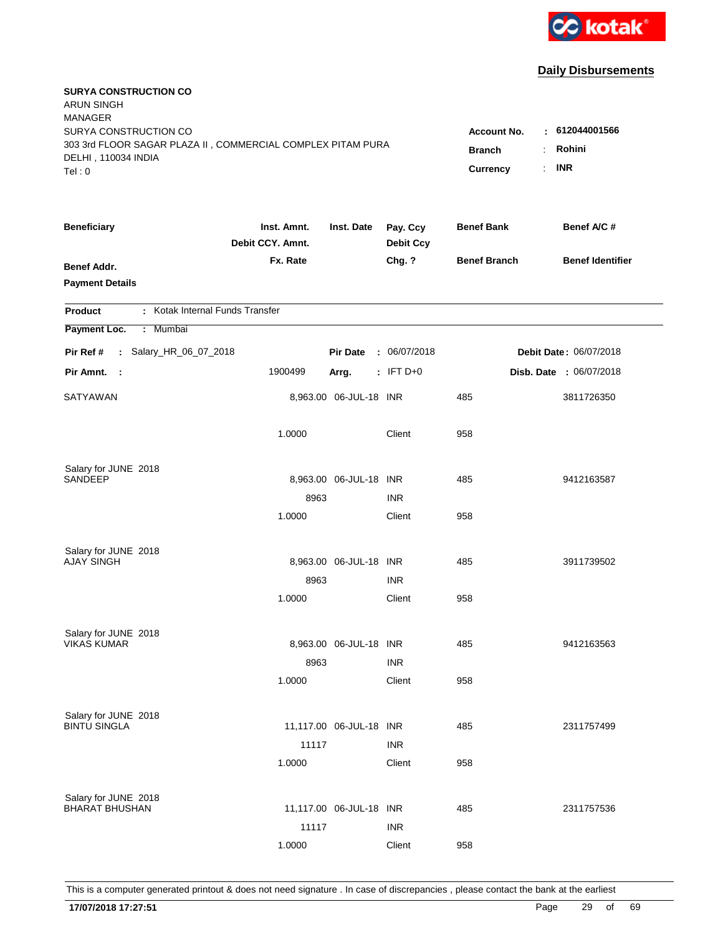

| SURYA CONSTRUCTION CO<br>: 612044001566<br><b>Account No.</b><br>303 3rd FLOOR SAGAR PLAZA II, COMMERCIAL COMPLEX PITAM PURA<br>Rohini<br><b>Branch</b><br>$\ddot{\phantom{a}}$<br>DELHI, 110034 INDIA<br><b>INR</b><br>÷.<br>Currency<br>Tel: 0<br><b>Beneficiary</b><br>Pay. Ccy<br><b>Benef Bank</b><br>Benef A/C #<br>Inst. Amnt.<br>Inst. Date<br>Debit CCY. Amnt.<br><b>Debit Ccy</b><br>Fx. Rate<br><b>Benef Branch</b><br><b>Benef Identifier</b><br>Chg. ?<br><b>Benef Addr.</b><br><b>Payment Details</b><br>: Kotak Internal Funds Transfer<br><b>Product</b><br>Payment Loc.<br>Mumbai<br>÷.<br>: Salary_HR_06_07_2018<br>Debit Date: 06/07/2018<br>Pir Ref #<br><b>Pir Date</b><br>: 06/07/2018<br>$:$ IFT D+0<br>Disb. Date : 06/07/2018<br>Pir Amnt. :<br>1900499<br>Arrg.<br>8,963.00 06-JUL-18 INR<br>485<br>SATYAWAN<br>3811726350<br>1.0000<br>Client<br>958<br>Salary for JUNE 2018<br>SANDEEP<br>8,963.00 06-JUL-18 INR<br>485<br>9412163587<br><b>INR</b><br>8963<br>958<br>1.0000<br>Client<br>Salary for JUNE 2018<br><b>AJAY SINGH</b><br>8,963.00 06-JUL-18 INR<br>485<br>3911739502<br><b>INR</b><br>8963<br>1.0000<br>Client<br>958<br>Salary for JUNE 2018<br><b>VIKAS KUMAR</b><br>8,963.00 06-JUL-18 INR<br>485<br>9412163563<br>8963<br><b>INR</b><br>1.0000<br>Client<br>958<br>Salary for JUNE 2018<br><b>BINTU SINGLA</b><br>11,117.00 06-JUL-18 INR<br>485<br>2311757499<br>11117<br><b>INR</b><br>1.0000<br>Client<br>958<br>Salary for JUNE 2018<br><b>BHARAT BHUSHAN</b><br>11,117.00 06-JUL-18 INR<br>485<br>2311757536<br>11117<br><b>INR</b><br>1.0000<br>Client<br>958 | <b>SURYA CONSTRUCTION CO</b><br><b>ARUN SINGH</b><br><b>MANAGER</b> |  |  |  |
|-------------------------------------------------------------------------------------------------------------------------------------------------------------------------------------------------------------------------------------------------------------------------------------------------------------------------------------------------------------------------------------------------------------------------------------------------------------------------------------------------------------------------------------------------------------------------------------------------------------------------------------------------------------------------------------------------------------------------------------------------------------------------------------------------------------------------------------------------------------------------------------------------------------------------------------------------------------------------------------------------------------------------------------------------------------------------------------------------------------------------------------------------------------------------------------------------------------------------------------------------------------------------------------------------------------------------------------------------------------------------------------------------------------------------------------------------------------------------------------------------------------------------------------------------------------------------------------------------------------------|---------------------------------------------------------------------|--|--|--|
|                                                                                                                                                                                                                                                                                                                                                                                                                                                                                                                                                                                                                                                                                                                                                                                                                                                                                                                                                                                                                                                                                                                                                                                                                                                                                                                                                                                                                                                                                                                                                                                                                   |                                                                     |  |  |  |
|                                                                                                                                                                                                                                                                                                                                                                                                                                                                                                                                                                                                                                                                                                                                                                                                                                                                                                                                                                                                                                                                                                                                                                                                                                                                                                                                                                                                                                                                                                                                                                                                                   |                                                                     |  |  |  |
|                                                                                                                                                                                                                                                                                                                                                                                                                                                                                                                                                                                                                                                                                                                                                                                                                                                                                                                                                                                                                                                                                                                                                                                                                                                                                                                                                                                                                                                                                                                                                                                                                   |                                                                     |  |  |  |
|                                                                                                                                                                                                                                                                                                                                                                                                                                                                                                                                                                                                                                                                                                                                                                                                                                                                                                                                                                                                                                                                                                                                                                                                                                                                                                                                                                                                                                                                                                                                                                                                                   |                                                                     |  |  |  |
|                                                                                                                                                                                                                                                                                                                                                                                                                                                                                                                                                                                                                                                                                                                                                                                                                                                                                                                                                                                                                                                                                                                                                                                                                                                                                                                                                                                                                                                                                                                                                                                                                   |                                                                     |  |  |  |
|                                                                                                                                                                                                                                                                                                                                                                                                                                                                                                                                                                                                                                                                                                                                                                                                                                                                                                                                                                                                                                                                                                                                                                                                                                                                                                                                                                                                                                                                                                                                                                                                                   |                                                                     |  |  |  |
|                                                                                                                                                                                                                                                                                                                                                                                                                                                                                                                                                                                                                                                                                                                                                                                                                                                                                                                                                                                                                                                                                                                                                                                                                                                                                                                                                                                                                                                                                                                                                                                                                   |                                                                     |  |  |  |
|                                                                                                                                                                                                                                                                                                                                                                                                                                                                                                                                                                                                                                                                                                                                                                                                                                                                                                                                                                                                                                                                                                                                                                                                                                                                                                                                                                                                                                                                                                                                                                                                                   |                                                                     |  |  |  |
|                                                                                                                                                                                                                                                                                                                                                                                                                                                                                                                                                                                                                                                                                                                                                                                                                                                                                                                                                                                                                                                                                                                                                                                                                                                                                                                                                                                                                                                                                                                                                                                                                   |                                                                     |  |  |  |
|                                                                                                                                                                                                                                                                                                                                                                                                                                                                                                                                                                                                                                                                                                                                                                                                                                                                                                                                                                                                                                                                                                                                                                                                                                                                                                                                                                                                                                                                                                                                                                                                                   |                                                                     |  |  |  |
|                                                                                                                                                                                                                                                                                                                                                                                                                                                                                                                                                                                                                                                                                                                                                                                                                                                                                                                                                                                                                                                                                                                                                                                                                                                                                                                                                                                                                                                                                                                                                                                                                   |                                                                     |  |  |  |
|                                                                                                                                                                                                                                                                                                                                                                                                                                                                                                                                                                                                                                                                                                                                                                                                                                                                                                                                                                                                                                                                                                                                                                                                                                                                                                                                                                                                                                                                                                                                                                                                                   |                                                                     |  |  |  |
|                                                                                                                                                                                                                                                                                                                                                                                                                                                                                                                                                                                                                                                                                                                                                                                                                                                                                                                                                                                                                                                                                                                                                                                                                                                                                                                                                                                                                                                                                                                                                                                                                   |                                                                     |  |  |  |
|                                                                                                                                                                                                                                                                                                                                                                                                                                                                                                                                                                                                                                                                                                                                                                                                                                                                                                                                                                                                                                                                                                                                                                                                                                                                                                                                                                                                                                                                                                                                                                                                                   |                                                                     |  |  |  |
|                                                                                                                                                                                                                                                                                                                                                                                                                                                                                                                                                                                                                                                                                                                                                                                                                                                                                                                                                                                                                                                                                                                                                                                                                                                                                                                                                                                                                                                                                                                                                                                                                   |                                                                     |  |  |  |
|                                                                                                                                                                                                                                                                                                                                                                                                                                                                                                                                                                                                                                                                                                                                                                                                                                                                                                                                                                                                                                                                                                                                                                                                                                                                                                                                                                                                                                                                                                                                                                                                                   |                                                                     |  |  |  |
|                                                                                                                                                                                                                                                                                                                                                                                                                                                                                                                                                                                                                                                                                                                                                                                                                                                                                                                                                                                                                                                                                                                                                                                                                                                                                                                                                                                                                                                                                                                                                                                                                   |                                                                     |  |  |  |
|                                                                                                                                                                                                                                                                                                                                                                                                                                                                                                                                                                                                                                                                                                                                                                                                                                                                                                                                                                                                                                                                                                                                                                                                                                                                                                                                                                                                                                                                                                                                                                                                                   |                                                                     |  |  |  |
|                                                                                                                                                                                                                                                                                                                                                                                                                                                                                                                                                                                                                                                                                                                                                                                                                                                                                                                                                                                                                                                                                                                                                                                                                                                                                                                                                                                                                                                                                                                                                                                                                   |                                                                     |  |  |  |
|                                                                                                                                                                                                                                                                                                                                                                                                                                                                                                                                                                                                                                                                                                                                                                                                                                                                                                                                                                                                                                                                                                                                                                                                                                                                                                                                                                                                                                                                                                                                                                                                                   |                                                                     |  |  |  |
|                                                                                                                                                                                                                                                                                                                                                                                                                                                                                                                                                                                                                                                                                                                                                                                                                                                                                                                                                                                                                                                                                                                                                                                                                                                                                                                                                                                                                                                                                                                                                                                                                   |                                                                     |  |  |  |
|                                                                                                                                                                                                                                                                                                                                                                                                                                                                                                                                                                                                                                                                                                                                                                                                                                                                                                                                                                                                                                                                                                                                                                                                                                                                                                                                                                                                                                                                                                                                                                                                                   |                                                                     |  |  |  |
|                                                                                                                                                                                                                                                                                                                                                                                                                                                                                                                                                                                                                                                                                                                                                                                                                                                                                                                                                                                                                                                                                                                                                                                                                                                                                                                                                                                                                                                                                                                                                                                                                   |                                                                     |  |  |  |
|                                                                                                                                                                                                                                                                                                                                                                                                                                                                                                                                                                                                                                                                                                                                                                                                                                                                                                                                                                                                                                                                                                                                                                                                                                                                                                                                                                                                                                                                                                                                                                                                                   |                                                                     |  |  |  |
|                                                                                                                                                                                                                                                                                                                                                                                                                                                                                                                                                                                                                                                                                                                                                                                                                                                                                                                                                                                                                                                                                                                                                                                                                                                                                                                                                                                                                                                                                                                                                                                                                   |                                                                     |  |  |  |
|                                                                                                                                                                                                                                                                                                                                                                                                                                                                                                                                                                                                                                                                                                                                                                                                                                                                                                                                                                                                                                                                                                                                                                                                                                                                                                                                                                                                                                                                                                                                                                                                                   |                                                                     |  |  |  |
|                                                                                                                                                                                                                                                                                                                                                                                                                                                                                                                                                                                                                                                                                                                                                                                                                                                                                                                                                                                                                                                                                                                                                                                                                                                                                                                                                                                                                                                                                                                                                                                                                   |                                                                     |  |  |  |
|                                                                                                                                                                                                                                                                                                                                                                                                                                                                                                                                                                                                                                                                                                                                                                                                                                                                                                                                                                                                                                                                                                                                                                                                                                                                                                                                                                                                                                                                                                                                                                                                                   |                                                                     |  |  |  |
|                                                                                                                                                                                                                                                                                                                                                                                                                                                                                                                                                                                                                                                                                                                                                                                                                                                                                                                                                                                                                                                                                                                                                                                                                                                                                                                                                                                                                                                                                                                                                                                                                   |                                                                     |  |  |  |
|                                                                                                                                                                                                                                                                                                                                                                                                                                                                                                                                                                                                                                                                                                                                                                                                                                                                                                                                                                                                                                                                                                                                                                                                                                                                                                                                                                                                                                                                                                                                                                                                                   |                                                                     |  |  |  |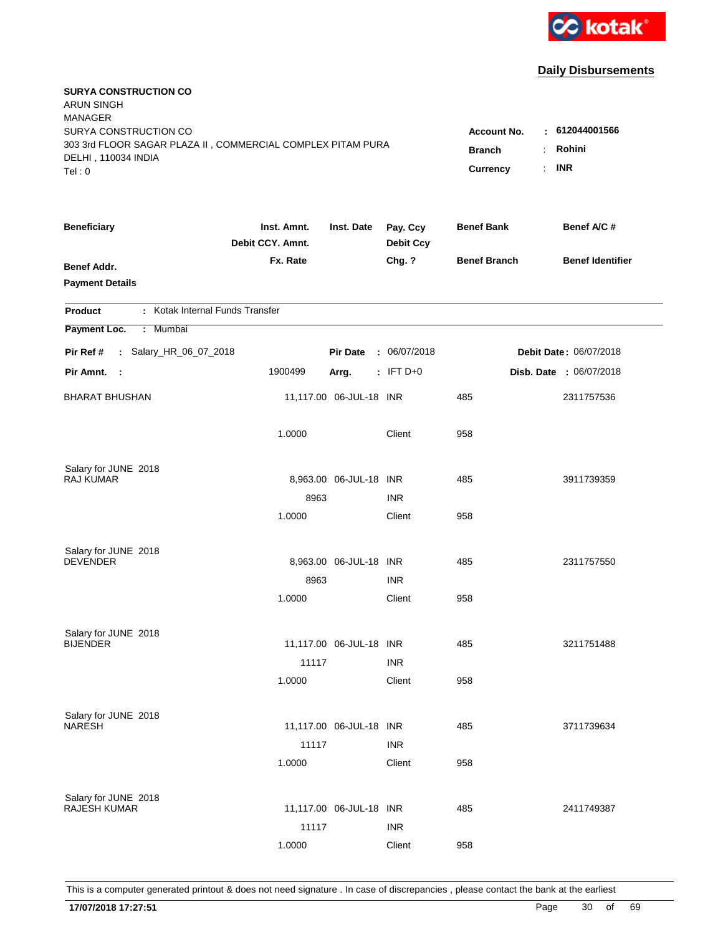

| <b>SURYA CONSTRUCTION CO</b><br><b>ARUN SINGH</b><br><b>MANAGER</b><br>SURYA CONSTRUCTION CO<br>303 3rd FLOOR SAGAR PLAZA II, COMMERCIAL COMPLEX PITAM PURA<br>DELHI, 110034 INDIA<br>Tel: 0 | <b>Account No.</b><br><b>Branch</b><br>Currency | : 612044001566<br>Rohini<br>$\ddot{\phantom{a}}$<br><b>INR</b><br>÷. |                              |                     |                                |
|----------------------------------------------------------------------------------------------------------------------------------------------------------------------------------------------|-------------------------------------------------|----------------------------------------------------------------------|------------------------------|---------------------|--------------------------------|
| <b>Beneficiary</b>                                                                                                                                                                           | Inst. Amnt.<br>Debit CCY. Amnt.                 | Inst. Date                                                           | Pay. Ccy<br><b>Debit Ccy</b> | <b>Benef Bank</b>   | Benef A/C #                    |
| Benef Addr.<br><b>Payment Details</b>                                                                                                                                                        | Fx. Rate                                        |                                                                      | Chg. ?                       | <b>Benef Branch</b> | <b>Benef Identifier</b>        |
| : Kotak Internal Funds Transfer<br><b>Product</b>                                                                                                                                            |                                                 |                                                                      |                              |                     |                                |
| Payment Loc.<br>Mumbai<br>÷.                                                                                                                                                                 |                                                 |                                                                      |                              |                     |                                |
| : Salary_HR_06_07_2018<br>Pir Ref #                                                                                                                                                          |                                                 | <b>Pir Date</b>                                                      | : 06/07/2018                 |                     | Debit Date: 06/07/2018         |
| Pir Amnt.<br>$\sim$ :                                                                                                                                                                        | 1900499                                         | Arrg.                                                                | $:$ IFT D+0                  |                     | <b>Disb. Date : 06/07/2018</b> |
| <b>BHARAT BHUSHAN</b>                                                                                                                                                                        |                                                 | 11,117.00 06-JUL-18 INR                                              |                              | 485                 | 2311757536                     |
|                                                                                                                                                                                              | 1.0000                                          |                                                                      | Client                       | 958                 |                                |
| Salary for JUNE 2018<br>RAJ KUMAR                                                                                                                                                            |                                                 |                                                                      |                              |                     |                                |
|                                                                                                                                                                                              | 8963                                            | 8,963.00 06-JUL-18 INR                                               | <b>INR</b>                   | 485                 | 3911739359                     |
|                                                                                                                                                                                              | 1.0000                                          |                                                                      | Client                       | 958                 |                                |
| Salary for JUNE 2018<br><b>DEVENDER</b>                                                                                                                                                      |                                                 | 8,963.00 06-JUL-18 INR                                               |                              | 485                 | 2311757550                     |
|                                                                                                                                                                                              | 8963                                            |                                                                      | <b>INR</b>                   |                     |                                |
|                                                                                                                                                                                              | 1.0000                                          |                                                                      | Client                       | 958                 |                                |
| Salary for JUNE 2018                                                                                                                                                                         |                                                 |                                                                      |                              |                     |                                |
| <b>BIJENDER</b>                                                                                                                                                                              |                                                 | 11,117.00 06-JUL-18 INR                                              |                              | 485                 | 3211751488                     |
|                                                                                                                                                                                              | 11117                                           |                                                                      | <b>INR</b>                   |                     |                                |
|                                                                                                                                                                                              | 1.0000                                          |                                                                      | Client                       | 958                 |                                |
| Salary for JUNE 2018                                                                                                                                                                         |                                                 |                                                                      |                              |                     |                                |
| <b>NARESH</b>                                                                                                                                                                                |                                                 | 11,117.00 06-JUL-18 INR                                              |                              | 485                 | 3711739634                     |
|                                                                                                                                                                                              | 11117                                           |                                                                      | <b>INR</b>                   |                     |                                |
|                                                                                                                                                                                              | 1.0000                                          |                                                                      | Client                       | 958                 |                                |
| Salary for JUNE 2018                                                                                                                                                                         |                                                 |                                                                      |                              |                     |                                |
| <b>RAJESH KUMAR</b>                                                                                                                                                                          |                                                 | 11,117.00 06-JUL-18 INR                                              |                              | 485                 | 2411749387                     |
|                                                                                                                                                                                              | 11117<br>1.0000                                 |                                                                      | <b>INR</b><br>Client         | 958                 |                                |
|                                                                                                                                                                                              |                                                 |                                                                      |                              |                     |                                |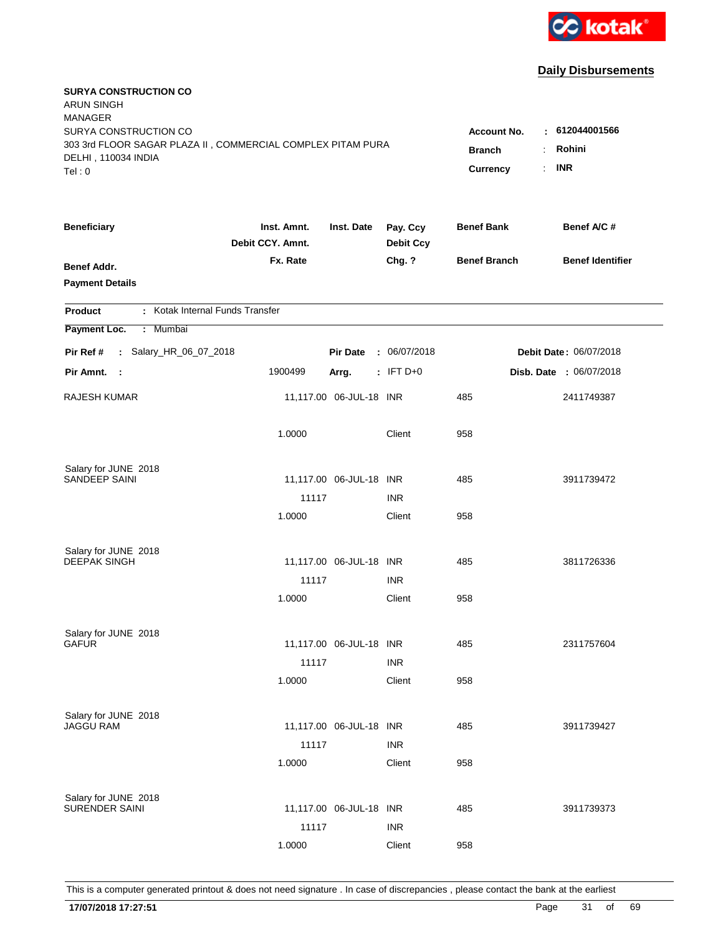

| <b>SURYA CONSTRUCTION CO</b><br><b>ARUN SINGH</b><br><b>MANAGER</b><br>SURYA CONSTRUCTION CO<br>303 3rd FLOOR SAGAR PLAZA II, COMMERCIAL COMPLEX PITAM PURA |                                 |                         |                              | <b>Account No.</b><br><b>Branch</b> | 612044001566<br>٠<br>Rohini   |
|-------------------------------------------------------------------------------------------------------------------------------------------------------------|---------------------------------|-------------------------|------------------------------|-------------------------------------|-------------------------------|
| DELHI, 110034 INDIA<br>Tel: 0                                                                                                                               |                                 |                         |                              | Currency                            | <b>INR</b><br>÷.              |
| <b>Beneficiary</b>                                                                                                                                          | Inst. Amnt.<br>Debit CCY. Amnt. | Inst. Date              | Pay. Ccy<br><b>Debit Ccy</b> | <b>Benef Bank</b>                   | Benef A/C #                   |
| <b>Benef Addr.</b><br><b>Payment Details</b>                                                                                                                | Fx. Rate                        |                         | Chg. ?                       | <b>Benef Branch</b>                 | <b>Benef Identifier</b>       |
| : Kotak Internal Funds Transfer<br><b>Product</b>                                                                                                           |                                 |                         |                              |                                     |                               |
| Payment Loc.<br>: Mumbai                                                                                                                                    |                                 |                         |                              |                                     |                               |
| : Salary_HR_06_07_2018<br>Pir Ref #                                                                                                                         |                                 | <b>Pir Date</b>         | : 06/07/2018                 |                                     | <b>Debit Date: 06/07/2018</b> |
| Pir Amnt. :                                                                                                                                                 | 1900499                         | Arrg.                   | $:$ IFT D+0                  |                                     | Disb. Date : 06/07/2018       |
| <b>RAJESH KUMAR</b>                                                                                                                                         |                                 | 11,117.00 06-JUL-18 INR |                              | 485                                 | 2411749387                    |
|                                                                                                                                                             | 1.0000                          |                         | Client                       | 958                                 |                               |
| Salary for JUNE 2018                                                                                                                                        |                                 |                         |                              |                                     |                               |
| SANDEEP SAINI                                                                                                                                               |                                 | 11,117.00 06-JUL-18 INR |                              | 485                                 | 3911739472                    |
|                                                                                                                                                             | 11117                           |                         | <b>INR</b>                   |                                     |                               |
|                                                                                                                                                             | 1.0000                          |                         | Client                       | 958                                 |                               |
| Salary for JUNE 2018                                                                                                                                        |                                 |                         |                              |                                     |                               |
| <b>DEEPAK SINGH</b>                                                                                                                                         |                                 | 11,117.00 06-JUL-18 INR |                              | 485                                 | 3811726336                    |
|                                                                                                                                                             | 11117                           |                         | <b>INR</b>                   |                                     |                               |
|                                                                                                                                                             | 1.0000                          |                         | Client                       | 958                                 |                               |
| Salary for JUNE 2018                                                                                                                                        |                                 |                         |                              |                                     |                               |
| <b>GAFUR</b>                                                                                                                                                |                                 | 11,117.00 06-JUL-18 INR |                              | 485                                 | 2311757604                    |
|                                                                                                                                                             | 11117                           |                         | <b>INR</b>                   |                                     |                               |
|                                                                                                                                                             | 1.0000                          |                         | Client                       | 958                                 |                               |
|                                                                                                                                                             |                                 |                         |                              |                                     |                               |
| Salary for JUNE 2018<br><b>JAGGU RAM</b>                                                                                                                    |                                 | 11,117.00 06-JUL-18 INR |                              | 485                                 | 3911739427                    |
|                                                                                                                                                             | 11117                           |                         | <b>INR</b>                   |                                     |                               |
|                                                                                                                                                             | 1.0000                          |                         | Client                       | 958                                 |                               |
|                                                                                                                                                             |                                 |                         |                              |                                     |                               |
| Salary for JUNE 2018<br>SURENDER SAINI                                                                                                                      |                                 | 11,117.00 06-JUL-18 INR |                              | 485                                 | 3911739373                    |
|                                                                                                                                                             | 11117                           |                         | <b>INR</b>                   |                                     |                               |
|                                                                                                                                                             | 1.0000                          |                         | Client                       | 958                                 |                               |
|                                                                                                                                                             |                                 |                         |                              |                                     |                               |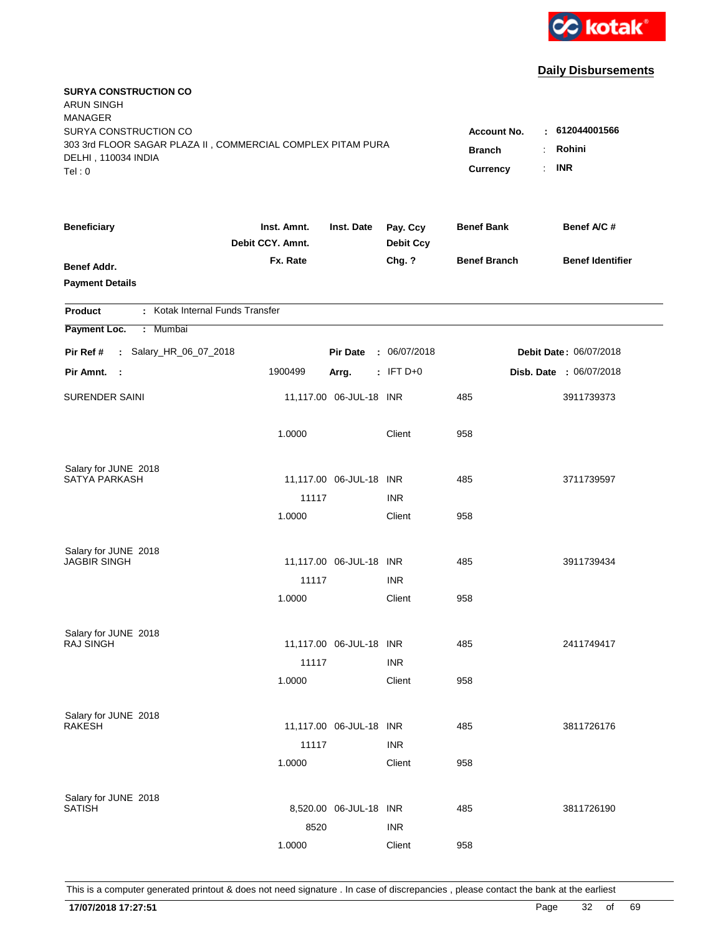

| <b>SURYA CONSTRUCTION CO</b><br><b>ARUN SINGH</b><br><b>MANAGER</b><br>SURYA CONSTRUCTION CO<br>303 3rd FLOOR SAGAR PLAZA II, COMMERCIAL COMPLEX PITAM PURA<br>DELHI, 110034 INDIA<br>Tel: 0 | Account No.<br><b>Branch</b><br>Currency | : 612044001566<br>Rohini<br>÷.<br><b>INR</b><br>÷. |                              |                     |                               |
|----------------------------------------------------------------------------------------------------------------------------------------------------------------------------------------------|------------------------------------------|----------------------------------------------------|------------------------------|---------------------|-------------------------------|
| <b>Beneficiary</b>                                                                                                                                                                           | Inst. Amnt.<br>Debit CCY. Amnt.          | Inst. Date                                         | Pay. Ccy<br><b>Debit Ccy</b> | <b>Benef Bank</b>   | Benef A/C #                   |
| Benef Addr.<br><b>Payment Details</b>                                                                                                                                                        | Fx. Rate                                 |                                                    | Chg. ?                       | <b>Benef Branch</b> | <b>Benef Identifier</b>       |
| : Kotak Internal Funds Transfer<br><b>Product</b>                                                                                                                                            |                                          |                                                    |                              |                     |                               |
| Payment Loc.<br>Mumbai<br>÷.                                                                                                                                                                 |                                          |                                                    |                              |                     |                               |
| : Salary_HR_06_07_2018<br>Pir Ref #                                                                                                                                                          |                                          | <b>Pir Date</b>                                    | : 06/07/2018                 |                     | <b>Debit Date: 06/07/2018</b> |
| Pir Amnt. :                                                                                                                                                                                  | 1900499                                  | Arrg.                                              | : IFT $D+0$                  |                     | Disb. Date : 06/07/2018       |
| <b>SURENDER SAINI</b>                                                                                                                                                                        |                                          | 11,117.00 06-JUL-18 INR                            |                              | 485                 | 3911739373                    |
|                                                                                                                                                                                              | 1.0000                                   |                                                    | Client                       | 958                 |                               |
| Salary for JUNE 2018                                                                                                                                                                         |                                          |                                                    |                              |                     |                               |
| <b>SATYA PARKASH</b>                                                                                                                                                                         |                                          | 11,117.00 06-JUL-18 INR                            |                              | 485                 | 3711739597                    |
|                                                                                                                                                                                              | 11117                                    |                                                    | <b>INR</b>                   |                     |                               |
|                                                                                                                                                                                              | 1.0000                                   |                                                    | Client                       | 958                 |                               |
| Salary for JUNE 2018                                                                                                                                                                         |                                          |                                                    |                              |                     |                               |
| <b>JAGBIR SINGH</b>                                                                                                                                                                          |                                          | 11,117.00 06-JUL-18 INR                            |                              | 485                 | 3911739434                    |
|                                                                                                                                                                                              | 11117                                    |                                                    | <b>INR</b>                   |                     |                               |
|                                                                                                                                                                                              | 1.0000                                   |                                                    | Client                       | 958                 |                               |
| Salary for JUNE 2018                                                                                                                                                                         |                                          |                                                    |                              |                     |                               |
| <b>RAJ SINGH</b>                                                                                                                                                                             |                                          | 11,117.00 06-JUL-18 INR                            |                              | 485                 | 2411749417                    |
|                                                                                                                                                                                              | 11117                                    |                                                    | <b>INR</b>                   |                     |                               |
|                                                                                                                                                                                              | 1.0000                                   |                                                    | Client                       | 958                 |                               |
|                                                                                                                                                                                              |                                          |                                                    |                              |                     |                               |
| Salary for JUNE 2018<br><b>RAKESH</b>                                                                                                                                                        |                                          | 11,117.00 06-JUL-18 INR                            |                              | 485                 | 3811726176                    |
|                                                                                                                                                                                              | 11117                                    |                                                    | <b>INR</b>                   |                     |                               |
|                                                                                                                                                                                              | 1.0000                                   |                                                    | Client                       | 958                 |                               |
|                                                                                                                                                                                              |                                          |                                                    |                              |                     |                               |
| Salary for JUNE 2018<br><b>SATISH</b>                                                                                                                                                        |                                          | 8,520.00 06-JUL-18 INR                             |                              | 485                 | 3811726190                    |
|                                                                                                                                                                                              | 8520                                     |                                                    | <b>INR</b>                   |                     |                               |
|                                                                                                                                                                                              | 1.0000                                   |                                                    | Client                       | 958                 |                               |
|                                                                                                                                                                                              |                                          |                                                    |                              |                     |                               |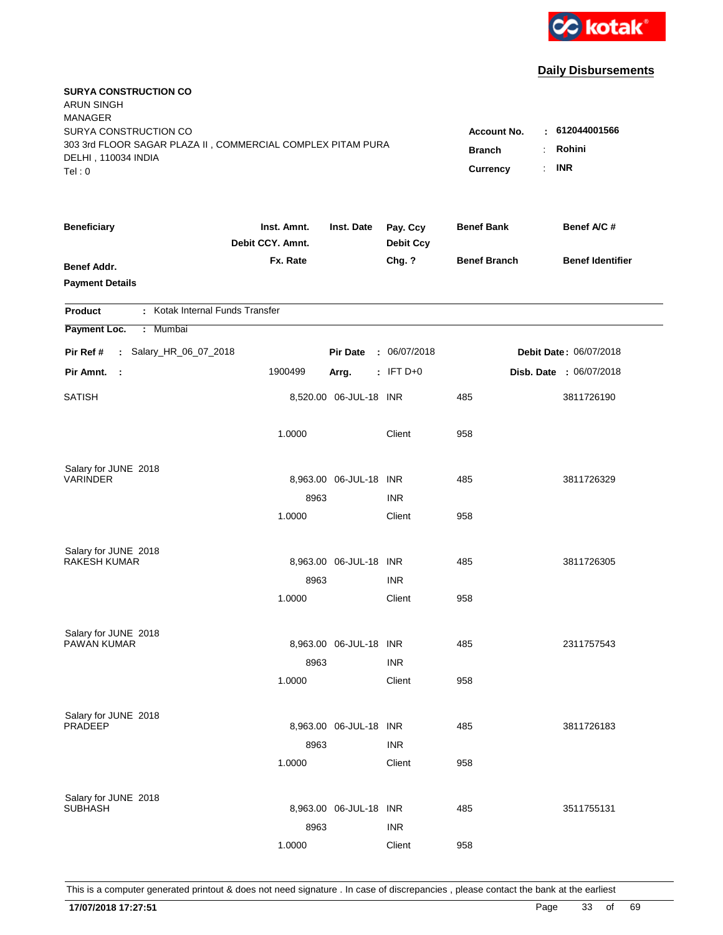

| <b>SURYA CONSTRUCTION CO</b><br><b>ARUN SINGH</b><br><b>MANAGER</b>                  |                                 |                        |                              |                     |                         |
|--------------------------------------------------------------------------------------|---------------------------------|------------------------|------------------------------|---------------------|-------------------------|
| SURYA CONSTRUCTION CO<br>303 3rd FLOOR SAGAR PLAZA II, COMMERCIAL COMPLEX PITAM PURA |                                 |                        |                              | <b>Account No.</b>  | : 612044001566          |
| DELHI, 110034 INDIA                                                                  |                                 |                        |                              | <b>Branch</b>       | Rohini<br>÷             |
| Tel: 0                                                                               |                                 |                        |                              | <b>Currency</b>     | <b>INR</b><br>÷.        |
| <b>Beneficiary</b>                                                                   | Inst. Amnt.<br>Debit CCY. Amnt. | Inst. Date             | Pay. Ccy<br><b>Debit Ccy</b> | <b>Benef Bank</b>   | Benef A/C #             |
| <b>Benef Addr.</b>                                                                   | Fx. Rate                        |                        | Chg. ?                       | <b>Benef Branch</b> | <b>Benef Identifier</b> |
| <b>Payment Details</b>                                                               |                                 |                        |                              |                     |                         |
| : Kotak Internal Funds Transfer<br><b>Product</b>                                    |                                 |                        |                              |                     |                         |
| Payment Loc.<br>: Mumbai                                                             |                                 |                        |                              |                     |                         |
| : Salary_HR_06_07_2018<br>Pir Ref #                                                  |                                 | <b>Pir Date</b>        | : 06/07/2018                 |                     | Debit Date: 06/07/2018  |
| Pir Amnt.<br>$\sim$                                                                  | 1900499                         | Arrg.                  | $:$ IFT D+0                  |                     | Disb. Date : 06/07/2018 |
| <b>SATISH</b>                                                                        |                                 | 8,520.00 06-JUL-18 INR |                              | 485                 | 3811726190              |
|                                                                                      | 1.0000                          |                        | Client                       | 958                 |                         |
| Salary for JUNE 2018                                                                 |                                 |                        |                              |                     |                         |
| <b>VARINDER</b>                                                                      |                                 | 8,963.00 06-JUL-18 INR |                              | 485                 | 3811726329              |
|                                                                                      | 8963                            |                        | <b>INR</b>                   |                     |                         |
|                                                                                      | 1.0000                          |                        | Client                       | 958                 |                         |
| Salary for JUNE 2018                                                                 |                                 |                        |                              |                     |                         |
| <b>RAKESH KUMAR</b>                                                                  |                                 | 8,963.00 06-JUL-18 INR |                              | 485                 | 3811726305              |
|                                                                                      | 8963                            |                        | <b>INR</b>                   |                     |                         |
|                                                                                      | 1.0000                          |                        | Client                       | 958                 |                         |
| Salary for JUNE 2018                                                                 |                                 |                        |                              |                     |                         |
| PAWAN KUMAR                                                                          |                                 | 8,963.00 06-JUL-18 INR |                              | 485                 | 2311757543              |
|                                                                                      | 8963                            |                        | <b>INR</b>                   |                     |                         |
|                                                                                      | 1.0000                          |                        | Client                       | 958                 |                         |
| Salary for JUNE 2018                                                                 |                                 |                        |                              |                     |                         |
| PRADEEP                                                                              |                                 | 8,963.00 06-JUL-18 INR |                              | 485                 | 3811726183              |
|                                                                                      | 8963                            |                        | <b>INR</b>                   |                     |                         |
|                                                                                      | 1.0000                          |                        | Client                       | 958                 |                         |
| Salary for JUNE 2018                                                                 |                                 |                        |                              |                     |                         |
| <b>SUBHASH</b>                                                                       |                                 | 8,963.00 06-JUL-18 INR |                              | 485                 | 3511755131              |
|                                                                                      | 8963                            |                        | <b>INR</b>                   |                     |                         |
|                                                                                      | 1.0000                          |                        | Client                       | 958                 |                         |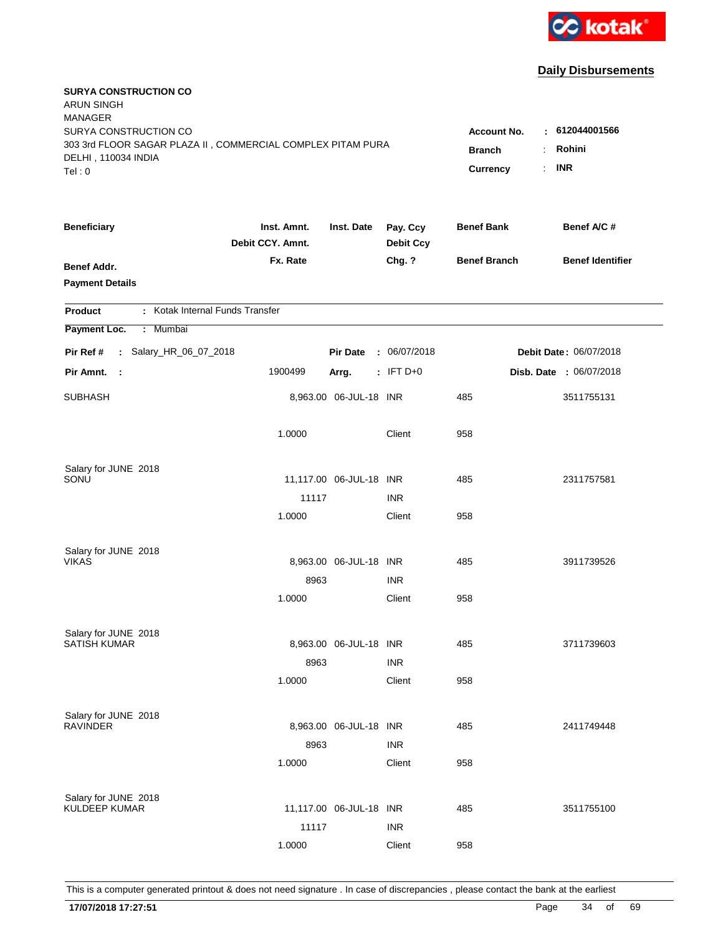

| <b>SURYA CONSTRUCTION CO</b><br><b>ARUN SINGH</b><br><b>MANAGER</b> |                                 |                         |                              |                     |                         |
|---------------------------------------------------------------------|---------------------------------|-------------------------|------------------------------|---------------------|-------------------------|
| SURYA CONSTRUCTION CO                                               |                                 |                         |                              | <b>Account No.</b>  | : 612044001566          |
| 303 3rd FLOOR SAGAR PLAZA II, COMMERCIAL COMPLEX PITAM PURA         | <b>Branch</b>                   | Rohini<br>÷             |                              |                     |                         |
| DELHI, 110034 INDIA<br>Tel: 0                                       |                                 |                         |                              | <b>Currency</b>     | <b>INR</b><br>÷.        |
|                                                                     |                                 |                         |                              |                     |                         |
| <b>Beneficiary</b>                                                  | Inst. Amnt.<br>Debit CCY. Amnt. | Inst. Date              | Pay. Ccy<br><b>Debit Ccy</b> | <b>Benef Bank</b>   | Benef A/C #             |
| Benef Addr.                                                         | Fx. Rate                        |                         | Chg. ?                       | <b>Benef Branch</b> | <b>Benef Identifier</b> |
| <b>Payment Details</b>                                              |                                 |                         |                              |                     |                         |
|                                                                     |                                 |                         |                              |                     |                         |
| : Kotak Internal Funds Transfer<br><b>Product</b>                   |                                 |                         |                              |                     |                         |
| Payment Loc.<br>: Mumbai                                            |                                 |                         |                              |                     |                         |
| : Salary_HR_06_07_2018<br>Pir Ref #                                 |                                 | <b>Pir Date</b>         | : 06/07/2018                 |                     | Debit Date: 06/07/2018  |
| Pir Amnt.<br>- 1                                                    | 1900499                         | Arrg.                   | $:$ IFT D+0                  |                     | Disb. Date : 06/07/2018 |
| <b>SUBHASH</b>                                                      |                                 | 8,963.00 06-JUL-18 INR  |                              | 485                 | 3511755131              |
|                                                                     | 1.0000                          |                         | Client                       | 958                 |                         |
| Salary for JUNE 2018                                                |                                 |                         |                              |                     |                         |
| SONU                                                                |                                 | 11,117.00 06-JUL-18 INR |                              | 485                 | 2311757581              |
|                                                                     | 11117                           |                         | <b>INR</b>                   |                     |                         |
|                                                                     | 1.0000                          |                         | Client                       | 958                 |                         |
|                                                                     |                                 |                         |                              |                     |                         |
| Salary for JUNE 2018<br><b>VIKAS</b>                                |                                 | 8,963.00 06-JUL-18 INR  |                              | 485                 | 3911739526              |
|                                                                     | 8963                            |                         | <b>INR</b>                   |                     |                         |
|                                                                     | 1.0000                          |                         | Client                       | 958                 |                         |
|                                                                     |                                 |                         |                              |                     |                         |
| Salary for JUNE 2018<br><b>SATISH KUMAR</b>                         |                                 | 8,963.00 06-JUL-18 INR  |                              | 485                 | 3711739603              |
|                                                                     | 8963                            |                         | <b>INR</b>                   |                     |                         |
|                                                                     | 1.0000                          |                         | Client                       | 958                 |                         |
|                                                                     |                                 |                         |                              |                     |                         |
| Salary for JUNE 2018                                                |                                 |                         |                              |                     |                         |
| <b>RAVINDER</b>                                                     |                                 | 8,963.00 06-JUL-18 INR  |                              | 485                 | 2411749448              |
|                                                                     | 8963                            |                         | <b>INR</b>                   |                     |                         |
|                                                                     | 1.0000                          |                         | Client                       | 958                 |                         |
|                                                                     |                                 |                         |                              |                     |                         |
| Salary for JUNE 2018<br><b>KULDEEP KUMAR</b>                        |                                 | 11,117.00 06-JUL-18 INR |                              | 485                 | 3511755100              |
|                                                                     | 11117                           |                         | <b>INR</b>                   |                     |                         |
|                                                                     | 1.0000                          |                         | Client                       | 958                 |                         |
|                                                                     |                                 |                         |                              |                     |                         |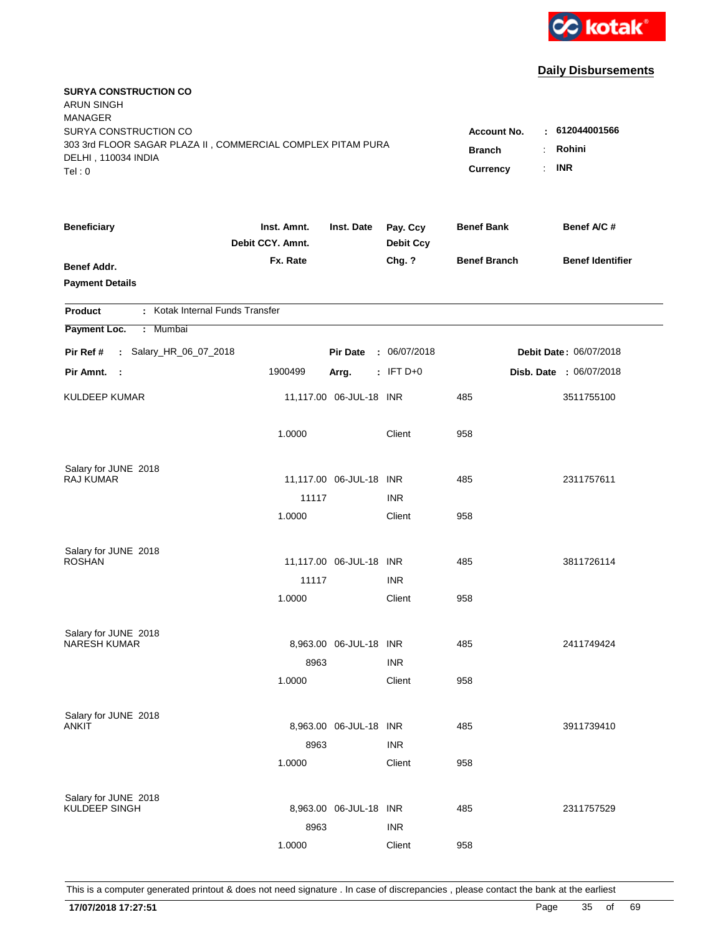

| <b>SURYA CONSTRUCTION CO</b><br><b>ARUN SINGH</b><br><b>MANAGER</b><br>SURYA CONSTRUCTION CO<br>303 3rd FLOOR SAGAR PLAZA II, COMMERCIAL COMPLEX PITAM PURA<br>DELHI, 110034 INDIA |                                 |                         |                              | Account No.<br><b>Branch</b> | $\pm 612044001566$<br>Rohini<br>$\ddot{\phantom{a}}$ |
|------------------------------------------------------------------------------------------------------------------------------------------------------------------------------------|---------------------------------|-------------------------|------------------------------|------------------------------|------------------------------------------------------|
| Tel: 0                                                                                                                                                                             |                                 |                         |                              | Currency                     | <b>INR</b><br>÷.                                     |
| <b>Beneficiary</b>                                                                                                                                                                 | Inst. Amnt.<br>Debit CCY. Amnt. | Inst. Date              | Pay. Ccy<br><b>Debit Ccy</b> | <b>Benef Bank</b>            | Benef A/C #                                          |
| Benef Addr.<br><b>Payment Details</b>                                                                                                                                              | Fx. Rate                        |                         | Chg. ?                       | <b>Benef Branch</b>          | <b>Benef Identifier</b>                              |
| : Kotak Internal Funds Transfer<br><b>Product</b>                                                                                                                                  |                                 |                         |                              |                              |                                                      |
| Payment Loc.<br><b>Mumbai</b><br>÷.                                                                                                                                                |                                 |                         |                              |                              |                                                      |
| : Salary_HR_06_07_2018<br>Pir Ref #                                                                                                                                                |                                 | <b>Pir Date</b>         | : 06/07/2018                 |                              | <b>Debit Date: 06/07/2018</b>                        |
| Pir Amnt. :                                                                                                                                                                        | 1900499                         | Arrg.                   | : IFT $D+0$                  |                              | Disb. Date : 06/07/2018                              |
| <b>KULDEEP KUMAR</b>                                                                                                                                                               |                                 | 11,117.00 06-JUL-18 INR |                              | 485                          | 3511755100                                           |
|                                                                                                                                                                                    | 1.0000                          |                         | Client                       | 958                          |                                                      |
| Salary for JUNE 2018                                                                                                                                                               |                                 |                         |                              |                              |                                                      |
| <b>RAJ KUMAR</b>                                                                                                                                                                   |                                 | 11,117.00 06-JUL-18 INR |                              | 485                          | 2311757611                                           |
|                                                                                                                                                                                    | 11117                           |                         | <b>INR</b>                   |                              |                                                      |
|                                                                                                                                                                                    | 1.0000                          |                         | Client                       | 958                          |                                                      |
| Salary for JUNE 2018                                                                                                                                                               |                                 |                         |                              |                              |                                                      |
| <b>ROSHAN</b>                                                                                                                                                                      |                                 | 11,117.00 06-JUL-18 INR |                              | 485                          | 3811726114                                           |
|                                                                                                                                                                                    | 11117                           |                         | <b>INR</b>                   |                              |                                                      |
|                                                                                                                                                                                    | 1.0000                          |                         | Client                       | 958                          |                                                      |
|                                                                                                                                                                                    |                                 |                         |                              |                              |                                                      |
| Salary for JUNE 2018<br><b>NARESH KUMAR</b>                                                                                                                                        |                                 | 8,963.00 06-JUL-18 INR  |                              | 485                          | 2411749424                                           |
|                                                                                                                                                                                    | 8963                            |                         | <b>INR</b>                   |                              |                                                      |
|                                                                                                                                                                                    | 1.0000                          |                         | Client                       | 958                          |                                                      |
|                                                                                                                                                                                    |                                 |                         |                              |                              |                                                      |
| Salary for JUNE 2018<br>ANKIT                                                                                                                                                      |                                 | 8,963.00 06-JUL-18 INR  |                              | 485                          | 3911739410                                           |
|                                                                                                                                                                                    | 8963                            |                         | <b>INR</b>                   |                              |                                                      |
|                                                                                                                                                                                    | 1.0000                          |                         | Client                       | 958                          |                                                      |
|                                                                                                                                                                                    |                                 |                         |                              |                              |                                                      |
| Salary for JUNE 2018<br>KULDEEP SINGH                                                                                                                                              |                                 | 8,963.00 06-JUL-18 INR  |                              | 485                          | 2311757529                                           |
|                                                                                                                                                                                    | 8963                            |                         | <b>INR</b>                   |                              |                                                      |
|                                                                                                                                                                                    | 1.0000                          |                         | Client                       | 958                          |                                                      |
|                                                                                                                                                                                    |                                 |                         |                              |                              |                                                      |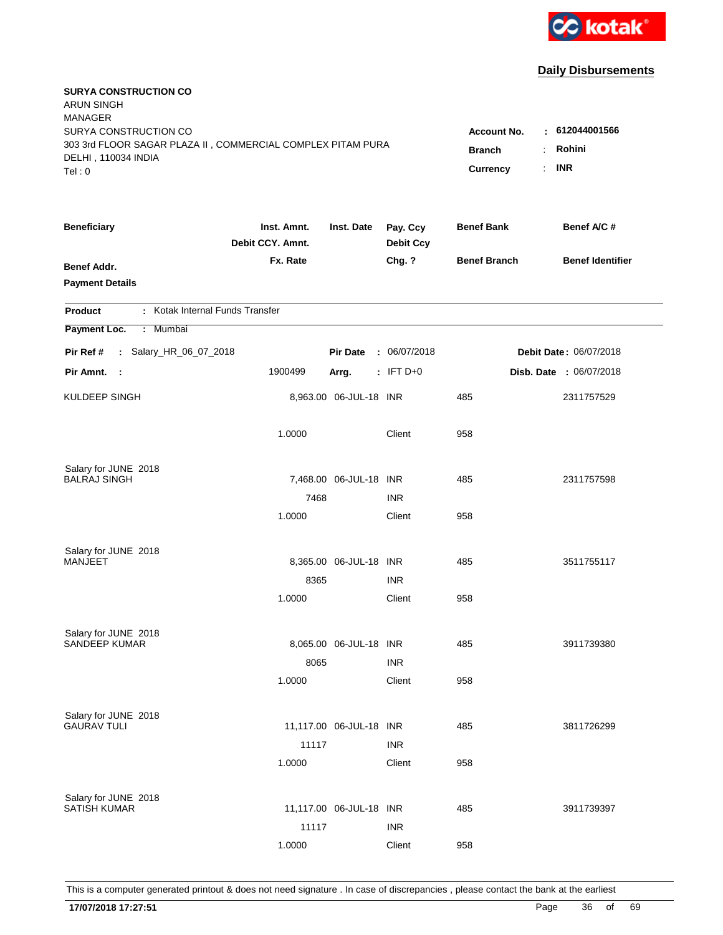

| <b>SURYA CONSTRUCTION CO</b><br><b>ARUN SINGH</b><br><b>MANAGER</b><br>SURYA CONSTRUCTION CO |                                 |                         |                              | <b>Account No.</b>        | : 612044001566                  |
|----------------------------------------------------------------------------------------------|---------------------------------|-------------------------|------------------------------|---------------------------|---------------------------------|
| 303 3rd FLOOR SAGAR PLAZA II, COMMERCIAL COMPLEX PITAM PURA<br>DELHI, 110034 INDIA<br>Tel: 0 |                                 |                         |                              | <b>Branch</b><br>Currency | Rohini<br>÷<br><b>INR</b><br>÷. |
| <b>Beneficiary</b>                                                                           | Inst. Amnt.<br>Debit CCY. Amnt. | Inst. Date              | Pay. Ccy<br><b>Debit Ccy</b> | <b>Benef Bank</b>         | Benef A/C #                     |
| <b>Benef Addr.</b><br><b>Payment Details</b>                                                 | Fx. Rate                        |                         | Chg. ?                       | <b>Benef Branch</b>       | <b>Benef Identifier</b>         |
| : Kotak Internal Funds Transfer<br>Product                                                   |                                 |                         |                              |                           |                                 |
| Payment Loc.<br>: Mumbai                                                                     |                                 |                         |                              |                           |                                 |
| : Salary_HR_06_07_2018<br>Pir Ref #                                                          |                                 | <b>Pir Date</b>         | : 06/07/2018                 |                           | <b>Debit Date: 06/07/2018</b>   |
| Pir Amnt.<br>- 1                                                                             | 1900499                         | Arrg.                   | $:$ IFT D+0                  |                           | Disb. Date : 06/07/2018         |
| KULDEEP SINGH                                                                                |                                 | 8,963.00 06-JUL-18 INR  |                              | 485                       | 2311757529                      |
|                                                                                              | 1.0000                          |                         | Client                       | 958                       |                                 |
| Salary for JUNE 2018<br><b>BALRAJ SINGH</b>                                                  |                                 | 7,468.00 06-JUL-18 INR  |                              | 485                       | 2311757598                      |
|                                                                                              | 7468                            |                         | <b>INR</b>                   |                           |                                 |
|                                                                                              | 1.0000                          |                         | Client                       | 958                       |                                 |
| Salary for JUNE 2018                                                                         |                                 |                         |                              |                           |                                 |
| MANJEET                                                                                      |                                 | 8,365.00 06-JUL-18 INR  |                              | 485                       | 3511755117                      |
|                                                                                              | 8365                            |                         | <b>INR</b>                   |                           |                                 |
|                                                                                              | 1.0000                          |                         | Client                       | 958                       |                                 |
| Salary for JUNE 2018                                                                         |                                 |                         |                              |                           |                                 |
| SANDEEP KUMAR                                                                                |                                 | 8,065.00 06-JUL-18 INR  |                              | 485                       | 3911739380                      |
|                                                                                              | 8065                            |                         | <b>INR</b>                   |                           |                                 |
|                                                                                              | 1.0000                          |                         | Client                       | 958                       |                                 |
| Salary for JUNE 2018                                                                         |                                 |                         |                              |                           |                                 |
| <b>GAURAV TULI</b>                                                                           |                                 | 11,117.00 06-JUL-18 INR |                              | 485                       | 3811726299                      |
|                                                                                              | 11117                           |                         | <b>INR</b>                   |                           |                                 |
|                                                                                              | 1.0000                          |                         | Client                       | 958                       |                                 |
| Salary for JUNE 2018                                                                         |                                 |                         |                              |                           |                                 |
| <b>SATISH KUMAR</b>                                                                          |                                 | 11,117.00 06-JUL-18 INR |                              | 485                       | 3911739397                      |
|                                                                                              | 11117                           |                         | <b>INR</b>                   |                           |                                 |
|                                                                                              | 1.0000                          |                         | Client                       | 958                       |                                 |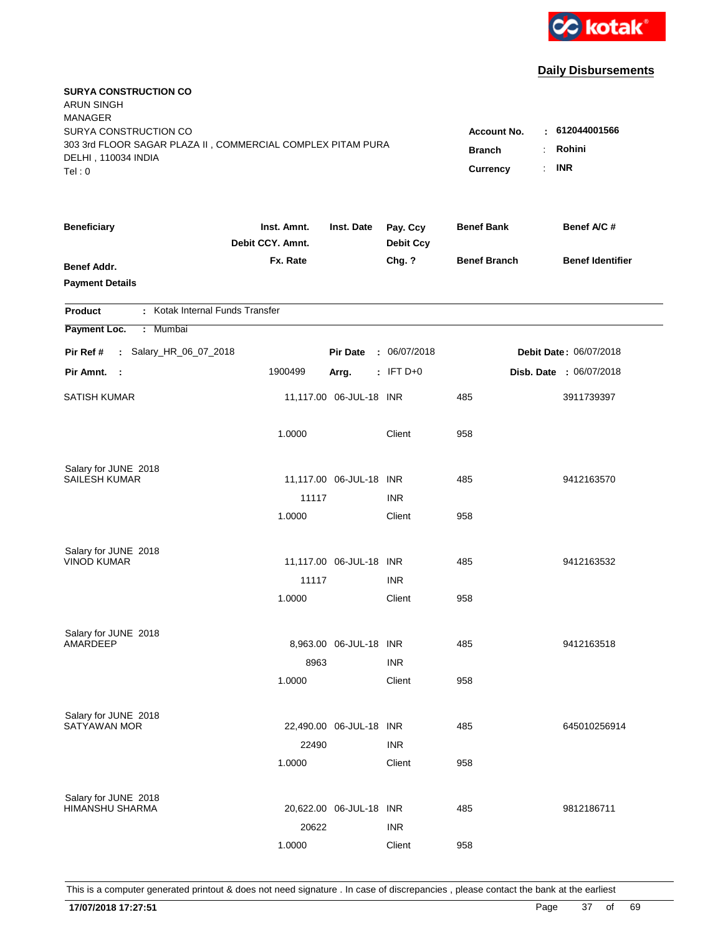

| <b>SURYA CONSTRUCTION CO</b><br><b>ARUN SINGH</b><br><b>MANAGER</b>                |                                 |                         |                              |                         |                         |
|------------------------------------------------------------------------------------|---------------------------------|-------------------------|------------------------------|-------------------------|-------------------------|
| SURYA CONSTRUCTION CO                                                              |                                 |                         |                              | <b>Account No.</b><br>٠ | 612044001566            |
| 303 3rd FLOOR SAGAR PLAZA II, COMMERCIAL COMPLEX PITAM PURA<br>DELHI, 110034 INDIA |                                 | <b>Branch</b>           | Rohini                       |                         |                         |
| Tel: 0                                                                             |                                 |                         |                              | Currency<br>÷.          | <b>INR</b>              |
| <b>Beneficiary</b>                                                                 | Inst. Amnt.<br>Debit CCY. Amnt. | Inst. Date              | Pay. Ccy<br><b>Debit Ccy</b> | <b>Benef Bank</b>       | Benef A/C #             |
| <b>Benef Addr.</b>                                                                 | Fx. Rate                        |                         | Chg. ?                       | <b>Benef Branch</b>     | <b>Benef Identifier</b> |
| <b>Payment Details</b>                                                             |                                 |                         |                              |                         |                         |
| : Kotak Internal Funds Transfer<br><b>Product</b>                                  |                                 |                         |                              |                         |                         |
| Payment Loc.<br>: Mumbai                                                           |                                 |                         |                              |                         |                         |
| : Salary_HR_06_07_2018<br>Pir Ref #                                                |                                 | <b>Pir Date</b>         | : 06/07/2018                 |                         | Debit Date: 06/07/2018  |
| Pir Amnt. :                                                                        | 1900499                         | Arrg.                   | $:$ IFT D+0                  |                         | Disb. Date : 06/07/2018 |
| <b>SATISH KUMAR</b>                                                                |                                 | 11,117.00 06-JUL-18 INR |                              | 485                     | 3911739397              |
|                                                                                    | 1.0000                          |                         | Client                       | 958                     |                         |
| Salary for JUNE 2018                                                               |                                 |                         |                              |                         |                         |
| <b>SAILESH KUMAR</b>                                                               |                                 | 11,117.00 06-JUL-18 INR |                              | 485                     | 9412163570              |
|                                                                                    | 11117                           |                         | <b>INR</b>                   |                         |                         |
|                                                                                    | 1.0000                          |                         | Client                       | 958                     |                         |
| Salary for JUNE 2018                                                               |                                 |                         |                              |                         |                         |
| <b>VINOD KUMAR</b>                                                                 |                                 | 11,117.00 06-JUL-18 INR |                              | 485                     | 9412163532              |
|                                                                                    | 11117                           |                         | <b>INR</b>                   |                         |                         |
|                                                                                    | 1.0000                          |                         | Client                       | 958                     |                         |
| Salary for JUNE 2018                                                               |                                 |                         |                              |                         |                         |
| AMARDEEP                                                                           |                                 | 8,963.00 06-JUL-18 INR  |                              | 485                     | 9412163518              |
|                                                                                    | 8963                            |                         | <b>INR</b>                   |                         |                         |
|                                                                                    | 1.0000                          |                         | Client                       | 958                     |                         |
| Salary for JUNE 2018                                                               |                                 |                         |                              |                         |                         |
| <b>SATYAWAN MOR</b>                                                                |                                 | 22,490.00 06-JUL-18 INR |                              | 485                     | 645010256914            |
|                                                                                    | 22490                           |                         | <b>INR</b>                   |                         |                         |
|                                                                                    | 1.0000                          |                         | Client                       | 958                     |                         |
| Salary for JUNE 2018                                                               |                                 |                         |                              |                         |                         |
| HIMANSHU SHARMA                                                                    |                                 | 20,622.00 06-JUL-18 INR |                              | 485                     | 9812186711              |
|                                                                                    | 20622                           |                         | <b>INR</b>                   |                         |                         |
|                                                                                    | 1.0000                          |                         | Client                       | 958                     |                         |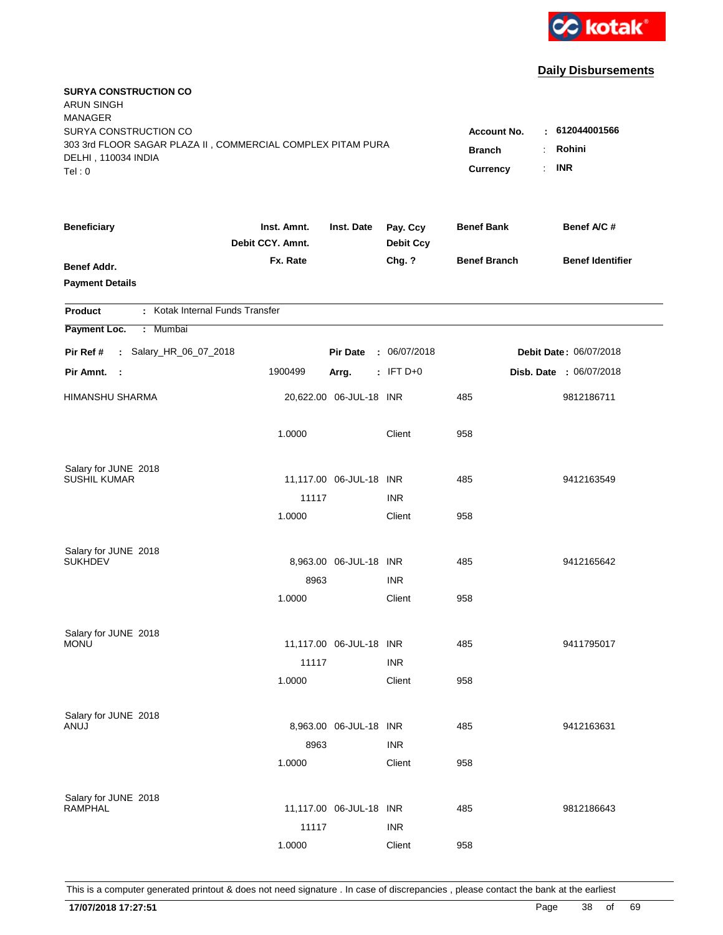

| <b>SURYA CONSTRUCTION CO</b><br><b>ARUN SINGH</b><br><b>MANAGER</b><br>SURYA CONSTRUCTION CO<br>303 3rd FLOOR SAGAR PLAZA II, COMMERCIAL COMPLEX PITAM PURA<br>DELHI, 110034 INDIA<br>Tel: 0 | <b>Account No.</b><br><b>Branch</b><br>Currency | : 612044001566<br>Rohini<br>$\ddot{\phantom{a}}$<br><b>INR</b><br>÷. |                              |                     |                         |
|----------------------------------------------------------------------------------------------------------------------------------------------------------------------------------------------|-------------------------------------------------|----------------------------------------------------------------------|------------------------------|---------------------|-------------------------|
| <b>Beneficiary</b>                                                                                                                                                                           | Inst. Amnt.<br>Debit CCY. Amnt.                 | Inst. Date                                                           | Pay. Ccy<br><b>Debit Ccy</b> | <b>Benef Bank</b>   | Benef A/C #             |
| Benef Addr.<br><b>Payment Details</b>                                                                                                                                                        | Fx. Rate                                        |                                                                      | Chg. ?                       | <b>Benef Branch</b> | <b>Benef Identifier</b> |
| : Kotak Internal Funds Transfer<br>Product                                                                                                                                                   |                                                 |                                                                      |                              |                     |                         |
| Payment Loc.<br>Mumbai<br>÷.                                                                                                                                                                 |                                                 |                                                                      |                              |                     |                         |
| : Salary_HR_06_07_2018<br>Pir Ref #                                                                                                                                                          |                                                 | <b>Pir Date</b>                                                      | : 06/07/2018                 |                     | Debit Date: 06/07/2018  |
| Pir Amnt.<br>- 1                                                                                                                                                                             | 1900499                                         | Arrg.                                                                | $:$ IFT D+0                  |                     | Disb. Date: 06/07/2018  |
| <b>HIMANSHU SHARMA</b>                                                                                                                                                                       |                                                 | 20,622.00 06-JUL-18 INR                                              |                              | 485                 | 9812186711              |
|                                                                                                                                                                                              | 1.0000                                          |                                                                      | Client                       | 958                 |                         |
| Salary for JUNE 2018                                                                                                                                                                         |                                                 |                                                                      |                              |                     |                         |
| <b>SUSHIL KUMAR</b>                                                                                                                                                                          | 11117                                           | 11,117.00 06-JUL-18 INR                                              | <b>INR</b>                   | 485                 | 9412163549              |
|                                                                                                                                                                                              | 1.0000                                          |                                                                      | Client                       | 958                 |                         |
|                                                                                                                                                                                              |                                                 |                                                                      |                              |                     |                         |
| Salary for JUNE 2018                                                                                                                                                                         |                                                 |                                                                      |                              |                     |                         |
| <b>SUKHDEV</b>                                                                                                                                                                               |                                                 | 8,963.00 06-JUL-18 INR                                               |                              | 485                 | 9412165642              |
|                                                                                                                                                                                              | 8963                                            |                                                                      | <b>INR</b>                   |                     |                         |
|                                                                                                                                                                                              | 1.0000                                          |                                                                      | Client                       | 958                 |                         |
| Salary for JUNE 2018                                                                                                                                                                         |                                                 |                                                                      |                              |                     |                         |
| <b>MONU</b>                                                                                                                                                                                  |                                                 | 11,117.00 06-JUL-18 INR                                              |                              | 485                 | 9411795017              |
|                                                                                                                                                                                              | 11117                                           |                                                                      | <b>INR</b>                   |                     |                         |
|                                                                                                                                                                                              | 1.0000                                          |                                                                      | Client                       | 958                 |                         |
| Salary for JUNE 2018                                                                                                                                                                         |                                                 |                                                                      |                              |                     |                         |
| ANUJ                                                                                                                                                                                         |                                                 | 8,963.00 06-JUL-18 INR                                               |                              | 485                 | 9412163631              |
|                                                                                                                                                                                              | 8963                                            |                                                                      | <b>INR</b>                   |                     |                         |
|                                                                                                                                                                                              | 1.0000                                          |                                                                      | Client                       | 958                 |                         |
|                                                                                                                                                                                              |                                                 |                                                                      |                              |                     |                         |
| Salary for JUNE 2018<br>RAMPHAL                                                                                                                                                              |                                                 | 11,117.00 06-JUL-18 INR                                              |                              | 485                 | 9812186643              |
|                                                                                                                                                                                              | 11117                                           |                                                                      | <b>INR</b>                   |                     |                         |
|                                                                                                                                                                                              | 1.0000                                          |                                                                      | Client                       | 958                 |                         |
|                                                                                                                                                                                              |                                                 |                                                                      |                              |                     |                         |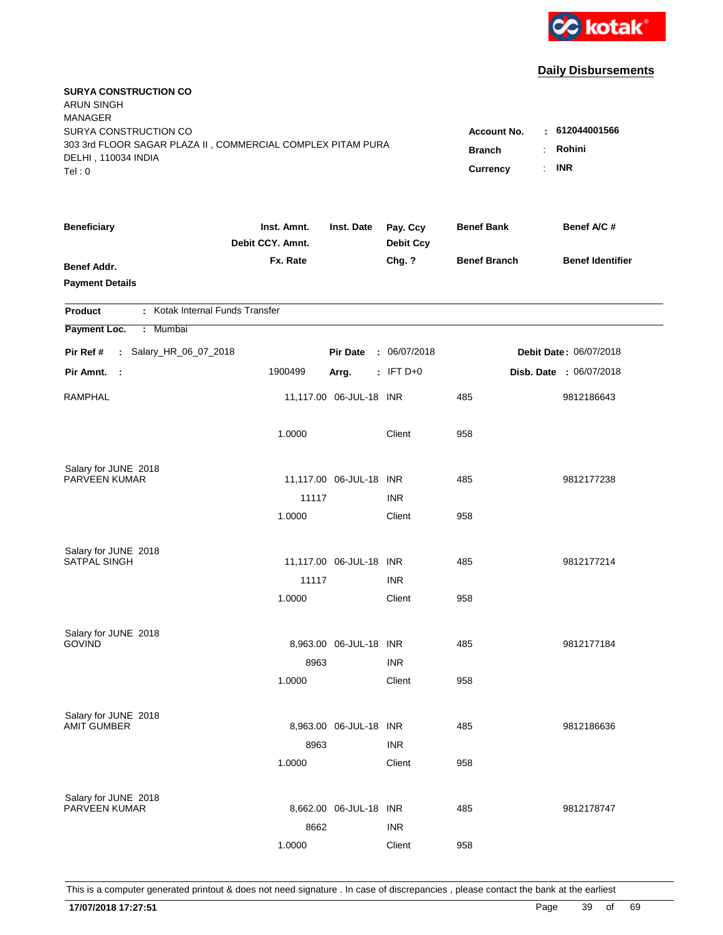

| <b>SURYA CONSTRUCTION CO</b><br><b>ARUN SINGH</b><br><b>MANAGER</b><br>SURYA CONSTRUCTION CO<br>303 3rd FLOOR SAGAR PLAZA II, COMMERCIAL COMPLEX PITAM PURA |                                 |                         |                              | <b>Account No.</b><br><b>Branch</b> | : 612044001566<br>Rohini<br>÷ |
|-------------------------------------------------------------------------------------------------------------------------------------------------------------|---------------------------------|-------------------------|------------------------------|-------------------------------------|-------------------------------|
| DELHI, 110034 INDIA<br>Tel: 0                                                                                                                               |                                 |                         |                              | Currency                            | <b>INR</b><br>÷.              |
| <b>Beneficiary</b>                                                                                                                                          | Inst. Amnt.<br>Debit CCY. Amnt. | Inst. Date              | Pay. Ccy<br><b>Debit Ccy</b> | <b>Benef Bank</b>                   | Benef A/C #                   |
| <b>Benef Addr.</b><br><b>Payment Details</b>                                                                                                                | Fx. Rate                        |                         | Chg. ?                       | <b>Benef Branch</b>                 | <b>Benef Identifier</b>       |
| : Kotak Internal Funds Transfer<br>Product                                                                                                                  |                                 |                         |                              |                                     |                               |
| Payment Loc.<br>: Mumbai                                                                                                                                    |                                 |                         |                              |                                     |                               |
| : Salary_HR_06_07_2018<br>Pir Ref #                                                                                                                         |                                 | <b>Pir Date</b>         | : 06/07/2018                 |                                     | Debit Date: 06/07/2018        |
| Pir Amnt.<br>$\sim$ :                                                                                                                                       | 1900499                         | Arrg.                   | $:$ IFT D+0                  |                                     | Disb. Date : 06/07/2018       |
| RAMPHAL                                                                                                                                                     |                                 | 11,117.00 06-JUL-18 INR |                              | 485                                 | 9812186643                    |
|                                                                                                                                                             | 1.0000                          |                         | Client                       | 958                                 |                               |
| Salary for JUNE 2018<br>PARVEEN KUMAR                                                                                                                       |                                 | 11,117.00 06-JUL-18 INR |                              | 485                                 | 9812177238                    |
|                                                                                                                                                             | 11117                           |                         | <b>INR</b>                   |                                     |                               |
|                                                                                                                                                             | 1.0000                          |                         | Client                       | 958                                 |                               |
| Salary for JUNE 2018                                                                                                                                        |                                 |                         |                              |                                     |                               |
| <b>SATPAL SINGH</b>                                                                                                                                         |                                 | 11,117.00 06-JUL-18 INR |                              | 485                                 | 9812177214                    |
|                                                                                                                                                             | 11117                           |                         | <b>INR</b>                   |                                     |                               |
|                                                                                                                                                             | 1.0000                          |                         | Client                       | 958                                 |                               |
| Salary for JUNE 2018                                                                                                                                        |                                 |                         |                              |                                     |                               |
| <b>GOVIND</b>                                                                                                                                               |                                 | 8,963.00 06-JUL-18 INR  |                              | 485                                 | 9812177184                    |
|                                                                                                                                                             | 8963                            |                         | <b>INR</b>                   |                                     |                               |
|                                                                                                                                                             | 1.0000                          |                         | Client                       | 958                                 |                               |
| Salary for JUNE 2018                                                                                                                                        |                                 |                         |                              |                                     |                               |
| AMIT GUMBER                                                                                                                                                 |                                 | 8,963.00 06-JUL-18 INR  |                              | 485                                 | 9812186636                    |
|                                                                                                                                                             | 8963                            |                         | <b>INR</b>                   |                                     |                               |
|                                                                                                                                                             | 1.0000                          |                         | Client                       | 958                                 |                               |
| Salary for JUNE 2018                                                                                                                                        |                                 |                         |                              |                                     |                               |
| PARVEEN KUMAR                                                                                                                                               |                                 | 8,662.00 06-JUL-18 INR  |                              | 485                                 | 9812178747                    |
|                                                                                                                                                             | 8662                            |                         | <b>INR</b>                   |                                     |                               |
|                                                                                                                                                             | 1.0000                          |                         | Client                       | 958                                 |                               |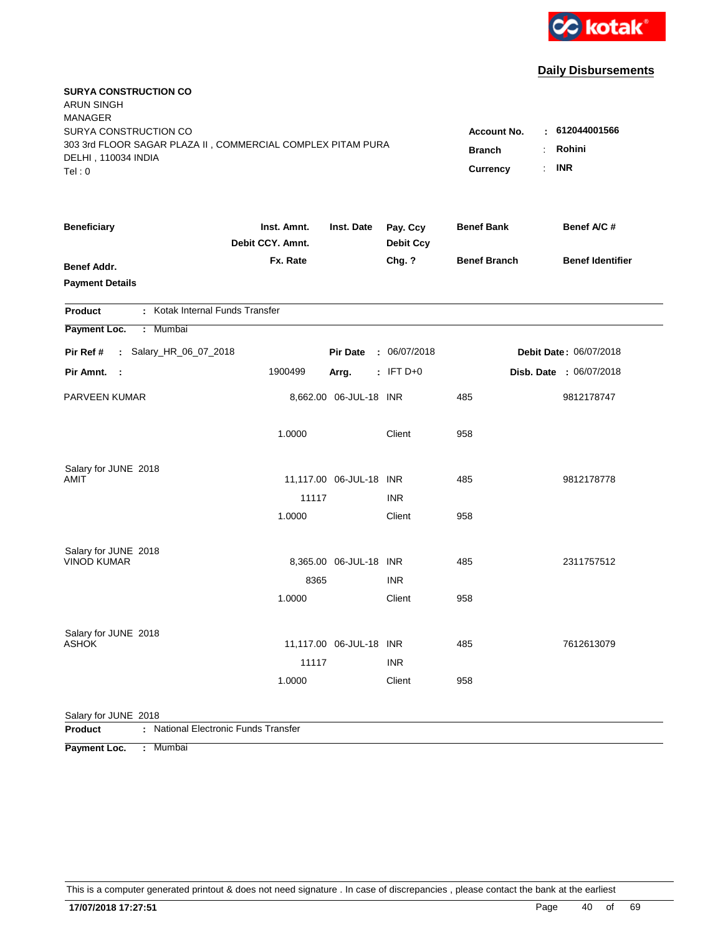

| <b>SURYA CONSTRUCTION CO</b><br><b>ARUN SINGH</b>                                    |                    |                         |                  |                         |                               |
|--------------------------------------------------------------------------------------|--------------------|-------------------------|------------------|-------------------------|-------------------------------|
| <b>MANAGER</b>                                                                       |                    |                         |                  |                         |                               |
| SURYA CONSTRUCTION CO<br>303 3rd FLOOR SAGAR PLAZA II, COMMERCIAL COMPLEX PITAM PURA | <b>Account No.</b> | 612044001566<br>÷.      |                  |                         |                               |
| DELHI, 110034 INDIA                                                                  | <b>Branch</b>      | Rohini                  |                  |                         |                               |
| Tel: 0                                                                               |                    |                         |                  | <b>Currency</b>         | <b>INR</b><br>t.              |
| <b>Beneficiary</b>                                                                   | Inst. Amnt.        | Inst. Date              | Pay. Ccy         | <b>Benef Bank</b>       | Benef A/C #                   |
|                                                                                      | Debit CCY. Amnt.   |                         | <b>Debit Ccy</b> |                         |                               |
| <b>Benef Addr.</b>                                                                   | Fx. Rate           |                         | Chg. ?           | <b>Benef Branch</b>     | <b>Benef Identifier</b>       |
| <b>Payment Details</b>                                                               |                    |                         |                  |                         |                               |
| : Kotak Internal Funds Transfer<br>Product                                           |                    |                         |                  |                         |                               |
| Payment Loc.<br>: Mumbai                                                             |                    |                         |                  |                         |                               |
| : Salary_HR_06_07_2018<br>Pir Ref #                                                  |                    | <b>Pir Date</b>         | : 06/07/2018     |                         | <b>Debit Date: 06/07/2018</b> |
| Pir Amnt.<br>$\sim$ 1                                                                | 1900499            | Arrg.                   | $:$ IFT D+0      | Disb. Date : 06/07/2018 |                               |
| PARVEEN KUMAR                                                                        |                    | 8,662.00 06-JUL-18 INR  |                  | 485                     | 9812178747                    |
|                                                                                      | 1.0000             |                         | Client           | 958                     |                               |
| Salary for JUNE 2018                                                                 |                    |                         |                  |                         |                               |
| AMIT                                                                                 |                    | 11,117.00 06-JUL-18 INR |                  | 485                     | 9812178778                    |
|                                                                                      | 11117              |                         | <b>INR</b>       |                         |                               |
|                                                                                      | 1.0000             |                         | Client           | 958                     |                               |
| Salary for JUNE 2018                                                                 |                    |                         |                  |                         |                               |
| <b>VINOD KUMAR</b>                                                                   |                    | 8,365.00 06-JUL-18 INR  |                  | 485                     | 2311757512                    |
|                                                                                      | 8365               |                         | <b>INR</b>       |                         |                               |
|                                                                                      | 1.0000             |                         | Client           | 958                     |                               |
| Salary for JUNE 2018                                                                 |                    |                         |                  |                         |                               |
| <b>ASHOK</b>                                                                         |                    | 11,117.00 06-JUL-18 INR |                  | 485                     | 7612613079                    |
|                                                                                      | 11117              |                         | <b>INR</b>       |                         |                               |
|                                                                                      | 1.0000             |                         | Client           | 958                     |                               |
| Salary for JUNE 2018                                                                 |                    |                         |                  |                         |                               |
| : National Electronic Funds Transfer<br>Product                                      |                    |                         |                  |                         |                               |

**Payment Loc. : Mumbai**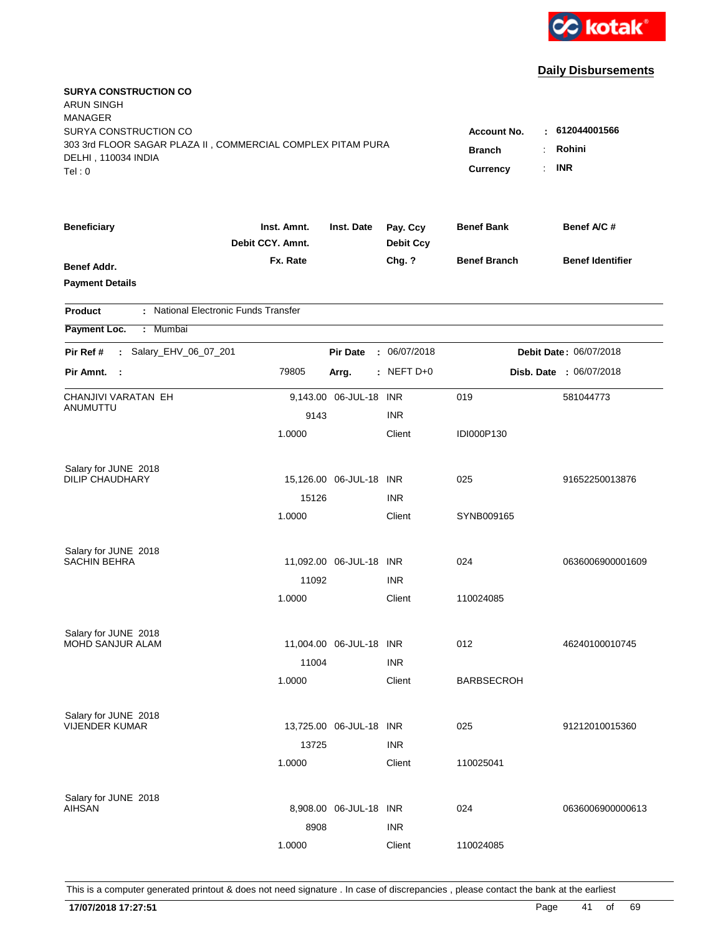

| <b>SURYA CONSTRUCTION CO</b><br><b>ARUN SINGH</b><br><b>MANAGER</b> |                                 |                         |                              |                     |                         |
|---------------------------------------------------------------------|---------------------------------|-------------------------|------------------------------|---------------------|-------------------------|
| SURYA CONSTRUCTION CO                                               |                                 |                         |                              | <b>Account No.</b>  | : 612044001566          |
| 303 3rd FLOOR SAGAR PLAZA II, COMMERCIAL COMPLEX PITAM PURA         |                                 |                         | <b>Branch</b>                | Rohini              |                         |
| DELHI, 110034 INDIA<br>Tel: 0                                       |                                 |                         |                              | <b>Currency</b>     | <b>INR</b>              |
|                                                                     |                                 |                         |                              |                     |                         |
| <b>Beneficiary</b>                                                  | Inst. Amnt.<br>Debit CCY, Amnt. | Inst. Date              | Pay. Ccy<br><b>Debit Ccy</b> | <b>Benef Bank</b>   | Benef A/C #             |
| Benef Addr.                                                         | Fx. Rate                        |                         | Chg. ?                       | <b>Benef Branch</b> | <b>Benef Identifier</b> |
| <b>Payment Details</b>                                              |                                 |                         |                              |                     |                         |
| : National Electronic Funds Transfer<br><b>Product</b>              |                                 |                         |                              |                     |                         |
| Payment Loc.<br>: Mumbai                                            |                                 |                         |                              |                     |                         |
| : Salary_EHV_06_07_201<br>Pir Ref #                                 |                                 | <b>Pir Date</b>         | : 06/07/2018                 |                     | Debit Date: 06/07/2018  |
| Pir Amnt.<br>$\sim$ 1                                               | 79805                           | Arrg.                   | $:$ NEFT D+0                 |                     | Disb. Date : 06/07/2018 |
| CHANJIVI VARATAN EH                                                 |                                 | 9,143.00 06-JUL-18 INR  |                              | 019                 | 581044773               |
| ANUMUTTU                                                            | 9143                            |                         | <b>INR</b>                   |                     |                         |
|                                                                     | 1.0000                          |                         | Client                       | IDI000P130          |                         |
| Salary for JUNE 2018                                                |                                 |                         |                              |                     |                         |
| <b>DILIP CHAUDHARY</b>                                              |                                 | 15,126.00 06-JUL-18 INR |                              | 025                 | 91652250013876          |
|                                                                     | 15126                           |                         | <b>INR</b>                   |                     |                         |
|                                                                     | 1.0000                          |                         | Client                       | SYNB009165          |                         |
| Salary for JUNE 2018                                                |                                 |                         |                              |                     |                         |
| <b>SACHIN BEHRA</b>                                                 |                                 | 11,092.00 06-JUL-18 INR |                              | 024                 | 0636006900001609        |
|                                                                     | 11092                           |                         | <b>INR</b>                   |                     |                         |
|                                                                     | 1.0000                          |                         | Client                       | 110024085           |                         |
| Salary for JUNE 2018                                                |                                 |                         |                              |                     |                         |
| MOHD SANJUR ALAM                                                    |                                 | 11,004.00 06-JUL-18 INR |                              | 012                 | 46240100010745          |
|                                                                     | 11004                           |                         | <b>INR</b>                   |                     |                         |
|                                                                     | 1.0000                          |                         | Client                       | <b>BARBSECROH</b>   |                         |
| Salary for JUNE 2018                                                |                                 |                         |                              |                     |                         |
| <b>VIJENDER KUMAR</b>                                               |                                 | 13,725.00 06-JUL-18 INR |                              | 025                 | 91212010015360          |
|                                                                     | 13725                           |                         | <b>INR</b>                   |                     |                         |
|                                                                     | 1.0000                          |                         | Client                       | 110025041           |                         |
| Salary for JUNE 2018                                                |                                 |                         |                              |                     |                         |
| <b>AIHSAN</b>                                                       |                                 | 8,908.00 06-JUL-18 INR  |                              | 024                 | 0636006900000613        |
|                                                                     | 8908                            |                         | <b>INR</b>                   |                     |                         |
|                                                                     | 1.0000                          |                         | Client                       | 110024085           |                         |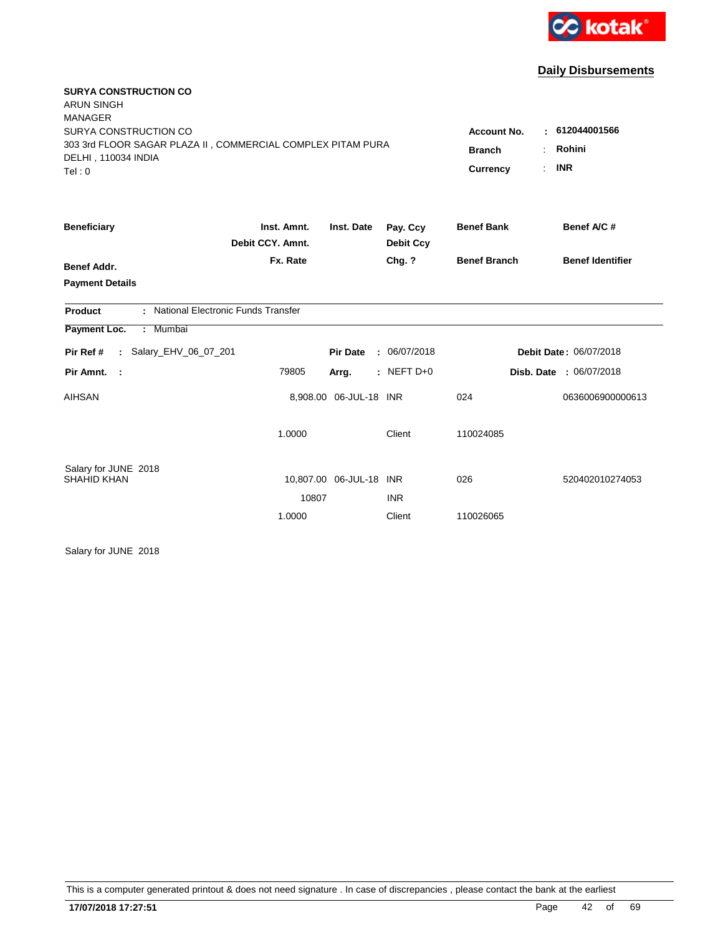

| <b>SURYA CONSTRUCTION CO</b><br><b>ARUN SINGH</b><br><b>MANAGER</b> |                  |                         |                  |                      |                                |
|---------------------------------------------------------------------|------------------|-------------------------|------------------|----------------------|--------------------------------|
| SURYA CONSTRUCTION CO                                               |                  |                         |                  | <b>Account No.</b>   | : 612044001566                 |
| 303 3rd FLOOR SAGAR PLAZA II, COMMERCIAL COMPLEX PITAM PURA         |                  |                         |                  | <b>Branch</b>        | Rohini                         |
| DELHI, 110034 INDIA<br>Tel: 0                                       |                  |                         |                  | ÷<br><b>Currency</b> | <b>INR</b>                     |
| <b>Beneficiary</b>                                                  | Inst. Amnt.      | Inst. Date              | Pay. Ccy         | <b>Benef Bank</b>    | Benef A/C #                    |
|                                                                     | Debit CCY, Amnt. |                         | <b>Debit Ccy</b> |                      |                                |
| <b>Benef Addr.</b>                                                  | Fx. Rate         |                         | Chg. ?           | <b>Benef Branch</b>  | <b>Benef Identifier</b>        |
| <b>Payment Details</b>                                              |                  |                         |                  |                      |                                |
| : National Electronic Funds Transfer<br><b>Product</b>              |                  |                         |                  |                      |                                |
| Payment Loc.<br>: Mumbai                                            |                  |                         |                  |                      |                                |
| : Salary_EHV_06_07_201<br>Pir Ref #                                 |                  | <b>Pir Date</b>         | : 06/07/2018     |                      | Debit Date: 06/07/2018         |
| Pir Amnt. :                                                         | 79805            | Arrg.                   | : NEFT $D+0$     |                      | <b>Disb. Date : 06/07/2018</b> |
| <b>AIHSAN</b>                                                       |                  | 8,908.00 06-JUL-18 INR  |                  | 024                  | 0636006900000613               |
|                                                                     | 1.0000           |                         | Client           | 110024085            |                                |
| Salary for JUNE 2018<br>SHAHID KHAN                                 |                  | 10,807.00 06-JUL-18 INR |                  | 026                  | 520402010274053                |
|                                                                     | 10807            |                         | <b>INR</b>       |                      |                                |
|                                                                     | 1.0000           |                         | Client           | 110026065            |                                |

Salary for JUNE 2018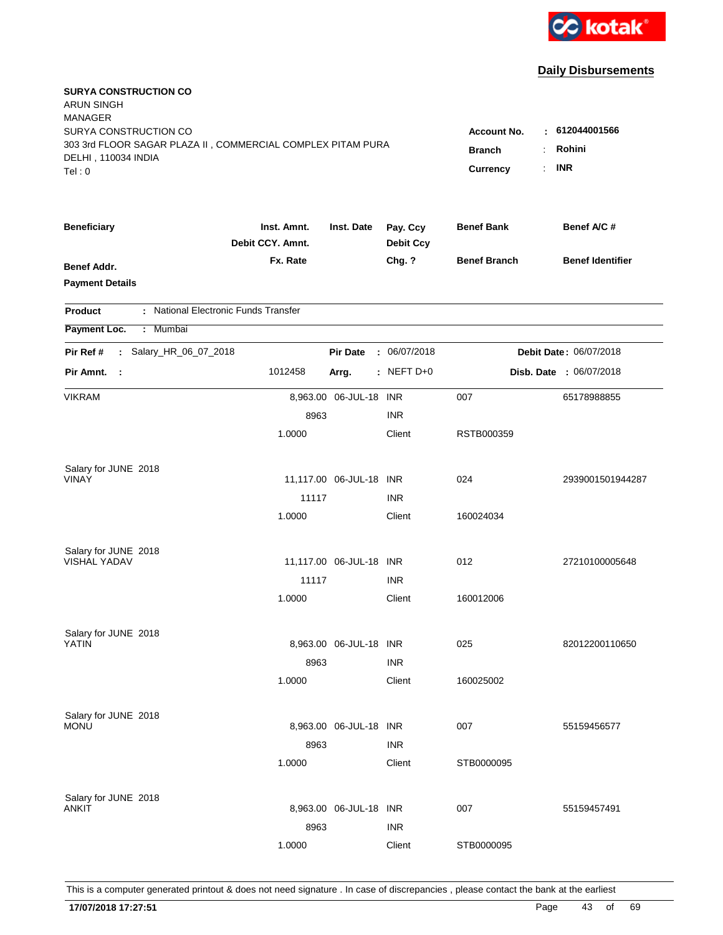

| <b>SURYA CONSTRUCTION CO</b><br><b>ARUN SINGH</b><br><b>MANAGER</b> |                                 |                         |                              |                     |                         |
|---------------------------------------------------------------------|---------------------------------|-------------------------|------------------------------|---------------------|-------------------------|
| SURYA CONSTRUCTION CO                                               |                                 |                         |                              | <b>Account No.</b>  | : 612044001566          |
| 303 3rd FLOOR SAGAR PLAZA II, COMMERCIAL COMPLEX PITAM PURA         |                                 | <b>Branch</b>           | Rohini                       |                     |                         |
| DELHI, 110034 INDIA<br>Tel: 0                                       |                                 |                         |                              | Currency<br>÷.      | <b>INR</b>              |
|                                                                     |                                 |                         |                              |                     |                         |
| <b>Beneficiary</b>                                                  | Inst. Amnt.<br>Debit CCY. Amnt. | Inst. Date              | Pay. Ccy<br><b>Debit Ccy</b> | <b>Benef Bank</b>   | Benef A/C #             |
| <b>Benef Addr.</b>                                                  | Fx. Rate                        |                         | Chg. ?                       | <b>Benef Branch</b> | <b>Benef Identifier</b> |
| <b>Payment Details</b>                                              |                                 |                         |                              |                     |                         |
| : National Electronic Funds Transfer<br>Product                     |                                 |                         |                              |                     |                         |
| Payment Loc.<br>: Mumbai                                            |                                 |                         |                              |                     |                         |
| : Salary_HR_06_07_2018<br>Pir Ref #                                 |                                 | <b>Pir Date</b>         | : 06/07/2018                 |                     | Debit Date: 06/07/2018  |
| Pir Amnt.<br>$\sim$ 1                                               | 1012458                         | Arrg.                   | $:$ NEFT D+0                 |                     | Disb. Date : 06/07/2018 |
| <b>VIKRAM</b>                                                       |                                 | 8,963.00 06-JUL-18 INR  |                              | 007                 | 65178988855             |
|                                                                     | 8963                            |                         | <b>INR</b>                   |                     |                         |
|                                                                     | 1.0000                          |                         | Client                       | RSTB000359          |                         |
| Salary for JUNE 2018                                                |                                 |                         |                              |                     |                         |
| <b>VINAY</b>                                                        |                                 | 11,117.00 06-JUL-18 INR |                              | 024                 | 2939001501944287        |
|                                                                     | 11117                           |                         | <b>INR</b>                   |                     |                         |
|                                                                     | 1.0000                          |                         | Client                       | 160024034           |                         |
| Salary for JUNE 2018                                                |                                 |                         |                              |                     |                         |
| <b>VISHAL YADAV</b>                                                 |                                 | 11,117.00 06-JUL-18 INR |                              | 012                 | 27210100005648          |
|                                                                     | 11117                           |                         | <b>INR</b>                   |                     |                         |
|                                                                     | 1.0000                          |                         | Client                       | 160012006           |                         |
| Salary for JUNE 2018                                                |                                 |                         |                              |                     |                         |
| YATIN                                                               |                                 | 8,963.00 06-JUL-18 INR  |                              | 025                 | 82012200110650          |
|                                                                     | 8963                            |                         | <b>INR</b>                   |                     |                         |
|                                                                     | 1.0000                          |                         | Client                       | 160025002           |                         |
| Salary for JUNE 2018                                                |                                 |                         |                              |                     |                         |
| <b>MONU</b>                                                         |                                 | 8,963.00 06-JUL-18 INR  |                              | 007                 | 55159456577             |
|                                                                     | 8963                            |                         | <b>INR</b>                   |                     |                         |
|                                                                     | 1.0000                          |                         | Client                       | STB0000095          |                         |
| Salary for JUNE 2018                                                |                                 |                         |                              |                     |                         |
| ANKIT                                                               |                                 | 8,963.00 06-JUL-18 INR  |                              | 007                 | 55159457491             |
|                                                                     | 8963                            |                         | <b>INR</b>                   |                     |                         |
|                                                                     | 1.0000                          |                         | Client                       | STB0000095          |                         |
|                                                                     |                                 |                         |                              |                     |                         |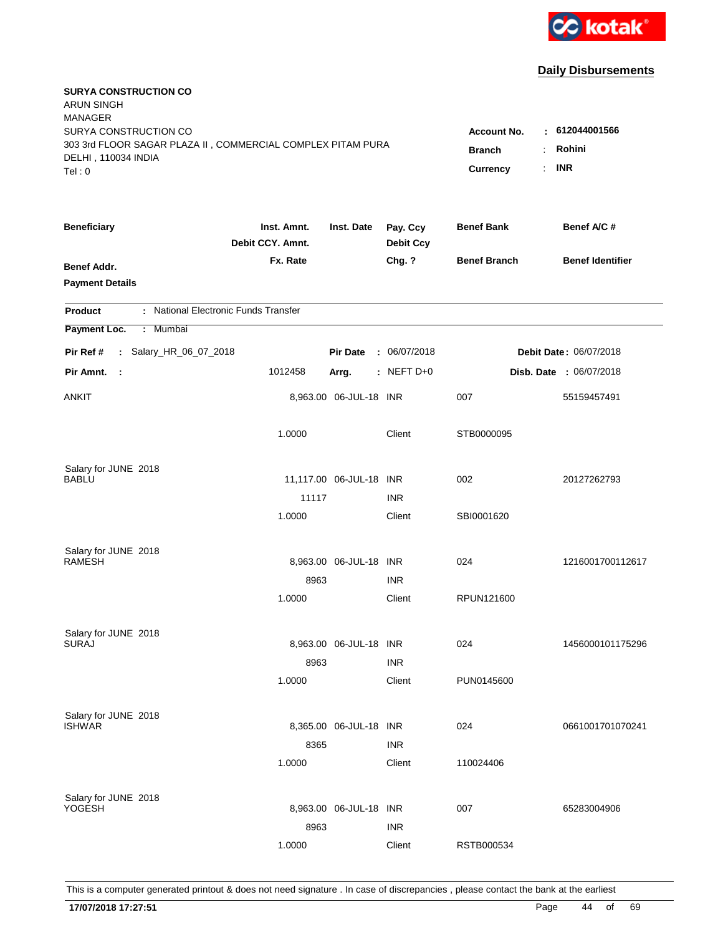

| <b>SURYA CONSTRUCTION CO</b><br><b>ARUN SINGH</b><br><b>MANAGER</b><br>SURYA CONSTRUCTION CO<br>303 3rd FLOOR SAGAR PLAZA II, COMMERCIAL COMPLEX PITAM PURA |                                 |                         |                              | <b>Account No.</b>              | $-612044001566$               |
|-------------------------------------------------------------------------------------------------------------------------------------------------------------|---------------------------------|-------------------------|------------------------------|---------------------------------|-------------------------------|
| DELHI, 110034 INDIA<br>Tel: 0                                                                                                                               |                                 |                         |                              | <b>Branch</b><br>Currency<br>÷. | Rohini<br><b>INR</b>          |
| <b>Beneficiary</b>                                                                                                                                          | Inst. Amnt.<br>Debit CCY. Amnt. | Inst. Date              | Pay. Ccy<br><b>Debit Ccy</b> | <b>Benef Bank</b>               | Benef A/C #                   |
| Benef Addr.<br><b>Payment Details</b>                                                                                                                       | Fx. Rate                        |                         | Chg. ?                       | <b>Benef Branch</b>             | <b>Benef Identifier</b>       |
| : National Electronic Funds Transfer<br><b>Product</b>                                                                                                      |                                 |                         |                              |                                 |                               |
| Payment Loc.<br>: Mumbai                                                                                                                                    |                                 |                         |                              |                                 |                               |
| : Salary_HR_06_07_2018<br>Pir Ref #                                                                                                                         |                                 | <b>Pir Date</b>         | : 06/07/2018                 |                                 | <b>Debit Date: 06/07/2018</b> |
| Pir Amnt.<br>$\mathbb{R}^2$                                                                                                                                 | 1012458                         | Arrg.                   | $:$ NEFT D+0                 |                                 | Disb. Date : 06/07/2018       |
| ANKIT                                                                                                                                                       |                                 | 8,963.00 06-JUL-18 INR  |                              | 007                             | 55159457491                   |
|                                                                                                                                                             | 1.0000                          |                         | Client                       | STB0000095                      |                               |
| Salary for JUNE 2018<br>BABLU                                                                                                                               |                                 | 11,117.00 06-JUL-18 INR |                              | 002                             | 20127262793                   |
|                                                                                                                                                             | 11117                           |                         | <b>INR</b>                   |                                 |                               |
|                                                                                                                                                             | 1.0000                          |                         | Client                       | SBI0001620                      |                               |
| Salary for JUNE 2018<br><b>RAMESH</b>                                                                                                                       |                                 | 8,963.00 06-JUL-18 INR  |                              | 024                             | 1216001700112617              |
|                                                                                                                                                             | 8963                            |                         | <b>INR</b>                   |                                 |                               |
|                                                                                                                                                             | 1.0000                          |                         | Client                       | RPUN121600                      |                               |
| Salary for JUNE 2018<br><b>SURAJ</b>                                                                                                                        | 8963                            | 8,963.00 06-JUL-18 INR  | <b>INR</b>                   | 024                             | 1456000101175296              |
|                                                                                                                                                             | 1.0000                          |                         | Client                       | PUN0145600                      |                               |
| Salary for JUNE 2018<br><b>ISHWAR</b>                                                                                                                       | 8365                            | 8,365.00 06-JUL-18 INR  | <b>INR</b>                   | 024                             | 0661001701070241              |
|                                                                                                                                                             | 1.0000                          |                         | Client                       | 110024406                       |                               |
| Salary for JUNE 2018<br><b>YOGESH</b>                                                                                                                       | 8963                            | 8,963.00 06-JUL-18 INR  | <b>INR</b>                   | 007                             | 65283004906                   |
|                                                                                                                                                             | 1.0000                          |                         | Client                       | RSTB000534                      |                               |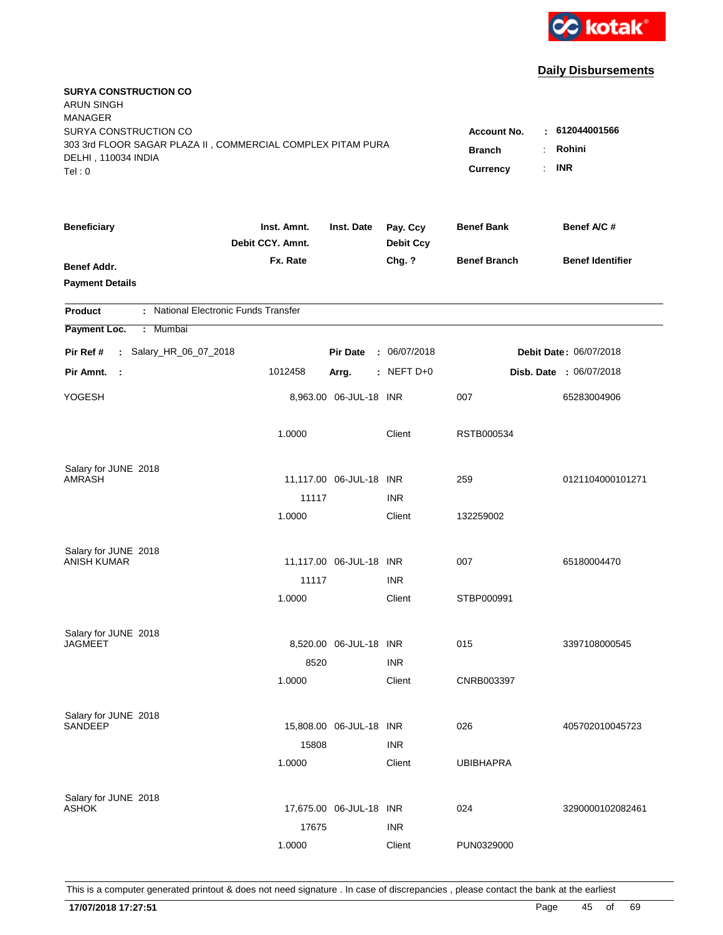

| <b>SURYA CONSTRUCTION CO</b><br><b>ARUN SINGH</b><br><b>MANAGER</b><br>SURYA CONSTRUCTION CO |                                                                |                         |                              | <b>Account No.</b>  | $-612044001566$                |
|----------------------------------------------------------------------------------------------|----------------------------------------------------------------|-------------------------|------------------------------|---------------------|--------------------------------|
| 303 3rd FLOOR SAGAR PLAZA II, COMMERCIAL COMPLEX PITAM PURA<br>DELHI, 110034 INDIA<br>Tel: 0 | Rohini<br><b>Branch</b><br><b>INR</b><br><b>Currency</b><br>÷. |                         |                              |                     |                                |
| <b>Beneficiary</b>                                                                           | Inst. Amnt.<br>Debit CCY. Amnt.                                | Inst. Date              | Pay. Ccy<br><b>Debit Ccy</b> | <b>Benef Bank</b>   | Benef A/C #                    |
| Benef Addr.<br><b>Payment Details</b>                                                        | Fx. Rate                                                       |                         | Chg. ?                       | <b>Benef Branch</b> | <b>Benef Identifier</b>        |
| : National Electronic Funds Transfer<br><b>Product</b>                                       |                                                                |                         |                              |                     |                                |
| Payment Loc.<br>: Mumbai                                                                     |                                                                |                         |                              |                     |                                |
| : Salary_HR_06_07_2018<br>Pir Ref #                                                          |                                                                | <b>Pir Date</b>         | : 06/07/2018                 |                     | <b>Debit Date: 06/07/2018</b>  |
| Pir Amnt.<br>$\mathbb{R}^2$                                                                  | 1012458                                                        | Arrg.                   | $:$ NEFT D+0                 |                     | <b>Disb. Date : 06/07/2018</b> |
| YOGESH                                                                                       |                                                                | 8,963.00 06-JUL-18 INR  |                              | 007                 | 65283004906                    |
|                                                                                              | 1.0000                                                         |                         | Client                       | RSTB000534          |                                |
| Salary for JUNE 2018<br><b>AMRASH</b>                                                        |                                                                | 11,117.00 06-JUL-18 INR |                              | 259                 | 0121104000101271               |
|                                                                                              | 11117                                                          |                         | <b>INR</b>                   |                     |                                |
|                                                                                              | 1.0000                                                         |                         | Client                       | 132259002           |                                |
| Salary for JUNE 2018<br><b>ANISH KUMAR</b>                                                   |                                                                | 11,117.00 06-JUL-18 INR |                              | 007                 | 65180004470                    |
|                                                                                              | 11117                                                          |                         | <b>INR</b>                   |                     |                                |
|                                                                                              | 1.0000                                                         |                         | Client                       | STBP000991          |                                |
| Salary for JUNE 2018<br><b>JAGMEET</b>                                                       |                                                                | 8,520.00 06-JUL-18 INR  |                              | 015                 | 3397108000545                  |
|                                                                                              | 8520<br>1.0000                                                 |                         | <b>INR</b><br>Client         | CNRB003397          |                                |
| Salary for JUNE 2018<br>SANDEEP                                                              | 15808                                                          | 15,808.00 06-JUL-18 INR | <b>INR</b>                   | 026                 | 405702010045723                |
|                                                                                              | 1.0000                                                         |                         | Client                       | <b>UBIBHAPRA</b>    |                                |
| Salary for JUNE 2018<br><b>ASHOK</b>                                                         | 17675                                                          | 17,675.00 06-JUL-18 INR | <b>INR</b>                   | 024                 | 3290000102082461               |
|                                                                                              | 1.0000                                                         |                         | Client                       | PUN0329000          |                                |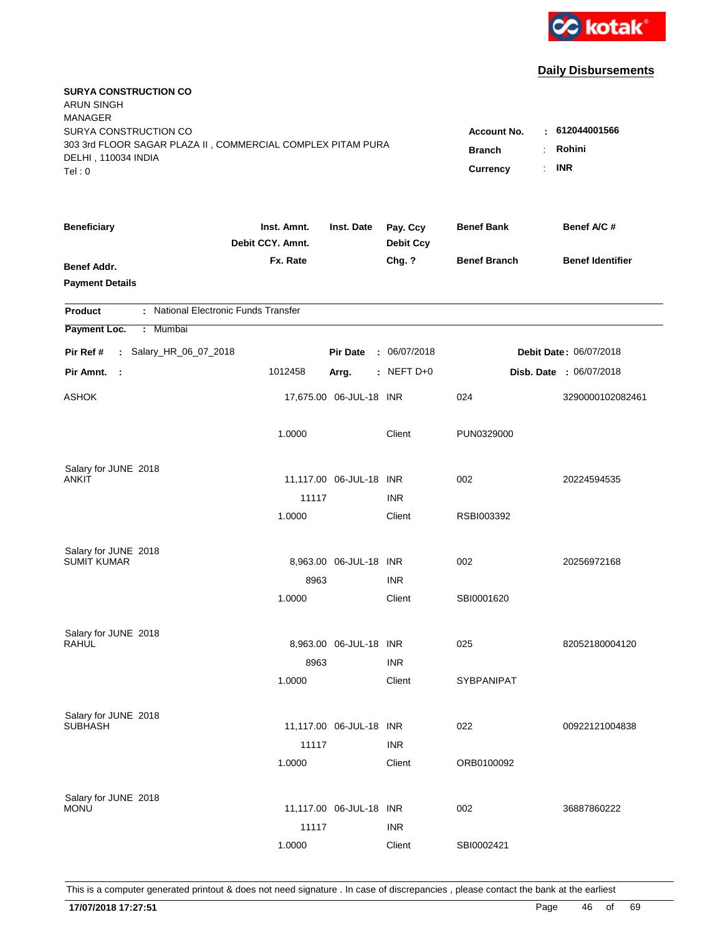

| <b>SURYA CONSTRUCTION CO</b><br><b>ARUN SINGH</b><br><b>MANAGER</b><br>SURYA CONSTRUCTION CO<br>303 3rd FLOOR SAGAR PLAZA II, COMMERCIAL COMPLEX PITAM PURA |                                 |                         |                              | <b>Account No.</b><br><b>Branch</b><br>÷ | : 612044001566<br>Rohini |  |
|-------------------------------------------------------------------------------------------------------------------------------------------------------------|---------------------------------|-------------------------|------------------------------|------------------------------------------|--------------------------|--|
| DELHI, 110034 INDIA<br>Tel: 0                                                                                                                               |                                 |                         |                              | Currency<br>÷.                           | <b>INR</b>               |  |
| <b>Beneficiary</b>                                                                                                                                          | Inst. Amnt.<br>Debit CCY. Amnt. | Inst. Date              | Pay. Ccy<br><b>Debit Ccy</b> | <b>Benef Bank</b>                        | Benef A/C #              |  |
| Benef Addr.<br><b>Payment Details</b>                                                                                                                       | Fx. Rate                        |                         | Chg. ?                       | <b>Benef Branch</b>                      | <b>Benef Identifier</b>  |  |
| : National Electronic Funds Transfer<br><b>Product</b>                                                                                                      |                                 |                         |                              |                                          |                          |  |
| Payment Loc.<br>: Mumbai                                                                                                                                    |                                 |                         |                              |                                          |                          |  |
| : Salary_HR_06_07_2018<br>Pir Ref #                                                                                                                         |                                 | <b>Pir Date</b>         | : 06/07/2018                 |                                          | Debit Date: 06/07/2018   |  |
| Pir Amnt.<br>- 1                                                                                                                                            | 1012458                         | Arrg.                   | : NEFT $D+0$                 |                                          | Disb. Date : 06/07/2018  |  |
| <b>ASHOK</b>                                                                                                                                                |                                 | 17,675.00 06-JUL-18 INR |                              | 024                                      | 3290000102082461         |  |
|                                                                                                                                                             | 1.0000                          |                         | Client                       | PUN0329000                               |                          |  |
| Salary for JUNE 2018                                                                                                                                        |                                 |                         |                              |                                          |                          |  |
| <b>ANKIT</b>                                                                                                                                                |                                 | 11,117.00 06-JUL-18 INR | <b>INR</b>                   | 002                                      | 20224594535              |  |
|                                                                                                                                                             | 11117<br>1.0000                 |                         | Client                       | RSBI003392                               |                          |  |
| Salary for JUNE 2018                                                                                                                                        |                                 |                         |                              |                                          |                          |  |
| <b>SUMIT KUMAR</b>                                                                                                                                          |                                 | 8,963.00 06-JUL-18 INR  |                              | 002                                      | 20256972168              |  |
|                                                                                                                                                             | 8963                            |                         | <b>INR</b>                   |                                          |                          |  |
|                                                                                                                                                             | 1.0000                          |                         | Client                       | SBI0001620                               |                          |  |
| Salary for JUNE 2018                                                                                                                                        |                                 |                         |                              |                                          |                          |  |
| RAHUL                                                                                                                                                       |                                 | 8,963.00 06-JUL-18 INR  |                              | 025                                      | 82052180004120           |  |
|                                                                                                                                                             | 8963                            |                         | <b>INR</b>                   |                                          |                          |  |
|                                                                                                                                                             | 1.0000                          |                         | Client                       | <b>SYBPANIPAT</b>                        |                          |  |
| Salary for JUNE 2018                                                                                                                                        |                                 |                         |                              |                                          |                          |  |
| <b>SUBHASH</b>                                                                                                                                              |                                 | 11,117.00 06-JUL-18 INR |                              | 022                                      | 00922121004838           |  |
|                                                                                                                                                             | 11117<br>1.0000                 |                         | <b>INR</b><br>Client         | ORB0100092                               |                          |  |
|                                                                                                                                                             |                                 |                         |                              |                                          |                          |  |
| Salary for JUNE 2018                                                                                                                                        |                                 |                         |                              |                                          |                          |  |
| <b>MONU</b>                                                                                                                                                 |                                 | 11,117.00 06-JUL-18 INR |                              | 002                                      | 36887860222              |  |
|                                                                                                                                                             | 11117                           |                         | <b>INR</b>                   |                                          |                          |  |
|                                                                                                                                                             | 1.0000                          |                         | Client                       | SBI0002421                               |                          |  |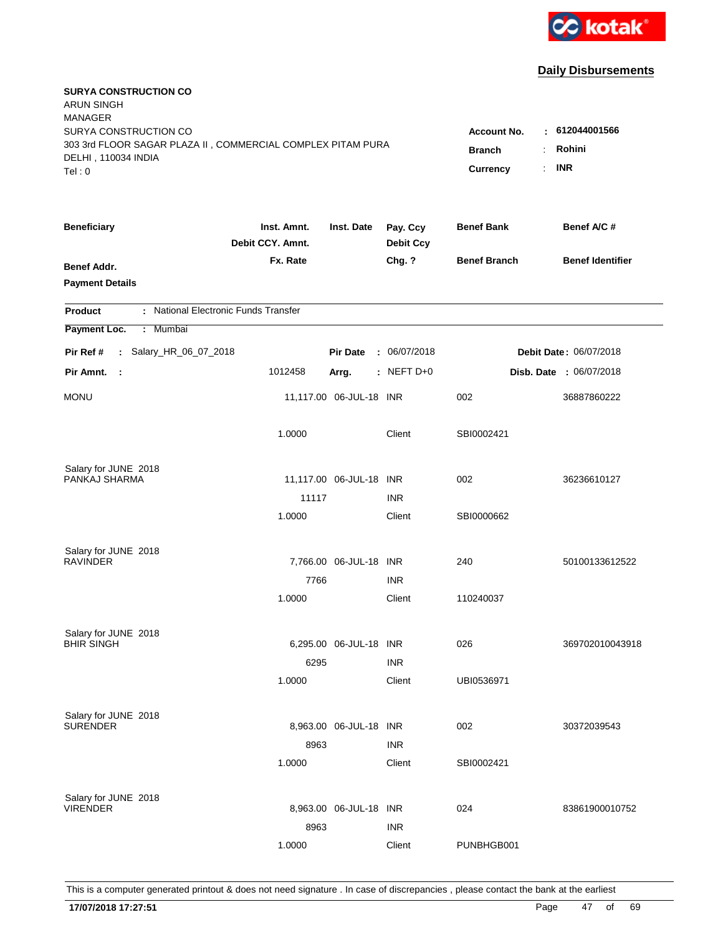

| <b>SURYA CONSTRUCTION CO</b><br><b>ARUN SINGH</b><br><b>MANAGER</b><br>SURYA CONSTRUCTION CO |                                        |                         |                              | <b>Account No.</b>  | : 612044001566                 |
|----------------------------------------------------------------------------------------------|----------------------------------------|-------------------------|------------------------------|---------------------|--------------------------------|
| 303 3rd FLOOR SAGAR PLAZA II, COMMERCIAL COMPLEX PITAM PURA<br>DELHI, 110034 INDIA<br>Tel: 0 | <b>Branch</b><br><b>Currency</b><br>÷. | Rohini<br><b>INR</b>    |                              |                     |                                |
| <b>Beneficiary</b>                                                                           | Inst. Amnt.<br>Debit CCY. Amnt.        | Inst. Date              | Pay. Ccy<br><b>Debit Ccy</b> | <b>Benef Bank</b>   | Benef A/C #                    |
| Benef Addr.<br><b>Payment Details</b>                                                        | Fx. Rate                               |                         | Chg. ?                       | <b>Benef Branch</b> | <b>Benef Identifier</b>        |
| : National Electronic Funds Transfer<br><b>Product</b>                                       |                                        |                         |                              |                     |                                |
| Payment Loc.<br>: Mumbai                                                                     |                                        |                         |                              |                     |                                |
| : Salary_HR_06_07_2018<br>Pir Ref #                                                          |                                        | <b>Pir Date</b>         | : 06/07/2018                 |                     | Debit Date: 06/07/2018         |
| Pir Amnt.<br>$\mathbb{R}^2$                                                                  | 1012458                                | Arrg.                   | : NEFT $D+0$                 |                     | <b>Disb. Date : 06/07/2018</b> |
| <b>MONU</b>                                                                                  |                                        | 11,117.00 06-JUL-18 INR |                              | 002                 | 36887860222                    |
|                                                                                              | 1.0000                                 |                         | Client                       | SBI0002421          |                                |
| Salary for JUNE 2018                                                                         |                                        |                         |                              |                     |                                |
| PANKAJ SHARMA                                                                                | 11117                                  | 11,117.00 06-JUL-18 INR | <b>INR</b>                   | 002                 | 36236610127                    |
|                                                                                              | 1.0000                                 |                         | Client                       | SBI0000662          |                                |
| Salary for JUNE 2018<br><b>RAVINDER</b>                                                      |                                        | 7,766.00 06-JUL-18 INR  |                              | 240                 | 50100133612522                 |
|                                                                                              | 7766                                   |                         | <b>INR</b>                   |                     |                                |
|                                                                                              | 1.0000                                 |                         | Client                       | 110240037           |                                |
| Salary for JUNE 2018<br><b>BHIR SINGH</b>                                                    | 6295                                   | 6,295.00 06-JUL-18 INR  | <b>INR</b>                   | 026                 | 369702010043918                |
|                                                                                              | 1.0000                                 |                         | Client                       | UBI0536971          |                                |
| Salary for JUNE 2018<br><b>SURENDER</b>                                                      | 8963                                   | 8,963.00 06-JUL-18 INR  | <b>INR</b>                   | 002                 | 30372039543                    |
|                                                                                              | 1.0000                                 |                         | Client                       | SBI0002421          |                                |
| Salary for JUNE 2018<br><b>VIRENDER</b>                                                      | 8963                                   | 8,963.00 06-JUL-18 INR  | <b>INR</b>                   | 024                 | 83861900010752                 |
|                                                                                              | 1.0000                                 |                         | Client                       | PUNBHGB001          |                                |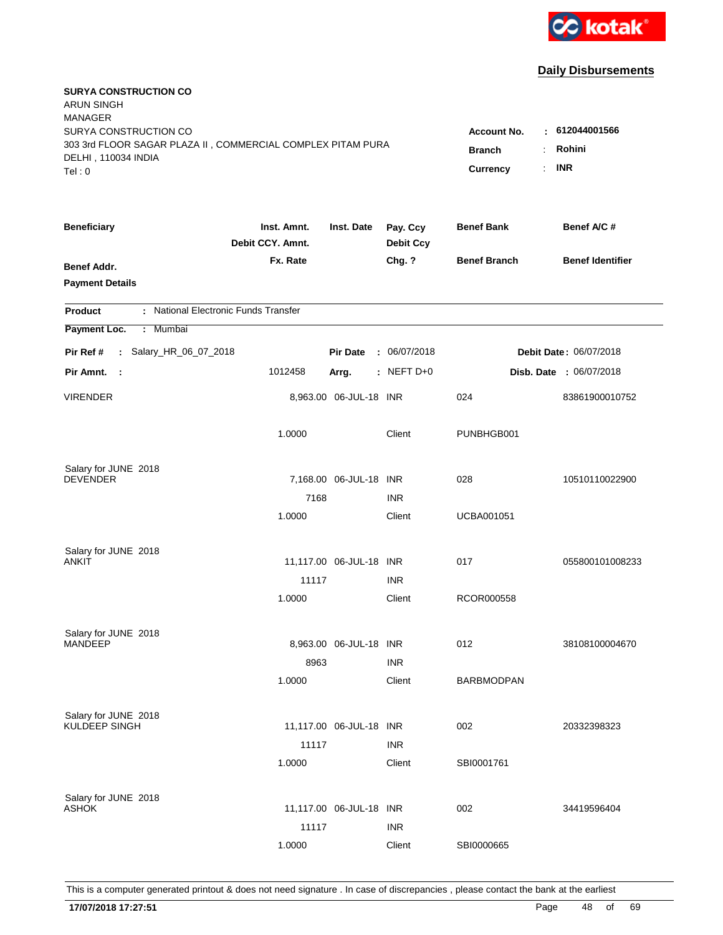

| <b>SURYA CONSTRUCTION CO</b><br>ARUN SINGH<br><b>MANAGER</b>                                 |                                 |                                  |                              |                     |                                |
|----------------------------------------------------------------------------------------------|---------------------------------|----------------------------------|------------------------------|---------------------|--------------------------------|
| SURYA CONSTRUCTION CO                                                                        |                                 |                                  |                              | <b>Account No.</b>  | : 612044001566                 |
| 303 3rd FLOOR SAGAR PLAZA II, COMMERCIAL COMPLEX PITAM PURA<br>DELHI, 110034 INDIA<br>Tel: 0 | <b>Branch</b><br>Currency       | Rohini<br>÷.<br><b>INR</b><br>÷. |                              |                     |                                |
| <b>Beneficiary</b>                                                                           | Inst. Amnt.<br>Debit CCY. Amnt. | Inst. Date                       | Pay. Ccy<br><b>Debit Ccy</b> | <b>Benef Bank</b>   | Benef A/C #                    |
| Benef Addr.<br><b>Payment Details</b>                                                        | Fx. Rate                        |                                  | Chg. ?                       | <b>Benef Branch</b> | <b>Benef Identifier</b>        |
| : National Electronic Funds Transfer<br><b>Product</b>                                       |                                 |                                  |                              |                     |                                |
| Payment Loc.<br>: Mumbai                                                                     |                                 |                                  |                              |                     |                                |
| : Salary_HR_06_07_2018<br>Pir Ref #                                                          |                                 | <b>Pir Date</b>                  | : 06/07/2018                 |                     | Debit Date: 06/07/2018         |
| Pir Amnt.<br>- 1                                                                             | 1012458                         | Arrg.                            | $:$ NEFT D+0                 |                     | <b>Disb. Date : 06/07/2018</b> |
| VIRENDER                                                                                     |                                 | 8,963.00 06-JUL-18 INR           |                              | 024                 | 83861900010752                 |
|                                                                                              | 1.0000                          |                                  | Client                       | PUNBHGB001          |                                |
| Salary for JUNE 2018                                                                         |                                 |                                  |                              |                     |                                |
| <b>DEVENDER</b>                                                                              |                                 | 7,168.00 06-JUL-18 INR           |                              | 028                 | 10510110022900                 |
|                                                                                              | 7168                            |                                  | <b>INR</b>                   |                     |                                |
|                                                                                              | 1.0000                          |                                  | Client                       | <b>UCBA001051</b>   |                                |
| Salary for JUNE 2018                                                                         |                                 |                                  |                              |                     |                                |
| ANKIT                                                                                        |                                 | 11,117.00 06-JUL-18 INR          |                              | 017                 | 055800101008233                |
|                                                                                              | 11117                           |                                  | <b>INR</b>                   |                     |                                |
|                                                                                              | 1.0000                          |                                  | Client                       | RCOR000558          |                                |
| Salary for JUNE 2018                                                                         |                                 |                                  |                              |                     |                                |
| <b>MANDEEP</b>                                                                               |                                 | 8,963.00 06-JUL-18 INR           |                              | 012                 | 38108100004670                 |
|                                                                                              | 8963                            |                                  | <b>INR</b>                   |                     |                                |
|                                                                                              | 1.0000                          |                                  | Client                       | <b>BARBMODPAN</b>   |                                |
| Salary for JUNE 2018                                                                         |                                 |                                  |                              |                     |                                |
| KULDEEP SINGH                                                                                |                                 | 11,117.00 06-JUL-18 INR          |                              | 002                 | 20332398323                    |
|                                                                                              | 11117                           |                                  | <b>INR</b>                   |                     |                                |
|                                                                                              | 1.0000                          |                                  | Client                       | SBI0001761          |                                |
| Salary for JUNE 2018                                                                         |                                 |                                  |                              |                     |                                |
| ASHOK                                                                                        |                                 | 11,117.00 06-JUL-18 INR          |                              | 002                 | 34419596404                    |
|                                                                                              | 11117                           |                                  | <b>INR</b>                   |                     |                                |
|                                                                                              | 1.0000                          |                                  | Client                       | SBI0000665          |                                |
|                                                                                              |                                 |                                  |                              |                     |                                |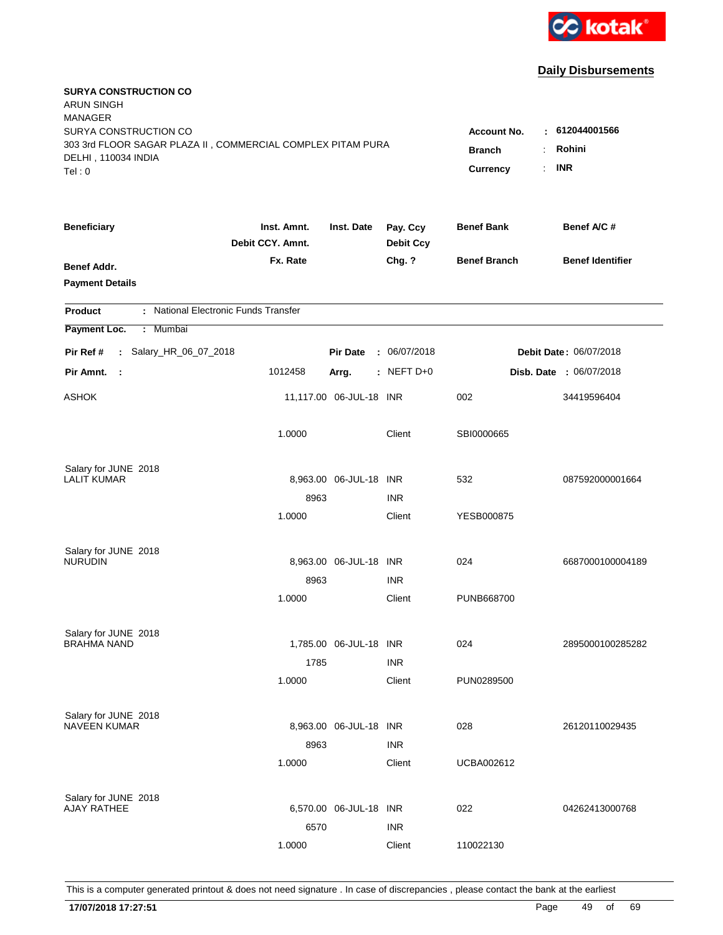

| <b>SURYA CONSTRUCTION CO</b><br><b>ARUN SINGH</b><br><b>MANAGER</b>                                                   |                                                                    |                                      |                              |                     |                                |
|-----------------------------------------------------------------------------------------------------------------------|--------------------------------------------------------------------|--------------------------------------|------------------------------|---------------------|--------------------------------|
| SURYA CONSTRUCTION CO<br>303 3rd FLOOR SAGAR PLAZA II, COMMERCIAL COMPLEX PITAM PURA<br>DELHI, 110034 INDIA<br>Tel: 0 | <b>Account No.</b><br>٠.<br><b>Branch</b><br><b>Currency</b><br>÷. | 612044001566<br>Rohini<br><b>INR</b> |                              |                     |                                |
| <b>Beneficiary</b>                                                                                                    | Inst. Amnt.<br>Debit CCY. Amnt.                                    | Inst. Date                           | Pay. Ccy<br><b>Debit Ccy</b> | <b>Benef Bank</b>   | Benef A/C#                     |
| Benef Addr.<br><b>Payment Details</b>                                                                                 | Fx. Rate                                                           |                                      | Chg. ?                       | <b>Benef Branch</b> | <b>Benef Identifier</b>        |
| : National Electronic Funds Transfer<br><b>Product</b>                                                                |                                                                    |                                      |                              |                     |                                |
| Payment Loc.<br>: Mumbai                                                                                              |                                                                    |                                      |                              |                     |                                |
| : Salary_HR_06_07_2018<br>Pir Ref #                                                                                   |                                                                    | <b>Pir Date</b>                      | : 06/07/2018                 |                     | Debit Date: 06/07/2018         |
| Pir Amnt.<br>$\mathbb{R}^2$                                                                                           | 1012458                                                            | Arrg.                                | : NEFT $D+0$                 |                     | <b>Disb. Date : 06/07/2018</b> |
| <b>ASHOK</b>                                                                                                          |                                                                    | 11,117.00 06-JUL-18 INR              |                              | 002                 | 34419596404                    |
|                                                                                                                       | 1.0000                                                             |                                      | Client                       | SBI0000665          |                                |
| Salary for JUNE 2018<br><b>LALIT KUMAR</b>                                                                            |                                                                    | 8,963.00 06-JUL-18 INR               |                              | 532                 | 087592000001664                |
|                                                                                                                       | 8963                                                               |                                      | <b>INR</b>                   |                     |                                |
|                                                                                                                       | 1.0000                                                             |                                      | Client                       | YESB000875          |                                |
| Salary for JUNE 2018<br><b>NURUDIN</b>                                                                                |                                                                    | 8,963.00 06-JUL-18 INR               |                              | 024                 | 6687000100004189               |
|                                                                                                                       | 8963                                                               |                                      | <b>INR</b>                   |                     |                                |
|                                                                                                                       | 1.0000                                                             |                                      | Client                       | PUNB668700          |                                |
| Salary for JUNE 2018<br><b>BRAHMA NAND</b>                                                                            |                                                                    | 1,785.00 06-JUL-18 INR               |                              | 024                 | 2895000100285282               |
|                                                                                                                       | 1785                                                               |                                      | <b>INR</b>                   |                     |                                |
|                                                                                                                       | 1.0000                                                             |                                      | Client                       | PUN0289500          |                                |
| Salary for JUNE 2018<br><b>NAVEEN KUMAR</b>                                                                           |                                                                    | 8,963.00 06-JUL-18 INR               |                              | 028                 | 26120110029435                 |
|                                                                                                                       | 8963<br>1.0000                                                     |                                      | <b>INR</b><br>Client         | <b>UCBA002612</b>   |                                |
| Salary for JUNE 2018<br><b>AJAY RATHEE</b>                                                                            | 6570                                                               | 6,570.00 06-JUL-18 INR               | <b>INR</b>                   | 022                 | 04262413000768                 |
|                                                                                                                       | 1.0000                                                             |                                      | Client                       | 110022130           |                                |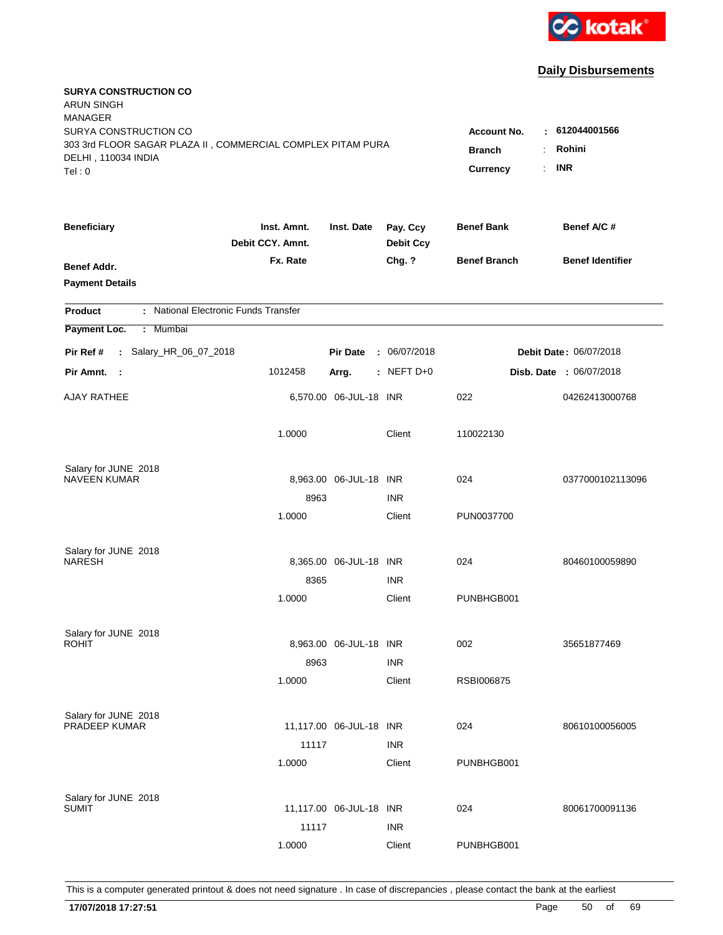

| <b>SURYA CONSTRUCTION CO</b><br><b>ARUN SINGH</b><br><b>MANAGER</b>                                         |                                 |                                                                        |                              |                     |                                |
|-------------------------------------------------------------------------------------------------------------|---------------------------------|------------------------------------------------------------------------|------------------------------|---------------------|--------------------------------|
| SURYA CONSTRUCTION CO<br>303 3rd FLOOR SAGAR PLAZA II, COMMERCIAL COMPLEX PITAM PURA<br>DELHI, 110034 INDIA |                                 | $-612044001566$<br><b>Account No.</b><br>Rohini<br><b>Branch</b><br>÷. |                              |                     |                                |
| Tel: 0                                                                                                      |                                 |                                                                        |                              | Currency            | <b>INR</b><br>÷.               |
| <b>Beneficiary</b>                                                                                          | Inst. Amnt.<br>Debit CCY. Amnt. | Inst. Date                                                             | Pay. Ccy<br><b>Debit Ccy</b> | <b>Benef Bank</b>   | Benef A/C#                     |
| Benef Addr.<br><b>Payment Details</b>                                                                       | Fx. Rate                        |                                                                        | Chg. ?                       | <b>Benef Branch</b> | <b>Benef Identifier</b>        |
| : National Electronic Funds Transfer<br><b>Product</b>                                                      |                                 |                                                                        |                              |                     |                                |
| Payment Loc.<br>: Mumbai                                                                                    |                                 |                                                                        |                              |                     |                                |
| : Salary_HR_06_07_2018<br>Pir Ref #                                                                         |                                 | <b>Pir Date</b>                                                        | : 06/07/2018                 |                     | Debit Date: 06/07/2018         |
| Pir Amnt. :                                                                                                 | 1012458                         | Arrg.                                                                  | $:$ NEFT D+0                 |                     | <b>Disb. Date : 06/07/2018</b> |
| <b>AJAY RATHEE</b>                                                                                          |                                 | 6,570.00 06-JUL-18 INR                                                 |                              | 022                 | 04262413000768                 |
|                                                                                                             | 1.0000                          |                                                                        | Client                       | 110022130           |                                |
| Salary for JUNE 2018                                                                                        |                                 |                                                                        |                              |                     |                                |
| <b>NAVEEN KUMAR</b>                                                                                         |                                 | 8,963.00 06-JUL-18 INR                                                 |                              | 024                 | 0377000102113096               |
|                                                                                                             | 8963                            |                                                                        | <b>INR</b>                   |                     |                                |
|                                                                                                             | 1.0000                          |                                                                        | Client                       | PUN0037700          |                                |
| Salary for JUNE 2018                                                                                        |                                 |                                                                        |                              |                     |                                |
| <b>NARESH</b>                                                                                               |                                 | 8,365.00 06-JUL-18 INR                                                 |                              | 024                 | 80460100059890                 |
|                                                                                                             | 8365                            |                                                                        | <b>INR</b>                   |                     |                                |
|                                                                                                             | 1.0000                          |                                                                        | Client                       | PUNBHGB001          |                                |
| Salary for JUNE 2018                                                                                        |                                 |                                                                        |                              |                     |                                |
| <b>ROHIT</b>                                                                                                |                                 | 8,963.00 06-JUL-18 INR                                                 |                              | 002                 | 35651877469                    |
|                                                                                                             | 8963                            |                                                                        | <b>INR</b>                   |                     |                                |
|                                                                                                             | 1.0000                          |                                                                        | Client                       | RSBI006875          |                                |
| Salary for JUNE 2018                                                                                        |                                 |                                                                        |                              |                     |                                |
| PRADEEP KUMAR                                                                                               |                                 | 11,117.00 06-JUL-18 INR                                                |                              | 024                 | 80610100056005                 |
|                                                                                                             | 11117                           |                                                                        | <b>INR</b>                   |                     |                                |
|                                                                                                             | 1.0000                          |                                                                        | Client                       | PUNBHGB001          |                                |
|                                                                                                             |                                 |                                                                        |                              |                     |                                |
| Salary for JUNE 2018<br><b>SUMIT</b>                                                                        |                                 | 11,117.00 06-JUL-18 INR                                                |                              | 024                 | 80061700091136                 |
|                                                                                                             | 11117                           |                                                                        | <b>INR</b>                   |                     |                                |
|                                                                                                             | 1.0000                          |                                                                        | Client                       | PUNBHGB001          |                                |
|                                                                                                             |                                 |                                                                        |                              |                     |                                |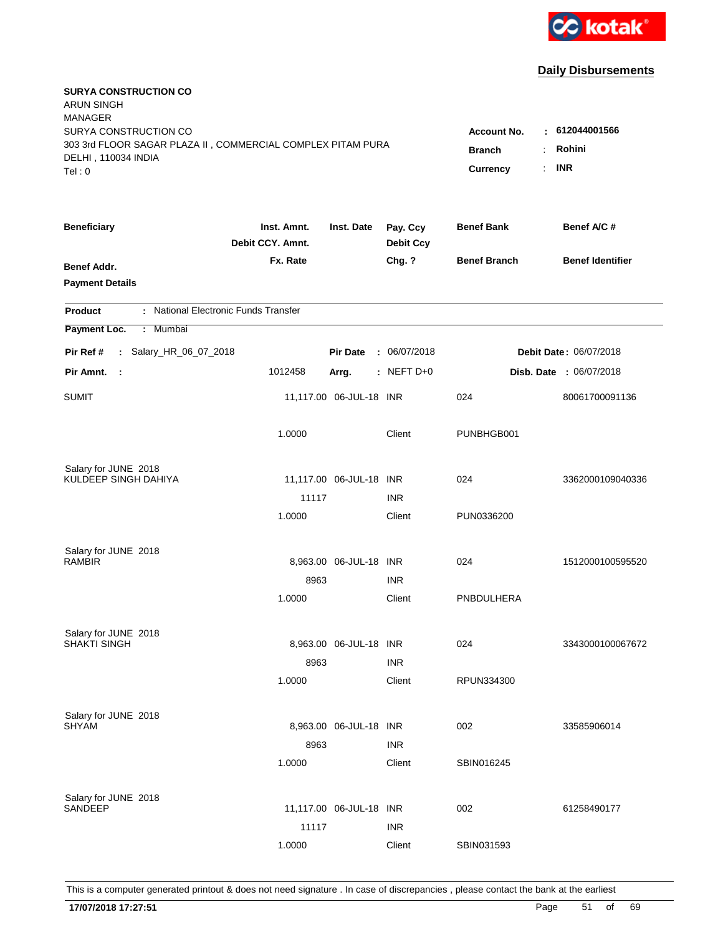

| <b>SURYA CONSTRUCTION CO</b><br>ARUN SINGH<br><b>MANAGER</b><br>SURYA CONSTRUCTION CO        |                                 |                            |                              | <b>Account No.</b>  | $-612044001566$                |
|----------------------------------------------------------------------------------------------|---------------------------------|----------------------------|------------------------------|---------------------|--------------------------------|
| 303 3rd FLOOR SAGAR PLAZA II, COMMERCIAL COMPLEX PITAM PURA<br>DELHI, 110034 INDIA<br>Tel: 0 | <b>Branch</b><br>÷.<br>Currency | Rohini<br><b>INR</b><br>÷. |                              |                     |                                |
| <b>Beneficiary</b>                                                                           | Inst. Amnt.<br>Debit CCY. Amnt. | Inst. Date                 | Pay. Ccy<br><b>Debit Ccy</b> | <b>Benef Bank</b>   | Benef A/C #                    |
| Benef Addr.<br><b>Payment Details</b>                                                        | Fx. Rate                        |                            | Chg. ?                       | <b>Benef Branch</b> | <b>Benef Identifier</b>        |
| : National Electronic Funds Transfer<br><b>Product</b>                                       |                                 |                            |                              |                     |                                |
| Payment Loc.<br>Mumbai<br>÷.                                                                 |                                 |                            |                              |                     |                                |
| : Salary_HR_06_07_2018<br>Pir Ref #                                                          |                                 | <b>Pir Date</b>            | : 06/07/2018                 |                     | Debit Date: 06/07/2018         |
| Pir Amnt.<br>$\mathbf{L}$                                                                    | 1012458                         | Arrg.                      | : NEFT $D+0$                 |                     | <b>Disb. Date : 06/07/2018</b> |
| SUMIT                                                                                        |                                 | 11,117.00 06-JUL-18 INR    |                              | 024                 | 80061700091136                 |
|                                                                                              | 1.0000                          |                            | Client                       | PUNBHGB001          |                                |
| Salary for JUNE 2018<br>KULDEEP SINGH DAHIYA                                                 |                                 |                            |                              |                     |                                |
|                                                                                              | 11117                           | 11,117.00 06-JUL-18 INR    | <b>INR</b>                   | 024                 | 3362000109040336               |
|                                                                                              | 1.0000                          |                            | Client                       | PUN0336200          |                                |
| Salary for JUNE 2018                                                                         |                                 |                            |                              |                     |                                |
| <b>RAMBIR</b>                                                                                |                                 | 8,963.00 06-JUL-18 INR     |                              | 024                 | 1512000100595520               |
|                                                                                              | 8963                            |                            | <b>INR</b>                   |                     |                                |
|                                                                                              | 1.0000                          |                            | Client                       | PNBDULHERA          |                                |
| Salary for JUNE 2018                                                                         |                                 |                            |                              |                     |                                |
| <b>SHAKTI SINGH</b>                                                                          |                                 | 8,963.00 06-JUL-18 INR     |                              | 024                 | 3343000100067672               |
|                                                                                              | 8963                            |                            | <b>INR</b>                   |                     |                                |
|                                                                                              | 1.0000                          |                            | Client                       | RPUN334300          |                                |
| Salary for JUNE 2018                                                                         |                                 |                            |                              |                     |                                |
| <b>SHYAM</b>                                                                                 |                                 | 8,963.00 06-JUL-18 INR     |                              | 002                 | 33585906014                    |
|                                                                                              | 8963                            |                            | <b>INR</b>                   |                     |                                |
|                                                                                              | 1.0000                          |                            | Client                       | SBIN016245          |                                |
| Salary for JUNE 2018                                                                         |                                 |                            |                              |                     |                                |
| <b>SANDEEP</b>                                                                               |                                 | 11,117.00 06-JUL-18 INR    |                              | 002                 | 61258490177                    |
|                                                                                              | 11117                           |                            | <b>INR</b>                   |                     |                                |
|                                                                                              | 1.0000                          |                            | Client                       | SBIN031593          |                                |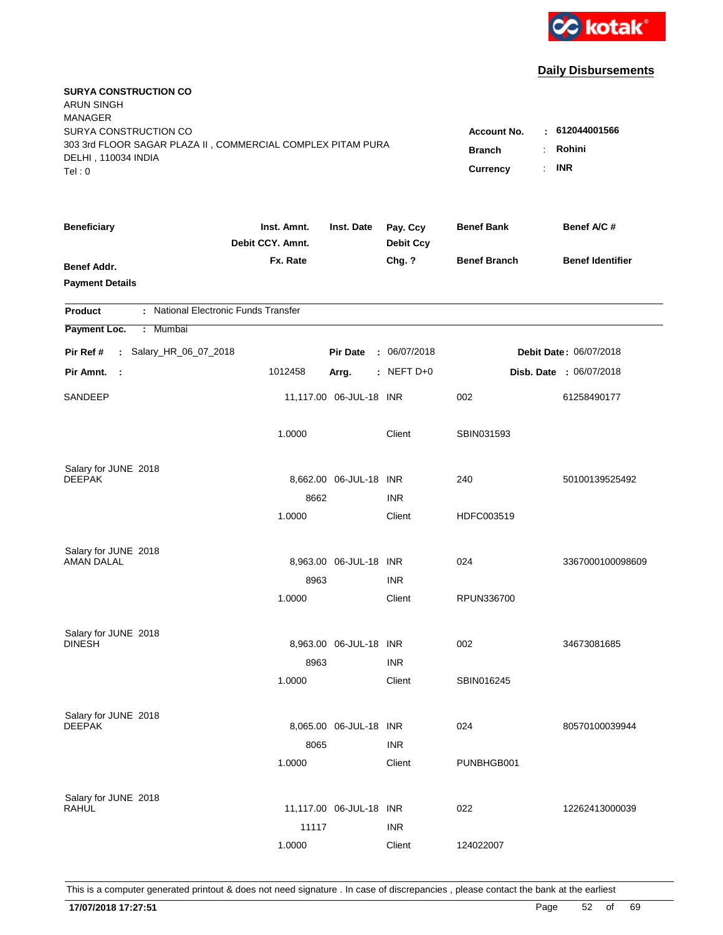

| <b>SURYA CONSTRUCTION CO</b><br><b>ARUN SINGH</b><br><b>MANAGER</b>                                                   |                                                              |                                         |                              |                     |                                |
|-----------------------------------------------------------------------------------------------------------------------|--------------------------------------------------------------|-----------------------------------------|------------------------------|---------------------|--------------------------------|
| SURYA CONSTRUCTION CO<br>303 3rd FLOOR SAGAR PLAZA II, COMMERCIAL COMPLEX PITAM PURA<br>DELHI, 110034 INDIA<br>Tel: 0 | <b>Account No.</b><br><b>Branch</b><br><b>Currency</b><br>÷. | $-612044001566$<br>Rohini<br><b>INR</b> |                              |                     |                                |
| <b>Beneficiary</b>                                                                                                    | Inst. Amnt.<br>Debit CCY. Amnt.                              | Inst. Date                              | Pay. Ccy<br><b>Debit Ccy</b> | <b>Benef Bank</b>   | Benef A/C#                     |
| Benef Addr.<br><b>Payment Details</b>                                                                                 | Fx. Rate                                                     |                                         | Chg. ?                       | <b>Benef Branch</b> | <b>Benef Identifier</b>        |
| : National Electronic Funds Transfer<br><b>Product</b>                                                                |                                                              |                                         |                              |                     |                                |
| Payment Loc.<br>: Mumbai                                                                                              |                                                              |                                         |                              |                     |                                |
| : Salary_HR_06_07_2018<br>Pir Ref #                                                                                   |                                                              | <b>Pir Date</b>                         | : 06/07/2018                 |                     | <b>Debit Date: 06/07/2018</b>  |
| Pir Amnt.<br>$\mathbb{R}^2$                                                                                           | 1012458                                                      | Arrg.                                   | : NEFT $D+0$                 |                     | <b>Disb. Date : 06/07/2018</b> |
| SANDEEP                                                                                                               |                                                              | 11,117.00 06-JUL-18 INR                 |                              | 002                 | 61258490177                    |
|                                                                                                                       | 1.0000                                                       |                                         | Client                       | SBIN031593          |                                |
| Salary for JUNE 2018<br><b>DEEPAK</b>                                                                                 |                                                              | 8,662.00 06-JUL-18 INR                  |                              | 240                 | 50100139525492                 |
|                                                                                                                       | 8662                                                         |                                         | <b>INR</b>                   |                     |                                |
|                                                                                                                       | 1.0000                                                       |                                         | Client                       | HDFC003519          |                                |
| Salary for JUNE 2018<br><b>AMAN DALAL</b>                                                                             |                                                              | 8,963.00 06-JUL-18 INR                  |                              | 024                 | 3367000100098609               |
|                                                                                                                       | 8963                                                         |                                         | <b>INR</b>                   |                     |                                |
|                                                                                                                       | 1.0000                                                       |                                         | Client                       | RPUN336700          |                                |
| Salary for JUNE 2018<br><b>DINESH</b>                                                                                 |                                                              | 8,963.00 06-JUL-18 INR                  |                              | 002                 | 34673081685                    |
|                                                                                                                       | 8963                                                         |                                         | <b>INR</b>                   |                     |                                |
|                                                                                                                       | 1.0000                                                       |                                         | Client                       | SBIN016245          |                                |
| Salary for JUNE 2018<br><b>DEEPAK</b>                                                                                 |                                                              | 8,065.00 06-JUL-18 INR                  |                              | 024                 | 80570100039944                 |
|                                                                                                                       | 8065<br>1.0000                                               |                                         | <b>INR</b><br>Client         | PUNBHGB001          |                                |
| Salary for JUNE 2018<br><b>RAHUL</b>                                                                                  | 11117                                                        | 11,117.00 06-JUL-18 INR                 | <b>INR</b>                   | 022                 | 12262413000039                 |
|                                                                                                                       | 1.0000                                                       |                                         | Client                       | 124022007           |                                |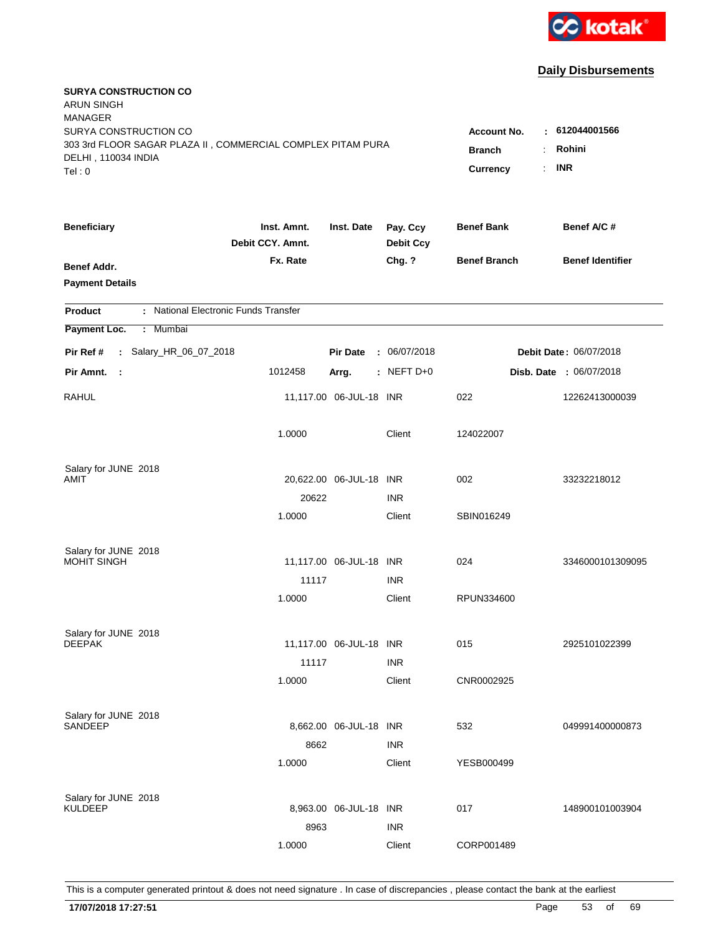

| <b>SURYA CONSTRUCTION CO</b><br><b>ARUN SINGH</b><br><b>MANAGER</b>                          |                                                          |                         |                              |                     |                                |
|----------------------------------------------------------------------------------------------|----------------------------------------------------------|-------------------------|------------------------------|---------------------|--------------------------------|
| SURYA CONSTRUCTION CO                                                                        |                                                          |                         |                              | Account No.<br>÷    | 612044001566                   |
| 303 3rd FLOOR SAGAR PLAZA II, COMMERCIAL COMPLEX PITAM PURA<br>DELHI, 110034 INDIA<br>Tel: 0 | Rohini<br><b>Branch</b><br><b>INR</b><br><b>Currency</b> |                         |                              |                     |                                |
| <b>Beneficiary</b>                                                                           | Inst. Amnt.<br>Debit CCY. Amnt.                          | Inst. Date              | Pay. Ccy<br><b>Debit Ccy</b> | <b>Benef Bank</b>   | Benef A/C #                    |
| Benef Addr.<br><b>Payment Details</b>                                                        | Fx. Rate                                                 |                         | Chg. ?                       | <b>Benef Branch</b> | <b>Benef Identifier</b>        |
| : National Electronic Funds Transfer<br><b>Product</b>                                       |                                                          |                         |                              |                     |                                |
| Payment Loc.<br>: Mumbai                                                                     |                                                          |                         |                              |                     |                                |
| : Salary_HR_06_07_2018<br>Pir Ref #                                                          |                                                          | <b>Pir Date</b>         | : 06/07/2018                 |                     | Debit Date: 06/07/2018         |
| Pir Amnt.<br>$\sim$ 1                                                                        | 1012458                                                  | Arrg.                   | $:$ NEFT D+0                 |                     | <b>Disb. Date : 06/07/2018</b> |
| RAHUL                                                                                        |                                                          | 11,117.00 06-JUL-18 INR |                              | 022                 | 12262413000039                 |
|                                                                                              | 1.0000                                                   |                         | Client                       | 124022007           |                                |
| Salary for JUNE 2018                                                                         |                                                          |                         |                              |                     |                                |
| AMIT                                                                                         |                                                          | 20,622.00 06-JUL-18 INR |                              | 002                 | 33232218012                    |
|                                                                                              | 20622                                                    |                         | <b>INR</b>                   |                     |                                |
|                                                                                              | 1.0000                                                   |                         | Client                       | SBIN016249          |                                |
| Salary for JUNE 2018                                                                         |                                                          |                         |                              |                     |                                |
| MOHIT SINGH                                                                                  |                                                          | 11,117.00 06-JUL-18 INR |                              | 024                 | 3346000101309095               |
|                                                                                              | 11117                                                    |                         | <b>INR</b>                   |                     |                                |
|                                                                                              | 1.0000                                                   |                         | Client                       | RPUN334600          |                                |
| Salary for JUNE 2018                                                                         |                                                          |                         |                              |                     |                                |
| <b>DEEPAK</b>                                                                                |                                                          | 11,117.00 06-JUL-18 INR |                              | 015                 | 2925101022399                  |
|                                                                                              | 11117                                                    |                         | <b>INR</b>                   |                     |                                |
|                                                                                              | 1.0000                                                   |                         | Client                       | CNR0002925          |                                |
| Salary for JUNE 2018                                                                         |                                                          |                         |                              |                     |                                |
| SANDEEP                                                                                      |                                                          | 8,662.00 06-JUL-18 INR  |                              | 532                 | 049991400000873                |
|                                                                                              | 8662                                                     |                         | <b>INR</b>                   |                     |                                |
|                                                                                              | 1.0000                                                   |                         | Client                       | YESB000499          |                                |
| Salary for JUNE 2018                                                                         |                                                          |                         |                              |                     |                                |
| <b>KULDEEP</b>                                                                               |                                                          | 8,963.00 06-JUL-18 INR  |                              | 017                 | 148900101003904                |
|                                                                                              | 8963                                                     |                         | <b>INR</b>                   |                     |                                |
|                                                                                              | 1.0000                                                   |                         | Client                       | CORP001489          |                                |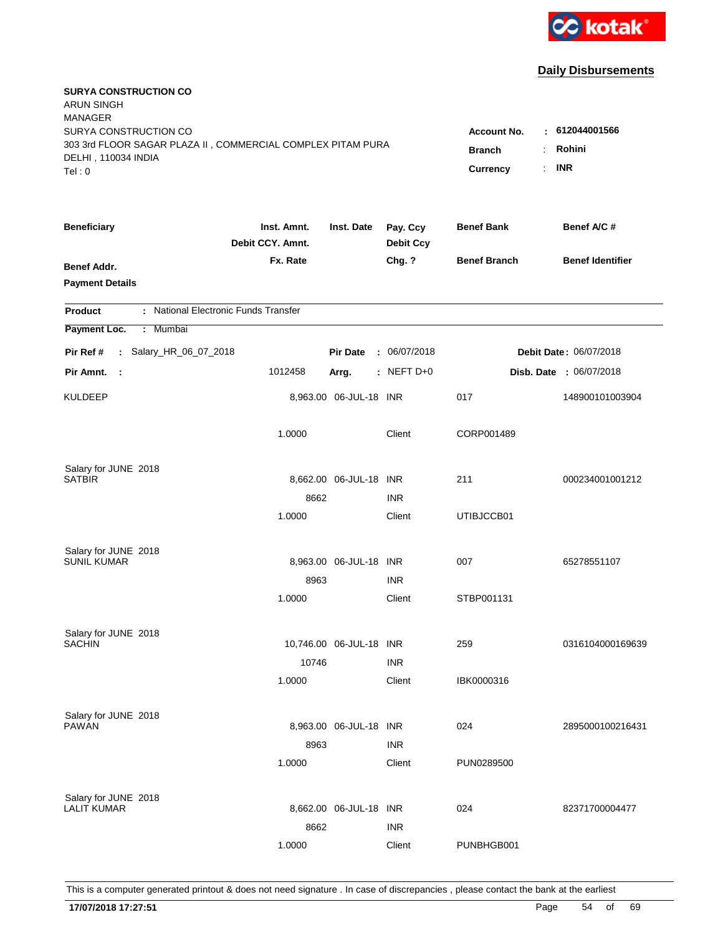

| <b>SURYA CONSTRUCTION CO</b><br><b>ARUN SINGH</b><br><b>MANAGER</b><br>SURYA CONSTRUCTION CO |                                 |                                  |                              | <b>Account No.</b>  | $-612044001566$                |
|----------------------------------------------------------------------------------------------|---------------------------------|----------------------------------|------------------------------|---------------------|--------------------------------|
| 303 3rd FLOOR SAGAR PLAZA II, COMMERCIAL COMPLEX PITAM PURA<br>DELHI, 110034 INDIA<br>Tel: 0 | <b>Branch</b><br>Currency       | Rohini<br>÷.<br><b>INR</b><br>÷. |                              |                     |                                |
| <b>Beneficiary</b>                                                                           | Inst. Amnt.<br>Debit CCY. Amnt. | Inst. Date                       | Pay. Ccy<br><b>Debit Ccy</b> | <b>Benef Bank</b>   | Benef A/C #                    |
| Benef Addr.<br><b>Payment Details</b>                                                        | Fx. Rate                        |                                  | Chg. ?                       | <b>Benef Branch</b> | <b>Benef Identifier</b>        |
| : National Electronic Funds Transfer<br><b>Product</b>                                       |                                 |                                  |                              |                     |                                |
| Payment Loc.<br>: Mumbai                                                                     |                                 |                                  |                              |                     |                                |
| : Salary_HR_06_07_2018<br>Pir Ref #                                                          |                                 | <b>Pir Date</b>                  | : 06/07/2018                 |                     | Debit Date: 06/07/2018         |
| Pir Amnt.<br>- 1                                                                             | 1012458                         | Arrg.                            | $:$ NEFT D+0                 |                     | <b>Disb. Date : 06/07/2018</b> |
| <b>KULDEEP</b>                                                                               |                                 | 8,963.00 06-JUL-18 INR           |                              | 017                 | 148900101003904                |
|                                                                                              | 1.0000                          |                                  | Client                       | CORP001489          |                                |
| Salary for JUNE 2018                                                                         |                                 |                                  |                              |                     |                                |
| <b>SATBIR</b>                                                                                | 8662                            | 8,662.00 06-JUL-18 INR           | <b>INR</b>                   | 211                 | 000234001001212                |
|                                                                                              | 1.0000                          |                                  | Client                       | UTIBJCCB01          |                                |
| Salary for JUNE 2018                                                                         |                                 |                                  |                              |                     |                                |
| <b>SUNIL KUMAR</b>                                                                           |                                 | 8,963.00 06-JUL-18 INR           |                              | 007                 | 65278551107                    |
|                                                                                              | 8963                            |                                  | <b>INR</b>                   |                     |                                |
|                                                                                              | 1.0000                          |                                  | Client                       | STBP001131          |                                |
| Salary for JUNE 2018                                                                         |                                 |                                  |                              |                     |                                |
| <b>SACHIN</b>                                                                                |                                 | 10,746.00 06-JUL-18 INR          |                              | 259                 | 0316104000169639               |
|                                                                                              | 10746                           |                                  | <b>INR</b>                   |                     |                                |
|                                                                                              | 1.0000                          |                                  | Client                       | IBK0000316          |                                |
| Salary for JUNE 2018                                                                         |                                 |                                  |                              |                     |                                |
| PAWAN                                                                                        |                                 | 8,963.00 06-JUL-18 INR           |                              | 024                 | 2895000100216431               |
|                                                                                              | 8963                            |                                  | <b>INR</b>                   |                     |                                |
|                                                                                              | 1.0000                          |                                  | Client                       | PUN0289500          |                                |
| Salary for JUNE 2018                                                                         |                                 |                                  |                              |                     |                                |
| <b>LALIT KUMAR</b>                                                                           |                                 | 8,662.00 06-JUL-18 INR           |                              | 024                 | 82371700004477                 |
|                                                                                              | 8662                            |                                  | <b>INR</b>                   |                     |                                |
|                                                                                              | 1.0000                          |                                  | Client                       | PUNBHGB001          |                                |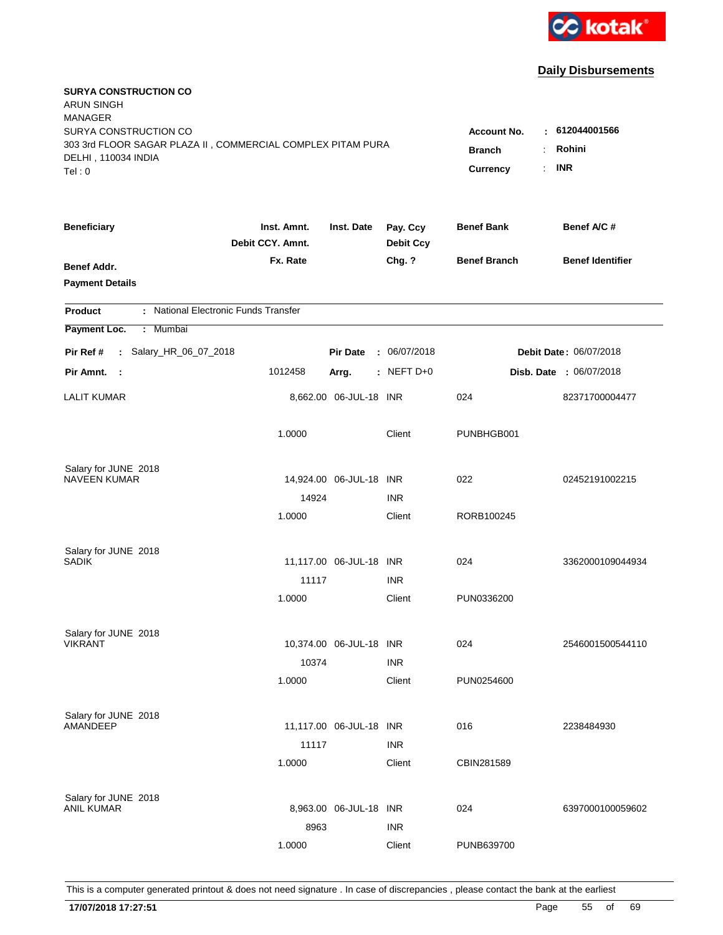

| <b>SURYA CONSTRUCTION CO</b><br><b>ARUN SINGH</b><br><b>MANAGER</b><br>SURYA CONSTRUCTION CO<br>303 3rd FLOOR SAGAR PLAZA II, COMMERCIAL COMPLEX PITAM PURA<br>DELHI, 110034 INDIA<br>Tel: 0 | <b>Account No.</b><br><b>Branch</b><br><b>Currency</b><br>÷. | $-612044001566$<br>Rohini<br><b>INR</b> |                              |                     |                                |
|----------------------------------------------------------------------------------------------------------------------------------------------------------------------------------------------|--------------------------------------------------------------|-----------------------------------------|------------------------------|---------------------|--------------------------------|
| <b>Beneficiary</b>                                                                                                                                                                           | Inst. Amnt.<br>Debit CCY. Amnt.                              | Inst. Date                              | Pay. Ccy<br><b>Debit Ccy</b> | <b>Benef Bank</b>   | Benef A/C#                     |
| Benef Addr.<br><b>Payment Details</b>                                                                                                                                                        | Fx. Rate                                                     |                                         | Chg. ?                       | <b>Benef Branch</b> | <b>Benef Identifier</b>        |
| : National Electronic Funds Transfer<br><b>Product</b>                                                                                                                                       |                                                              |                                         |                              |                     |                                |
| Payment Loc.<br>: Mumbai                                                                                                                                                                     |                                                              |                                         |                              |                     |                                |
| : Salary_HR_06_07_2018<br>Pir Ref #                                                                                                                                                          |                                                              | <b>Pir Date</b>                         | : 06/07/2018                 |                     | <b>Debit Date: 06/07/2018</b>  |
| Pir Amnt.<br>$\sim$ 1                                                                                                                                                                        | 1012458                                                      | Arrg.                                   | : NEFT $D+0$                 |                     | <b>Disb. Date : 06/07/2018</b> |
| <b>LALIT KUMAR</b>                                                                                                                                                                           |                                                              | 8,662.00 06-JUL-18 INR                  |                              | 024                 | 82371700004477                 |
|                                                                                                                                                                                              | 1.0000                                                       |                                         | Client                       | PUNBHGB001          |                                |
| Salary for JUNE 2018<br><b>NAVEEN KUMAR</b>                                                                                                                                                  |                                                              | 14,924.00 06-JUL-18 INR                 |                              | 022                 | 02452191002215                 |
|                                                                                                                                                                                              | 14924                                                        |                                         | <b>INR</b>                   |                     |                                |
|                                                                                                                                                                                              | 1.0000                                                       |                                         | Client                       | RORB100245          |                                |
| Salary for JUNE 2018<br>SADIK                                                                                                                                                                |                                                              | 11,117.00 06-JUL-18 INR                 |                              | 024                 | 3362000109044934               |
|                                                                                                                                                                                              | 11117                                                        |                                         | <b>INR</b>                   |                     |                                |
|                                                                                                                                                                                              | 1.0000                                                       |                                         | Client                       | PUN0336200          |                                |
| Salary for JUNE 2018<br><b>VIKRANT</b>                                                                                                                                                       |                                                              | 10,374.00 06-JUL-18 INR                 |                              | 024                 | 2546001500544110               |
|                                                                                                                                                                                              | 10374                                                        |                                         | <b>INR</b>                   |                     |                                |
|                                                                                                                                                                                              | 1.0000                                                       |                                         | Client                       | PUN0254600          |                                |
| Salary for JUNE 2018<br>AMANDEEP                                                                                                                                                             |                                                              | 11,117.00 06-JUL-18 INR                 |                              | 016                 | 2238484930                     |
|                                                                                                                                                                                              | 11117<br>1.0000                                              |                                         | <b>INR</b><br>Client         | CBIN281589          |                                |
| Salary for JUNE 2018<br><b>ANIL KUMAR</b>                                                                                                                                                    | 8963                                                         | 8,963.00 06-JUL-18 INR                  | <b>INR</b>                   | 024                 | 6397000100059602               |
|                                                                                                                                                                                              | 1.0000                                                       |                                         | Client                       | PUNB639700          |                                |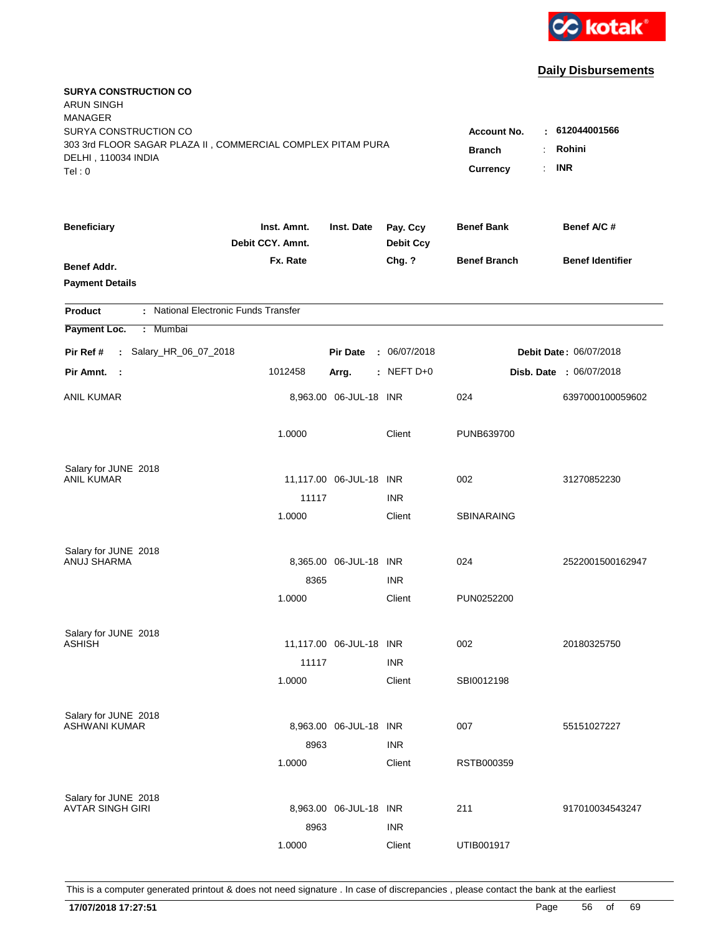

| <b>SURYA CONSTRUCTION CO</b><br><b>ARUN SINGH</b>           |                                 |                         |                              |                                  |                         |
|-------------------------------------------------------------|---------------------------------|-------------------------|------------------------------|----------------------------------|-------------------------|
| <b>MANAGER</b><br>SURYA CONSTRUCTION CO                     |                                 |                         |                              |                                  | $-612044001566$         |
| 303 3rd FLOOR SAGAR PLAZA II, COMMERCIAL COMPLEX PITAM PURA |                                 | <b>Account No.</b>      |                              |                                  |                         |
| DELHI, 110034 INDIA                                         |                                 |                         |                              | <b>Branch</b>                    | Rohini                  |
| Tel: 0                                                      |                                 |                         |                              | $\ddot{\phantom{a}}$<br>Currency | <b>INR</b>              |
|                                                             |                                 |                         |                              |                                  |                         |
| <b>Beneficiary</b>                                          | Inst. Amnt.<br>Debit CCY. Amnt. | Inst. Date              | Pay. Ccy<br><b>Debit Ccy</b> | <b>Benef Bank</b>                | Benef A/C #             |
| <b>Benef Addr.</b>                                          | Fx. Rate                        |                         | Chg. ?                       | <b>Benef Branch</b>              | <b>Benef Identifier</b> |
| <b>Payment Details</b>                                      |                                 |                         |                              |                                  |                         |
| : National Electronic Funds Transfer<br><b>Product</b>      |                                 |                         |                              |                                  |                         |
| Payment Loc.<br>: Mumbai                                    |                                 |                         |                              |                                  |                         |
| : Salary_HR_06_07_2018<br>Pir Ref #                         |                                 | <b>Pir Date</b>         | : 06/07/2018                 |                                  | Debit Date: 06/07/2018  |
| Pir Amnt.<br>$\sim$ 1                                       | 1012458                         | Arrg.                   | $:$ NEFT D+0                 |                                  | Disb. Date : 06/07/2018 |
| <b>ANIL KUMAR</b>                                           |                                 | 8,963.00 06-JUL-18 INR  |                              | 024                              | 6397000100059602        |
|                                                             | 1.0000                          |                         | Client                       | PUNB639700                       |                         |
| Salary for JUNE 2018                                        |                                 |                         |                              |                                  |                         |
| ANIL KUMAR                                                  |                                 | 11,117.00 06-JUL-18 INR |                              | 002                              | 31270852230             |
|                                                             | 11117                           |                         | <b>INR</b>                   |                                  |                         |
|                                                             | 1.0000                          |                         | Client                       | <b>SBINARAING</b>                |                         |
| Salary for JUNE 2018                                        |                                 |                         |                              |                                  |                         |
| ANUJ SHARMA                                                 |                                 | 8,365.00 06-JUL-18 INR  |                              | 024                              | 2522001500162947        |
|                                                             | 8365                            |                         | <b>INR</b>                   |                                  |                         |
|                                                             | 1.0000                          |                         | Client                       | PUN0252200                       |                         |
| Salary for JUNE 2018                                        |                                 |                         |                              |                                  |                         |
| <b>ASHISH</b>                                               |                                 | 11,117.00 06-JUL-18 INR |                              | 002                              | 20180325750             |
|                                                             | 11117                           |                         | <b>INR</b>                   |                                  |                         |
|                                                             | 1.0000                          |                         | Client                       | SBI0012198                       |                         |
| Salary for JUNE 2018                                        |                                 |                         |                              |                                  |                         |
| <b>ASHWANI KUMAR</b>                                        |                                 | 8,963.00 06-JUL-18 INR  |                              | 007                              | 55151027227             |
|                                                             | 8963                            |                         | <b>INR</b>                   |                                  |                         |
|                                                             | 1.0000                          |                         | Client                       | RSTB000359                       |                         |
| Salary for JUNE 2018                                        |                                 |                         |                              |                                  |                         |
| <b>AVTAR SINGH GIRI</b>                                     |                                 | 8,963.00 06-JUL-18 INR  |                              | 211                              | 917010034543247         |
|                                                             | 8963                            |                         | <b>INR</b>                   |                                  |                         |
|                                                             | 1.0000                          |                         | Client                       | UTIB001917                       |                         |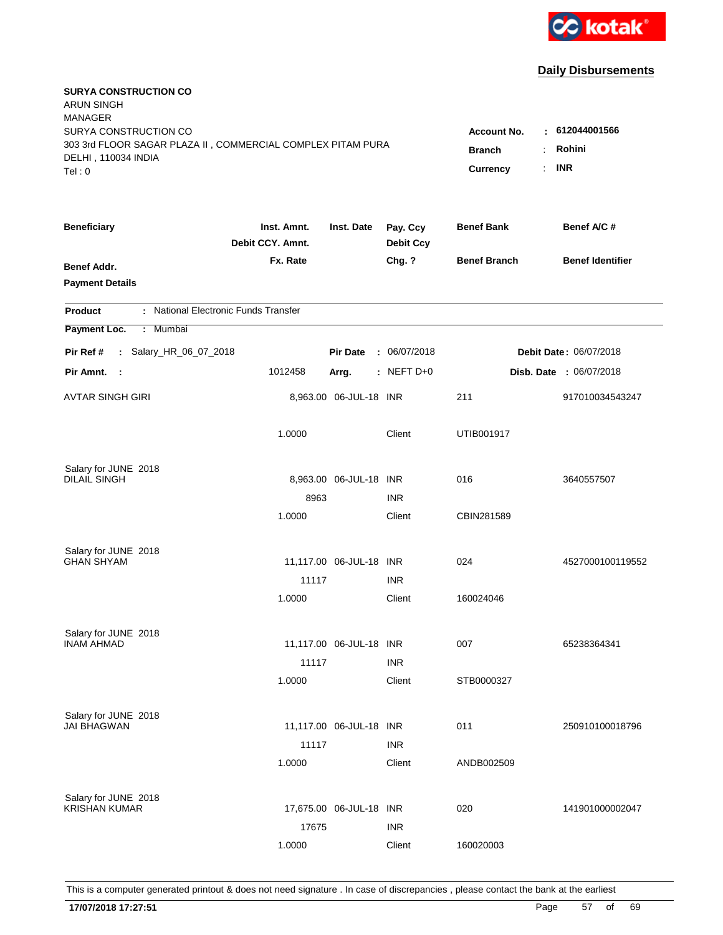

| <b>SURYA CONSTRUCTION CO</b><br><b>ARUN SINGH</b><br><b>MANAGER</b><br>SURYA CONSTRUCTION CO<br>303 3rd FLOOR SAGAR PLAZA II, COMMERCIAL COMPLEX PITAM PURA<br>DELHI, 110034 INDIA<br>Tel: 0 | <b>Account No.</b><br>٠.<br><b>Branch</b><br>Currency | 612044001566<br>Rohini<br><b>INR</b> |                              |                     |                         |
|----------------------------------------------------------------------------------------------------------------------------------------------------------------------------------------------|-------------------------------------------------------|--------------------------------------|------------------------------|---------------------|-------------------------|
| <b>Beneficiary</b>                                                                                                                                                                           | Inst. Amnt.<br>Debit CCY. Amnt.                       | Inst. Date                           | Pay. Ccy<br><b>Debit Ccy</b> | <b>Benef Bank</b>   | Benef A/C #             |
| Benef Addr.<br><b>Payment Details</b>                                                                                                                                                        | Fx. Rate                                              |                                      | Chg. ?                       | <b>Benef Branch</b> | <b>Benef Identifier</b> |
| : National Electronic Funds Transfer<br><b>Product</b>                                                                                                                                       |                                                       |                                      |                              |                     |                         |
| Payment Loc.<br>: Mumbai                                                                                                                                                                     |                                                       |                                      |                              |                     |                         |
| : Salary_HR_06_07_2018<br>Pir Ref #                                                                                                                                                          |                                                       | <b>Pir Date</b>                      | : 06/07/2018                 |                     | Debit Date: 06/07/2018  |
| Pir Amnt.<br>$\sim$ 1                                                                                                                                                                        | 1012458                                               | Arrg.                                | $:$ NEFT D+0                 |                     | Disb. Date : 06/07/2018 |
| AVTAR SINGH GIRI                                                                                                                                                                             |                                                       | 8,963.00 06-JUL-18 INR               |                              | 211                 | 917010034543247         |
|                                                                                                                                                                                              | 1.0000                                                |                                      | Client                       | UTIB001917          |                         |
| Salary for JUNE 2018<br><b>DILAIL SINGH</b>                                                                                                                                                  |                                                       | 8,963.00 06-JUL-18 INR               | <b>INR</b>                   | 016                 | 3640557507              |
|                                                                                                                                                                                              | 8963<br>1.0000                                        |                                      | Client                       | CBIN281589          |                         |
| Salary for JUNE 2018<br><b>GHAN SHYAM</b>                                                                                                                                                    | 11117                                                 | 11,117.00 06-JUL-18 INR              | <b>INR</b>                   | 024                 | 4527000100119552        |
|                                                                                                                                                                                              | 1.0000                                                |                                      | Client                       | 160024046           |                         |
| Salary for JUNE 2018<br><b>INAM AHMAD</b>                                                                                                                                                    | 11117                                                 | 11,117.00 06-JUL-18 INR              | <b>INR</b>                   | 007                 | 65238364341             |
|                                                                                                                                                                                              | 1.0000                                                |                                      | Client                       | STB0000327          |                         |
| Salary for JUNE 2018<br>JAI BHAGWAN                                                                                                                                                          | 11117                                                 | 11,117.00 06-JUL-18 INR              | <b>INR</b>                   | 011                 | 250910100018796         |
|                                                                                                                                                                                              | 1.0000                                                |                                      | Client                       | ANDB002509          |                         |
| Salary for JUNE 2018<br><b>KRISHAN KUMAR</b>                                                                                                                                                 | 17675                                                 | 17,675.00 06-JUL-18 INR              | <b>INR</b>                   | 020                 | 141901000002047         |
|                                                                                                                                                                                              | 1.0000                                                |                                      | Client                       | 160020003           |                         |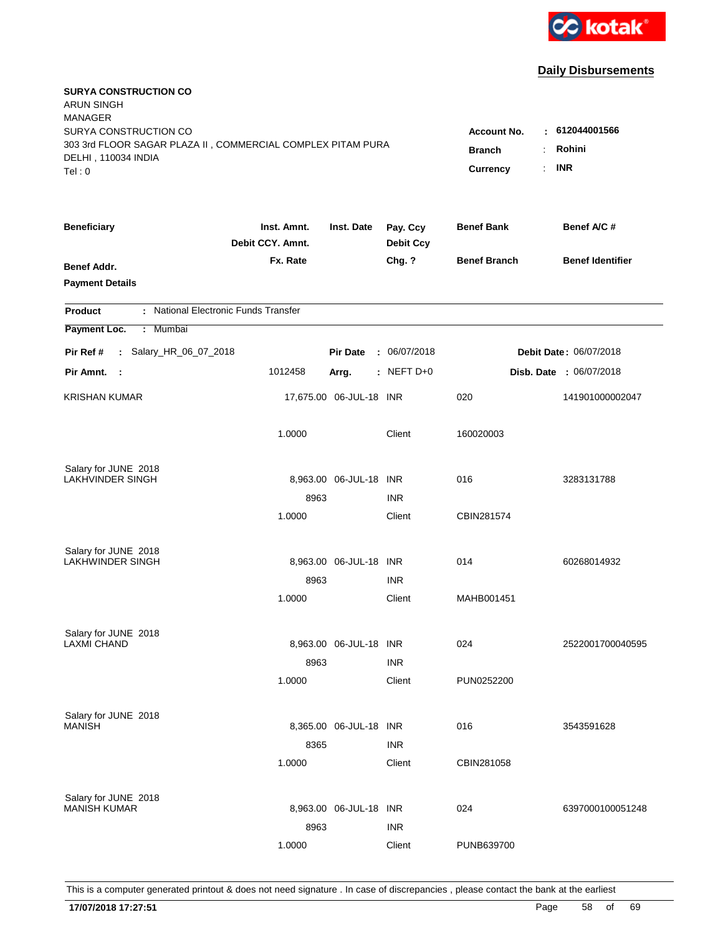

| <b>SURYA CONSTRUCTION CO</b><br><b>ARUN SINGH</b><br><b>MANAGER</b><br>SURYA CONSTRUCTION CO |                                                          |                         |                              | <b>Account No.</b><br>÷ | 612044001566            |
|----------------------------------------------------------------------------------------------|----------------------------------------------------------|-------------------------|------------------------------|-------------------------|-------------------------|
| 303 3rd FLOOR SAGAR PLAZA II, COMMERCIAL COMPLEX PITAM PURA<br>DELHI, 110034 INDIA<br>Tel: 0 | Rohini<br><b>Branch</b><br><b>INR</b><br><b>Currency</b> |                         |                              |                         |                         |
| <b>Beneficiary</b>                                                                           | Inst. Amnt.<br>Debit CCY. Amnt.                          | Inst. Date              | Pay. Ccy<br><b>Debit Ccy</b> | <b>Benef Bank</b>       | Benef A/C #             |
| Benef Addr.<br><b>Payment Details</b>                                                        | Fx. Rate                                                 |                         | Chg. ?                       | <b>Benef Branch</b>     | <b>Benef Identifier</b> |
| : National Electronic Funds Transfer<br><b>Product</b>                                       |                                                          |                         |                              |                         |                         |
| Payment Loc.<br>: Mumbai                                                                     |                                                          |                         |                              |                         |                         |
| : Salary_HR_06_07_2018<br>Pir Ref #                                                          |                                                          | <b>Pir Date</b>         | : 06/07/2018                 |                         | Debit Date: 06/07/2018  |
| Pir Amnt. :                                                                                  | 1012458                                                  | Arrg.                   | $:$ NEFT D+0                 |                         | Disb. Date : 06/07/2018 |
| <b>KRISHAN KUMAR</b>                                                                         |                                                          | 17,675.00 06-JUL-18 INR |                              | 020                     | 141901000002047         |
|                                                                                              | 1.0000                                                   |                         | Client                       | 160020003               |                         |
| Salary for JUNE 2018                                                                         |                                                          |                         |                              | 016                     |                         |
| LAKHVINDER SINGH                                                                             | 8963                                                     | 8,963.00 06-JUL-18 INR  | <b>INR</b>                   |                         | 3283131788              |
|                                                                                              | 1.0000                                                   |                         | Client                       | CBIN281574              |                         |
| Salary for JUNE 2018<br><b>LAKHWINDER SINGH</b>                                              |                                                          | 8,963.00 06-JUL-18 INR  |                              | 014                     | 60268014932             |
|                                                                                              | 8963                                                     |                         | <b>INR</b>                   |                         |                         |
|                                                                                              | 1.0000                                                   |                         | Client                       | MAHB001451              |                         |
| Salary for JUNE 2018<br><b>LAXMI CHAND</b>                                                   |                                                          | 8,963.00 06-JUL-18 INR  |                              | 024                     | 2522001700040595        |
|                                                                                              | 8963                                                     |                         | <b>INR</b>                   |                         |                         |
|                                                                                              | 1.0000                                                   |                         | Client                       | PUN0252200              |                         |
| Salary for JUNE 2018<br><b>MANISH</b>                                                        |                                                          | 8,365.00 06-JUL-18 INR  |                              | 016                     | 3543591628              |
|                                                                                              | 8365<br>1.0000                                           |                         | <b>INR</b><br>Client         | CBIN281058              |                         |
|                                                                                              |                                                          |                         |                              |                         |                         |
| Salary for JUNE 2018<br><b>MANISH KUMAR</b>                                                  |                                                          | 8,963.00 06-JUL-18 INR  |                              | 024                     | 6397000100051248        |
|                                                                                              | 8963                                                     |                         | <b>INR</b>                   |                         |                         |
|                                                                                              | 1.0000                                                   |                         | Client                       | PUNB639700              |                         |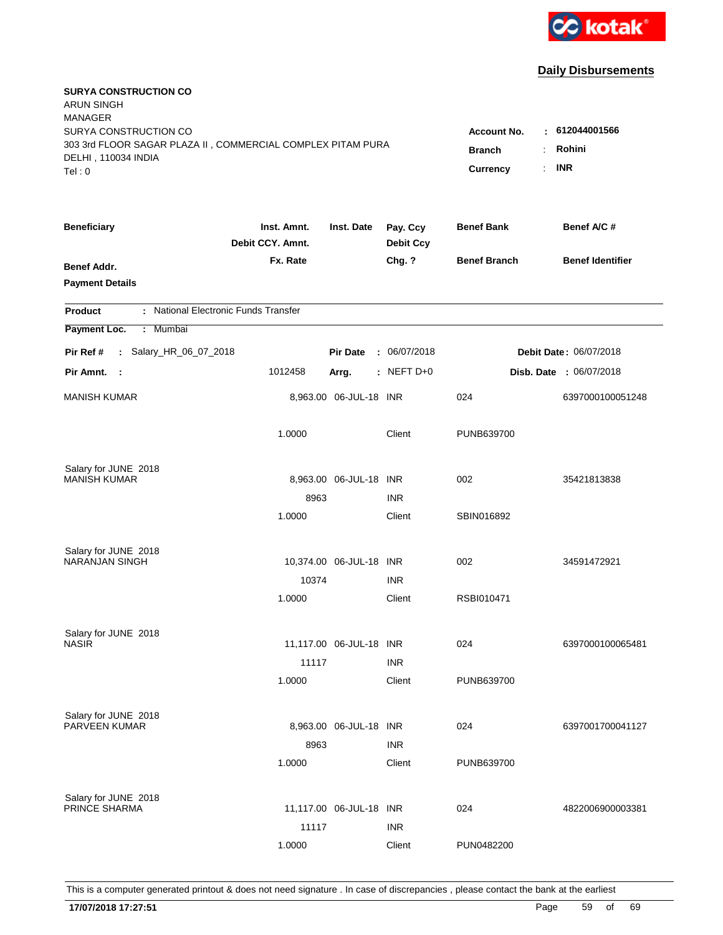

| <b>SURYA CONSTRUCTION CO</b><br><b>ARUN SINGH</b><br><b>MANAGER</b><br>SURYA CONSTRUCTION CO |                                 |                                  |                              | <b>Account No.</b>  | $-612044001566$                |
|----------------------------------------------------------------------------------------------|---------------------------------|----------------------------------|------------------------------|---------------------|--------------------------------|
| 303 3rd FLOOR SAGAR PLAZA II, COMMERCIAL COMPLEX PITAM PURA<br>DELHI, 110034 INDIA<br>Tel: 0 | <b>Branch</b><br>Currency       | Rohini<br>÷.<br><b>INR</b><br>÷. |                              |                     |                                |
| <b>Beneficiary</b>                                                                           | Inst. Amnt.<br>Debit CCY. Amnt. | Inst. Date                       | Pay. Ccy<br><b>Debit Ccy</b> | <b>Benef Bank</b>   | Benef A/C #                    |
| Benef Addr.<br><b>Payment Details</b>                                                        | Fx. Rate                        |                                  | Chg. ?                       | <b>Benef Branch</b> | <b>Benef Identifier</b>        |
| : National Electronic Funds Transfer<br><b>Product</b>                                       |                                 |                                  |                              |                     |                                |
| Payment Loc.<br>: Mumbai                                                                     |                                 |                                  |                              |                     |                                |
| : Salary_HR_06_07_2018<br>Pir Ref #                                                          |                                 | <b>Pir Date</b>                  | : 06/07/2018                 |                     | Debit Date: 06/07/2018         |
| Pir Amnt. :                                                                                  | 1012458                         | Arrg.                            | $:$ NEFT D+0                 |                     | <b>Disb. Date : 06/07/2018</b> |
| <b>MANISH KUMAR</b>                                                                          |                                 | 8,963.00 06-JUL-18 INR           |                              | 024                 | 6397000100051248               |
|                                                                                              | 1.0000                          |                                  | Client                       | PUNB639700          |                                |
| Salary for JUNE 2018                                                                         |                                 |                                  |                              |                     |                                |
| <b>MANISH KUMAR</b>                                                                          |                                 | 8,963.00 06-JUL-18 INR           |                              | 002                 | 35421813838                    |
|                                                                                              | 8963<br>1.0000                  |                                  | <b>INR</b><br>Client         | SBIN016892          |                                |
| Salary for JUNE 2018                                                                         |                                 |                                  |                              |                     |                                |
| <b>NARANJAN SINGH</b>                                                                        |                                 | 10,374.00 06-JUL-18 INR          |                              | 002                 | 34591472921                    |
|                                                                                              | 10374                           |                                  | <b>INR</b>                   |                     |                                |
|                                                                                              | 1.0000                          |                                  | Client                       | RSBI010471          |                                |
| Salary for JUNE 2018                                                                         |                                 |                                  |                              |                     |                                |
| <b>NASIR</b>                                                                                 |                                 | 11,117.00 06-JUL-18 INR          |                              | 024                 | 6397000100065481               |
|                                                                                              | 11117                           |                                  | <b>INR</b>                   |                     |                                |
|                                                                                              | 1.0000                          |                                  | Client                       | PUNB639700          |                                |
| Salary for JUNE 2018                                                                         |                                 |                                  |                              |                     |                                |
| PARVEEN KUMAR                                                                                |                                 | 8,963.00 06-JUL-18 INR           |                              | 024                 | 6397001700041127               |
|                                                                                              | 8963                            |                                  | <b>INR</b>                   |                     |                                |
|                                                                                              | 1.0000                          |                                  | Client                       | PUNB639700          |                                |
| Salary for JUNE 2018                                                                         |                                 |                                  |                              |                     |                                |
| PRINCE SHARMA                                                                                |                                 | 11,117.00 06-JUL-18 INR          |                              | 024                 | 4822006900003381               |
|                                                                                              | 11117                           |                                  | <b>INR</b>                   |                     |                                |
|                                                                                              | 1.0000                          |                                  | Client                       | PUN0482200          |                                |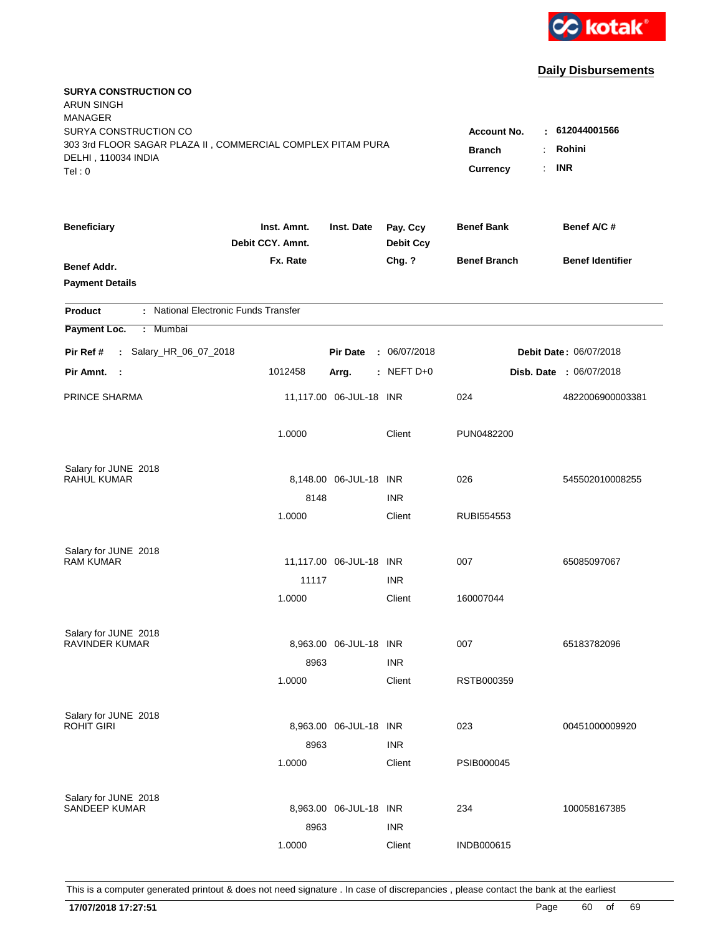

| <b>SURYA CONSTRUCTION CO</b><br><b>ARUN SINGH</b><br><b>MANAGER</b><br>SURYA CONSTRUCTION CO<br>303 3rd FLOOR SAGAR PLAZA II, COMMERCIAL COMPLEX PITAM PURA<br>DELHI, 110034 INDIA<br>Tel: 0 | <b>Account No.</b><br><b>Branch</b><br>÷<br>Currency<br>÷. | 612044001566<br>$\sim$<br>Rohini<br><b>INR</b> |                              |                     |                         |
|----------------------------------------------------------------------------------------------------------------------------------------------------------------------------------------------|------------------------------------------------------------|------------------------------------------------|------------------------------|---------------------|-------------------------|
| <b>Beneficiary</b>                                                                                                                                                                           | Inst. Amnt.<br>Debit CCY. Amnt.                            | Inst. Date                                     | Pay. Ccy<br><b>Debit Ccy</b> | <b>Benef Bank</b>   | Benef A/C #             |
| Benef Addr.<br><b>Payment Details</b>                                                                                                                                                        | Fx. Rate                                                   |                                                | Chg. ?                       | <b>Benef Branch</b> | <b>Benef Identifier</b> |
| : National Electronic Funds Transfer<br><b>Product</b>                                                                                                                                       |                                                            |                                                |                              |                     |                         |
| Payment Loc.<br>: Mumbai                                                                                                                                                                     |                                                            |                                                |                              |                     |                         |
| : Salary_HR_06_07_2018<br>Pir Ref #                                                                                                                                                          |                                                            | <b>Pir Date</b>                                | : 06/07/2018                 |                     | Debit Date: 06/07/2018  |
| Pir Amnt. :                                                                                                                                                                                  | 1012458                                                    | Arrg.                                          | : NEFT $D+0$                 |                     | Disb. Date : 06/07/2018 |
| PRINCE SHARMA                                                                                                                                                                                |                                                            | 11,117.00 06-JUL-18 INR                        |                              | 024                 | 4822006900003381        |
|                                                                                                                                                                                              | 1.0000                                                     |                                                | Client                       | PUN0482200          |                         |
| Salary for JUNE 2018                                                                                                                                                                         |                                                            |                                                |                              |                     |                         |
| <b>RAHUL KUMAR</b>                                                                                                                                                                           |                                                            | 8,148.00 06-JUL-18 INR                         |                              | 026                 | 545502010008255         |
|                                                                                                                                                                                              | 8148<br>1.0000                                             |                                                | <b>INR</b><br>Client         | RUBI554553          |                         |
|                                                                                                                                                                                              |                                                            |                                                |                              |                     |                         |
| Salary for JUNE 2018                                                                                                                                                                         |                                                            |                                                |                              |                     |                         |
| <b>RAM KUMAR</b>                                                                                                                                                                             |                                                            | 11,117.00 06-JUL-18 INR                        |                              | 007                 | 65085097067             |
|                                                                                                                                                                                              | 11117                                                      |                                                | <b>INR</b>                   |                     |                         |
|                                                                                                                                                                                              | 1.0000                                                     |                                                | Client                       | 160007044           |                         |
| Salary for JUNE 2018                                                                                                                                                                         |                                                            |                                                |                              |                     |                         |
| <b>RAVINDER KUMAR</b>                                                                                                                                                                        |                                                            | 8,963.00 06-JUL-18 INR                         |                              | 007                 | 65183782096             |
|                                                                                                                                                                                              | 8963                                                       |                                                | <b>INR</b>                   |                     |                         |
|                                                                                                                                                                                              | 1.0000                                                     |                                                | Client                       | RSTB000359          |                         |
| Salary for JUNE 2018                                                                                                                                                                         |                                                            |                                                |                              |                     |                         |
| <b>ROHIT GIRI</b>                                                                                                                                                                            |                                                            | 8,963.00 06-JUL-18 INR                         |                              | 023                 | 00451000009920          |
|                                                                                                                                                                                              | 8963                                                       |                                                | <b>INR</b>                   |                     |                         |
|                                                                                                                                                                                              | 1.0000                                                     |                                                | Client                       | PSIB000045          |                         |
|                                                                                                                                                                                              |                                                            |                                                |                              |                     |                         |
| Salary for JUNE 2018<br><b>SANDEEP KUMAR</b>                                                                                                                                                 |                                                            | 8,963.00 06-JUL-18 INR                         |                              | 234                 | 100058167385            |
|                                                                                                                                                                                              | 8963                                                       |                                                | <b>INR</b>                   |                     |                         |
|                                                                                                                                                                                              | 1.0000                                                     |                                                | Client                       | <b>INDB000615</b>   |                         |
|                                                                                                                                                                                              |                                                            |                                                |                              |                     |                         |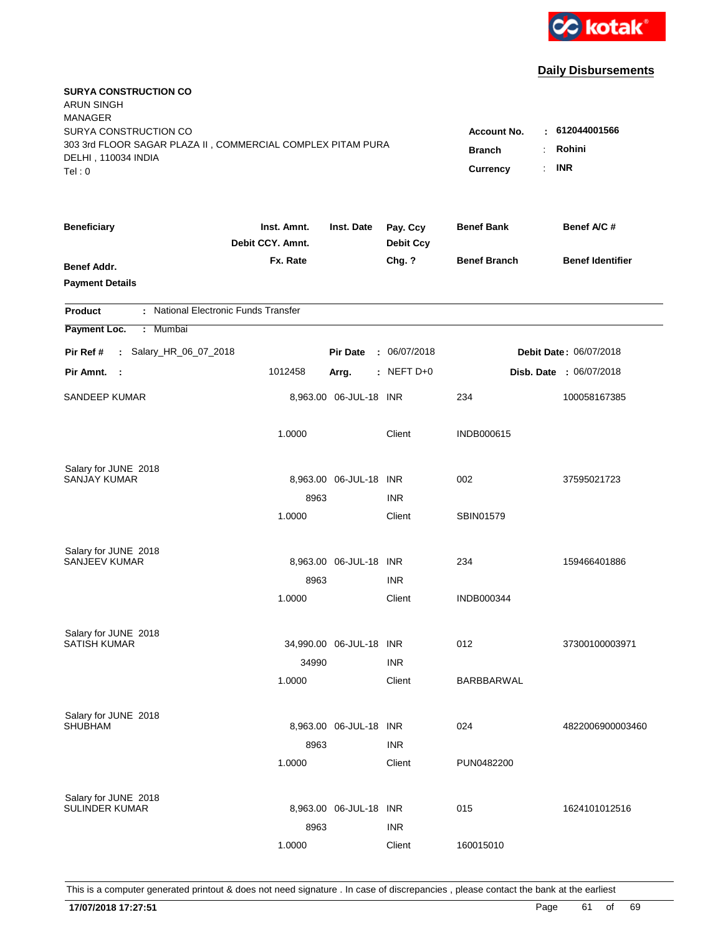

| <b>SURYA CONSTRUCTION CO</b><br><b>ARUN SINGH</b><br><b>MANAGER</b>                                                   |                  |                                                                    |                                      |                     |                                |
|-----------------------------------------------------------------------------------------------------------------------|------------------|--------------------------------------------------------------------|--------------------------------------|---------------------|--------------------------------|
| SURYA CONSTRUCTION CO<br>303 3rd FLOOR SAGAR PLAZA II, COMMERCIAL COMPLEX PITAM PURA<br>DELHI, 110034 INDIA<br>Tel: 0 |                  | <b>Account No.</b><br>н.<br><b>Branch</b><br><b>Currency</b><br>÷. | 612044001566<br>Rohini<br><b>INR</b> |                     |                                |
| <b>Beneficiary</b>                                                                                                    | Inst. Amnt.      | Inst. Date                                                         | Pay. Ccy                             | <b>Benef Bank</b>   | Benef A/C #                    |
|                                                                                                                       | Debit CCY. Amnt. |                                                                    | <b>Debit Ccy</b>                     |                     |                                |
| Benef Addr.<br><b>Payment Details</b>                                                                                 | Fx. Rate         |                                                                    | Chg. ?                               | <b>Benef Branch</b> | <b>Benef Identifier</b>        |
| : National Electronic Funds Transfer<br><b>Product</b>                                                                |                  |                                                                    |                                      |                     |                                |
| Payment Loc.<br>: Mumbai                                                                                              |                  |                                                                    |                                      |                     |                                |
| : Salary_HR_06_07_2018<br>Pir Ref #                                                                                   |                  | <b>Pir Date</b><br>÷.                                              | 06/07/2018                           |                     | Debit Date: 06/07/2018         |
| Pir Amnt.<br>- 1                                                                                                      | 1012458          | Arrg.                                                              | $:$ NEFT D+0                         |                     | <b>Disb. Date : 06/07/2018</b> |
| SANDEEP KUMAR                                                                                                         |                  | 8,963.00 06-JUL-18 INR                                             |                                      | 234                 | 100058167385                   |
|                                                                                                                       | 1.0000           |                                                                    | Client                               | <b>INDB000615</b>   |                                |
| Salary for JUNE 2018                                                                                                  |                  |                                                                    |                                      |                     |                                |
| SANJAY KUMAR                                                                                                          |                  | 8,963.00 06-JUL-18 INR                                             |                                      | 002                 | 37595021723                    |
|                                                                                                                       | 8963             |                                                                    | <b>INR</b>                           |                     |                                |
|                                                                                                                       | 1.0000           |                                                                    | Client                               | SBIN01579           |                                |
| Salary for JUNE 2018                                                                                                  |                  |                                                                    |                                      |                     |                                |
| <b>SANJEEV KUMAR</b>                                                                                                  |                  | 8,963.00 06-JUL-18 INR                                             |                                      | 234                 | 159466401886                   |
|                                                                                                                       | 8963             |                                                                    | <b>INR</b>                           |                     |                                |
|                                                                                                                       | 1.0000           |                                                                    | Client                               | <b>INDB000344</b>   |                                |
| Salary for JUNE 2018                                                                                                  |                  |                                                                    |                                      |                     |                                |
| <b>SATISH KUMAR</b>                                                                                                   |                  | 34,990.00 06-JUL-18 INR                                            |                                      | 012                 | 37300100003971                 |
|                                                                                                                       | 34990            |                                                                    | <b>INR</b>                           |                     |                                |
|                                                                                                                       | 1.0000           |                                                                    | Client                               | BARBBARWAL          |                                |
| Salary for JUNE 2018                                                                                                  |                  |                                                                    |                                      |                     |                                |
| <b>SHUBHAM</b>                                                                                                        |                  | 8,963.00 06-JUL-18 INR                                             |                                      | 024                 | 4822006900003460               |
|                                                                                                                       | 8963             |                                                                    | <b>INR</b>                           |                     |                                |
|                                                                                                                       | 1.0000           |                                                                    | Client                               | PUN0482200          |                                |
| Salary for JUNE 2018                                                                                                  |                  |                                                                    |                                      |                     |                                |
| SULINDER KUMAR                                                                                                        |                  | 8,963.00 06-JUL-18 INR                                             |                                      | 015                 | 1624101012516                  |
|                                                                                                                       | 8963             |                                                                    | <b>INR</b>                           |                     |                                |
|                                                                                                                       | 1.0000           |                                                                    | Client                               | 160015010           |                                |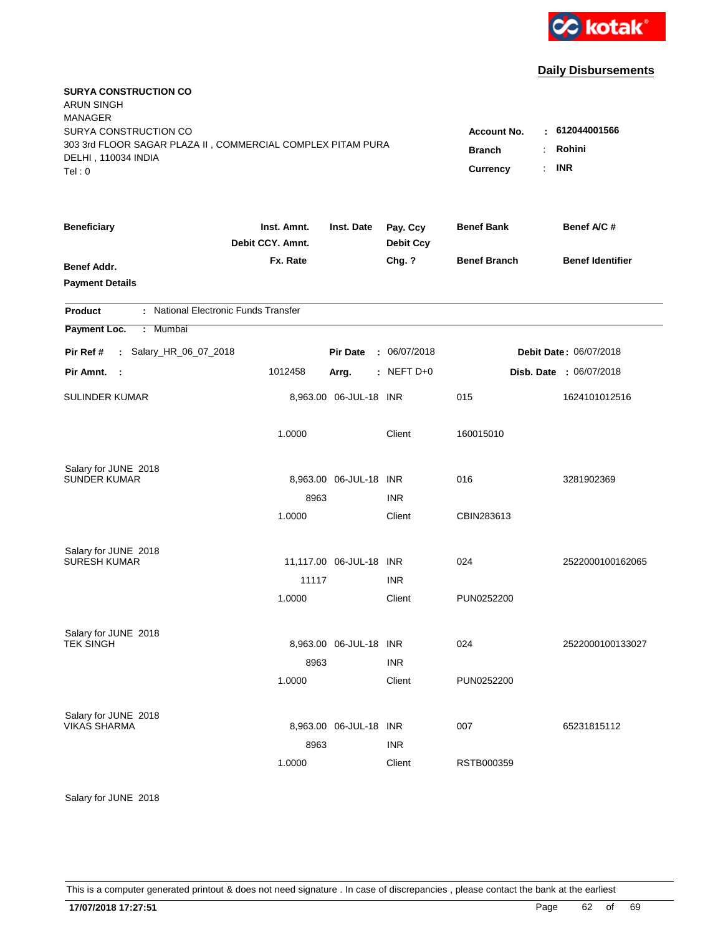

| <b>SURYA CONSTRUCTION CO</b><br><b>ARUN SINGH</b><br><b>MANAGER</b>                                         |                                 |                         |                              |                                                                    |                                         |
|-------------------------------------------------------------------------------------------------------------|---------------------------------|-------------------------|------------------------------|--------------------------------------------------------------------|-----------------------------------------|
| SURYA CONSTRUCTION CO<br>303 3rd FLOOR SAGAR PLAZA II, COMMERCIAL COMPLEX PITAM PURA<br>DELHI, 110034 INDIA |                                 |                         |                              | <b>Account No.</b><br><b>Branch</b><br>÷.<br>÷.<br><b>Currency</b> | $-612044001566$<br>Rohini<br><b>INR</b> |
| Tel: 0                                                                                                      |                                 |                         |                              |                                                                    |                                         |
| <b>Beneficiary</b>                                                                                          | Inst. Amnt.<br>Debit CCY. Amnt. | Inst. Date              | Pay. Ccy<br><b>Debit Ccy</b> | <b>Benef Bank</b>                                                  | Benef A/C #                             |
| <b>Benef Addr.</b>                                                                                          | Fx. Rate                        |                         | Chg. ?                       | <b>Benef Branch</b>                                                | <b>Benef Identifier</b>                 |
| <b>Payment Details</b>                                                                                      |                                 |                         |                              |                                                                    |                                         |
| : National Electronic Funds Transfer<br><b>Product</b>                                                      |                                 |                         |                              |                                                                    |                                         |
| Payment Loc.<br>: Mumbai                                                                                    |                                 |                         |                              |                                                                    |                                         |
| : Salary_HR_06_07_2018<br>Pir Ref #                                                                         |                                 | <b>Pir Date</b>         | : 06/07/2018                 |                                                                    | Debit Date: 06/07/2018                  |
| Pir Amnt.<br>- 1                                                                                            | 1012458                         | Arrg.                   | : NEFT D+0                   |                                                                    | Disb. Date : 06/07/2018                 |
| <b>SULINDER KUMAR</b>                                                                                       |                                 | 8,963.00 06-JUL-18 INR  |                              | 015                                                                | 1624101012516                           |
|                                                                                                             | 1.0000                          |                         | Client                       | 160015010                                                          |                                         |
| Salary for JUNE 2018                                                                                        |                                 |                         |                              |                                                                    |                                         |
| <b>SUNDER KUMAR</b>                                                                                         |                                 | 8,963.00 06-JUL-18 INR  |                              | 016                                                                | 3281902369                              |
|                                                                                                             | 8963<br>1.0000                  |                         | <b>INR</b><br>Client         | CBIN283613                                                         |                                         |
|                                                                                                             |                                 |                         |                              |                                                                    |                                         |
| Salary for JUNE 2018                                                                                        |                                 |                         |                              |                                                                    |                                         |
| <b>SURESH KUMAR</b>                                                                                         | 11117                           | 11,117.00 06-JUL-18 INR | <b>INR</b>                   | 024                                                                | 2522000100162065                        |
|                                                                                                             | 1.0000                          |                         | Client                       | PUN0252200                                                         |                                         |
|                                                                                                             |                                 |                         |                              |                                                                    |                                         |
| Salary for JUNE 2018                                                                                        |                                 |                         |                              |                                                                    |                                         |
| <b>TEK SINGH</b>                                                                                            |                                 | 8,963.00 06-JUL-18 INR  | <b>INR</b>                   | 024                                                                | 2522000100133027                        |
|                                                                                                             | 8963<br>1.0000                  |                         | Client                       | PUN0252200                                                         |                                         |
|                                                                                                             |                                 |                         |                              |                                                                    |                                         |
| Salary for JUNE 2018                                                                                        |                                 |                         |                              |                                                                    |                                         |
| <b>VIKAS SHARMA</b>                                                                                         |                                 | 8,963.00 06-JUL-18 INR  |                              | 007                                                                | 65231815112                             |
|                                                                                                             | 8963<br>1.0000                  |                         | <b>INR</b><br>Client         | RSTB000359                                                         |                                         |
|                                                                                                             |                                 |                         |                              |                                                                    |                                         |

Salary for JUNE 2018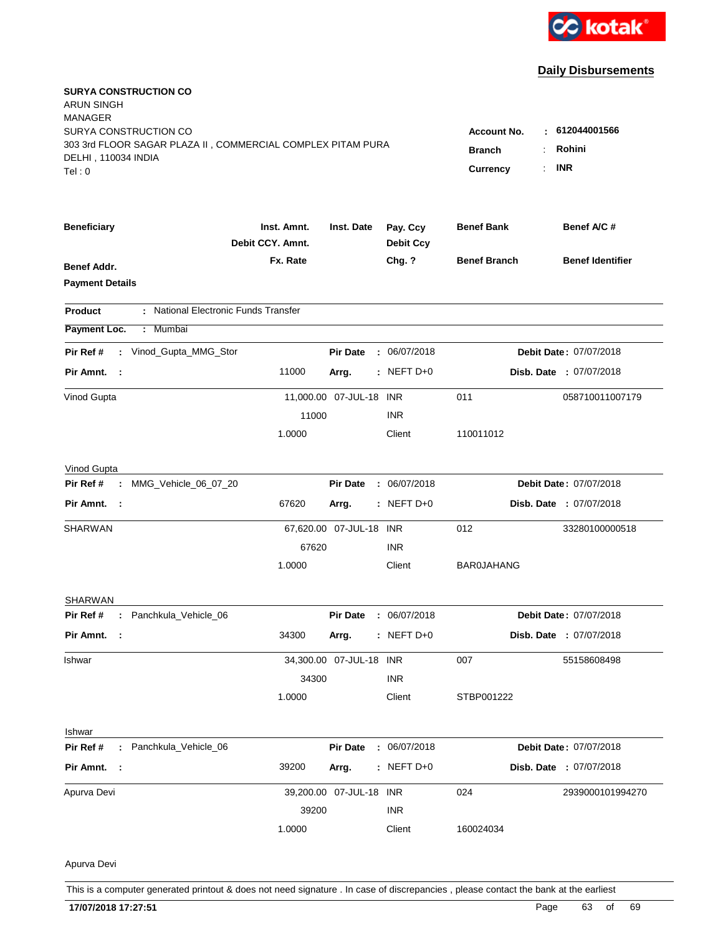

| <b>SURYA CONSTRUCTION CO</b><br>ARUN SINGH<br>MANAGER<br>SURYA CONSTRUCTION CO<br>303 3rd FLOOR SAGAR PLAZA II, COMMERCIAL COMPLEX PITAM PURA<br>DELHI, 110034 INDIA<br>Tel:0 |                                      |                         |                              | Account No.<br><b>Branch</b><br><b>Currency</b><br>÷. | 612044001566<br>Rohini<br><b>INR</b> |
|-------------------------------------------------------------------------------------------------------------------------------------------------------------------------------|--------------------------------------|-------------------------|------------------------------|-------------------------------------------------------|--------------------------------------|
| <b>Beneficiary</b>                                                                                                                                                            | Inst. Amnt.<br>Debit CCY, Amnt.      | Inst. Date              | Pay. Ccy<br><b>Debit Ccy</b> | <b>Benef Bank</b>                                     | Benef A/C #                          |
| <b>Benef Addr.</b><br><b>Payment Details</b>                                                                                                                                  | Fx. Rate                             |                         | Chg. ?                       | <b>Benef Branch</b>                                   | <b>Benef Identifier</b>              |
| Product                                                                                                                                                                       | : National Electronic Funds Transfer |                         |                              |                                                       |                                      |
| Payment Loc.<br>Mumbai<br>÷                                                                                                                                                   |                                      |                         |                              |                                                       |                                      |
| Pir Ref #<br>: Vinod_Gupta_MMG_Stor                                                                                                                                           |                                      | <b>Pir Date</b>         | : 06/07/2018                 |                                                       | Debit Date: 07/07/2018               |
| Pir Amnt. :                                                                                                                                                                   | 11000                                | Arrg.                   | $:$ NEFT D+0                 |                                                       | Disb. Date : 07/07/2018              |
| Vinod Gupta                                                                                                                                                                   | 11000                                | 11,000.00 07-JUL-18 INR | <b>INR</b>                   | 011                                                   | 058710011007179                      |
|                                                                                                                                                                               | 1.0000                               |                         | Client                       | 110011012                                             |                                      |
| Vinod Gupta                                                                                                                                                                   |                                      |                         |                              |                                                       |                                      |
| MMG_Vehicle_06_07_20<br>Pir Ref #<br>÷.                                                                                                                                       |                                      | <b>Pir Date</b>         | : 06/07/2018                 |                                                       | Debit Date: 07/07/2018               |
| Pir Amnt.<br>$\sim$ 1                                                                                                                                                         | 67620                                | Arrg.                   | : NEFT D+0                   |                                                       | Disb. Date : 07/07/2018              |
| SHARWAN                                                                                                                                                                       | 67620                                | 67,620.00 07-JUL-18 INR | <b>INR</b>                   | 012                                                   | 33280100000518                       |
|                                                                                                                                                                               | 1.0000                               |                         | Client                       | <b>BAR0JAHANG</b>                                     |                                      |
| <b>SHARWAN</b>                                                                                                                                                                |                                      |                         |                              |                                                       |                                      |
| : Panchkula_Vehicle_06<br>Pir Ref #                                                                                                                                           |                                      | <b>Pir Date</b>         | : 06/07/2018                 |                                                       | <b>Debit Date: 07/07/2018</b>        |
| Pir Amnt.<br>- 1                                                                                                                                                              | 34300                                | Arrg.                   | : NEFT $D+0$                 |                                                       | Disb. Date : 07/07/2018              |
| Ishwar                                                                                                                                                                        |                                      | 34,300.00 07-JUL-18 INR |                              | 007                                                   | 55158608498                          |
|                                                                                                                                                                               | 34300                                |                         | <b>INR</b>                   |                                                       |                                      |
|                                                                                                                                                                               | 1.0000                               |                         | Client                       | STBP001222                                            |                                      |
| Ishwar                                                                                                                                                                        |                                      |                         |                              |                                                       |                                      |
| Pir Ref #<br>: Panchkula_Vehicle_06                                                                                                                                           |                                      | <b>Pir Date</b>         | : 06/07/2018                 |                                                       | Debit Date: 07/07/2018               |
| Pir Amnt. :                                                                                                                                                                   | 39200                                | Arrg.                   | $:$ NEFT D+0                 |                                                       | Disb. Date : 07/07/2018              |
| Apurva Devi                                                                                                                                                                   |                                      | 39,200.00 07-JUL-18 INR |                              | 024                                                   | 2939000101994270                     |
|                                                                                                                                                                               | 39200                                |                         | <b>INR</b>                   |                                                       |                                      |
|                                                                                                                                                                               | 1.0000                               |                         | Client                       | 160024034                                             |                                      |
| Apurva Devi                                                                                                                                                                   |                                      |                         |                              |                                                       |                                      |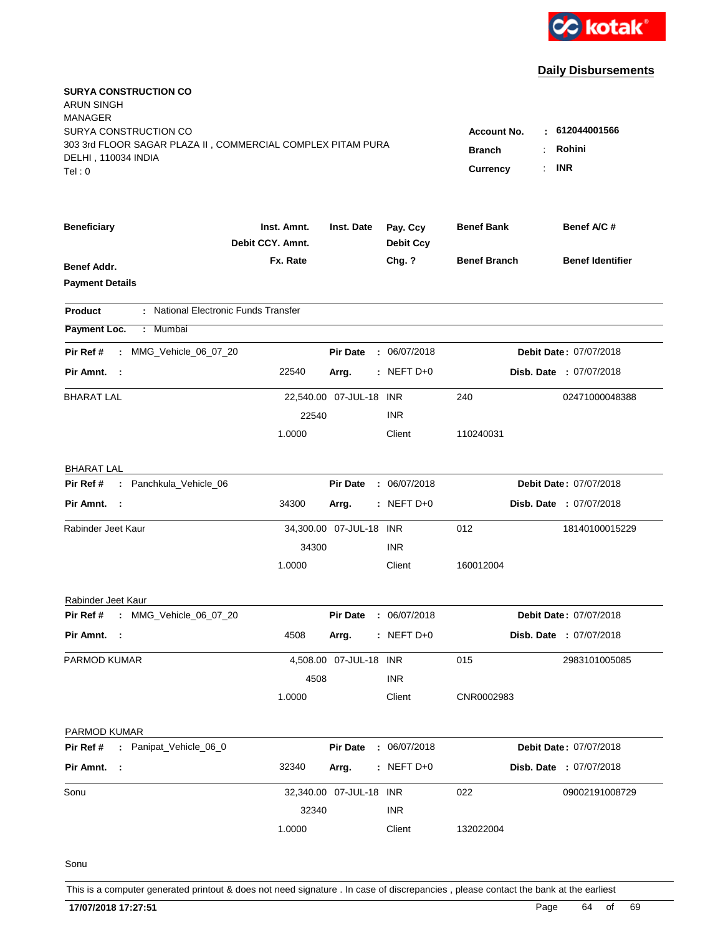

| <b>SURYA CONSTRUCTION CO</b><br>ARUN SINGH<br>MANAGER       |                                 |                         |                              |                         |                         |
|-------------------------------------------------------------|---------------------------------|-------------------------|------------------------------|-------------------------|-------------------------|
| SURYA CONSTRUCTION CO                                       |                                 |                         |                              | <b>Account No.</b>      | 612044001566<br>٠       |
| 303 3rd FLOOR SAGAR PLAZA II, COMMERCIAL COMPLEX PITAM PURA |                                 |                         |                              | <b>Branch</b>           | Rohini                  |
| DELHI, 110034 INDIA<br>Tel:0                                |                                 |                         |                              | <b>Currency</b>         | <b>INR</b><br>÷.        |
|                                                             |                                 |                         |                              |                         |                         |
| <b>Beneficiary</b>                                          | Inst. Amnt.<br>Debit CCY, Amnt. | Inst. Date              | Pay. Ccy<br><b>Debit Ccy</b> | <b>Benef Bank</b>       | Benef A/C #             |
| <b>Benef Addr.</b>                                          | Fx. Rate                        |                         | Chg. ?                       | <b>Benef Branch</b>     | <b>Benef Identifier</b> |
| <b>Payment Details</b>                                      |                                 |                         |                              |                         |                         |
| : National Electronic Funds Transfer<br>Product             |                                 |                         |                              |                         |                         |
| Payment Loc.<br>Mumbai<br>÷.                                |                                 |                         |                              |                         |                         |
| MMG_Vehicle_06_07_20<br>Pir Ref #<br>÷.                     |                                 | <b>Pir Date</b>         | : 06/07/2018                 |                         | Debit Date: 07/07/2018  |
| Pir Amnt. :                                                 | 22540                           | Arrg.                   | $:$ NEFT D+0                 |                         | Disb. Date : 07/07/2018 |
| <b>BHARAT LAL</b>                                           |                                 | 22,540.00 07-JUL-18 INR |                              | 240                     | 02471000048388          |
|                                                             | 22540                           |                         | <b>INR</b>                   |                         |                         |
|                                                             | 1.0000                          |                         | Client                       | 110240031               |                         |
| <b>BHARAT LAL</b>                                           |                                 |                         |                              |                         |                         |
| : Panchkula_Vehicle_06<br>Pir Ref #                         |                                 | <b>Pir Date</b>         | : 06/07/2018                 |                         | Debit Date: 07/07/2018  |
| Pir Amnt.<br>$\sim$ 1                                       | 34300                           | Arrg.                   | $:$ NEFT D+0                 | Disb. Date : 07/07/2018 |                         |
| Rabinder Jeet Kaur                                          |                                 | 34,300.00 07-JUL-18 INR |                              | 012                     | 18140100015229          |
|                                                             | 34300                           |                         | <b>INR</b>                   |                         |                         |
|                                                             | 1.0000                          |                         | Client                       | 160012004               |                         |
| Rabinder Jeet Kaur                                          |                                 |                         |                              |                         |                         |
| : MMG_Vehicle_06_07_20<br>Pir Ref #                         |                                 | <b>Pir Date</b>         | : 06/07/2018                 |                         | Debit Date: 07/07/2018  |
| Pir Amnt. :                                                 | 4508                            | Arrg.                   | $:$ NEFT D+0                 |                         | Disb. Date : 07/07/2018 |
| PARMOD KUMAR                                                |                                 | 4,508.00 07-JUL-18 INR  |                              | 015                     | 2983101005085           |
|                                                             | 4508                            |                         | <b>INR</b>                   |                         |                         |
|                                                             | 1.0000                          |                         | Client                       | CNR0002983              |                         |
| PARMOD KUMAR                                                |                                 |                         |                              |                         |                         |
| : Panipat_Vehicle_06_0<br>Pir Ref #                         |                                 | <b>Pir Date</b>         | : 06/07/2018                 |                         | Debit Date: 07/07/2018  |
| Pir Amnt. :                                                 | 32340                           | Arrg.                   | $:$ NEFT D+0                 |                         | Disb. Date : 07/07/2018 |
| Sonu                                                        |                                 | 32,340.00 07-JUL-18 INR |                              | 022                     | 09002191008729          |
|                                                             | 32340                           |                         | <b>INR</b>                   |                         |                         |
|                                                             | 1.0000                          |                         | Client                       | 132022004               |                         |
|                                                             |                                 |                         |                              |                         |                         |

Sonu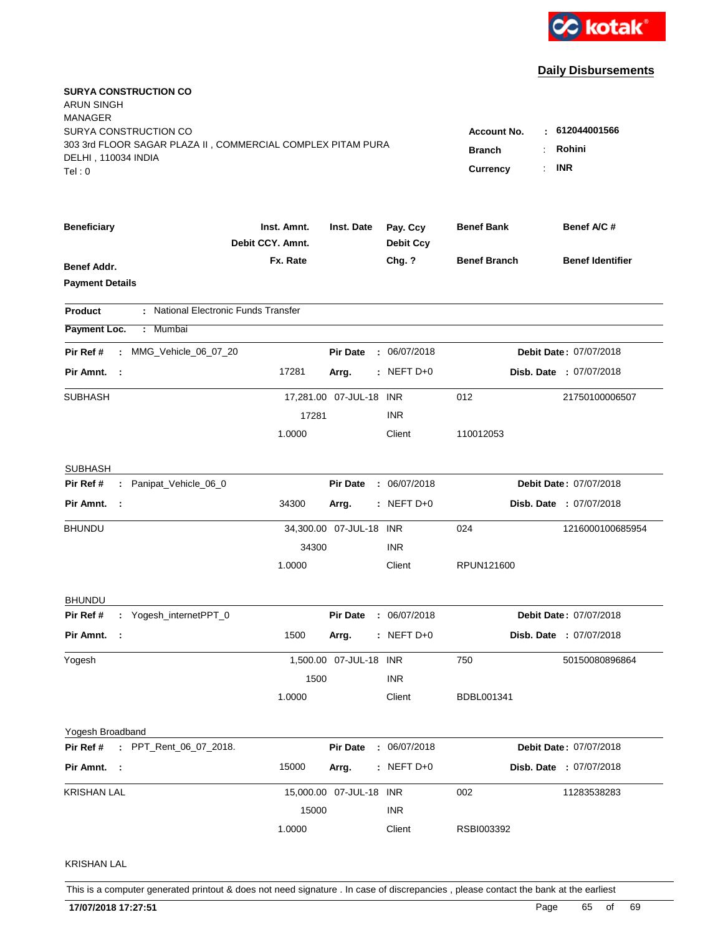

| <b>SURYA CONSTRUCTION CO</b><br>ARUN SINGH<br>MANAGER<br>SURYA CONSTRUCTION CO<br>303 3rd FLOOR SAGAR PLAZA II, COMMERCIAL COMPLEX PITAM PURA<br>DELHI, 110034 INDIA<br>Tel:0 |                                 |                         |                              | <b>Account No.</b><br><b>Branch</b><br><b>Currency</b> | : 612044001566<br>Rohini<br><b>INR</b> |
|-------------------------------------------------------------------------------------------------------------------------------------------------------------------------------|---------------------------------|-------------------------|------------------------------|--------------------------------------------------------|----------------------------------------|
| <b>Beneficiary</b>                                                                                                                                                            | Inst. Amnt.<br>Debit CCY. Amnt. | Inst. Date              | Pay. Ccy<br><b>Debit Ccy</b> | <b>Benef Bank</b>                                      | Benef A/C #                            |
| <b>Benef Addr.</b><br><b>Payment Details</b>                                                                                                                                  | Fx. Rate                        |                         | Chg. ?                       | <b>Benef Branch</b>                                    | <b>Benef Identifier</b>                |
| : National Electronic Funds Transfer<br><b>Product</b>                                                                                                                        |                                 |                         |                              |                                                        |                                        |
| Payment Loc.<br>Mumbai<br>÷.                                                                                                                                                  |                                 |                         |                              |                                                        |                                        |
| MMG_Vehicle_06_07_20<br>Pir Ref #<br>$\mathbf{r}$                                                                                                                             |                                 | <b>Pir Date</b>         | : 06/07/2018                 |                                                        | Debit Date: 07/07/2018                 |
| Pir Amnt. :                                                                                                                                                                   | 17281                           | Arrg.                   | $:$ NEFT D+0                 |                                                        | Disb. Date : 07/07/2018                |
| SUBHASH                                                                                                                                                                       |                                 | 17,281.00 07-JUL-18 INR |                              | 012                                                    | 21750100006507                         |
|                                                                                                                                                                               | 17281                           |                         | <b>INR</b>                   |                                                        |                                        |
|                                                                                                                                                                               | 1.0000                          |                         | Client                       | 110012053                                              |                                        |
| <b>SUBHASH</b>                                                                                                                                                                |                                 |                         |                              |                                                        |                                        |
| : Panipat_Vehicle_06_0<br>Pir Ref #                                                                                                                                           |                                 | <b>Pir Date</b>         | : 06/07/2018                 |                                                        | Debit Date: 07/07/2018                 |
| Pir Amnt.                                                                                                                                                                     | 34300                           | Arrg.                   | $:$ NEFT D+0                 |                                                        | Disb. Date : 07/07/2018                |
| <b>BHUNDU</b>                                                                                                                                                                 |                                 | 34,300.00 07-JUL-18 INR |                              | 024                                                    | 1216000100685954                       |
|                                                                                                                                                                               | 34300                           |                         | <b>INR</b>                   |                                                        |                                        |
|                                                                                                                                                                               | 1.0000                          |                         | Client                       | RPUN121600                                             |                                        |
| <b>BHUNDU</b>                                                                                                                                                                 |                                 |                         |                              |                                                        |                                        |
| : Yogesh_internetPPT_0<br>Pir Ref #                                                                                                                                           |                                 | <b>Pir Date</b>         | : 06/07/2018                 |                                                        | Debit Date: 07/07/2018                 |
| Pir Amnt.<br>- 1                                                                                                                                                              | 1500                            | Arrg.                   | $:$ NEFT D+0                 |                                                        | Disb. Date : 07/07/2018                |
| Yogesh                                                                                                                                                                        |                                 | 1,500.00 07-JUL-18 INR  |                              | 750                                                    | 50150080896864                         |
|                                                                                                                                                                               | 1500                            |                         | <b>INR</b>                   |                                                        |                                        |
|                                                                                                                                                                               | 1.0000                          |                         | Client                       | BDBL001341                                             |                                        |
| Yogesh Broadband                                                                                                                                                              |                                 |                         |                              |                                                        |                                        |
| : PPT_Rent_06_07_2018.<br>Pir Ref #                                                                                                                                           |                                 | <b>Pir Date</b>         | : 06/07/2018                 |                                                        | Debit Date: 07/07/2018                 |
| Pir Amnt. :                                                                                                                                                                   | 15000                           | Arrg.                   | $:$ NEFT D+0                 |                                                        | Disb. Date : 07/07/2018                |
| <b>KRISHAN LAL</b>                                                                                                                                                            |                                 | 15,000.00 07-JUL-18 INR |                              | 002                                                    | 11283538283                            |
|                                                                                                                                                                               | 15000                           |                         | <b>INR</b>                   |                                                        |                                        |
|                                                                                                                                                                               | 1.0000                          |                         | Client                       | RSBI003392                                             |                                        |
| <b>KRISHAN LAL</b>                                                                                                                                                            |                                 |                         |                              |                                                        |                                        |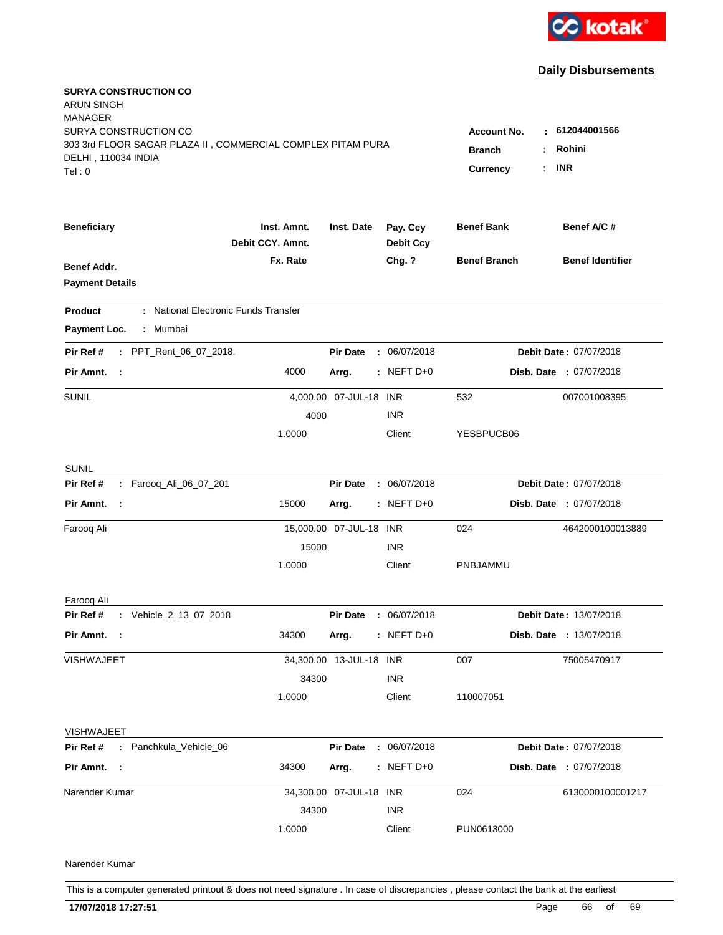

| <b>SURYA CONSTRUCTION CO</b><br>ARUN SINGH<br><b>MANAGER</b><br>SURYA CONSTRUCTION CO       |                                  |                         |                              | <b>Account No.</b>  | : 612044001566          |
|---------------------------------------------------------------------------------------------|----------------------------------|-------------------------|------------------------------|---------------------|-------------------------|
| 303 3rd FLOOR SAGAR PLAZA II, COMMERCIAL COMPLEX PITAM PURA<br>DELHI, 110034 INDIA<br>Tel:0 | <b>Branch</b><br><b>Currency</b> | Rohini<br><b>INR</b>    |                              |                     |                         |
| <b>Beneficiary</b>                                                                          | Inst. Amnt.<br>Debit CCY. Amnt.  | Inst. Date              | Pay. Ccy<br><b>Debit Ccy</b> | <b>Benef Bank</b>   | Benef A/C #             |
| Benef Addr.<br><b>Payment Details</b>                                                       | Fx. Rate                         |                         | Chg. ?                       | <b>Benef Branch</b> | <b>Benef Identifier</b> |
| : National Electronic Funds Transfer<br>Product                                             |                                  |                         |                              |                     |                         |
| Payment Loc.<br>: Mumbai                                                                    |                                  |                         |                              |                     |                         |
| : PPT_Rent_06_07_2018.<br>Pir Ref #                                                         |                                  | <b>Pir Date</b>         | : 06/07/2018                 |                     | Debit Date: 07/07/2018  |
| Pir Amnt. :                                                                                 | 4000                             | Arrg.                   | $:$ NEFT D+0                 |                     | Disb. Date : 07/07/2018 |
| <b>SUNIL</b>                                                                                | 4000                             | 4,000.00 07-JUL-18 INR  | <b>INR</b>                   | 532                 | 007001008395            |
|                                                                                             | 1.0000                           |                         | Client                       | YESBPUCB06          |                         |
| <b>SUNIL</b>                                                                                |                                  |                         |                              |                     |                         |
| Pir Ref #<br>: Farooq_Ali_06_07_201                                                         |                                  | <b>Pir Date</b>         | : 06/07/2018                 |                     | Debit Date: 07/07/2018  |
| Pir Amnt. :                                                                                 | 15000                            | Arrg.                   | $:$ NEFT D+0                 |                     | Disb. Date : 07/07/2018 |
| Farooq Ali                                                                                  |                                  | 15,000.00 07-JUL-18 INR |                              | 024                 | 4642000100013889        |
|                                                                                             | 15000<br>1.0000                  |                         | <b>INR</b><br>Client         | PNBJAMMU            |                         |
| Farooq Ali                                                                                  |                                  |                         |                              |                     |                         |
| Pir Ref # : Vehicle_2_13_07_2018                                                            |                                  | <b>Pir Date</b>         | : 06/07/2018                 |                     | Debit Date: 13/07/2018  |
| Pir Amnt. :                                                                                 | 34300                            | Arrg.                   | $:$ NEFT D+0                 |                     | Disb. Date : 13/07/2018 |
| <b>VISHWAJEET</b>                                                                           | 34300                            | 34,300.00 13-JUL-18 INR | <b>INR</b>                   | 007                 | 75005470917             |
|                                                                                             | 1.0000                           |                         | Client                       | 110007051           |                         |
| <b>VISHWAJEET</b>                                                                           |                                  |                         |                              |                     |                         |
| Pir Ref # : Panchkula Vehicle 06                                                            |                                  | <b>Pir Date</b>         | : 06/07/2018                 |                     | Debit Date: 07/07/2018  |
| Pir Amnt. :                                                                                 | 34300                            | Arrg.                   | : NEFT D+0                   |                     | Disb. Date : 07/07/2018 |
| Narender Kumar                                                                              |                                  | 34,300.00 07-JUL-18 INR |                              | 024                 | 6130000100001217        |
|                                                                                             | 34300                            |                         | <b>INR</b>                   |                     |                         |
|                                                                                             | 1.0000                           |                         | Client                       | PUN0613000          |                         |
| Narender Kumar                                                                              |                                  |                         |                              |                     |                         |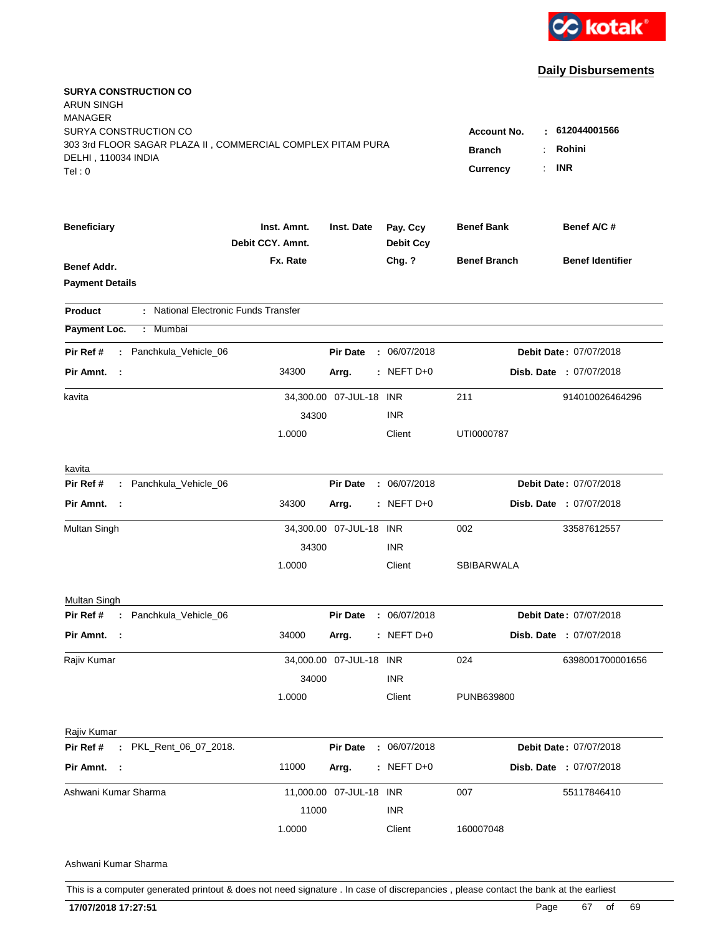

| <b>SURYA CONSTRUCTION CO</b><br><b>ARUN SINGH</b><br><b>MANAGER</b><br>SURYA CONSTRUCTION CO |                                 |                                  |                              | <b>Account No.</b><br>н. | 612044001566            |
|----------------------------------------------------------------------------------------------|---------------------------------|----------------------------------|------------------------------|--------------------------|-------------------------|
| 303 3rd FLOOR SAGAR PLAZA II, COMMERCIAL COMPLEX PITAM PURA<br>DELHI, 110034 INDIA<br>Tel:0  |                                 | <b>Branch</b><br><b>Currency</b> | Rohini<br><b>INR</b>         |                          |                         |
| <b>Beneficiary</b>                                                                           | Inst. Amnt.<br>Debit CCY. Amnt. | Inst. Date                       | Pay. Ccy<br><b>Debit Ccy</b> | <b>Benef Bank</b>        | Benef A/C #             |
| Benef Addr.<br><b>Payment Details</b>                                                        | Fx. Rate                        |                                  | Chg. ?                       | <b>Benef Branch</b>      | <b>Benef Identifier</b> |
| : National Electronic Funds Transfer<br><b>Product</b>                                       |                                 |                                  |                              |                          |                         |
| Payment Loc.<br>: Mumbai                                                                     |                                 |                                  |                              |                          |                         |
| : Panchkula_Vehicle_06<br>Pir Ref #                                                          |                                 | <b>Pir Date</b>                  | : 06/07/2018                 |                          | Debit Date: 07/07/2018  |
| Pir Amnt. :                                                                                  | 34300                           | Arrg.                            | $:$ NEFT D+0                 |                          | Disb. Date : 07/07/2018 |
| kavita                                                                                       | 34300                           | 34,300.00 07-JUL-18 INR          | <b>INR</b>                   | 211                      | 914010026464296         |
|                                                                                              | 1.0000                          |                                  | Client                       | UTI0000787               |                         |
| kavita                                                                                       |                                 |                                  |                              |                          |                         |
| Pir Ref #<br>: Panchkula_Vehicle_06                                                          |                                 | <b>Pir Date</b>                  | : 06/07/2018                 |                          | Debit Date: 07/07/2018  |
| Pir Amnt. :                                                                                  | 34300                           | Arrg.                            | $:$ NEFT D+0                 |                          | Disb. Date : 07/07/2018 |
| Multan Singh                                                                                 | 34300                           | 34,300.00 07-JUL-18 INR          | <b>INR</b>                   | 002                      | 33587612557             |
|                                                                                              | 1.0000                          |                                  | Client                       | SBIBARWALA               |                         |
| Multan Singh                                                                                 |                                 |                                  |                              |                          |                         |
| Pir Ref # : Panchkula_Vehicle_06                                                             |                                 | <b>Pir Date</b>                  | : 06/07/2018                 |                          | Debit Date: 07/07/2018  |
| Pir Amnt. :                                                                                  | 34000                           | Arrg.                            | $:$ NEFT D+0                 |                          | Disb. Date : 07/07/2018 |
| Rajiv Kumar                                                                                  | 34000                           | 34,000.00 07-JUL-18 INR          | <b>INR</b>                   | 024                      | 6398001700001656        |
|                                                                                              | 1.0000                          |                                  | Client                       | PUNB639800               |                         |
| Rajiv Kumar                                                                                  |                                 |                                  |                              |                          |                         |
| Pir Ref #<br>: PKL_Rent_06_07_2018.                                                          |                                 | <b>Pir Date</b>                  | : 06/07/2018                 |                          | Debit Date: 07/07/2018  |
| Pir Amnt. :                                                                                  | 11000                           | Arrg.                            | $:$ NEFT D+0                 |                          | Disb. Date : 07/07/2018 |
| Ashwani Kumar Sharma                                                                         |                                 | 11,000.00 07-JUL-18 INR          |                              | 007                      | 55117846410             |
|                                                                                              | 11000                           |                                  | <b>INR</b>                   |                          |                         |
|                                                                                              | 1.0000                          |                                  | Client                       | 160007048                |                         |
| Ashwani Kumar Sharma                                                                         |                                 |                                  |                              |                          |                         |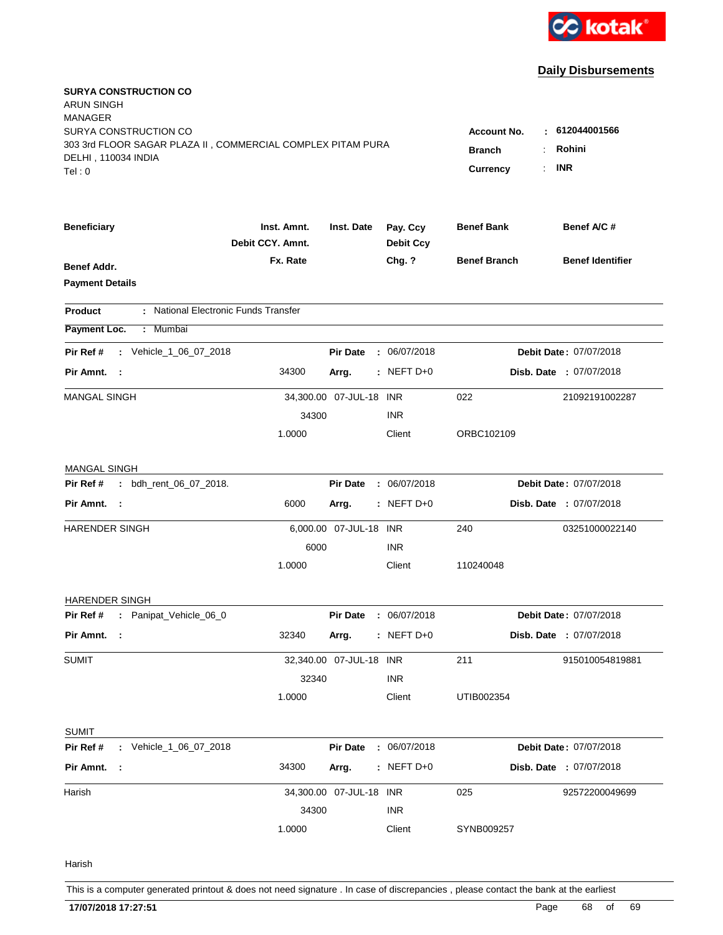

| <b>SURYA CONSTRUCTION CO</b><br>ARUN SINGH<br>MANAGER                                |                                 |                         |                              |                                         |                         |
|--------------------------------------------------------------------------------------|---------------------------------|-------------------------|------------------------------|-----------------------------------------|-------------------------|
| SURYA CONSTRUCTION CO<br>303 3rd FLOOR SAGAR PLAZA II, COMMERCIAL COMPLEX PITAM PURA |                                 |                         |                              | <b>Account No.</b><br>÷.                | 612044001566<br>Rohini  |
| DELHI, 110034 INDIA                                                                  |                                 |                         |                              | <b>Branch</b>                           |                         |
| Tel:0                                                                                |                                 |                         |                              | <b>Currency</b><br>$\ddot{\phantom{a}}$ | <b>INR</b>              |
| <b>Beneficiary</b>                                                                   | Inst. Amnt.<br>Debit CCY, Amnt. | Inst. Date              | Pay. Ccy<br><b>Debit Ccy</b> | <b>Benef Bank</b>                       | Benef A/C #             |
| <b>Benef Addr.</b>                                                                   | Fx. Rate                        |                         | Chg. ?                       | <b>Benef Branch</b>                     | <b>Benef Identifier</b> |
| <b>Payment Details</b>                                                               |                                 |                         |                              |                                         |                         |
| : National Electronic Funds Transfer<br>Product                                      |                                 |                         |                              |                                         |                         |
| Mumbai<br>Payment Loc.<br>÷.                                                         |                                 |                         |                              |                                         |                         |
| : Vehicle_1_06_07_2018<br>Pir Ref #                                                  |                                 | <b>Pir Date</b>         | : 06/07/2018                 |                                         | Debit Date: 07/07/2018  |
| Pir Amnt. :                                                                          | 34300                           | Arrg.                   | $:$ NEFT D+0                 |                                         | Disb. Date : 07/07/2018 |
| <b>MANGAL SINGH</b>                                                                  |                                 | 34,300.00 07-JUL-18 INR |                              | 022                                     | 21092191002287          |
|                                                                                      | 34300                           |                         | <b>INR</b>                   |                                         |                         |
|                                                                                      | 1.0000                          |                         | Client                       | ORBC102109                              |                         |
| <b>MANGAL SINGH</b>                                                                  |                                 |                         |                              |                                         |                         |
| Pir Ref #<br>: bdh_rent_06_07_2018.                                                  |                                 | <b>Pir Date</b>         | : 06/07/2018                 |                                         | Debit Date: 07/07/2018  |
| Pir Amnt.<br>$\sim$ :                                                                | 6000                            | Arrg.                   | $:$ NEFT D+0                 |                                         | Disb. Date : 07/07/2018 |
| HARENDER SINGH                                                                       |                                 | 6,000.00 07-JUL-18 INR  |                              | 240                                     | 03251000022140          |
|                                                                                      | 6000                            |                         | <b>INR</b>                   |                                         |                         |
|                                                                                      | 1.0000                          |                         | Client                       | 110240048                               |                         |
| <b>HARENDER SINGH</b>                                                                |                                 |                         |                              |                                         |                         |
| : Panipat_Vehicle_06_0<br>Pir Ref #                                                  |                                 | <b>Pir Date</b>         | : 06/07/2018                 |                                         | Debit Date: 07/07/2018  |
| Pir Amnt. :                                                                          | 32340                           | Arrg.                   | $:$ NEFT D+0                 |                                         | Disb. Date : 07/07/2018 |
| <b>SUMIT</b>                                                                         |                                 | 32,340.00 07-JUL-18 INR |                              | 211                                     | 915010054819881         |
|                                                                                      | 32340                           |                         | <b>INR</b>                   |                                         |                         |
|                                                                                      | 1.0000                          |                         | Client                       | UTIB002354                              |                         |
| <b>SUMIT</b>                                                                         |                                 |                         |                              |                                         |                         |
| Pir Ref #<br>: Vehicle_1_06_07_2018                                                  |                                 | <b>Pir Date</b>         | : 06/07/2018                 |                                         | Debit Date: 07/07/2018  |
| Pir Amnt. :                                                                          | 34300                           | Arrg.                   | $:$ NEFT D+0                 |                                         | Disb. Date : 07/07/2018 |
| Harish                                                                               |                                 | 34,300.00 07-JUL-18 INR |                              | 025                                     | 92572200049699          |
|                                                                                      | 34300                           |                         | <b>INR</b>                   |                                         |                         |
|                                                                                      | 1.0000                          |                         | Client                       | SYNB009257                              |                         |
| Harish                                                                               |                                 |                         |                              |                                         |                         |